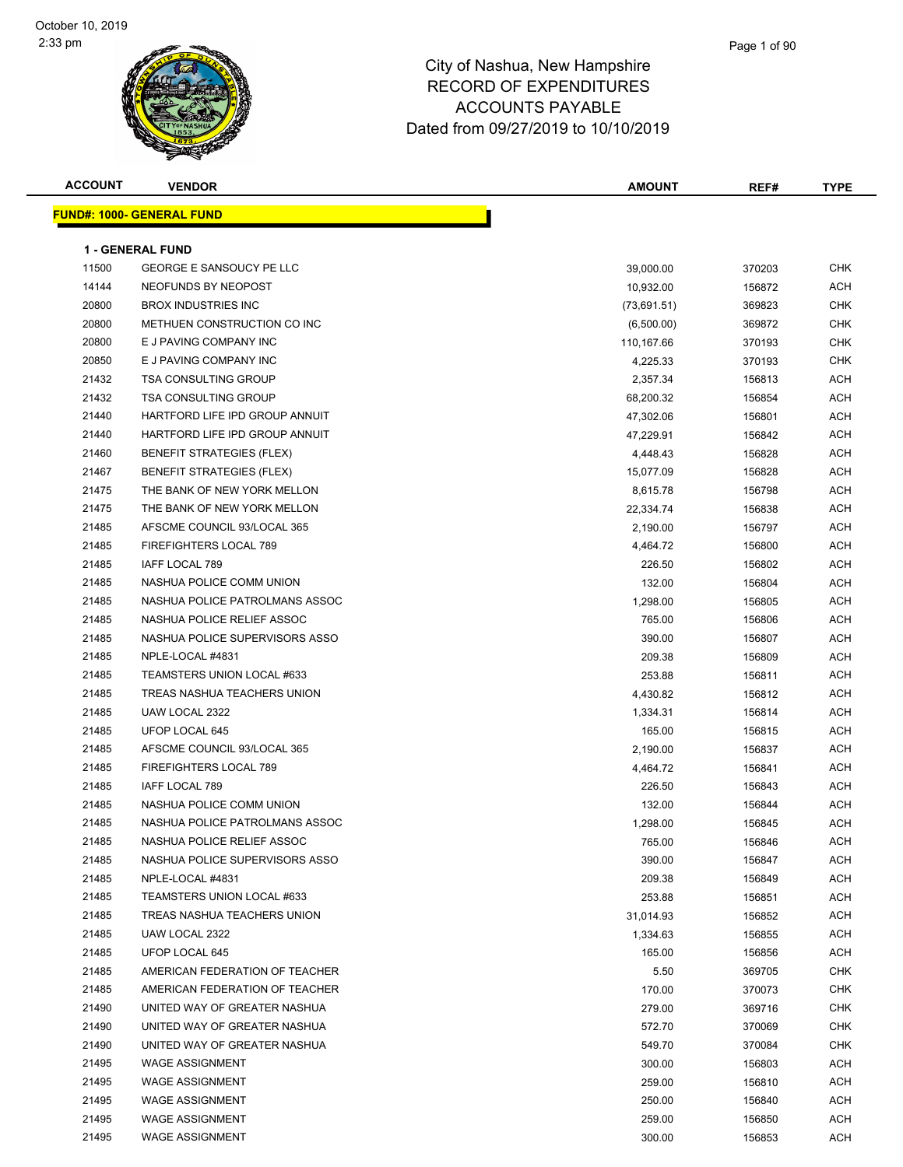| <b>ACCOUNT</b> | <b>VENDOR</b>                    | <b>AMOUNT</b> | REF#   | <b>TYPE</b> |
|----------------|----------------------------------|---------------|--------|-------------|
|                | <b>FUND#: 1000- GENERAL FUND</b> |               |        |             |
|                |                                  |               |        |             |
|                | <b>1 - GENERAL FUND</b>          |               |        |             |
| 11500          | <b>GEORGE E SANSOUCY PE LLC</b>  | 39,000.00     | 370203 | <b>CHK</b>  |
| 14144          | NEOFUNDS BY NEOPOST              | 10,932.00     | 156872 | <b>ACH</b>  |
| 20800          | <b>BROX INDUSTRIES INC</b>       | (73,691.51)   | 369823 | <b>CHK</b>  |
| 20800          | METHUEN CONSTRUCTION CO INC      | (6,500.00)    | 369872 | CHK         |
| 20800          | E J PAVING COMPANY INC           | 110,167.66    | 370193 | <b>CHK</b>  |
| 20850          | E J PAVING COMPANY INC           | 4,225.33      | 370193 | CHK         |
| 21432          | <b>TSA CONSULTING GROUP</b>      | 2,357.34      | 156813 | ACH         |
| 21432          | <b>TSA CONSULTING GROUP</b>      | 68,200.32     | 156854 | ACH         |
| 21440          | HARTFORD LIFE IPD GROUP ANNUIT   | 47,302.06     | 156801 | ACH         |
| 21440          | HARTFORD LIFE IPD GROUP ANNUIT   | 47,229.91     | 156842 | ACH         |
| 21460          | <b>BENEFIT STRATEGIES (FLEX)</b> | 4,448.43      | 156828 | ACH         |
| 21467          | <b>BENEFIT STRATEGIES (FLEX)</b> | 15,077.09     | 156828 | ACH         |
| 21475          | THE BANK OF NEW YORK MELLON      | 8,615.78      | 156798 | <b>ACH</b>  |
| 21475          | THE BANK OF NEW YORK MELLON      | 22,334.74     | 156838 | ACH         |
| 21485          | AFSCME COUNCIL 93/LOCAL 365      | 2,190.00      | 156797 | ACH         |
| 21485          | <b>FIREFIGHTERS LOCAL 789</b>    | 4,464.72      | 156800 | ACH         |
| 21485          | IAFF LOCAL 789                   | 226.50        | 156802 | ACH         |
| 21485          | NASHUA POLICE COMM UNION         | 132.00        | 156804 | ACH         |
| 21485          | NASHUA POLICE PATROLMANS ASSOC   | 1,298.00      | 156805 | ACH         |
| 21485          | NASHUA POLICE RELIEF ASSOC       | 765.00        | 156806 | ACH         |
| 21485          | NASHUA POLICE SUPERVISORS ASSO   | 390.00        | 156807 | ACH         |
| 21485          | NPLE-LOCAL #4831                 | 209.38        | 156809 | ACH         |
| 21485          | TEAMSTERS UNION LOCAL #633       | 253.88        | 156811 | ACH         |
| 21485          | TREAS NASHUA TEACHERS UNION      | 4,430.82      | 156812 | ACH         |
| 21485          | UAW LOCAL 2322                   | 1,334.31      | 156814 | ACH         |
| 21485          | UFOP LOCAL 645                   | 165.00        | 156815 | ACH         |
| 21485          | AFSCME COUNCIL 93/LOCAL 365      | 2,190.00      | 156837 | ACH         |
| 21485          | FIREFIGHTERS LOCAL 789           | 4,464.72      | 156841 | ACH         |
| 21485          | IAFF LOCAL 789                   | 226.50        | 156843 | ACH         |
| 21485          | NASHUA POLICE COMM UNION         | 132.00        | 156844 | ACH         |
| 21485          | NASHUA POLICE PATROLMANS ASSOC   | 1,298.00      | 156845 | ACH         |
| 21485          | NASHUA POLICE RELIEF ASSOC       | 765.00        | 156846 | ACH         |
| 21485          | NASHUA POLICE SUPERVISORS ASSO   | 390.00        | 156847 | ACH         |
| 21485          | NPLE-LOCAL #4831                 | 209.38        | 156849 | ACH         |
| 21485          | TEAMSTERS UNION LOCAL #633       | 253.88        | 156851 | ACH         |
| 21485          | TREAS NASHUA TEACHERS UNION      | 31,014.93     | 156852 | ACH         |
| 21485          | UAW LOCAL 2322                   | 1,334.63      | 156855 | ACH         |
| 21485          | UFOP LOCAL 645                   | 165.00        | 156856 | ACH         |
| 21485          | AMERICAN FEDERATION OF TEACHER   | 5.50          | 369705 | <b>CHK</b>  |
| 21485          | AMERICAN FEDERATION OF TEACHER   | 170.00        | 370073 | <b>CHK</b>  |
| 21490          | UNITED WAY OF GREATER NASHUA     | 279.00        | 369716 | <b>CHK</b>  |
| 21490          | UNITED WAY OF GREATER NASHUA     | 572.70        | 370069 | <b>CHK</b>  |
| 21490          | UNITED WAY OF GREATER NASHUA     | 549.70        | 370084 | <b>CHK</b>  |
| 21495          | <b>WAGE ASSIGNMENT</b>           | 300.00        | 156803 | ACH         |
| 21495          | <b>WAGE ASSIGNMENT</b>           | 259.00        | 156810 | ACH         |
| 21495          | <b>WAGE ASSIGNMENT</b>           | 250.00        | 156840 | ACH         |
| 21495          | <b>WAGE ASSIGNMENT</b>           | 259.00        | 156850 | ACH         |
| 21495          | <b>WAGE ASSIGNMENT</b>           | 300.00        | 156853 | <b>ACH</b>  |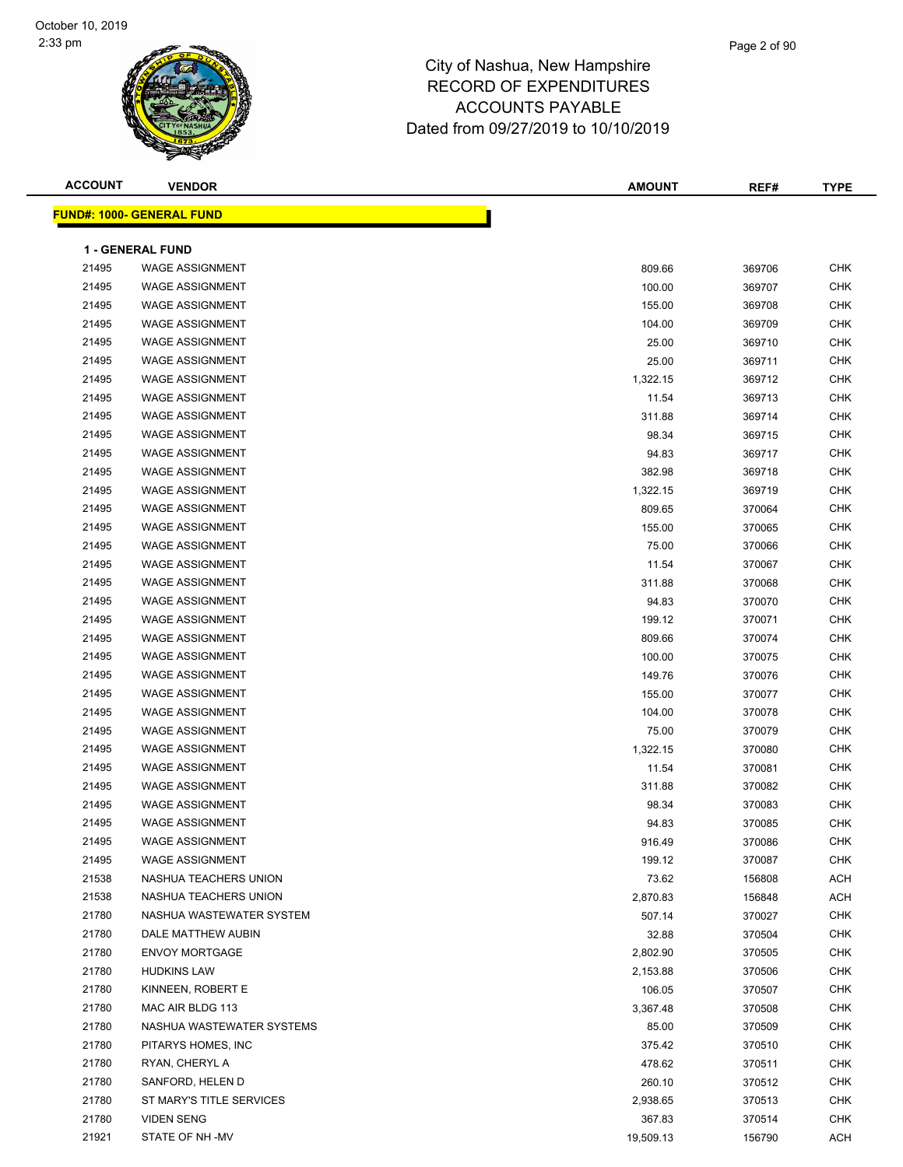| <b>ACCOUNT</b> | <b>VENDOR</b>                    | <b>AMOUNT</b> | REF#   | <b>TYPE</b> |
|----------------|----------------------------------|---------------|--------|-------------|
|                | <b>FUND#: 1000- GENERAL FUND</b> |               |        |             |
|                |                                  |               |        |             |
|                | <b>1 - GENERAL FUND</b>          |               |        |             |
| 21495          | <b>WAGE ASSIGNMENT</b>           | 809.66        | 369706 | <b>CHK</b>  |
| 21495          | <b>WAGE ASSIGNMENT</b>           | 100.00        | 369707 | <b>CHK</b>  |
| 21495          | <b>WAGE ASSIGNMENT</b>           | 155.00        | 369708 | <b>CHK</b>  |
| 21495          | <b>WAGE ASSIGNMENT</b>           | 104.00        | 369709 | <b>CHK</b>  |
| 21495          | <b>WAGE ASSIGNMENT</b>           | 25.00         | 369710 | <b>CHK</b>  |
| 21495          | <b>WAGE ASSIGNMENT</b>           | 25.00         | 369711 | <b>CHK</b>  |
| 21495          | <b>WAGE ASSIGNMENT</b>           | 1,322.15      | 369712 | <b>CHK</b>  |
| 21495          | <b>WAGE ASSIGNMENT</b>           | 11.54         | 369713 | <b>CHK</b>  |
| 21495          | <b>WAGE ASSIGNMENT</b>           | 311.88        | 369714 | <b>CHK</b>  |
| 21495          | <b>WAGE ASSIGNMENT</b>           | 98.34         | 369715 | <b>CHK</b>  |
| 21495          | <b>WAGE ASSIGNMENT</b>           | 94.83         | 369717 | <b>CHK</b>  |
| 21495          | <b>WAGE ASSIGNMENT</b>           | 382.98        | 369718 | <b>CHK</b>  |
| 21495          | <b>WAGE ASSIGNMENT</b>           | 1,322.15      | 369719 | <b>CHK</b>  |
| 21495          | <b>WAGE ASSIGNMENT</b>           | 809.65        | 370064 | <b>CHK</b>  |
| 21495          | <b>WAGE ASSIGNMENT</b>           | 155.00        | 370065 | <b>CHK</b>  |
| 21495          | <b>WAGE ASSIGNMENT</b>           | 75.00         | 370066 | <b>CHK</b>  |
| 21495          | <b>WAGE ASSIGNMENT</b>           | 11.54         | 370067 | <b>CHK</b>  |
| 21495          | <b>WAGE ASSIGNMENT</b>           | 311.88        | 370068 | <b>CHK</b>  |
| 21495          | <b>WAGE ASSIGNMENT</b>           | 94.83         | 370070 | <b>CHK</b>  |
| 21495          | <b>WAGE ASSIGNMENT</b>           | 199.12        | 370071 | <b>CHK</b>  |
| 21495          | <b>WAGE ASSIGNMENT</b>           | 809.66        | 370074 | <b>CHK</b>  |
| 21495          | <b>WAGE ASSIGNMENT</b>           | 100.00        | 370075 | <b>CHK</b>  |
| 21495          | <b>WAGE ASSIGNMENT</b>           | 149.76        | 370076 | <b>CHK</b>  |
| 21495          | <b>WAGE ASSIGNMENT</b>           | 155.00        | 370077 | <b>CHK</b>  |
| 21495          | <b>WAGE ASSIGNMENT</b>           | 104.00        | 370078 | <b>CHK</b>  |
| 21495          | <b>WAGE ASSIGNMENT</b>           | 75.00         | 370079 | <b>CHK</b>  |
| 21495          | <b>WAGE ASSIGNMENT</b>           | 1,322.15      | 370080 | <b>CHK</b>  |
| 21495          | <b>WAGE ASSIGNMENT</b>           | 11.54         | 370081 | <b>CHK</b>  |
| 21495          | <b>WAGE ASSIGNMENT</b>           | 311.88        | 370082 | <b>CHK</b>  |
| 21495          | <b>WAGE ASSIGNMENT</b>           | 98.34         | 370083 | <b>CHK</b>  |
| 21495          | <b>WAGE ASSIGNMENT</b>           | 94.83         | 370085 | <b>CHK</b>  |
| 21495          | WAGE ASSIGNMENT                  | 916.49        | 370086 | <b>CHK</b>  |
| 21495          | <b>WAGE ASSIGNMENT</b>           | 199.12        | 370087 | CHK         |
| 21538          | NASHUA TEACHERS UNION            | 73.62         | 156808 | ACH         |
| 21538          | NASHUA TEACHERS UNION            | 2,870.83      | 156848 | ACH         |
| 21780          | NASHUA WASTEWATER SYSTEM         | 507.14        | 370027 | <b>CHK</b>  |
| 21780          | DALE MATTHEW AUBIN               | 32.88         | 370504 | <b>CHK</b>  |
| 21780          | <b>ENVOY MORTGAGE</b>            | 2,802.90      | 370505 | <b>CHK</b>  |
| 21780          | <b>HUDKINS LAW</b>               | 2,153.88      | 370506 | <b>CHK</b>  |
| 21780          | KINNEEN, ROBERT E                | 106.05        | 370507 | <b>CHK</b>  |
| 21780          | MAC AIR BLDG 113                 | 3,367.48      | 370508 | <b>CHK</b>  |
| 21780          | NASHUA WASTEWATER SYSTEMS        | 85.00         | 370509 | CHK         |
| 21780          | PITARYS HOMES, INC               | 375.42        | 370510 | CHK         |
| 21780          | RYAN, CHERYL A                   | 478.62        | 370511 | <b>CHK</b>  |
| 21780          | SANFORD, HELEN D                 | 260.10        | 370512 | <b>CHK</b>  |
| 21780          | ST MARY'S TITLE SERVICES         | 2,938.65      | 370513 | <b>CHK</b>  |
| 21780          | <b>VIDEN SENG</b>                | 367.83        | 370514 | <b>CHK</b>  |
| 21921          | STATE OF NH -MV                  | 19,509.13     | 156790 | ACH         |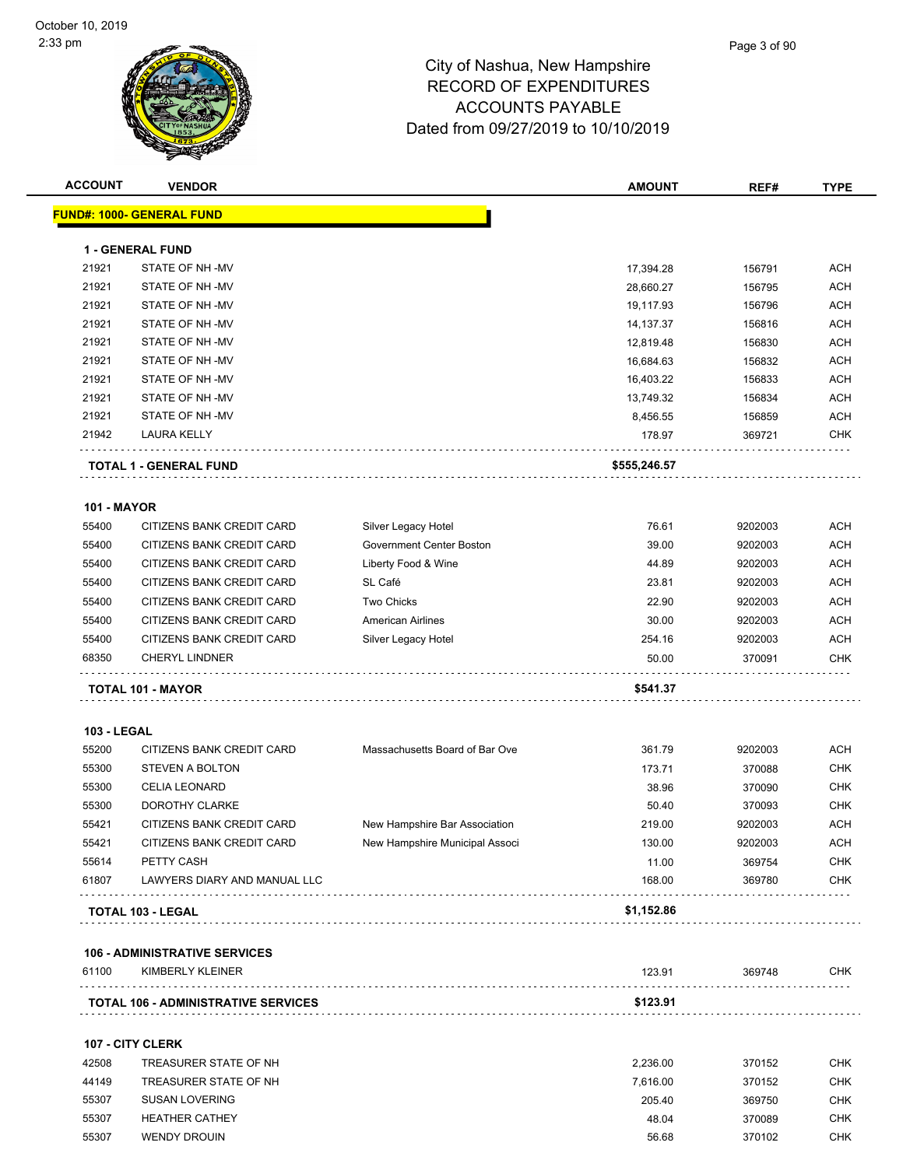| <b>ACCOUNT</b>     | <b>VENDOR</b>                    |                                | <b>AMOUNT</b> | REF#    | <b>TYPE</b> |
|--------------------|----------------------------------|--------------------------------|---------------|---------|-------------|
|                    | <b>FUND#: 1000- GENERAL FUND</b> |                                |               |         |             |
|                    | 1 - GENERAL FUND                 |                                |               |         |             |
| 21921              | STATE OF NH-MV                   |                                | 17,394.28     | 156791  | <b>ACH</b>  |
| 21921              | STATE OF NH-MV                   |                                | 28,660.27     | 156795  | ACH         |
| 21921              | STATE OF NH-MV                   |                                | 19,117.93     | 156796  | <b>ACH</b>  |
| 21921              | STATE OF NH -MV                  |                                | 14,137.37     | 156816  | <b>ACH</b>  |
| 21921              | STATE OF NH -MV                  |                                | 12,819.48     | 156830  | ACH         |
| 21921              | STATE OF NH -MV                  |                                | 16,684.63     | 156832  | <b>ACH</b>  |
| 21921              | STATE OF NH-MV                   |                                | 16,403.22     | 156833  | <b>ACH</b>  |
| 21921              | STATE OF NH -MV                  |                                | 13,749.32     | 156834  | <b>ACH</b>  |
| 21921              | STATE OF NH -MV                  |                                | 8,456.55      | 156859  | <b>ACH</b>  |
| 21942              | LAURA KELLY                      |                                | 178.97        | 369721  | <b>CHK</b>  |
|                    | <b>TOTAL 1 - GENERAL FUND</b>    |                                | \$555,246.57  |         |             |
|                    |                                  |                                |               |         |             |
| <b>101 - MAYOR</b> |                                  |                                |               |         | <b>ACH</b>  |
| 55400              | CITIZENS BANK CREDIT CARD        | Silver Legacy Hotel            | 76.61         | 9202003 |             |
| 55400              | CITIZENS BANK CREDIT CARD        | Government Center Boston       | 39.00         | 9202003 | <b>ACH</b>  |
| 55400              | CITIZENS BANK CREDIT CARD        | Liberty Food & Wine            | 44.89         | 9202003 | ACH         |
| 55400              | CITIZENS BANK CREDIT CARD        | SL Café                        | 23.81         | 9202003 | <b>ACH</b>  |
| 55400              | CITIZENS BANK CREDIT CARD        | <b>Two Chicks</b>              | 22.90         | 9202003 | <b>ACH</b>  |
| 55400              | CITIZENS BANK CREDIT CARD        | <b>American Airlines</b>       | 30.00         | 9202003 | ACH         |
| 55400              | CITIZENS BANK CREDIT CARD        | Silver Legacy Hotel            | 254.16        | 9202003 | ACH         |
| 68350              | <b>CHERYL LINDNER</b>            |                                | 50.00         | 370091  | CHK         |
|                    | <b>TOTAL 101 - MAYOR</b>         |                                | \$541.37      |         |             |
| <b>103 - LEGAL</b> |                                  |                                |               |         |             |
| 55200              | CITIZENS BANK CREDIT CARD        | Massachusetts Board of Bar Ove | 361.79        | 9202003 | ACH         |
| 55300              | <b>STEVEN A BOLTON</b>           |                                | 173.71        | 370088  | CHK         |
| 55300              | <b>CELIA LEONARD</b>             |                                | 38.96         | 370090  | <b>CHK</b>  |
| 55300              | <b>DOROTHY CLARKE</b>            |                                | 50.40         | 370093  | <b>CHK</b>  |
| 55421              | CITIZENS BANK CREDIT CARD        | New Hampshire Bar Association  | 219.00        | 9202003 | ACH         |
| 55421              | CITIZENS BANK CREDIT CARD        | New Hampshire Municipal Associ | 130.00        | 9202003 | ACH         |
| 55614              | PETTY CASH                       |                                | 11.00         | 369754  | CHK         |
| 61807              | LAWYERS DIARY AND MANUAL LLC     |                                | 168.00        | 369780  | <b>CHK</b>  |
|                    | TOTAL 103 - LEGAL                |                                | \$1,152.86    |         |             |

61100 KIMBERLY KLEINER CHK CHARAGE CHARAGE CHARAGE CHARAGE CHARAGE CHARAGE CHARAGE CHARAGE CHARAGE CHARAGE CHA **TOTAL 106 - ADMINISTRATIVE SERVICES \$123.91**

#### **107 - CITY CLERK**

| 42508 | TREASURER STATE OF NH | 2.236.00 | 370152 | CHK        |
|-------|-----------------------|----------|--------|------------|
| 44149 | TREASURER STATE OF NH | 7.616.00 | 370152 | <b>CHK</b> |
| 55307 | SUSAN LOVERING        | 205.40   | 369750 | CHK        |
| 55307 | <b>HEATHER CATHEY</b> | 48.04    | 370089 | CHK        |
| 55307 | <b>WENDY DROUIN</b>   | 56.68    | 370102 | <b>CHK</b> |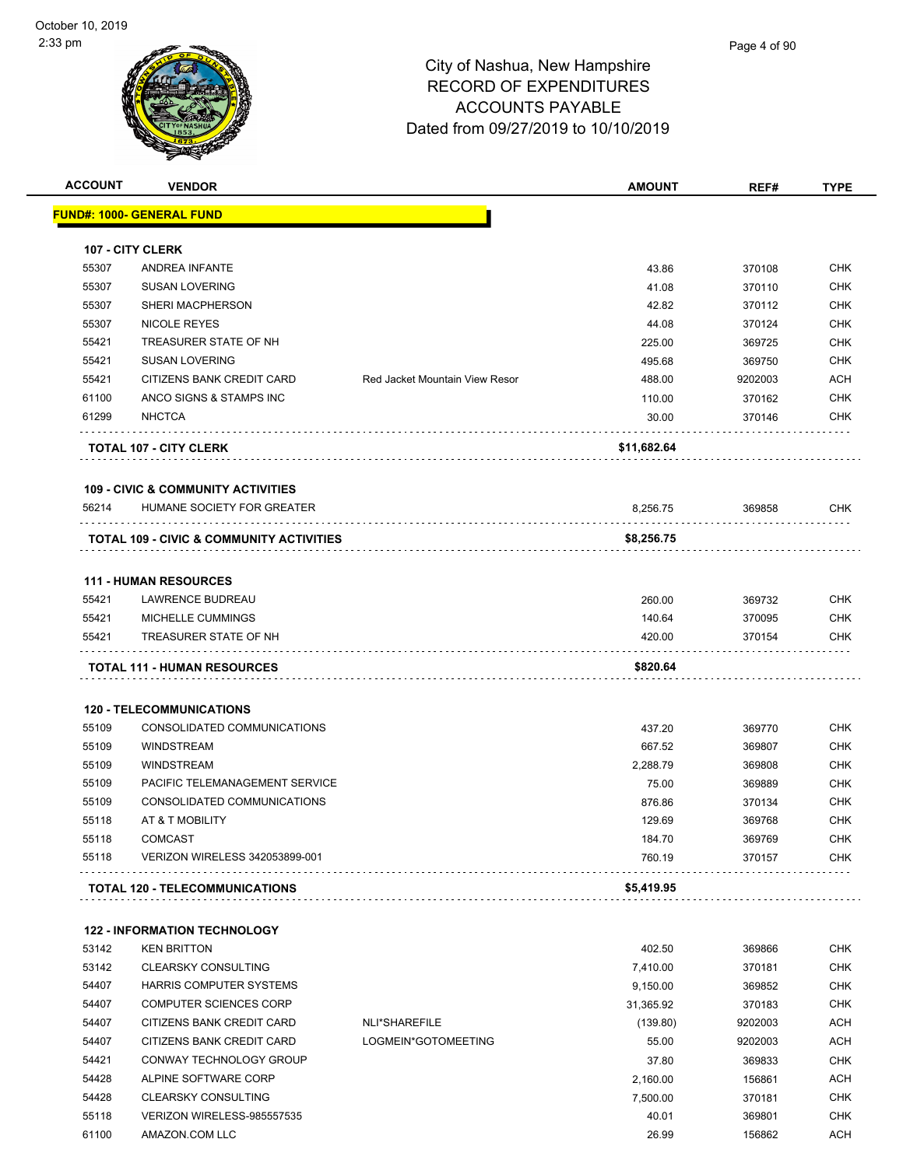# Page 4 of 90

| <b>ACCOUNT</b> | <b>VENDOR</b>                                                  |                                       | <b>AMOUNT</b>    | REF#             | <b>TYPE</b>       |
|----------------|----------------------------------------------------------------|---------------------------------------|------------------|------------------|-------------------|
|                | <u> FUND#: 1000- GENERAL FUND</u>                              |                                       |                  |                  |                   |
|                |                                                                |                                       |                  |                  |                   |
| 55307          | 107 - CITY CLERK<br>ANDREA INFANTE                             |                                       | 43.86            | 370108           | <b>CHK</b>        |
| 55307          |                                                                |                                       |                  |                  |                   |
| 55307          | <b>SUSAN LOVERING</b><br>SHERI MACPHERSON                      |                                       | 41.08            | 370110           | CHK               |
|                |                                                                |                                       | 42.82            | 370112           | <b>CHK</b>        |
| 55307<br>55421 | NICOLE REYES<br>TREASURER STATE OF NH                          |                                       | 44.08            | 370124           | CHK               |
|                |                                                                |                                       | 225.00           | 369725           | CHK               |
| 55421<br>55421 | <b>SUSAN LOVERING</b><br>CITIZENS BANK CREDIT CARD             | <b>Red Jacket Mountain View Resor</b> | 495.68<br>488.00 | 369750           | <b>CHK</b><br>ACH |
|                | ANCO SIGNS & STAMPS INC                                        |                                       |                  | 9202003          |                   |
| 61100          |                                                                |                                       | 110.00           | 370162           | <b>CHK</b>        |
| 61299          | <b>NHCTCA</b>                                                  |                                       | 30.00            | 370146           | <b>CHK</b>        |
|                | <b>TOTAL 107 - CITY CLERK</b>                                  |                                       | \$11,682.64      |                  |                   |
|                | <b>109 - CIVIC &amp; COMMUNITY ACTIVITIES</b>                  |                                       |                  |                  |                   |
| 56214          | HUMANE SOCIETY FOR GREATER                                     |                                       | 8,256.75         | 369858           | CHK               |
|                | <b>TOTAL 109 - CIVIC &amp; COMMUNITY ACTIVITIES</b>            |                                       | \$8,256.75       |                  |                   |
|                | <b>111 - HUMAN RESOURCES</b>                                   |                                       |                  |                  |                   |
| 55421          | LAWRENCE BUDREAU                                               |                                       | 260.00           | 369732           | <b>CHK</b>        |
| 55421          | MICHELLE CUMMINGS                                              |                                       | 140.64           | 370095           | <b>CHK</b>        |
| 55421          | TREASURER STATE OF NH                                          |                                       | 420.00           | 370154           | <b>CHK</b>        |
|                | <b>TOTAL 111 - HUMAN RESOURCES</b>                             |                                       | \$820.64         |                  |                   |
|                |                                                                |                                       |                  |                  |                   |
| 55109          | <b>120 - TELECOMMUNICATIONS</b><br>CONSOLIDATED COMMUNICATIONS |                                       |                  |                  |                   |
|                |                                                                |                                       | 437.20           | 369770           | CHK               |
| 55109          | <b>WINDSTREAM</b>                                              |                                       | 667.52           | 369807           | <b>CHK</b>        |
| 55109          | <b>WINDSTREAM</b>                                              |                                       | 2.288.79         | 369808           | CHK               |
| 55109          | PACIFIC TELEMANAGEMENT SERVICE                                 |                                       | 75.00            | 369889           | <b>CHK</b>        |
| 55109<br>55118 | CONSOLIDATED COMMUNICATIONS                                    |                                       | 876.86           | 370134           | CHK               |
|                | AT & T MOBILITY<br><b>COMCAST</b>                              |                                       | 129.69           | 369768           | <b>CHK</b>        |
| 55118<br>55118 | VERIZON WIRELESS 342053899-001                                 |                                       | 184.70<br>760.19 | 369769<br>370157 | <b>CHK</b><br>CHK |
|                | <b>TOTAL 120 - TELECOMMUNICATIONS</b>                          |                                       | \$5,419.95       |                  |                   |
|                |                                                                |                                       |                  |                  |                   |
|                | <b>122 - INFORMATION TECHNOLOGY</b>                            |                                       |                  |                  |                   |
| 53142          | <b>KEN BRITTON</b>                                             |                                       | 402.50           | 369866           | <b>CHK</b>        |
| 53142          | <b>CLEARSKY CONSULTING</b>                                     |                                       | 7,410.00         | 370181           | CHK               |
| 54407          | HARRIS COMPUTER SYSTEMS                                        |                                       | 9,150.00         | 369852           | CHK               |
| 54407          | <b>COMPUTER SCIENCES CORP</b>                                  |                                       | 31,365.92        | 370183           | CHK               |
| 54407          | CITIZENS BANK CREDIT CARD                                      | NLI*SHAREFILE                         | (139.80)         | 9202003          | ACH               |
| 54407          | CITIZENS BANK CREDIT CARD                                      | LOGMEIN*GOTOMEETING                   | 55.00            | 9202003          | ACH               |
| 54421          | CONWAY TECHNOLOGY GROUP                                        |                                       | 37.80            | 369833           | CHK               |
| 54428          | ALPINE SOFTWARE CORP                                           |                                       | 2,160.00         | 156861           | ACH               |
| 54428          | <b>CLEARSKY CONSULTING</b>                                     |                                       | 7,500.00         | 370181           | CHK               |
|                | VERIZON WIRELESS-985557535                                     |                                       | 40.01            | 369801           | <b>CHK</b>        |
| 55118          |                                                                |                                       |                  |                  |                   |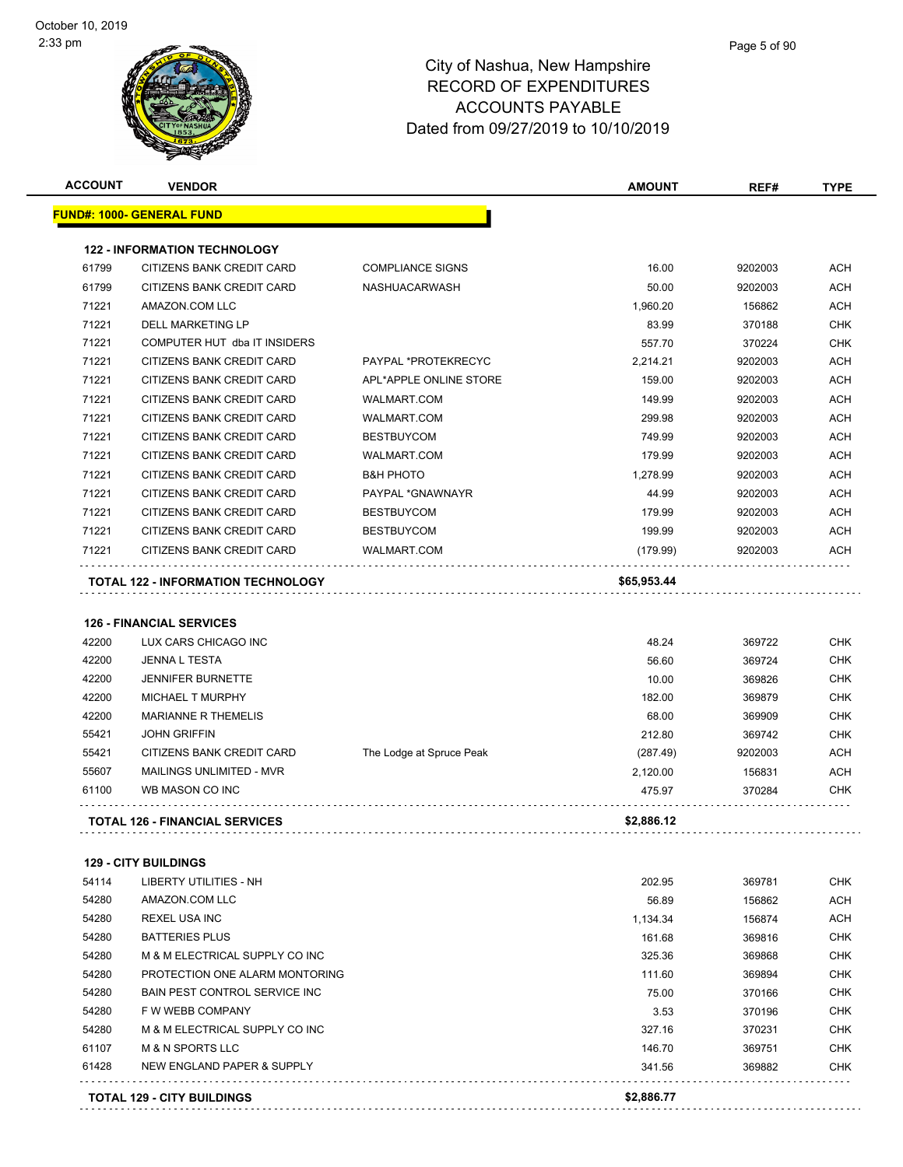|                | <b>VENDOR</b>                                                    |                          | <b>AMOUNT</b>    | REF#             | <b>TYPE</b>                                                                                                                                                   |
|----------------|------------------------------------------------------------------|--------------------------|------------------|------------------|---------------------------------------------------------------------------------------------------------------------------------------------------------------|
|                | <u> FUND#: 1000- GENERAL FUND</u>                                |                          |                  |                  |                                                                                                                                                               |
|                | <b>122 - INFORMATION TECHNOLOGY</b>                              |                          |                  |                  |                                                                                                                                                               |
| 61799          | CITIZENS BANK CREDIT CARD                                        | <b>COMPLIANCE SIGNS</b>  | 16.00            | 9202003          | ACH                                                                                                                                                           |
| 61799          | CITIZENS BANK CREDIT CARD                                        | <b>NASHUACARWASH</b>     | 50.00            | 9202003          | <b>ACH</b>                                                                                                                                                    |
| 71221          | AMAZON.COM LLC                                                   |                          | 1,960.20         | 156862           | ACH                                                                                                                                                           |
| 71221          | DELL MARKETING LP                                                |                          | 83.99            | 370188           | <b>CHK</b>                                                                                                                                                    |
| 71221          | COMPUTER HUT dba IT INSIDERS                                     |                          | 557.70           | 370224           | <b>CHK</b>                                                                                                                                                    |
| 71221          | CITIZENS BANK CREDIT CARD                                        | PAYPAL *PROTEKRECYC      | 2,214.21         | 9202003          | <b>ACH</b>                                                                                                                                                    |
| 71221          | CITIZENS BANK CREDIT CARD                                        | APL*APPLE ONLINE STORE   | 159.00           | 9202003          | <b>ACH</b>                                                                                                                                                    |
| 71221          | CITIZENS BANK CREDIT CARD                                        | <b>WALMART.COM</b>       | 149.99           | 9202003          | <b>ACH</b>                                                                                                                                                    |
| 71221          | CITIZENS BANK CREDIT CARD                                        | <b>WALMART.COM</b>       | 299.98           | 9202003          | ACH                                                                                                                                                           |
| 71221          | CITIZENS BANK CREDIT CARD                                        | <b>BESTBUYCOM</b>        | 749.99           | 9202003          | <b>ACH</b>                                                                                                                                                    |
| 71221          | CITIZENS BANK CREDIT CARD                                        | <b>WALMART.COM</b>       | 179.99           | 9202003          | <b>ACH</b>                                                                                                                                                    |
| 71221          | CITIZENS BANK CREDIT CARD                                        | <b>B&amp;H PHOTO</b>     | 1,278.99         | 9202003          | <b>ACH</b>                                                                                                                                                    |
| 71221          | <b>CITIZENS BANK CREDIT CARD</b>                                 | PAYPAL *GNAWNAYR         | 44.99            | 9202003          | <b>ACH</b>                                                                                                                                                    |
| 71221          | CITIZENS BANK CREDIT CARD                                        | <b>BESTBUYCOM</b>        | 179.99           | 9202003          | ACH                                                                                                                                                           |
| 71221          | CITIZENS BANK CREDIT CARD                                        | <b>BESTBUYCOM</b>        | 199.99           | 9202003          | <b>ACH</b>                                                                                                                                                    |
| 71221          | CITIZENS BANK CREDIT CARD                                        | <b>WALMART.COM</b>       | (179.99)         | 9202003          | <b>ACH</b>                                                                                                                                                    |
|                | TOTAL 122 - INFORMATION TECHNOLOGY                               |                          | \$65,953.44      |                  |                                                                                                                                                               |
|                |                                                                  |                          |                  |                  |                                                                                                                                                               |
|                | <b>126 - FINANCIAL SERVICES</b>                                  |                          |                  |                  |                                                                                                                                                               |
| 42200          | LUX CARS CHICAGO INC                                             |                          | 48.24            | 369722           | <b>CHK</b>                                                                                                                                                    |
| 42200          | <b>JENNA L TESTA</b>                                             |                          | 56.60            | 369724           | <b>CHK</b>                                                                                                                                                    |
|                |                                                                  |                          |                  |                  |                                                                                                                                                               |
| 42200          | <b>JENNIFER BURNETTE</b>                                         |                          | 10.00            | 369826           |                                                                                                                                                               |
| 42200          | <b>MICHAEL T MURPHY</b>                                          |                          | 182.00           | 369879           |                                                                                                                                                               |
| 42200          | <b>MARIANNE R THEMELIS</b>                                       |                          | 68.00            | 369909           |                                                                                                                                                               |
| 55421          | <b>JOHN GRIFFIN</b>                                              |                          | 212.80           | 369742           |                                                                                                                                                               |
| 55421          | CITIZENS BANK CREDIT CARD                                        | The Lodge at Spruce Peak | (287.49)         | 9202003          |                                                                                                                                                               |
| 55607          | MAILINGS UNLIMITED - MVR                                         |                          | 2,120.00         | 156831           |                                                                                                                                                               |
| 61100          | WB MASON CO INC                                                  |                          | 475.97           | 370284           |                                                                                                                                                               |
|                | <b>TOTAL 126 - FINANCIAL SERVICES</b>                            |                          | \$2,886.12       |                  |                                                                                                                                                               |
|                |                                                                  |                          |                  |                  |                                                                                                                                                               |
| 54114          | <b>129 - CITY BUILDINGS</b><br>LIBERTY UTILITIES - NH            |                          | 202.95           |                  |                                                                                                                                                               |
| 54280          | AMAZON.COM LLC                                                   |                          |                  | 369781           |                                                                                                                                                               |
|                |                                                                  |                          | 56.89            | 156862           |                                                                                                                                                               |
| 54280<br>54280 | <b>REXEL USA INC</b><br><b>BATTERIES PLUS</b>                    |                          | 1,134.34         | 156874           |                                                                                                                                                               |
|                |                                                                  |                          | 161.68           | 369816           |                                                                                                                                                               |
| 54280<br>54280 | M & M ELECTRICAL SUPPLY CO INC<br>PROTECTION ONE ALARM MONTORING |                          | 325.36           | 369868           |                                                                                                                                                               |
| 54280          |                                                                  |                          | 111.60           | 369894<br>370166 |                                                                                                                                                               |
| 54280          | BAIN PEST CONTROL SERVICE INC                                    |                          | 75.00            |                  |                                                                                                                                                               |
|                | F W WEBB COMPANY                                                 |                          | 3.53             | 370196           |                                                                                                                                                               |
| 54280          | M & M ELECTRICAL SUPPLY CO INC                                   |                          | 327.16           | 370231           |                                                                                                                                                               |
| 61107<br>61428 | <b>M &amp; N SPORTS LLC</b><br>NEW ENGLAND PAPER & SUPPLY        |                          | 146.70<br>341.56 | 369751<br>369882 | <b>CHK</b><br><b>CHK</b><br><b>CHK</b><br><b>CHK</b><br>ACH<br>ACH<br>CHK<br><b>CHK</b><br>ACH<br>ACH<br>CHK<br>CHK<br>CHK<br>CHK<br>CHK<br>CHK<br>CHK<br>CHK |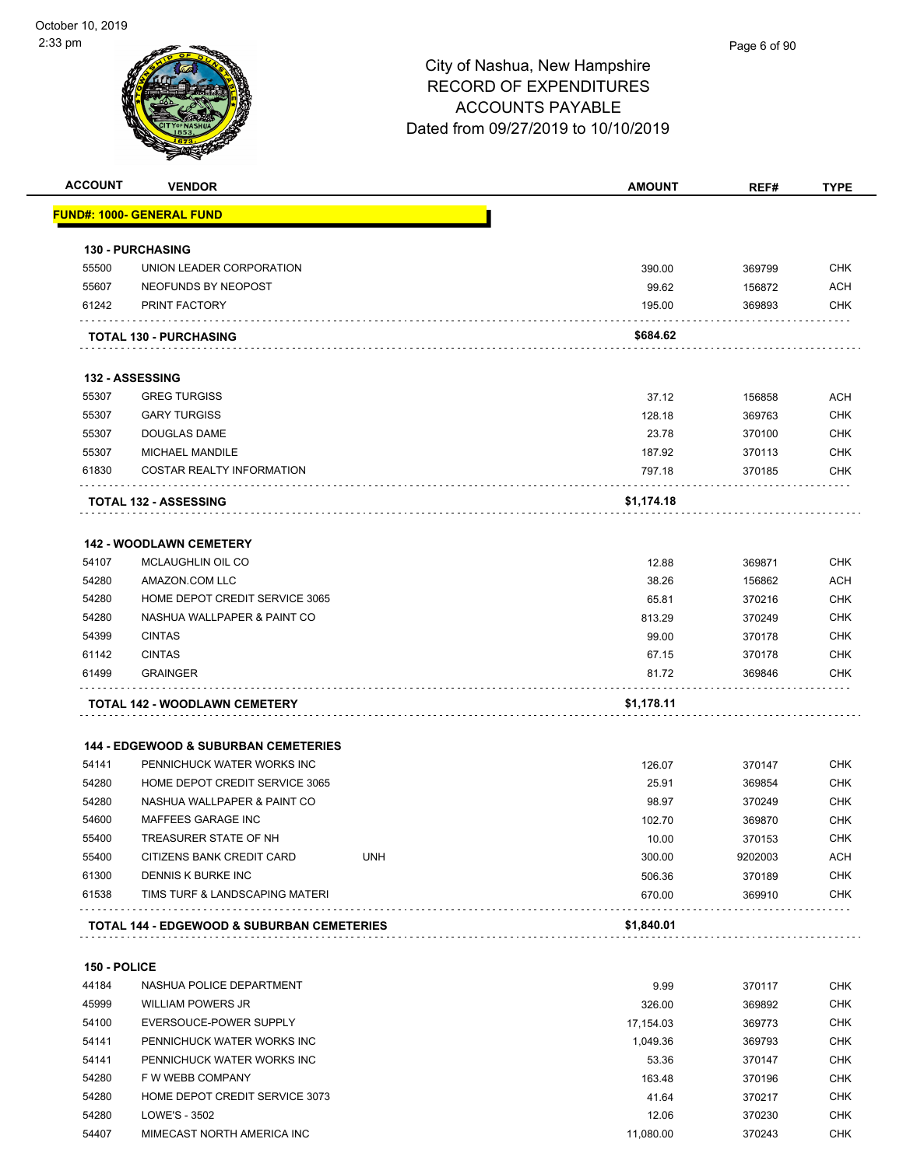| <b>ACCOUNT</b> | <b>VENDOR</b>                                         |            | <b>AMOUNT</b> | REF#    | <b>TYPE</b> |
|----------------|-------------------------------------------------------|------------|---------------|---------|-------------|
|                | <u> FUND#: 1000- GENERAL FUND</u>                     |            |               |         |             |
|                | <b>130 - PURCHASING</b>                               |            |               |         |             |
| 55500          | UNION LEADER CORPORATION                              |            | 390.00        | 369799  | <b>CHK</b>  |
| 55607          | NEOFUNDS BY NEOPOST                                   |            | 99.62         | 156872  | <b>ACH</b>  |
| 61242          | PRINT FACTORY                                         |            | 195.00        | 369893  | CHK         |
|                | <b>TOTAL 130 - PURCHASING</b>                         |            | \$684.62      |         |             |
|                | <b>132 - ASSESSING</b>                                |            |               |         |             |
| 55307          | <b>GREG TURGISS</b>                                   |            | 37.12         | 156858  | <b>ACH</b>  |
| 55307          | <b>GARY TURGISS</b>                                   |            | 128.18        | 369763  | <b>CHK</b>  |
| 55307          | DOUGLAS DAME                                          |            | 23.78         | 370100  | <b>CHK</b>  |
| 55307          | <b>MICHAEL MANDILE</b>                                |            | 187.92        | 370113  | <b>CHK</b>  |
| 61830          | COSTAR REALTY INFORMATION                             |            | 797.18        | 370185  | CHK         |
|                |                                                       |            |               |         |             |
|                | <b>TOTAL 132 - ASSESSING</b>                          |            | \$1,174.18    |         |             |
|                | <b>142 - WOODLAWN CEMETERY</b>                        |            |               |         |             |
| 54107          | MCLAUGHLIN OIL CO                                     |            | 12.88         | 369871  | <b>CHK</b>  |
| 54280          | AMAZON.COM LLC                                        |            | 38.26         | 156862  | <b>ACH</b>  |
| 54280          | HOME DEPOT CREDIT SERVICE 3065                        |            | 65.81         | 370216  | CHK         |
| 54280          | NASHUA WALLPAPER & PAINT CO                           |            | 813.29        | 370249  | CHK         |
| 54399          | <b>CINTAS</b>                                         |            | 99.00         | 370178  | <b>CHK</b>  |
| 61142          | <b>CINTAS</b>                                         |            | 67.15         | 370178  | CHK         |
| 61499          | <b>GRAINGER</b>                                       |            | 81.72         | 369846  | CHK         |
|                | TOTAL 142 - WOODLAWN CEMETERY                         |            | \$1,178.11    |         |             |
|                | <b>144 - EDGEWOOD &amp; SUBURBAN CEMETERIES</b>       |            |               |         |             |
| 54141          | PENNICHUCK WATER WORKS INC                            |            | 126.07        | 370147  | <b>CHK</b>  |
| 54280          | HOME DEPOT CREDIT SERVICE 3065                        |            | 25.91         | 369854  | CHK         |
| 54280          | NASHUA WALLPAPER & PAINT CO                           |            | 98.97         | 370249  | <b>CHK</b>  |
| 54600          | MAFFEES GARAGE INC                                    |            | 102.70        | 369870  | <b>CHK</b>  |
| 55400          | TREASURER STATE OF NH                                 |            | 10.00         | 370153  | <b>CHK</b>  |
| 55400          | CITIZENS BANK CREDIT CARD                             | <b>UNH</b> | 300.00        | 9202003 | <b>ACH</b>  |
| 61300          | DENNIS K BURKE INC                                    |            | 506.36        | 370189  | <b>CHK</b>  |
| 61538          | TIMS TURF & LANDSCAPING MATERI                        |            | 670.00        | 369910  | <b>CHK</b>  |
|                | <b>TOTAL 144 - EDGEWOOD &amp; SUBURBAN CEMETERIES</b> |            | \$1,840.01    |         |             |
|                |                                                       |            |               |         |             |
| 150 - POLICE   |                                                       |            |               |         |             |
| 44184          | NASHUA POLICE DEPARTMENT                              |            | 9.99          | 370117  | <b>CHK</b>  |
| 45999          | <b>WILLIAM POWERS JR</b>                              |            | 326.00        | 369892  | <b>CHK</b>  |
| 54100          | EVERSOUCE-POWER SUPPLY                                |            | 17,154.03     | 369773  | <b>CHK</b>  |
| 54141          | PENNICHUCK WATER WORKS INC                            |            | 1,049.36      | 369793  | <b>CHK</b>  |
| 54141          | PENNICHUCK WATER WORKS INC                            |            | 53.36         | 370147  | <b>CHK</b>  |
| 54280          | F W WEBB COMPANY                                      |            | 163.48        | 370196  | <b>CHK</b>  |
| 54280          | HOME DEPOT CREDIT SERVICE 3073                        |            | 41.64         | 370217  | <b>CHK</b>  |

 54280 LOWE'S - 3502 12.06 370230 CHK 54407 MIMECAST NORTH AMERICA INC **11,080.00** 370243 CHK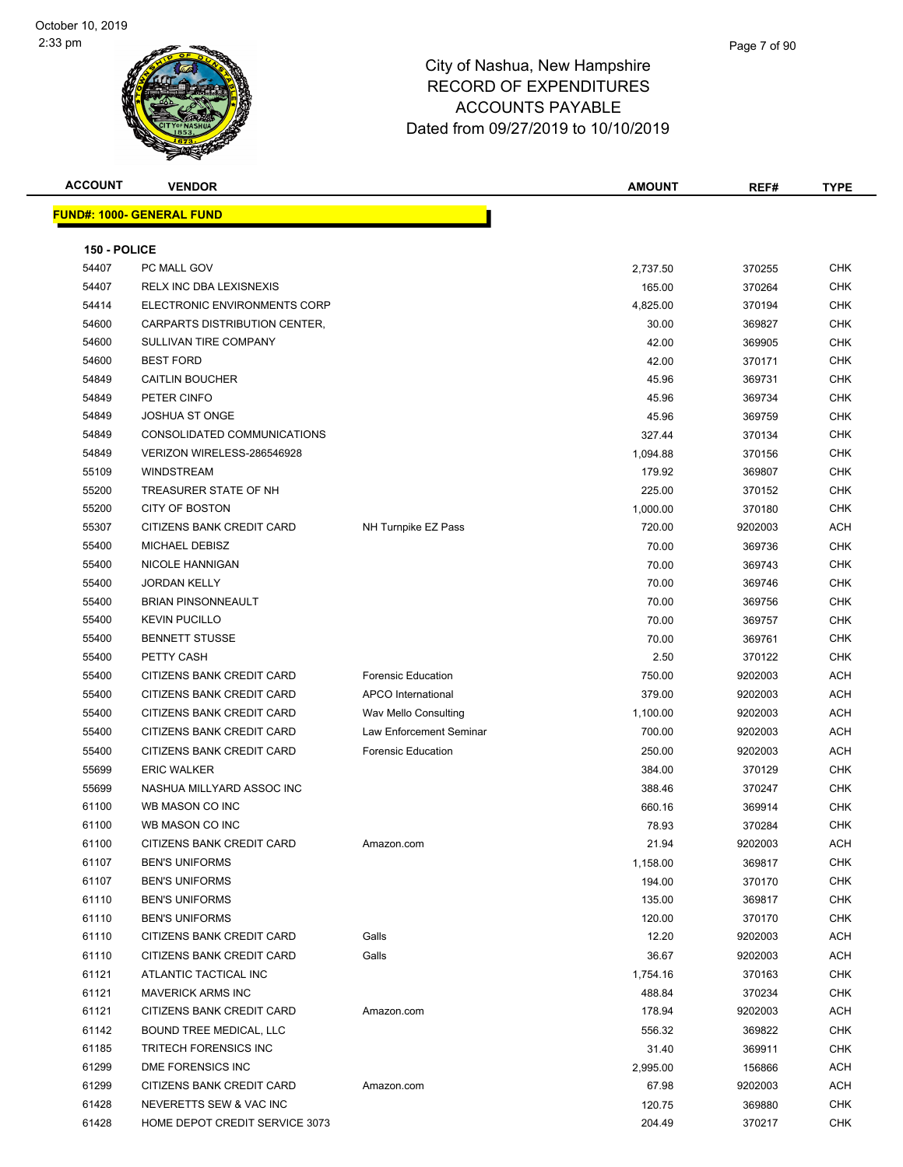| <b>ACCOUNT</b> | <b>VENDOR</b>                     |                           | <b>AMOUNT</b> | REF#    | <b>TYPE</b> |
|----------------|-----------------------------------|---------------------------|---------------|---------|-------------|
|                | <u> FUND#: 1000- GENERAL FUND</u> |                           |               |         |             |
|                |                                   |                           |               |         |             |
| 150 - POLICE   |                                   |                           |               |         |             |
| 54407          | PC MALL GOV                       |                           | 2,737.50      | 370255  | <b>CHK</b>  |
| 54407          | RELX INC DBA LEXISNEXIS           |                           | 165.00        | 370264  | <b>CHK</b>  |
| 54414          | ELECTRONIC ENVIRONMENTS CORP      |                           | 4,825.00      | 370194  | <b>CHK</b>  |
| 54600          | CARPARTS DISTRIBUTION CENTER,     |                           | 30.00         | 369827  | <b>CHK</b>  |
| 54600          | SULLIVAN TIRE COMPANY             |                           | 42.00         | 369905  | <b>CHK</b>  |
| 54600          | <b>BEST FORD</b>                  |                           | 42.00         | 370171  | CHK         |
| 54849          | <b>CAITLIN BOUCHER</b>            |                           | 45.96         | 369731  | <b>CHK</b>  |
| 54849          | PETER CINFO                       |                           | 45.96         | 369734  | <b>CHK</b>  |
| 54849          | <b>JOSHUA ST ONGE</b>             |                           | 45.96         | 369759  | <b>CHK</b>  |
| 54849          | CONSOLIDATED COMMUNICATIONS       |                           | 327.44        | 370134  | <b>CHK</b>  |
| 54849          | VERIZON WIRELESS-286546928        |                           | 1,094.88      | 370156  | <b>CHK</b>  |
| 55109          | <b>WINDSTREAM</b>                 |                           | 179.92        | 369807  | <b>CHK</b>  |
| 55200          | TREASURER STATE OF NH             |                           | 225.00        | 370152  | <b>CHK</b>  |
| 55200          | <b>CITY OF BOSTON</b>             |                           | 1,000.00      | 370180  | <b>CHK</b>  |
| 55307          | CITIZENS BANK CREDIT CARD         | NH Turnpike EZ Pass       | 720.00        | 9202003 | ACH         |
| 55400          | MICHAEL DEBISZ                    |                           | 70.00         | 369736  | CHK         |
| 55400          | NICOLE HANNIGAN                   |                           | 70.00         | 369743  | CHK         |
| 55400          | <b>JORDAN KELLY</b>               |                           | 70.00         | 369746  | <b>CHK</b>  |
| 55400          | <b>BRIAN PINSONNEAULT</b>         |                           | 70.00         | 369756  | CHK         |
| 55400          | <b>KEVIN PUCILLO</b>              |                           | 70.00         | 369757  | <b>CHK</b>  |
| 55400          | <b>BENNETT STUSSE</b>             |                           | 70.00         | 369761  | <b>CHK</b>  |
| 55400          | PETTY CASH                        |                           | 2.50          | 370122  | <b>CHK</b>  |
| 55400          | CITIZENS BANK CREDIT CARD         | <b>Forensic Education</b> | 750.00        | 9202003 | ACH         |
| 55400          | CITIZENS BANK CREDIT CARD         | APCO International        | 379.00        | 9202003 | ACH         |
| 55400          | CITIZENS BANK CREDIT CARD         | Wav Mello Consulting      | 1,100.00      | 9202003 | ACH         |
| 55400          | CITIZENS BANK CREDIT CARD         | Law Enforcement Seminar   | 700.00        | 9202003 | ACH         |
| 55400          | <b>CITIZENS BANK CREDIT CARD</b>  | Forensic Education        | 250.00        | 9202003 | <b>ACH</b>  |
| 55699          | <b>ERIC WALKER</b>                |                           | 384.00        | 370129  | CHK         |
| 55699          | NASHUA MILLYARD ASSOC INC         |                           | 388.46        | 370247  | <b>CHK</b>  |
| 61100          | WB MASON CO INC                   |                           | 660.16        | 369914  | <b>CHK</b>  |
| 61100          | WB MASON CO INC                   |                           | 78.93         | 370284  | <b>CHK</b>  |
| 61100          | CITIZENS BANK CREDIT CARD         | Amazon.com                | 21.94         | 9202003 | ACH         |
| 61107          | <b>BEN'S UNIFORMS</b>             |                           | 1,158.00      | 369817  | CHK         |
| 61107          | <b>BEN'S UNIFORMS</b>             |                           | 194.00        | 370170  | <b>CHK</b>  |
| 61110          | <b>BEN'S UNIFORMS</b>             |                           | 135.00        | 369817  | CHK         |
| 61110          | <b>BEN'S UNIFORMS</b>             |                           | 120.00        | 370170  | CHK         |
| 61110          | CITIZENS BANK CREDIT CARD         | Galls                     | 12.20         | 9202003 | ACH         |
| 61110          | CITIZENS BANK CREDIT CARD         | Galls                     | 36.67         | 9202003 | ACH         |
| 61121          | ATLANTIC TACTICAL INC             |                           | 1,754.16      | 370163  | CHK         |
| 61121          | <b>MAVERICK ARMS INC</b>          |                           | 488.84        | 370234  | CHK         |
| 61121          | CITIZENS BANK CREDIT CARD         | Amazon.com                | 178.94        | 9202003 | ACH         |
| 61142          | BOUND TREE MEDICAL, LLC           |                           | 556.32        | 369822  | CHK         |
| 61185          | TRITECH FORENSICS INC             |                           | 31.40         | 369911  | CHK         |
| 61299          | DME FORENSICS INC                 |                           | 2,995.00      | 156866  | ACH         |
| 61299          | CITIZENS BANK CREDIT CARD         | Amazon.com                | 67.98         | 9202003 | ACH         |
| 61428          | NEVERETTS SEW & VAC INC           |                           | 120.75        | 369880  | CHK         |
| 61428          | HOME DEPOT CREDIT SERVICE 3073    |                           | 204.49        | 370217  | <b>CHK</b>  |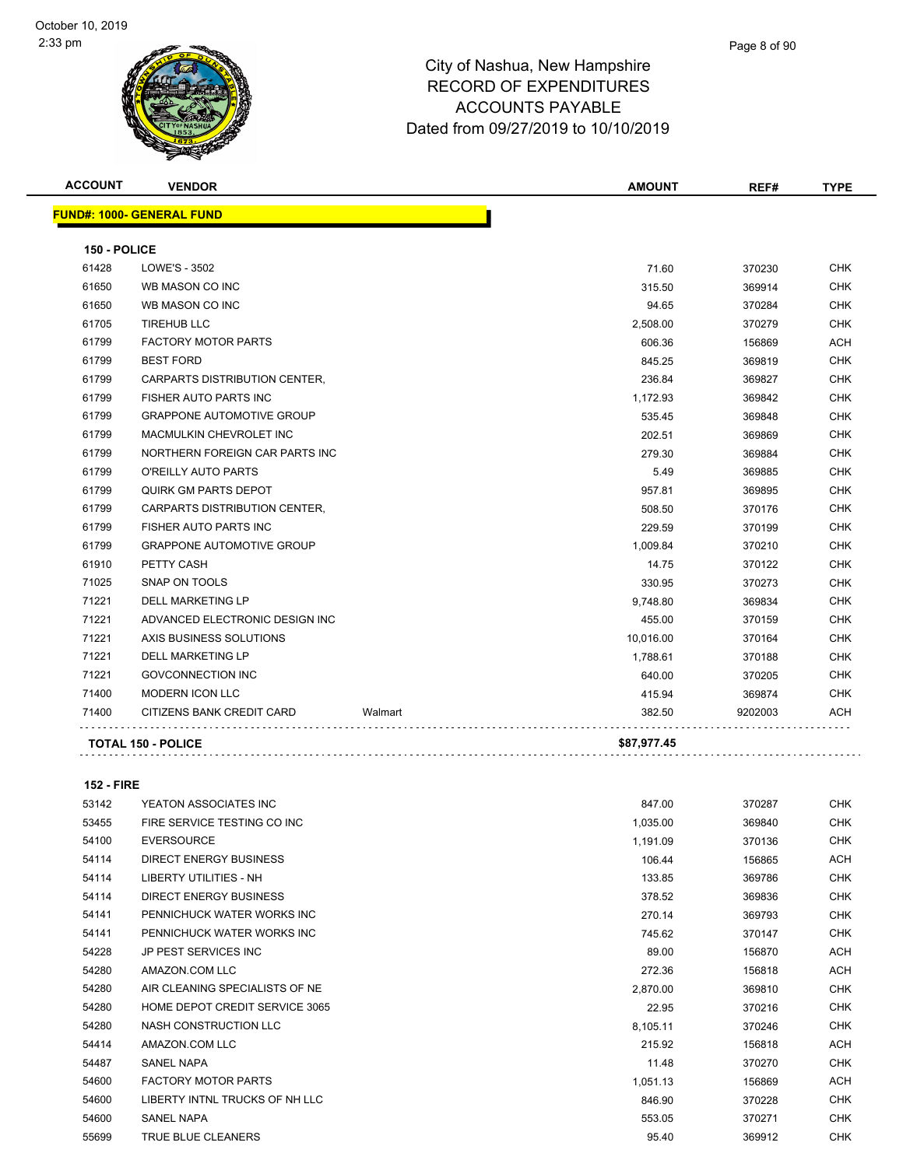| <b>ACCOUNT</b> | <b>VENDOR</b>                    |         | <b>AMOUNT</b> | REF#    | <b>TYPE</b> |
|----------------|----------------------------------|---------|---------------|---------|-------------|
|                | <b>FUND#: 1000- GENERAL FUND</b> |         |               |         |             |
| 150 - POLICE   |                                  |         |               |         |             |
| 61428          | LOWE'S - 3502                    |         | 71.60         | 370230  | <b>CHK</b>  |
| 61650          | WB MASON CO INC                  |         | 315.50        | 369914  | <b>CHK</b>  |
| 61650          | WB MASON CO INC                  |         | 94.65         | 370284  | <b>CHK</b>  |
| 61705          | <b>TIREHUB LLC</b>               |         | 2,508.00      | 370279  | <b>CHK</b>  |
| 61799          | <b>FACTORY MOTOR PARTS</b>       |         | 606.36        | 156869  | ACH         |
| 61799          | <b>BEST FORD</b>                 |         | 845.25        | 369819  | <b>CHK</b>  |
| 61799          | CARPARTS DISTRIBUTION CENTER,    |         | 236.84        | 369827  | <b>CHK</b>  |
| 61799          | <b>FISHER AUTO PARTS INC</b>     |         | 1,172.93      | 369842  | <b>CHK</b>  |
| 61799          | <b>GRAPPONE AUTOMOTIVE GROUP</b> |         | 535.45        | 369848  | <b>CHK</b>  |
| 61799          | MACMULKIN CHEVROLET INC          |         | 202.51        | 369869  | <b>CHK</b>  |
| 61799          | NORTHERN FOREIGN CAR PARTS INC   |         | 279.30        | 369884  | <b>CHK</b>  |
| 61799          | O'REILLY AUTO PARTS              |         | 5.49          | 369885  | <b>CHK</b>  |
| 61799          | <b>QUIRK GM PARTS DEPOT</b>      |         | 957.81        | 369895  | CHK         |
| 61799          | CARPARTS DISTRIBUTION CENTER,    |         | 508.50        | 370176  | <b>CHK</b>  |
| 61799          | <b>FISHER AUTO PARTS INC</b>     |         | 229.59        | 370199  | <b>CHK</b>  |
| 61799          | <b>GRAPPONE AUTOMOTIVE GROUP</b> |         | 1,009.84      | 370210  | <b>CHK</b>  |
| 61910          | PETTY CASH                       |         | 14.75         | 370122  | <b>CHK</b>  |
| 71025          | SNAP ON TOOLS                    |         | 330.95        | 370273  | CHK         |
| 71221          | <b>DELL MARKETING LP</b>         |         | 9,748.80      | 369834  | <b>CHK</b>  |
| 71221          | ADVANCED ELECTRONIC DESIGN INC   |         | 455.00        | 370159  | <b>CHK</b>  |
| 71221          | AXIS BUSINESS SOLUTIONS          |         | 10,016.00     | 370164  | CHK         |
| 71221          | <b>DELL MARKETING LP</b>         |         | 1,788.61      | 370188  | <b>CHK</b>  |
| 71221          | <b>GOVCONNECTION INC</b>         |         | 640.00        | 370205  | CHK         |
| 71400          | <b>MODERN ICON LLC</b>           |         | 415.94        | 369874  | <b>CHK</b>  |
| 71400          | CITIZENS BANK CREDIT CARD        | Walmart | 382.50        | 9202003 | ACH         |
|                | <b>TOTAL 150 - POLICE</b>        |         | \$87,977.45   |         |             |

**152 - FIRE**

| 53142 | YEATON ASSOCIATES INC          | 847.00   | 370287 | CHK        |
|-------|--------------------------------|----------|--------|------------|
| 53455 | FIRE SERVICE TESTING CO INC    | 1,035.00 | 369840 | <b>CHK</b> |
| 54100 | <b>EVERSOURCE</b>              | 1,191.09 | 370136 | <b>CHK</b> |
| 54114 | <b>DIRECT ENERGY BUSINESS</b>  | 106.44   | 156865 | ACH        |
| 54114 | <b>LIBERTY UTILITIES - NH</b>  | 133.85   | 369786 | <b>CHK</b> |
| 54114 | <b>DIRECT ENERGY BUSINESS</b>  | 378.52   | 369836 | CHK        |
| 54141 | PENNICHUCK WATER WORKS INC     | 270.14   | 369793 | <b>CHK</b> |
| 54141 | PENNICHUCK WATER WORKS INC     | 745.62   | 370147 | <b>CHK</b> |
| 54228 | JP PEST SERVICES INC           | 89.00    | 156870 | ACH        |
| 54280 | AMAZON.COM LLC                 | 272.36   | 156818 | ACH        |
| 54280 | AIR CLEANING SPECIALISTS OF NE | 2,870.00 | 369810 | <b>CHK</b> |
| 54280 | HOME DEPOT CREDIT SERVICE 3065 | 22.95    | 370216 | <b>CHK</b> |
| 54280 | NASH CONSTRUCTION LLC          | 8,105.11 | 370246 | <b>CHK</b> |
| 54414 | AMAZON.COM LLC                 | 215.92   | 156818 | ACH        |
| 54487 | <b>SANEL NAPA</b>              | 11.48    | 370270 | <b>CHK</b> |
| 54600 | <b>FACTORY MOTOR PARTS</b>     | 1,051.13 | 156869 | ACH        |
| 54600 | LIBERTY INTNL TRUCKS OF NH LLC | 846.90   | 370228 | <b>CHK</b> |
| 54600 | <b>SANEL NAPA</b>              | 553.05   | 370271 | <b>CHK</b> |
| 55699 | <b>TRUE BLUE CLEANERS</b>      | 95.40    | 369912 | <b>CHK</b> |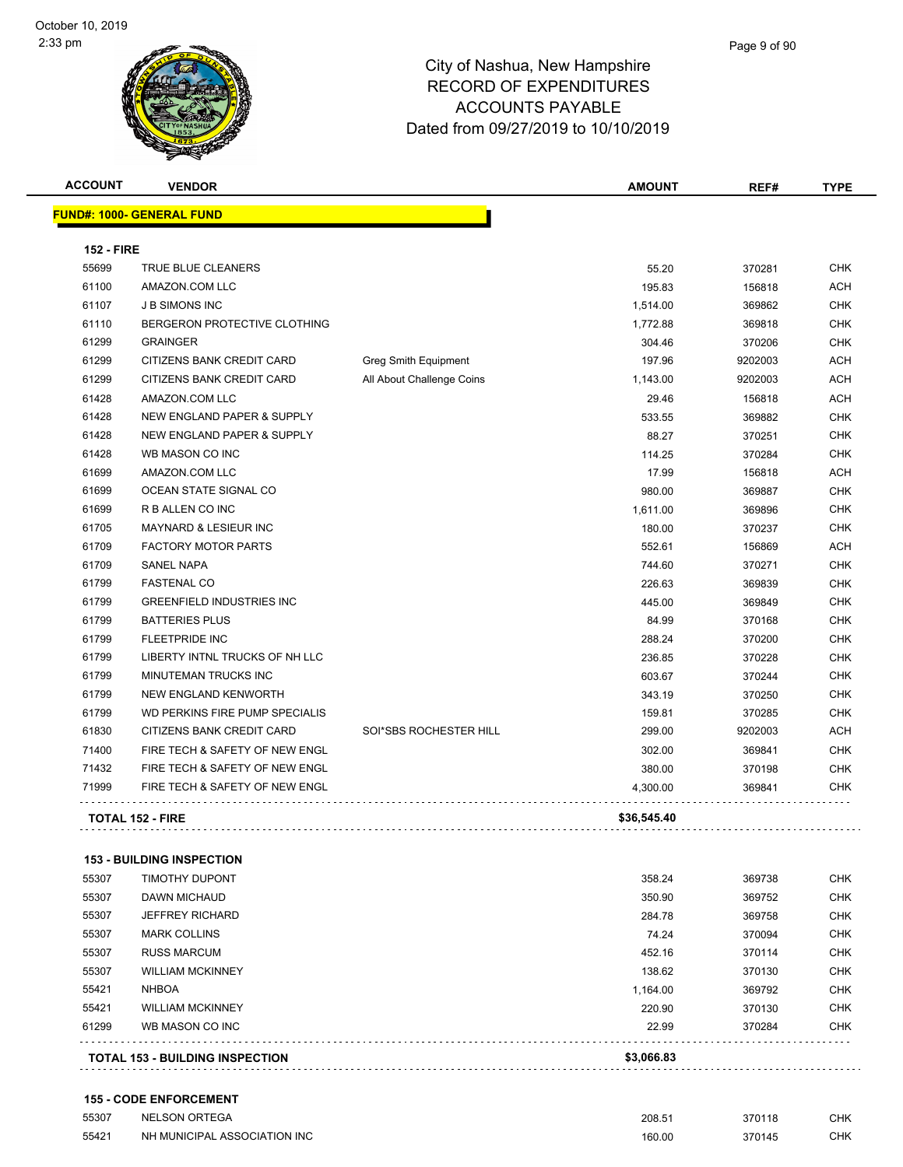| <b>ACCOUNT</b>    | <b>VENDOR</b>                         |                             | <b>AMOUNT</b> | REF#    | <b>TYPE</b> |
|-------------------|---------------------------------------|-----------------------------|---------------|---------|-------------|
|                   | <b>FUND#: 1000- GENERAL FUND</b>      |                             |               |         |             |
| <b>152 - FIRE</b> |                                       |                             |               |         |             |
| 55699             | <b>TRUE BLUE CLEANERS</b>             |                             | 55.20         | 370281  | <b>CHK</b>  |
| 61100             | AMAZON.COM LLC                        |                             | 195.83        | 156818  | <b>ACH</b>  |
| 61107             | <b>J B SIMONS INC</b>                 |                             | 1,514.00      | 369862  | <b>CHK</b>  |
| 61110             | BERGERON PROTECTIVE CLOTHING          |                             | 1,772.88      | 369818  | <b>CHK</b>  |
| 61299             | <b>GRAINGER</b>                       |                             | 304.46        | 370206  | <b>CHK</b>  |
| 61299             | CITIZENS BANK CREDIT CARD             | <b>Greg Smith Equipment</b> | 197.96        | 9202003 | <b>ACH</b>  |
| 61299             | <b>CITIZENS BANK CREDIT CARD</b>      | All About Challenge Coins   | 1,143.00      | 9202003 | <b>ACH</b>  |
| 61428             | AMAZON.COM LLC                        |                             | 29.46         | 156818  | <b>ACH</b>  |
| 61428             | <b>NEW ENGLAND PAPER &amp; SUPPLY</b> |                             | 533.55        | 369882  | <b>CHK</b>  |
| 61428             | <b>NEW ENGLAND PAPER &amp; SUPPLY</b> |                             | 88.27         | 370251  | <b>CHK</b>  |
| 61428             | WB MASON CO INC                       |                             | 114.25        | 370284  | <b>CHK</b>  |
| 61699             | AMAZON.COM LLC                        |                             | 17.99         | 156818  | <b>ACH</b>  |
| 61699             | OCEAN STATE SIGNAL CO                 |                             | 980.00        | 369887  | <b>CHK</b>  |
| 61699             | R B ALLEN CO INC                      |                             | 1,611.00      | 369896  | <b>CHK</b>  |
| 61705             | MAYNARD & LESIEUR INC                 |                             | 180.00        | 370237  | <b>CHK</b>  |
| 61709             | <b>FACTORY MOTOR PARTS</b>            |                             | 552.61        | 156869  | <b>ACH</b>  |
| 61709             | <b>SANEL NAPA</b>                     |                             | 744.60        | 370271  | <b>CHK</b>  |
| 61799             | <b>FASTENAL CO</b>                    |                             | 226.63        | 369839  | <b>CHK</b>  |
| 61799             | <b>GREENFIELD INDUSTRIES INC</b>      |                             | 445.00        | 369849  | <b>CHK</b>  |
| 61799             | <b>BATTERIES PLUS</b>                 |                             | 84.99         | 370168  | <b>CHK</b>  |
| 61799             | <b>FLEETPRIDE INC</b>                 |                             | 288.24        | 370200  | <b>CHK</b>  |
| 61799             | LIBERTY INTNL TRUCKS OF NH LLC        |                             | 236.85        | 370228  | <b>CHK</b>  |
| 61799             | <b>MINUTEMAN TRUCKS INC</b>           |                             | 603.67        | 370244  | <b>CHK</b>  |
| 61799             | NEW ENGLAND KENWORTH                  |                             | 343.19        | 370250  | <b>CHK</b>  |
| 61799             | WD PERKINS FIRE PUMP SPECIALIS        |                             | 159.81        | 370285  | <b>CHK</b>  |
| 61830             | CITIZENS BANK CREDIT CARD             | SOI*SBS ROCHESTER HILL      | 299.00        | 9202003 | <b>ACH</b>  |
| 71400             | FIRE TECH & SAFETY OF NEW ENGL        |                             | 302.00        | 369841  | <b>CHK</b>  |
| 71432             | FIRE TECH & SAFETY OF NEW ENGL        |                             | 380.00        | 370198  | <b>CHK</b>  |
| 71999             | FIRE TECH & SAFETY OF NEW ENGL        |                             | 4,300.00      | 369841  | <b>CHK</b>  |
|                   | <b>TOTAL 152 - FIRE</b>               |                             | \$36,545.40   |         |             |
|                   |                                       |                             |               |         |             |

#### **153 - BUILDING INSPECTION**

|       | <b>TOTAL 153 - BUILDING INSPECTION</b> | \$3,066.83 |        |            |
|-------|----------------------------------------|------------|--------|------------|
| 61299 | WB MASON CO INC                        | 22.99      | 370284 | <b>CHK</b> |
| 55421 | <b>WILLIAM MCKINNEY</b>                | 220.90     | 370130 | <b>CHK</b> |
| 55421 | <b>NHBOA</b>                           | 1,164.00   | 369792 | <b>CHK</b> |
| 55307 | <b>WILLIAM MCKINNEY</b>                | 138.62     | 370130 | <b>CHK</b> |
| 55307 | <b>RUSS MARCUM</b>                     | 452.16     | 370114 | <b>CHK</b> |
| 55307 | <b>MARK COLLINS</b>                    | 74.24      | 370094 | <b>CHK</b> |
| 55307 | JEFFREY RICHARD                        | 284.78     | 369758 | <b>CHK</b> |
| 55307 | <b>DAWN MICHAUD</b>                    | 350.90     | 369752 | <b>CHK</b> |
| 55307 | <b>TIMOTHY DUPONT</b>                  | 358.24     | 369738 | <b>CHK</b> |

#### **155 - CODE ENFORCEMENT**

| 55307 | <b>NELSON ORTEGA</b>         | 208.51 | 370118 | CHK        |
|-------|------------------------------|--------|--------|------------|
| 55421 | NH MUNICIPAL ASSOCIATION INC | 160.00 | 370145 | <b>CHK</b> |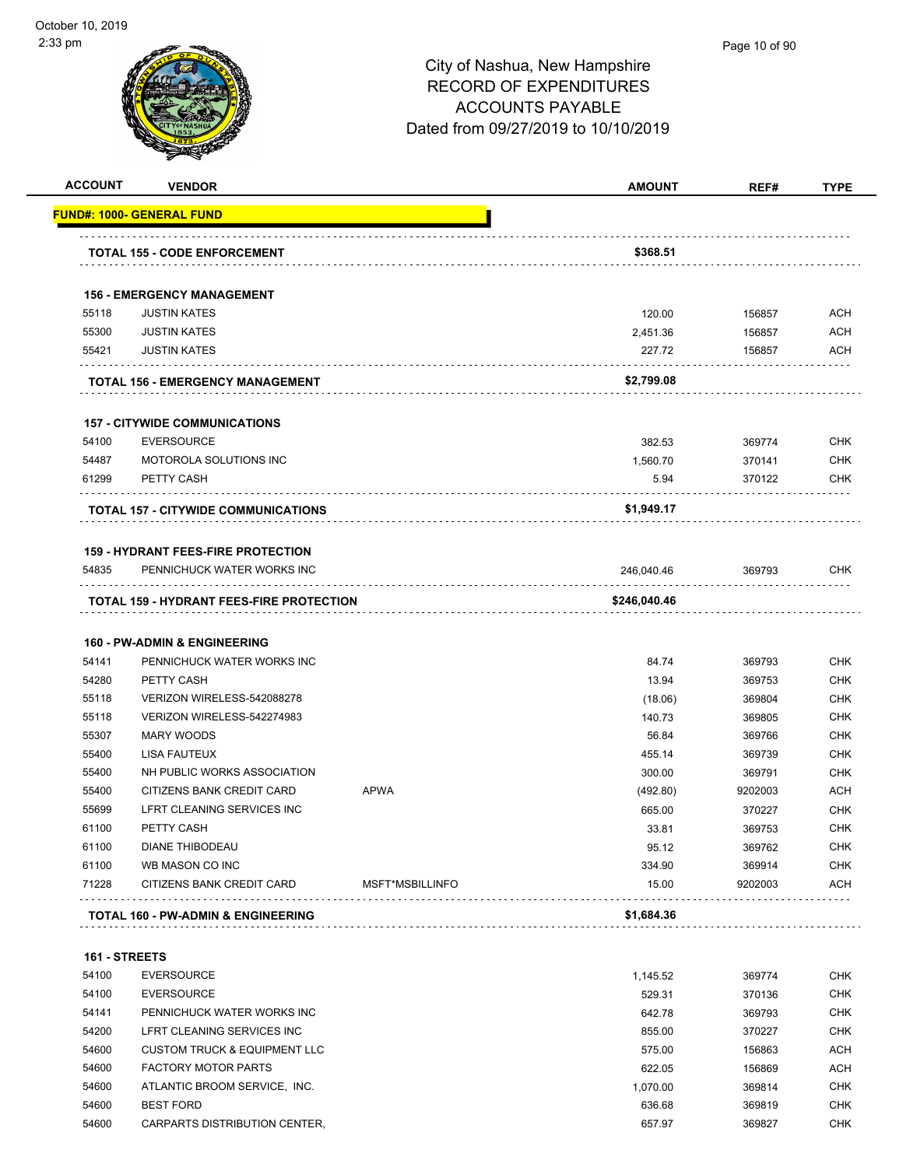

| <b>ACCOUNT</b>         | <b>VENDOR</b>                                                         |                 | <b>AMOUNT</b> | REF#    | <b>TYPE</b> |
|------------------------|-----------------------------------------------------------------------|-----------------|---------------|---------|-------------|
|                        | <b>FUND#: 1000- GENERAL FUND</b>                                      |                 |               |         |             |
|                        | <b>TOTAL 155 - CODE ENFORCEMENT</b>                                   |                 | \$368.51      |         |             |
|                        | <b>156 - EMERGENCY MANAGEMENT</b>                                     |                 |               |         |             |
| 55118                  | <b>JUSTIN KATES</b>                                                   |                 | 120.00        | 156857  | <b>ACH</b>  |
| 55300                  | <b>JUSTIN KATES</b>                                                   |                 | 2,451.36      | 156857  | <b>ACH</b>  |
| 55421                  | <b>JUSTIN KATES</b>                                                   |                 | 227.72        | 156857  | <b>ACH</b>  |
|                        | <b>TOTAL 156 - EMERGENCY MANAGEMENT</b>                               |                 | \$2,799.08    |         |             |
|                        | <b>157 - CITYWIDE COMMUNICATIONS</b>                                  |                 |               |         |             |
| 54100                  | <b>EVERSOURCE</b>                                                     |                 | 382.53        | 369774  | <b>CHK</b>  |
| 54487                  | MOTOROLA SOLUTIONS INC                                                |                 | 1,560.70      | 370141  | <b>CHK</b>  |
| 61299                  | PETTY CASH                                                            |                 | 5.94          | 370122  | <b>CHK</b>  |
|                        | TOTAL 157 - CITYWIDE COMMUNICATIONS                                   |                 | \$1,949.17    |         |             |
|                        |                                                                       |                 |               |         |             |
|                        | <b>159 - HYDRANT FEES-FIRE PROTECTION</b>                             |                 |               |         |             |
| 54835                  | PENNICHUCK WATER WORKS INC                                            |                 | 246,040.46    | 369793  | CHK         |
|                        | <b>TOTAL 159 - HYDRANT FEES-FIRE PROTECTION</b>                       |                 | \$246,040.46  |         |             |
|                        |                                                                       |                 |               |         |             |
| 54141                  | <b>160 - PW-ADMIN &amp; ENGINEERING</b><br>PENNICHUCK WATER WORKS INC |                 | 84.74         | 369793  | <b>CHK</b>  |
| 54280                  | PETTY CASH                                                            |                 | 13.94         | 369753  | <b>CHK</b>  |
| 55118                  | VERIZON WIRELESS-542088278                                            |                 | (18.06)       | 369804  | <b>CHK</b>  |
| 55118                  | VERIZON WIRELESS-542274983                                            |                 | 140.73        | 369805  | <b>CHK</b>  |
| 55307                  | <b>MARY WOODS</b>                                                     |                 | 56.84         | 369766  | <b>CHK</b>  |
| 55400                  | <b>LISA FAUTEUX</b>                                                   |                 | 455.14        | 369739  | <b>CHK</b>  |
| 55400                  | NH PUBLIC WORKS ASSOCIATION                                           |                 | 300.00        | 369791  | <b>CHK</b>  |
| 55400                  | CITIZENS BANK CREDIT CARD                                             | <b>APWA</b>     | (492.80)      | 9202003 | <b>ACH</b>  |
| 55699                  | LFRT CLEANING SERVICES INC                                            |                 | 665.00        | 370227  | <b>CHK</b>  |
| 61100                  | PETTY CASH                                                            |                 | 33.81         | 369753  | <b>CHK</b>  |
| 61100                  | DIANE THIBODEAU                                                       |                 | 95.12         | 369762  | CHK         |
| 61100                  | WB MASON CO INC                                                       |                 | 334.90        | 369914  | <b>CHK</b>  |
| 71228                  | CITIZENS BANK CREDIT CARD                                             | MSFT*MSBILLINFO | 15.00         | 9202003 | <b>ACH</b>  |
|                        | <b>TOTAL 160 - PW-ADMIN &amp; ENGINEERING</b>                         |                 | \$1,684.36    |         |             |
|                        |                                                                       |                 |               |         |             |
| 161 - STREETS<br>54100 | <b>EVERSOURCE</b>                                                     |                 | 1,145.52      | 369774  | <b>CHK</b>  |
| 54100                  | <b>EVERSOURCE</b>                                                     |                 | 529.31        | 370136  | <b>CHK</b>  |
| 54141                  | PENNICHUCK WATER WORKS INC                                            |                 | 642.78        | 369793  | <b>CHK</b>  |
| 54200                  | LFRT CLEANING SERVICES INC                                            |                 | 855.00        | 370227  | <b>CHK</b>  |
| 54600                  | <b>CUSTOM TRUCK &amp; EQUIPMENT LLC</b>                               |                 | 575.00        | 156863  | <b>ACH</b>  |
| 54600                  | <b>FACTORY MOTOR PARTS</b>                                            |                 | 622.05        | 156869  | <b>ACH</b>  |
| 54600                  | ATLANTIC BROOM SERVICE, INC.                                          |                 | 1,070.00      | 369814  | <b>CHK</b>  |
| 54600                  | <b>BEST FORD</b>                                                      |                 | 636.68        | 369819  | <b>CHK</b>  |
|                        |                                                                       |                 |               |         |             |

54600 CARPARTS DISTRIBUTION CENTER, 657.97 369827 CHK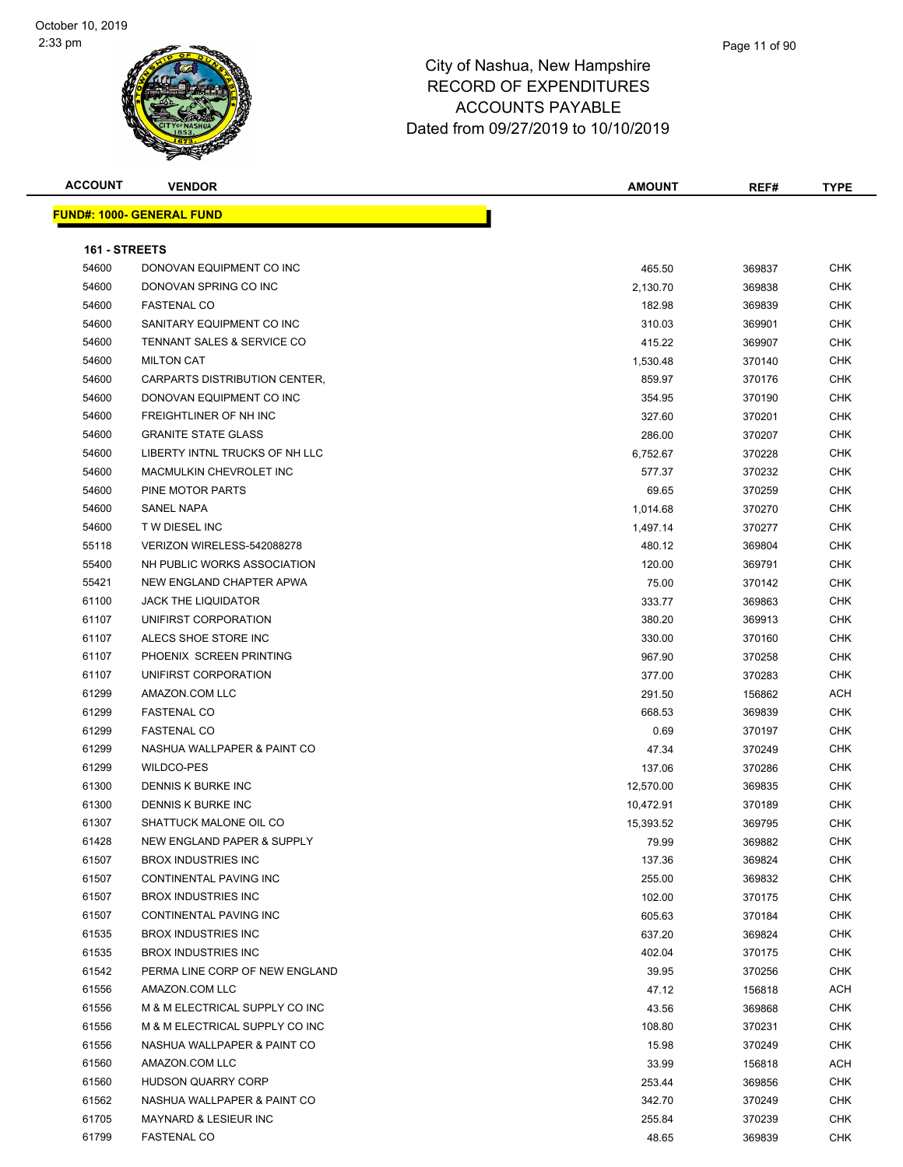#### Page 11 of 90

| <b>ACCOUNT</b> | <b>VENDOR</b>                    | <b>AMOUNT</b> | REF#   | TYPE       |
|----------------|----------------------------------|---------------|--------|------------|
|                | <b>FUND#: 1000- GENERAL FUND</b> |               |        |            |
|                |                                  |               |        |            |
| 161 - STREETS  |                                  |               |        |            |
| 54600          | DONOVAN EQUIPMENT CO INC         | 465.50        | 369837 | <b>CHK</b> |
| 54600          | DONOVAN SPRING CO INC            | 2,130.70      | 369838 | <b>CHK</b> |
| 54600          | <b>FASTENAL CO</b>               | 182.98        | 369839 | CHK        |
| 54600          | SANITARY EQUIPMENT CO INC        | 310.03        | 369901 | CHK        |
| 54600          | TENNANT SALES & SERVICE CO       | 415.22        | 369907 | <b>CHK</b> |
| 54600          | <b>MILTON CAT</b>                | 1,530.48      | 370140 | <b>CHK</b> |
| 54600          | CARPARTS DISTRIBUTION CENTER,    | 859.97        | 370176 | <b>CHK</b> |
| 54600          | DONOVAN EQUIPMENT CO INC         | 354.95        | 370190 | <b>CHK</b> |
| 54600          | FREIGHTLINER OF NH INC           | 327.60        | 370201 | CHK        |
| 54600          | <b>GRANITE STATE GLASS</b>       | 286.00        | 370207 | <b>CHK</b> |
| 54600          | LIBERTY INTNL TRUCKS OF NH LLC   | 6,752.67      | 370228 | <b>CHK</b> |
| 54600          | MACMULKIN CHEVROLET INC          | 577.37        | 370232 | CHK        |
| 54600          | PINE MOTOR PARTS                 | 69.65         | 370259 | <b>CHK</b> |
| 54600          | SANEL NAPA                       | 1,014.68      | 370270 | CHK        |
| 54600          | <b>TW DIESEL INC</b>             | 1,497.14      | 370277 | CHK        |
| 55118          | VERIZON WIRELESS-542088278       | 480.12        | 369804 | <b>CHK</b> |
| 55400          | NH PUBLIC WORKS ASSOCIATION      | 120.00        | 369791 | <b>CHK</b> |
| 55421          | NEW ENGLAND CHAPTER APWA         | 75.00         | 370142 | <b>CHK</b> |
| 61100          | <b>JACK THE LIQUIDATOR</b>       | 333.77        | 369863 | <b>CHK</b> |
| 61107          | UNIFIRST CORPORATION             | 380.20        | 369913 | <b>CHK</b> |
| 61107          | ALECS SHOE STORE INC             | 330.00        | 370160 | <b>CHK</b> |
| 61107          | PHOENIX SCREEN PRINTING          | 967.90        | 370258 | CHK        |
| 61107          | UNIFIRST CORPORATION             | 377.00        | 370283 | CHK        |
| 61299          | AMAZON.COM LLC                   | 291.50        | 156862 | ACH        |
| 61299          | <b>FASTENAL CO</b>               | 668.53        | 369839 | <b>CHK</b> |
| 61299          | <b>FASTENAL CO</b>               | 0.69          | 370197 | CHK        |
| 61299          | NASHUA WALLPAPER & PAINT CO      | 47.34         | 370249 | <b>CHK</b> |
| 61299          | <b>WILDCO-PES</b>                | 137.06        | 370286 | <b>CHK</b> |
| 61300          | DENNIS K BURKE INC               | 12,570.00     | 369835 | <b>CHK</b> |
| 61300          | DENNIS K BURKE INC               | 10,472.91     | 370189 | <b>CHK</b> |
| 61307          | SHATTUCK MALONE OIL CO           | 15,393.52     | 369795 | <b>CHK</b> |
| 61428          | NEW ENGLAND PAPER & SUPPLY       | 79.99         | 369882 | <b>CHK</b> |
| 61507          | <b>BROX INDUSTRIES INC</b>       | 137.36        | 369824 | CHK        |
| 61507          | CONTINENTAL PAVING INC           | 255.00        | 369832 | <b>CHK</b> |
| 61507          | <b>BROX INDUSTRIES INC</b>       | 102.00        | 370175 | <b>CHK</b> |
| 61507          | CONTINENTAL PAVING INC           | 605.63        | 370184 | CHK        |
| 61535          | <b>BROX INDUSTRIES INC</b>       | 637.20        | 369824 | <b>CHK</b> |
| 61535          | <b>BROX INDUSTRIES INC</b>       | 402.04        | 370175 | CHK        |
| 61542          | PERMA LINE CORP OF NEW ENGLAND   | 39.95         | 370256 | <b>CHK</b> |
| 61556          | AMAZON.COM LLC                   | 47.12         | 156818 | <b>ACH</b> |
| 61556          | M & M ELECTRICAL SUPPLY CO INC   | 43.56         | 369868 | CHK        |
| 61556          | M & M ELECTRICAL SUPPLY CO INC   | 108.80        | 370231 | CHK        |
| 61556          | NASHUA WALLPAPER & PAINT CO      | 15.98         | 370249 | CHK        |
| 61560          | AMAZON.COM LLC                   | 33.99         | 156818 | ACH        |
| 61560          | HUDSON QUARRY CORP               | 253.44        | 369856 | CHK        |
| 61562          | NASHUA WALLPAPER & PAINT CO      | 342.70        | 370249 | CHK        |
| 61705          | MAYNARD & LESIEUR INC            | 255.84        | 370239 | CHK        |
| 61799          | <b>FASTENAL CO</b>               | 48.65         | 369839 | <b>CHK</b> |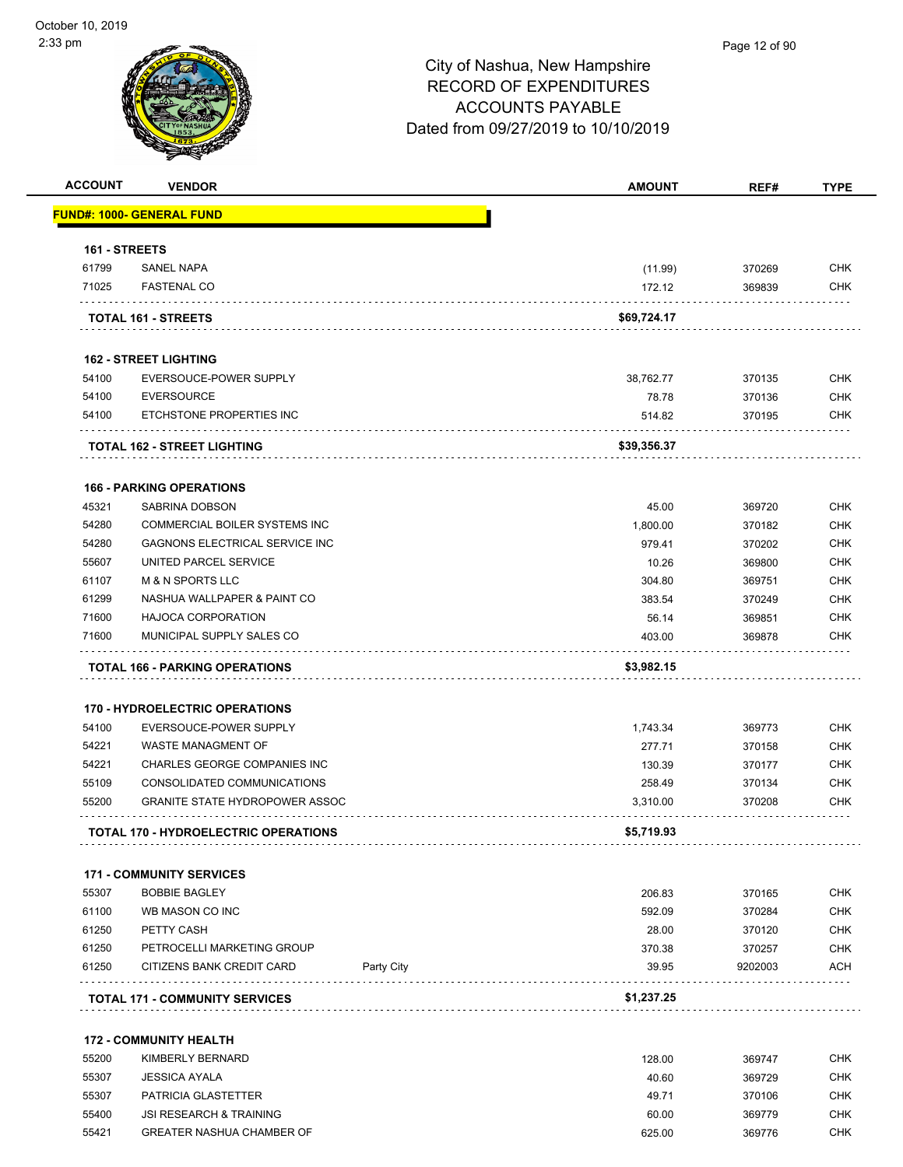| <b>ACCOUNT</b> | <b>VENDOR</b>                                                                                   |            | <b>AMOUNT</b>        | REF#              | <b>TYPE</b>                                                                                                                                                          |
|----------------|-------------------------------------------------------------------------------------------------|------------|----------------------|-------------------|----------------------------------------------------------------------------------------------------------------------------------------------------------------------|
|                | FUND#: 1000- GENERAL FUND                                                                       |            |                      |                   |                                                                                                                                                                      |
| 161 - STREETS  |                                                                                                 |            |                      |                   |                                                                                                                                                                      |
| 61799          | <b>SANEL NAPA</b>                                                                               |            | (11.99)              | 370269            | <b>CHK</b>                                                                                                                                                           |
| 71025          | <b>FASTENAL CO</b>                                                                              |            | 172.12               | 369839            | <b>CHK</b>                                                                                                                                                           |
|                | TOTAL 161 - STREETS                                                                             |            | \$69,724.17          |                   |                                                                                                                                                                      |
|                |                                                                                                 |            |                      |                   |                                                                                                                                                                      |
|                | <b>162 - STREET LIGHTING</b>                                                                    |            |                      |                   |                                                                                                                                                                      |
| 54100          | EVERSOUCE-POWER SUPPLY                                                                          |            | 38,762.77            | 370135            | <b>CHK</b>                                                                                                                                                           |
| 54100          | <b>EVERSOURCE</b>                                                                               |            | 78.78                | 370136            | <b>CHK</b>                                                                                                                                                           |
| 54100          | ETCHSTONE PROPERTIES INC                                                                        |            | 514.82               | 370195            | <b>CHK</b>                                                                                                                                                           |
|                | <b>TOTAL 162 - STREET LIGHTING</b>                                                              |            | \$39,356.37          |                   |                                                                                                                                                                      |
|                |                                                                                                 |            |                      |                   |                                                                                                                                                                      |
| 45321          | <b>166 - PARKING OPERATIONS</b><br>SABRINA DOBSON                                               |            | 45.00                | 369720            | <b>CHK</b>                                                                                                                                                           |
| 54280          | COMMERCIAL BOILER SYSTEMS INC                                                                   |            | 1,800.00             | 370182            | <b>CHK</b>                                                                                                                                                           |
| 54280          | <b>GAGNONS ELECTRICAL SERVICE INC</b>                                                           |            | 979.41               | 370202            | <b>CHK</b>                                                                                                                                                           |
| 55607          | UNITED PARCEL SERVICE                                                                           |            | 10.26                | 369800            | <b>CHK</b>                                                                                                                                                           |
| 61107          | <b>M &amp; N SPORTS LLC</b>                                                                     |            | 304.80               | 369751            | <b>CHK</b>                                                                                                                                                           |
|                | NASHUA WALLPAPER & PAINT CO                                                                     |            | 383.54               | 370249            | <b>CHK</b>                                                                                                                                                           |
|                |                                                                                                 |            | 56.14                | 369851            | <b>CHK</b>                                                                                                                                                           |
| 61299          |                                                                                                 |            |                      |                   |                                                                                                                                                                      |
| 71600<br>71600 | <b>HAJOCA CORPORATION</b><br>MUNICIPAL SUPPLY SALES CO<br><b>TOTAL 166 - PARKING OPERATIONS</b> |            | 403.00<br>\$3,982.15 | 369878            |                                                                                                                                                                      |
|                | <b>170 - HYDROELECTRIC OPERATIONS</b>                                                           |            |                      |                   |                                                                                                                                                                      |
| 54100          | EVERSOUCE-POWER SUPPLY                                                                          |            | 1,743.34             | 369773            |                                                                                                                                                                      |
| 54221          | WASTE MANAGMENT OF                                                                              |            | 277.71               | 370158            |                                                                                                                                                                      |
| 54221          | CHARLES GEORGE COMPANIES INC                                                                    |            | 130.39               | 370177            |                                                                                                                                                                      |
| 55109          | CONSOLIDATED COMMUNICATIONS                                                                     |            | 258.49               | 370134            |                                                                                                                                                                      |
| 55200          | <b>GRANITE STATE HYDROPOWER ASSOC</b>                                                           |            | 3,310.00             | 370208            |                                                                                                                                                                      |
|                | <b>TOTAL 170 - HYDROELECTRIC OPERATIONS</b>                                                     |            | \$5,719.93           |                   |                                                                                                                                                                      |
|                |                                                                                                 |            |                      |                   |                                                                                                                                                                      |
| 55307          | <b>171 - COMMUNITY SERVICES</b><br><b>BOBBIE BAGLEY</b>                                         |            |                      |                   |                                                                                                                                                                      |
| 61100          | WB MASON CO INC                                                                                 |            | 206.83               | 370165            |                                                                                                                                                                      |
| 61250          | PETTY CASH                                                                                      |            | 592.09               | 370284            |                                                                                                                                                                      |
| 61250          |                                                                                                 |            | 28.00                | 370120            |                                                                                                                                                                      |
| 61250          | PETROCELLI MARKETING GROUP<br>CITIZENS BANK CREDIT CARD                                         | Party City | 370.38<br>39.95      | 370257<br>9202003 |                                                                                                                                                                      |
|                | <b>TOTAL 171 - COMMUNITY SERVICES</b>                                                           |            | \$1,237.25           |                   |                                                                                                                                                                      |
|                |                                                                                                 |            |                      |                   |                                                                                                                                                                      |
|                | <b>172 - COMMUNITY HEALTH</b>                                                                   |            |                      |                   |                                                                                                                                                                      |
| 55200          | KIMBERLY BERNARD                                                                                |            | 128.00               | 369747            |                                                                                                                                                                      |
| 55307          | <b>JESSICA AYALA</b>                                                                            |            | 40.60                | 369729            | CHK<br><b>CHK</b><br><b>CHK</b><br><b>CHK</b><br><b>CHK</b><br><b>CHK</b><br>CHK<br><b>CHK</b><br><b>CHK</b><br><b>CHK</b><br><b>ACH</b><br><b>CHK</b><br><b>CHK</b> |
| 55307          | PATRICIA GLASTETTER                                                                             |            | 49.71                | 370106            | <b>CHK</b>                                                                                                                                                           |
| 55400<br>55421 | <b>JSI RESEARCH &amp; TRAINING</b><br><b>GREATER NASHUA CHAMBER OF</b>                          |            | 60.00<br>625.00      | 369779<br>369776  | <b>CHK</b><br><b>CHK</b>                                                                                                                                             |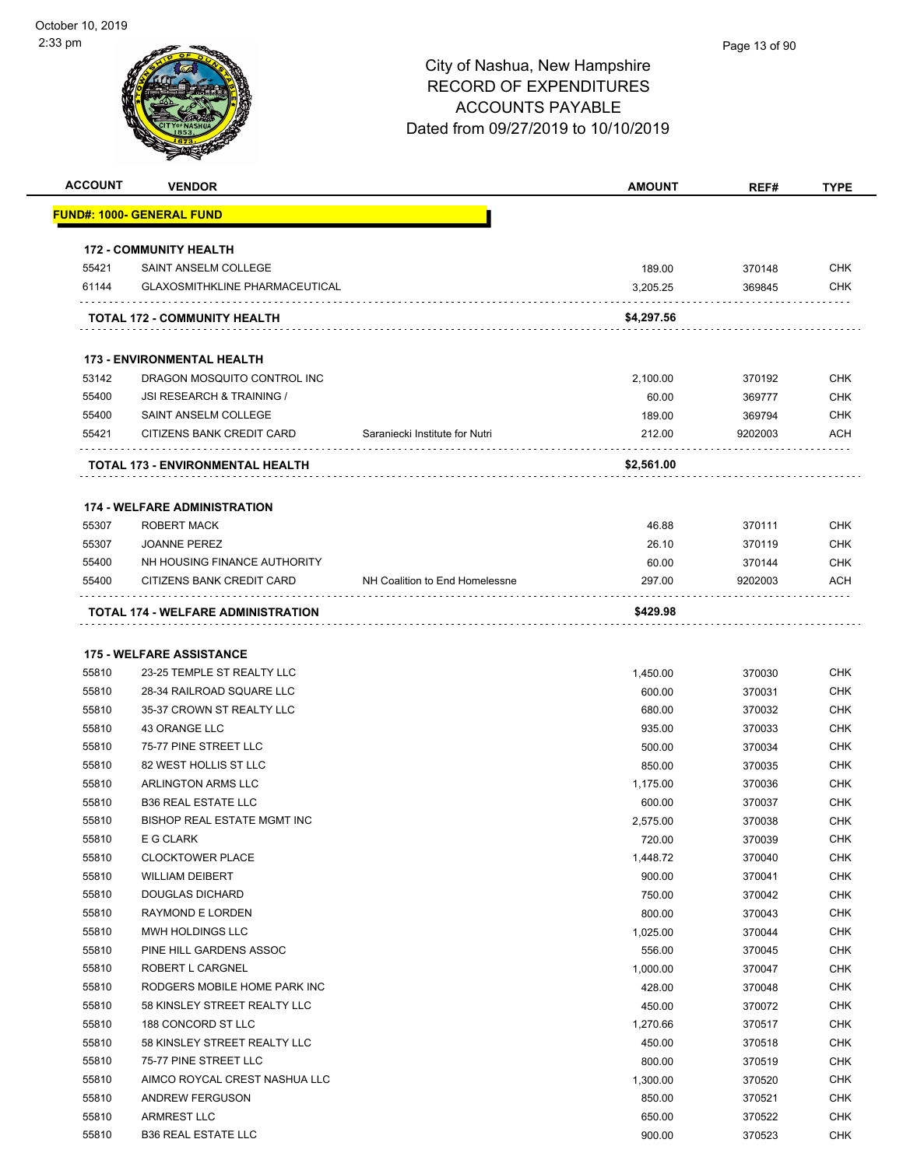| <b>ACCOUNT</b> | <b>VENDOR</b>                                                 |                                | <b>AMOUNT</b>    | REF#              | <b>TYPE</b> |
|----------------|---------------------------------------------------------------|--------------------------------|------------------|-------------------|-------------|
|                | <u> FUND#: 1000- GENERAL FUND</u>                             |                                |                  |                   |             |
|                |                                                               |                                |                  |                   |             |
|                | <b>172 - COMMUNITY HEALTH</b>                                 |                                |                  |                   |             |
| 55421          | SAINT ANSELM COLLEGE                                          |                                | 189.00           | 370148            | <b>CHK</b>  |
| 61144          | <b>GLAXOSMITHKLINE PHARMACEUTICAL</b>                         |                                | 3,205.25         | 369845            | <b>CHK</b>  |
|                | TOTAL 172 - COMMUNITY HEALTH                                  |                                | \$4,297.56       |                   |             |
|                |                                                               |                                |                  |                   |             |
|                | <b>173 - ENVIRONMENTAL HEALTH</b>                             |                                |                  |                   |             |
| 53142          | DRAGON MOSQUITO CONTROL INC                                   |                                | 2,100.00         | 370192            | <b>CHK</b>  |
| 55400          | <b>JSI RESEARCH &amp; TRAINING /</b>                          |                                | 60.00            | 369777            | <b>CHK</b>  |
| 55400<br>55421 | SAINT ANSELM COLLEGE<br>CITIZENS BANK CREDIT CARD             | Saraniecki Institute for Nutri | 189.00<br>212.00 | 369794<br>9202003 | CHK<br>ACH  |
|                |                                                               |                                |                  |                   |             |
|                | TOTAL 173 - ENVIRONMENTAL HEALTH                              |                                | \$2,561.00       |                   |             |
|                | <b>174 - WELFARE ADMINISTRATION</b>                           |                                |                  |                   |             |
| 55307          | ROBERT MACK                                                   |                                | 46.88            | 370111            | <b>CHK</b>  |
| 55307          | <b>JOANNE PEREZ</b>                                           |                                | 26.10            | 370119            | <b>CHK</b>  |
| 55400          | NH HOUSING FINANCE AUTHORITY                                  |                                | 60.00            | 370144            | CHK         |
| 55400          | CITIZENS BANK CREDIT CARD                                     | NH Coalition to End Homelessne | 297.00           | 9202003           | <b>ACH</b>  |
|                |                                                               |                                |                  |                   |             |
|                | TOTAL 174 - WELFARE ADMINISTRATION                            |                                | \$429.98         |                   |             |
|                |                                                               |                                |                  |                   |             |
| 55810          | <b>175 - WELFARE ASSISTANCE</b><br>23-25 TEMPLE ST REALTY LLC |                                | 1,450.00         | 370030            | <b>CHK</b>  |
| 55810          | 28-34 RAILROAD SQUARE LLC                                     |                                | 600.00           | 370031            | CHK         |
| 55810          | 35-37 CROWN ST REALTY LLC                                     |                                | 680.00           | 370032            | <b>CHK</b>  |
| 55810          | 43 ORANGE LLC                                                 |                                | 935.00           | 370033            | <b>CHK</b>  |
| 55810          | 75-77 PINE STREET LLC                                         |                                | 500.00           | 370034            | <b>CHK</b>  |
| 55810          | 82 WEST HOLLIS ST LLC                                         |                                | 850.00           | 370035            | <b>CHK</b>  |
| 55810          | ARLINGTON ARMS LLC                                            |                                | 1,175.00         | 370036            | <b>CHK</b>  |
| 55810          | <b>B36 REAL ESTATE LLC</b>                                    |                                | 600.00           | 370037            | CHK         |
| 55810          | <b>BISHOP REAL ESTATE MGMT INC</b>                            |                                | 2,575.00         | 370038            | <b>CHK</b>  |
| 55810          | E G CLARK                                                     |                                | 720.00           | 370039            | <b>CHK</b>  |
| 55810          | <b>CLOCKTOWER PLACE</b>                                       |                                | 1,448.72         | 370040            | <b>CHK</b>  |
| 55810          | <b>WILLIAM DEIBERT</b>                                        |                                | 900.00           | 370041            | <b>CHK</b>  |
| 55810          | <b>DOUGLAS DICHARD</b>                                        |                                | 750.00           | 370042            | <b>CHK</b>  |
| 55810          | RAYMOND E LORDEN                                              |                                | 800.00           | 370043            | <b>CHK</b>  |
| 55810          | MWH HOLDINGS LLC                                              |                                | 1,025.00         | 370044            | <b>CHK</b>  |
| 55810          | PINE HILL GARDENS ASSOC                                       |                                | 556.00           | 370045            | <b>CHK</b>  |
| 55810          | <b>ROBERT L CARGNEL</b>                                       |                                | 1,000.00         | 370047            | <b>CHK</b>  |
| 55810          | RODGERS MOBILE HOME PARK INC                                  |                                | 428.00           | 370048            | <b>CHK</b>  |
| 55810          | 58 KINSLEY STREET REALTY LLC                                  |                                | 450.00           | 370072            | <b>CHK</b>  |
| 55810          | 188 CONCORD ST LLC                                            |                                | 1,270.66         | 370517            | <b>CHK</b>  |
| 55810          | 58 KINSLEY STREET REALTY LLC                                  |                                | 450.00           | 370518            | <b>CHK</b>  |
| 55810          | 75-77 PINE STREET LLC                                         |                                | 800.00           | 370519            | <b>CHK</b>  |
| 55810          | AIMCO ROYCAL CREST NASHUA LLC                                 |                                | 1,300.00         | 370520            | <b>CHK</b>  |
| 55810          | <b>ANDREW FERGUSON</b>                                        |                                | 850.00           | 370521            | <b>CHK</b>  |
| 55810          | <b>ARMREST LLC</b>                                            |                                | 650.00           | 370522            | <b>CHK</b>  |
| 55810          | <b>B36 REAL ESTATE LLC</b>                                    |                                | 900.00           | 370523            | <b>CHK</b>  |
|                |                                                               |                                |                  |                   |             |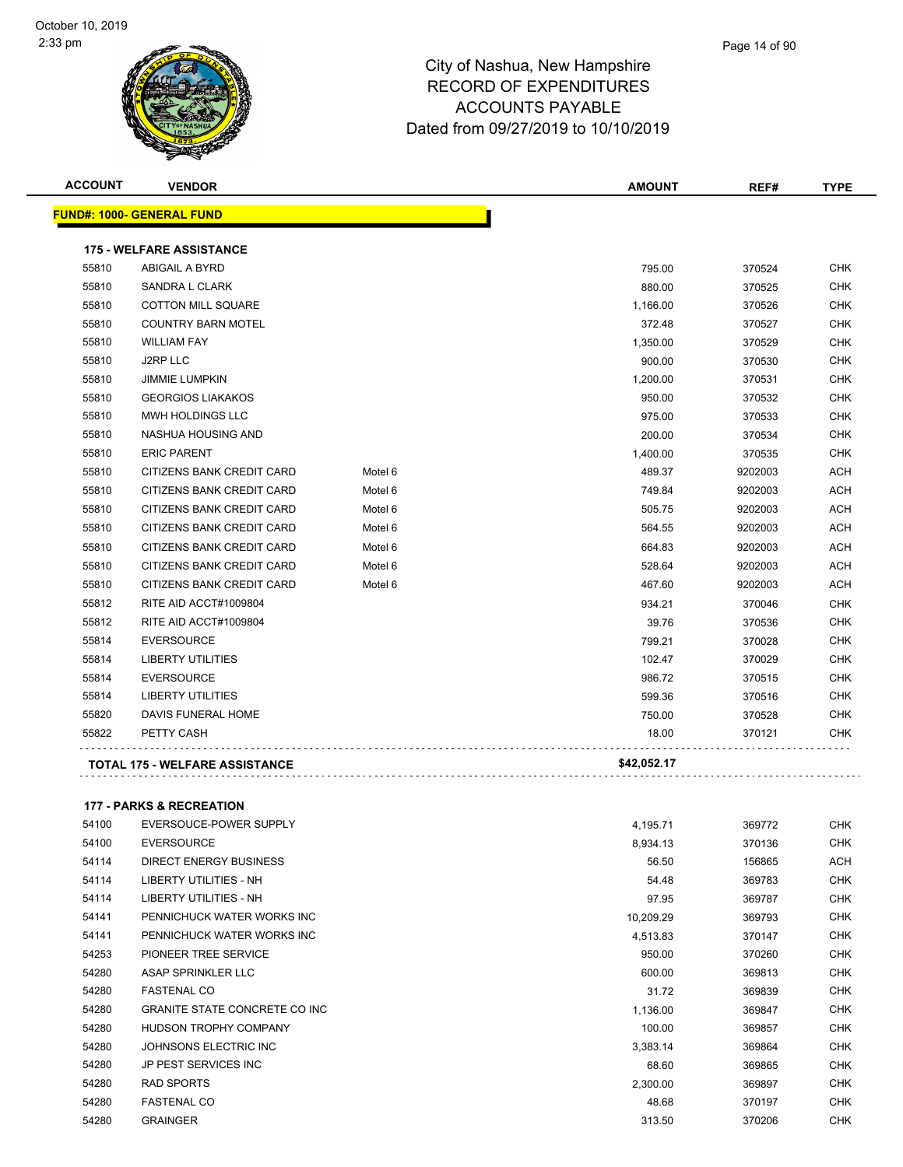#### Page 14 of 90

| <b>ACCOUNT</b> | <b>VENDOR</b>                    |         | <b>AMOUNT</b> | REF#    | <b>TYPE</b> |
|----------------|----------------------------------|---------|---------------|---------|-------------|
|                | <b>FUND#: 1000- GENERAL FUND</b> |         |               |         |             |
|                | <b>175 - WELFARE ASSISTANCE</b>  |         |               |         |             |
| 55810          | <b>ABIGAIL A BYRD</b>            |         | 795.00        | 370524  | <b>CHK</b>  |
| 55810          | SANDRA L CLARK                   |         | 880.00        | 370525  | <b>CHK</b>  |
| 55810          | <b>COTTON MILL SQUARE</b>        |         | 1,166.00      | 370526  | <b>CHK</b>  |
| 55810          | <b>COUNTRY BARN MOTEL</b>        |         | 372.48        | 370527  | <b>CHK</b>  |
| 55810          | <b>WILLIAM FAY</b>               |         | 1,350.00      | 370529  | <b>CHK</b>  |
| 55810          | J2RP LLC                         |         | 900.00        | 370530  | <b>CHK</b>  |
| 55810          | <b>JIMMIE LUMPKIN</b>            |         | 1,200.00      | 370531  | <b>CHK</b>  |
| 55810          | <b>GEORGIOS LIAKAKOS</b>         |         | 950.00        | 370532  | <b>CHK</b>  |
| 55810          | MWH HOLDINGS LLC                 |         | 975.00        | 370533  | <b>CHK</b>  |
| 55810          | NASHUA HOUSING AND               |         | 200.00        | 370534  | <b>CHK</b>  |
| 55810          | <b>ERIC PARENT</b>               |         | 1,400.00      | 370535  | <b>CHK</b>  |
| 55810          | CITIZENS BANK CREDIT CARD        | Motel 6 | 489.37        | 9202003 | <b>ACH</b>  |
| 55810          | CITIZENS BANK CREDIT CARD        | Motel 6 | 749.84        | 9202003 | ACH         |
| 55810          | CITIZENS BANK CREDIT CARD        | Motel 6 | 505.75        | 9202003 | ACH         |
| 55810          | <b>CITIZENS BANK CREDIT CARD</b> | Motel 6 | 564.55        | 9202003 | <b>ACH</b>  |
| 55810          | CITIZENS BANK CREDIT CARD        | Motel 6 | 664.83        | 9202003 | <b>ACH</b>  |
| 55810          | CITIZENS BANK CREDIT CARD        | Motel 6 | 528.64        | 9202003 | ACH         |
| 55810          | CITIZENS BANK CREDIT CARD        | Motel 6 | 467.60        | 9202003 | ACH         |
| 55812          | RITE AID ACCT#1009804            |         | 934.21        | 370046  | <b>CHK</b>  |
| 55812          | RITE AID ACCT#1009804            |         | 39.76         | 370536  | <b>CHK</b>  |
| 55814          | <b>EVERSOURCE</b>                |         | 799.21        | 370028  | <b>CHK</b>  |
| 55814          | <b>LIBERTY UTILITIES</b>         |         | 102.47        | 370029  | <b>CHK</b>  |
| 55814          | <b>EVERSOURCE</b>                |         | 986.72        | 370515  | <b>CHK</b>  |
| 55814          | <b>LIBERTY UTILITIES</b>         |         | 599.36        | 370516  | <b>CHK</b>  |
| 55820          | DAVIS FUNERAL HOME               |         | 750.00        | 370528  | <b>CHK</b>  |
| 55822          | PETTY CASH                       |         | 18.00         | 370121  | <b>CHK</b>  |
|                | TOTAL 175 - WELFARE ASSISTANCE   |         | \$42,052.17   |         |             |

| <b>177 - PARKS &amp; RECREATION</b> |  |  |  |
|-------------------------------------|--|--|--|
|-------------------------------------|--|--|--|

| 54100 | EVERSOUCE-POWER SUPPLY                | 4,195.71  | 369772 | <b>CHK</b> |
|-------|---------------------------------------|-----------|--------|------------|
| 54100 | <b>EVERSOURCE</b>                     | 8,934.13  | 370136 | <b>CHK</b> |
| 54114 | DIRECT ENERGY BUSINESS                | 56.50     | 156865 | <b>ACH</b> |
| 54114 | LIBERTY UTILITIES - NH                | 54.48     | 369783 | <b>CHK</b> |
| 54114 | LIBERTY UTILITIES - NH                | 97.95     | 369787 | <b>CHK</b> |
| 54141 | PENNICHUCK WATER WORKS INC            | 10,209.29 | 369793 | <b>CHK</b> |
| 54141 | PENNICHUCK WATER WORKS INC            | 4,513.83  | 370147 | <b>CHK</b> |
| 54253 | PIONEER TREE SERVICE                  | 950.00    | 370260 | <b>CHK</b> |
| 54280 | ASAP SPRINKLER LLC                    | 600.00    | 369813 | <b>CHK</b> |
| 54280 | <b>FASTENAL CO</b>                    | 31.72     | 369839 | <b>CHK</b> |
| 54280 | <b>GRANITE STATE CONCRETE CO INC.</b> | 1,136.00  | 369847 | <b>CHK</b> |
| 54280 | <b>HUDSON TROPHY COMPANY</b>          | 100.00    | 369857 | <b>CHK</b> |
| 54280 | JOHNSONS ELECTRIC INC                 | 3,383.14  | 369864 | <b>CHK</b> |
| 54280 | JP PEST SERVICES INC                  | 68.60     | 369865 | <b>CHK</b> |
| 54280 | <b>RAD SPORTS</b>                     | 2,300.00  | 369897 | <b>CHK</b> |
| 54280 | <b>FASTENAL CO</b>                    | 48.68     | 370197 | <b>CHK</b> |
| 54280 | <b>GRAINGER</b>                       | 313.50    | 370206 | <b>CHK</b> |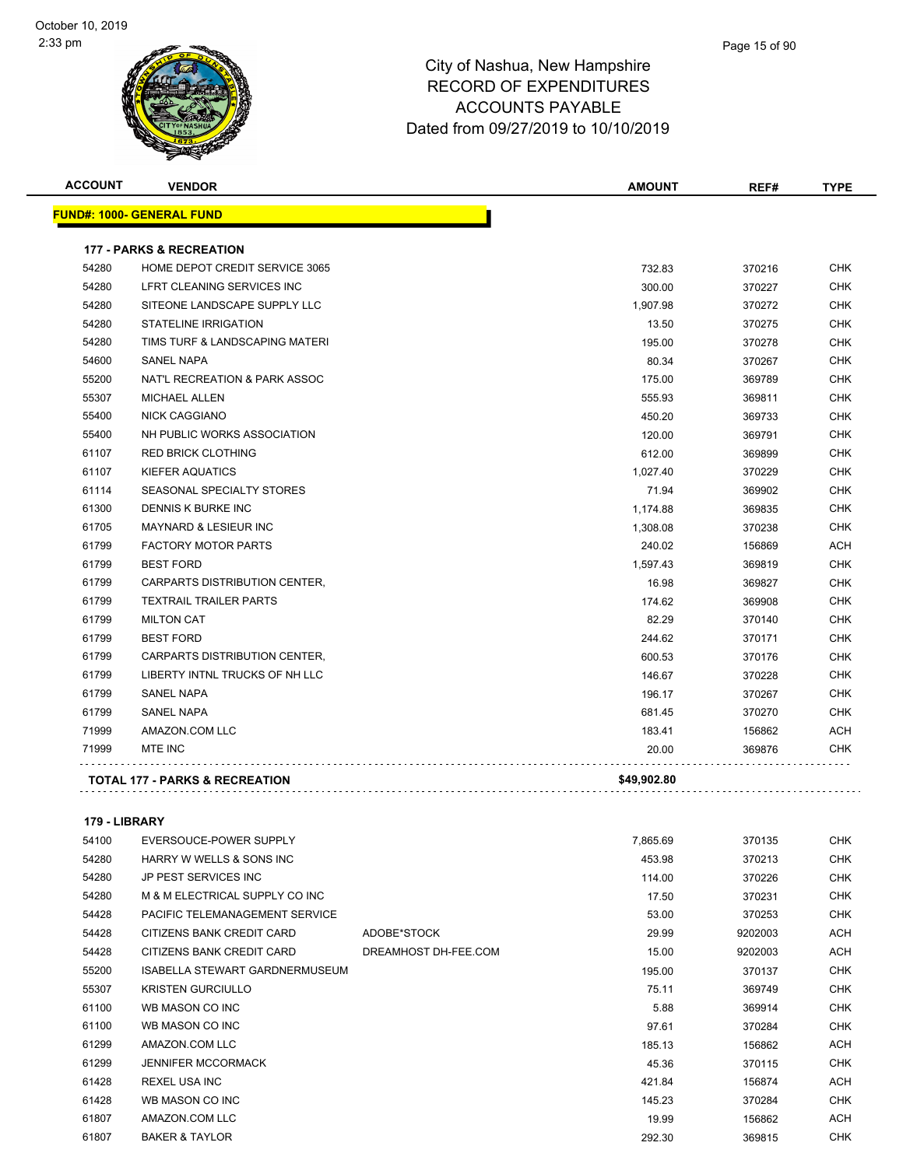#### Page 15 of 90

## City of Nashua, New Hampshire RECORD OF EXPENDITURES ACCOUNTS PAYABLE Dated from 09/27/2019 to 10/10/2019

| <b>ACCOUNT</b> | <b>VENDOR</b>                             | <b>AMOUNT</b> | REF#   | <b>TYPE</b> |
|----------------|-------------------------------------------|---------------|--------|-------------|
|                | <b>FUND#: 1000- GENERAL FUND</b>          |               |        |             |
|                | <b>177 - PARKS &amp; RECREATION</b>       |               |        |             |
| 54280          | HOME DEPOT CREDIT SERVICE 3065            | 732.83        | 370216 | <b>CHK</b>  |
| 54280          | LFRT CLEANING SERVICES INC                | 300.00        | 370227 | <b>CHK</b>  |
| 54280          | SITEONE LANDSCAPE SUPPLY LLC              | 1,907.98      | 370272 | <b>CHK</b>  |
| 54280          | <b>STATELINE IRRIGATION</b>               | 13.50         | 370275 | <b>CHK</b>  |
| 54280          | TIMS TURF & LANDSCAPING MATERI            | 195.00        | 370278 | <b>CHK</b>  |
| 54600          | <b>SANEL NAPA</b>                         | 80.34         | 370267 | <b>CHK</b>  |
| 55200          | NAT'L RECREATION & PARK ASSOC             | 175.00        | 369789 | <b>CHK</b>  |
| 55307          | <b>MICHAEL ALLEN</b>                      | 555.93        | 369811 | <b>CHK</b>  |
| 55400          | <b>NICK CAGGIANO</b>                      | 450.20        | 369733 | <b>CHK</b>  |
| 55400          | NH PUBLIC WORKS ASSOCIATION               | 120.00        | 369791 | <b>CHK</b>  |
| 61107          | <b>RED BRICK CLOTHING</b>                 | 612.00        | 369899 | <b>CHK</b>  |
| 61107          | <b>KIEFER AQUATICS</b>                    | 1.027.40      | 370229 | <b>CHK</b>  |
| 61114          | SEASONAL SPECIALTY STORES                 | 71.94         | 369902 | <b>CHK</b>  |
| 61300          | <b>DENNIS K BURKE INC</b>                 | 1,174.88      | 369835 | <b>CHK</b>  |
| 61705          | MAYNARD & LESIEUR INC                     | 1,308.08      | 370238 | <b>CHK</b>  |
| 61799          | <b>FACTORY MOTOR PARTS</b>                | 240.02        | 156869 | <b>ACH</b>  |
| 61799          | <b>BEST FORD</b>                          | 1,597.43      | 369819 | <b>CHK</b>  |
| 61799          | CARPARTS DISTRIBUTION CENTER,             | 16.98         | 369827 | <b>CHK</b>  |
| 61799          | <b>TEXTRAIL TRAILER PARTS</b>             | 174.62        | 369908 | <b>CHK</b>  |
| 61799          | <b>MILTON CAT</b>                         | 82.29         | 370140 | <b>CHK</b>  |
| 61799          | <b>BEST FORD</b>                          | 244.62        | 370171 | <b>CHK</b>  |
| 61799          | CARPARTS DISTRIBUTION CENTER,             | 600.53        | 370176 | <b>CHK</b>  |
| 61799          | LIBERTY INTNL TRUCKS OF NH LLC            | 146.67        | 370228 | <b>CHK</b>  |
| 61799          | SANEL NAPA                                | 196.17        | 370267 | <b>CHK</b>  |
| 61799          | <b>SANEL NAPA</b>                         | 681.45        | 370270 | <b>CHK</b>  |
| 71999          | AMAZON.COM LLC                            | 183.41        | 156862 | <b>ACH</b>  |
| 71999          | MTE INC                                   | 20.00         | 369876 | <b>CHK</b>  |
|                | <b>TOTAL 177 - PARKS &amp; RECREATION</b> | \$49,902.80   |        |             |

#### **179 - LIBRARY**

| 54100 | EVERSOUCE-POWER SUPPLY                |                      | 7,865.69 | 370135  | CHK        |
|-------|---------------------------------------|----------------------|----------|---------|------------|
| 54280 | HARRY W WELLS & SONS INC              |                      | 453.98   | 370213  | <b>CHK</b> |
| 54280 | <b>JP PEST SERVICES INC</b>           |                      | 114.00   | 370226  | <b>CHK</b> |
| 54280 | M & M ELECTRICAL SUPPLY CO INC        |                      | 17.50    | 370231  | CHK        |
| 54428 | PACIFIC TELEMANAGEMENT SERVICE        |                      | 53.00    | 370253  | CHK        |
| 54428 | CITIZENS BANK CREDIT CARD             | ADOBE*STOCK          | 29.99    | 9202003 | ACH        |
| 54428 | CITIZENS BANK CREDIT CARD             | DREAMHOST DH-FEE.COM | 15.00    | 9202003 | ACH        |
| 55200 | <b>ISABELLA STEWART GARDNERMUSEUM</b> |                      | 195.00   | 370137  | CHK        |
| 55307 | <b>KRISTEN GURCIULLO</b>              |                      | 75.11    | 369749  | <b>CHK</b> |
| 61100 | WB MASON CO INC                       |                      | 5.88     | 369914  | CHK        |
| 61100 | WB MASON CO INC                       |                      | 97.61    | 370284  | <b>CHK</b> |
| 61299 | AMAZON.COM LLC                        |                      | 185.13   | 156862  | ACH        |
| 61299 | <b>JENNIFER MCCORMACK</b>             |                      | 45.36    | 370115  | CHK        |
| 61428 | <b>REXEL USA INC</b>                  |                      | 421.84   | 156874  | ACH        |
| 61428 | WB MASON CO INC                       |                      | 145.23   | 370284  | <b>CHK</b> |
| 61807 | AMAZON.COM LLC                        |                      | 19.99    | 156862  | ACH        |
| 61807 | <b>BAKER &amp; TAYLOR</b>             |                      | 292.30   | 369815  | CHK        |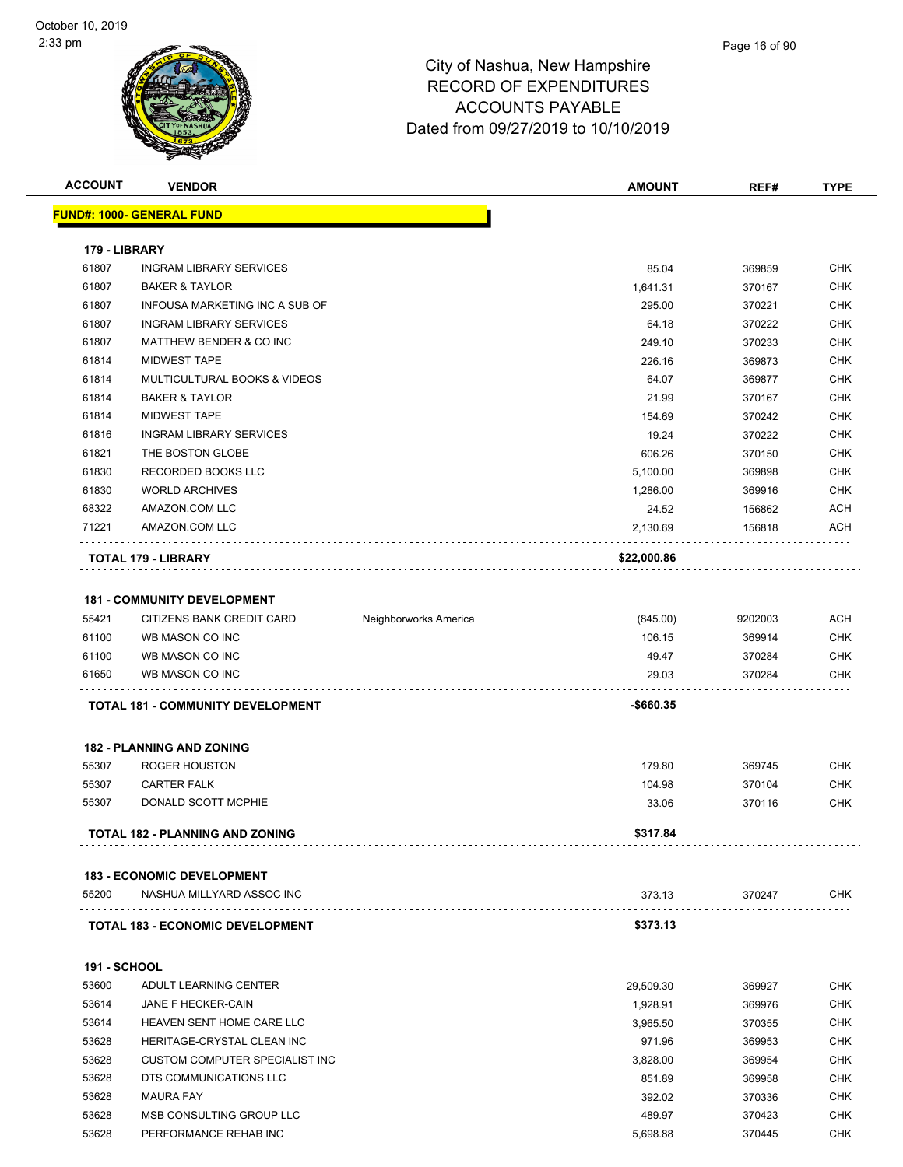| <b>ACCOUNT</b>      | <b>VENDOR</b>                          |                       | <b>AMOUNT</b> | REF#    | <b>TYPE</b> |
|---------------------|----------------------------------------|-----------------------|---------------|---------|-------------|
|                     | <b>FUND#: 1000- GENERAL FUND</b>       |                       |               |         |             |
|                     |                                        |                       |               |         |             |
| 179 - LIBRARY       |                                        |                       |               |         |             |
| 61807               | <b>INGRAM LIBRARY SERVICES</b>         |                       | 85.04         | 369859  | <b>CHK</b>  |
| 61807               | <b>BAKER &amp; TAYLOR</b>              |                       | 1,641.31      | 370167  | <b>CHK</b>  |
| 61807               | INFOUSA MARKETING INC A SUB OF         |                       | 295.00        | 370221  | <b>CHK</b>  |
| 61807               | <b>INGRAM LIBRARY SERVICES</b>         |                       | 64.18         | 370222  | <b>CHK</b>  |
| 61807               | MATTHEW BENDER & CO INC                |                       | 249.10        | 370233  | <b>CHK</b>  |
| 61814               | <b>MIDWEST TAPE</b>                    |                       | 226.16        | 369873  | <b>CHK</b>  |
| 61814               | MULTICULTURAL BOOKS & VIDEOS           |                       | 64.07         | 369877  | CHK         |
| 61814               | <b>BAKER &amp; TAYLOR</b>              |                       | 21.99         | 370167  | CHK         |
| 61814               | <b>MIDWEST TAPE</b>                    |                       | 154.69        | 370242  | <b>CHK</b>  |
| 61816               | <b>INGRAM LIBRARY SERVICES</b>         |                       | 19.24         | 370222  | CHK         |
| 61821               | THE BOSTON GLOBE                       |                       | 606.26        | 370150  | <b>CHK</b>  |
| 61830               | RECORDED BOOKS LLC                     |                       | 5,100.00      | 369898  | <b>CHK</b>  |
| 61830               | <b>WORLD ARCHIVES</b>                  |                       | 1,286.00      | 369916  | CHK         |
| 68322               | AMAZON.COM LLC                         |                       | 24.52         | 156862  | <b>ACH</b>  |
| 71221               | AMAZON.COM LLC                         |                       | 2,130.69      | 156818  | ACH         |
|                     |                                        |                       |               |         |             |
|                     | <b>TOTAL 179 - LIBRARY</b>             |                       | \$22,000.86   |         |             |
|                     |                                        |                       |               |         |             |
|                     | <b>181 - COMMUNITY DEVELOPMENT</b>     |                       |               |         |             |
| 55421               | CITIZENS BANK CREDIT CARD              | Neighborworks America | (845.00)      | 9202003 | ACH         |
| 61100               | WB MASON CO INC                        |                       | 106.15        | 369914  | CHK         |
| 61100               | WB MASON CO INC                        |                       | 49.47         | 370284  | CHK         |
| 61650               | WB MASON CO INC                        |                       | 29.03         | 370284  | CHK         |
|                     | TOTAL 181 - COMMUNITY DEVELOPMENT      |                       | -\$660.35     |         |             |
|                     |                                        |                       |               |         |             |
|                     | <b>182 - PLANNING AND ZONING</b>       |                       |               |         |             |
| 55307               | ROGER HOUSTON                          |                       | 179.80        | 369745  | <b>CHK</b>  |
| 55307               | <b>CARTER FALK</b>                     |                       | 104.98        | 370104  | CHK         |
| 55307               | DONALD SCOTT MCPHIE                    |                       | 33.06         | 370116  | CHK         |
|                     | <b>TOTAL 182 - PLANNING AND ZONING</b> |                       | \$317.84      |         |             |
|                     |                                        |                       |               |         |             |
|                     | <b>183 - ECONOMIC DEVELOPMENT</b>      |                       |               |         |             |
| 55200               | NASHUA MILLYARD ASSOC INC              |                       | 373.13        | 370247  | CHK.        |
|                     | TOTAL 183 - ECONOMIC DEVELOPMENT       |                       | \$373.13      |         |             |
|                     |                                        |                       |               |         |             |
| <b>191 - SCHOOL</b> |                                        |                       |               |         |             |
| 53600               | ADULT LEARNING CENTER                  |                       | 29,509.30     | 369927  | CHK         |
| 53614               | JANE F HECKER-CAIN                     |                       | 1,928.91      | 369976  | <b>CHK</b>  |
| 53614               | HEAVEN SENT HOME CARE LLC              |                       | 3,965.50      | 370355  | CHK         |
| 53628               | HERITAGE-CRYSTAL CLEAN INC             |                       | 971.96        | 369953  | <b>CHK</b>  |
| 53628               | CUSTOM COMPUTER SPECIALIST INC         |                       | 3,828.00      | 369954  | <b>CHK</b>  |
| 53628               | DTS COMMUNICATIONS LLC                 |                       | 851.89        | 369958  | CHK         |
| 53628               | <b>MAURA FAY</b>                       |                       | 392.02        | 370336  | CHK         |
| 53628               | MSB CONSULTING GROUP LLC               |                       | 489.97        | 370423  | CHK         |
| 53628               | PERFORMANCE REHAB INC                  |                       | 5,698.88      | 370445  | CHK         |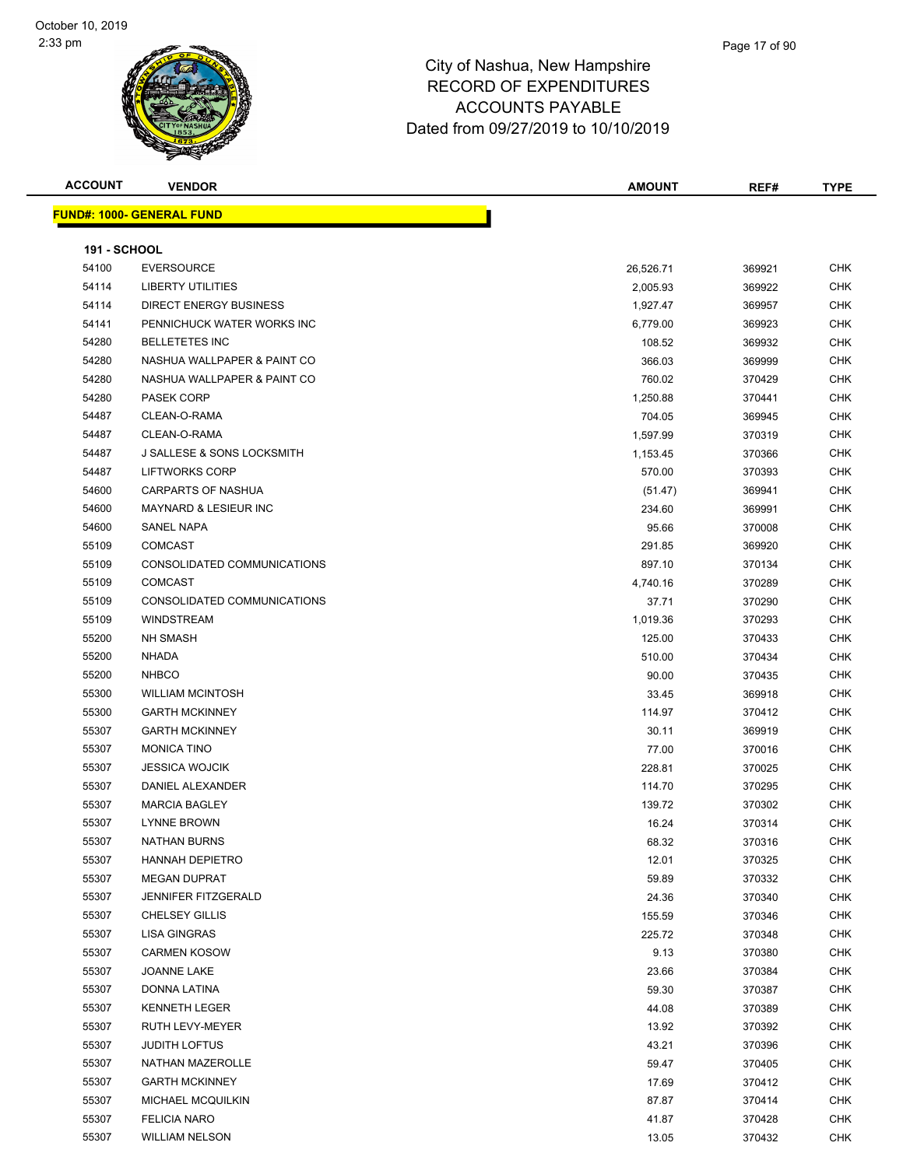#### Page 17 of 90

| <b>ACCOUNT</b>      | <b>VENDOR</b>                         | AMOUNT    | REF#   | <b>TYPE</b> |
|---------------------|---------------------------------------|-----------|--------|-------------|
|                     | <b>FUND#: 1000- GENERAL FUND</b>      |           |        |             |
|                     |                                       |           |        |             |
| <b>191 - SCHOOL</b> |                                       |           |        |             |
| 54100               | <b>EVERSOURCE</b>                     | 26,526.71 | 369921 | <b>CHK</b>  |
| 54114               | <b>LIBERTY UTILITIES</b>              | 2,005.93  | 369922 | <b>CHK</b>  |
| 54114               | <b>DIRECT ENERGY BUSINESS</b>         | 1,927.47  | 369957 | <b>CHK</b>  |
| 54141               | PENNICHUCK WATER WORKS INC            | 6,779.00  | 369923 | <b>CHK</b>  |
| 54280               | <b>BELLETETES INC</b>                 | 108.52    | 369932 | <b>CHK</b>  |
| 54280               | NASHUA WALLPAPER & PAINT CO           | 366.03    | 369999 | <b>CHK</b>  |
| 54280               | NASHUA WALLPAPER & PAINT CO           | 760.02    | 370429 | <b>CHK</b>  |
| 54280               | <b>PASEK CORP</b>                     | 1,250.88  | 370441 | <b>CHK</b>  |
| 54487               | CLEAN-O-RAMA                          | 704.05    | 369945 | <b>CHK</b>  |
| 54487               | CLEAN-O-RAMA                          | 1,597.99  | 370319 | <b>CHK</b>  |
| 54487               | <b>J SALLESE &amp; SONS LOCKSMITH</b> | 1,153.45  | 370366 | CHK         |
| 54487               | <b>LIFTWORKS CORP</b>                 | 570.00    | 370393 | <b>CHK</b>  |
| 54600               | <b>CARPARTS OF NASHUA</b>             | (51.47)   | 369941 | CHK         |
| 54600               | <b>MAYNARD &amp; LESIEUR INC</b>      | 234.60    | 369991 | <b>CHK</b>  |
| 54600               | <b>SANEL NAPA</b>                     | 95.66     | 370008 | <b>CHK</b>  |
| 55109               | <b>COMCAST</b>                        | 291.85    | 369920 | <b>CHK</b>  |
| 55109               | CONSOLIDATED COMMUNICATIONS           | 897.10    | 370134 | CHK         |
| 55109               | <b>COMCAST</b>                        | 4,740.16  | 370289 | <b>CHK</b>  |
| 55109               | CONSOLIDATED COMMUNICATIONS           | 37.71     | 370290 | <b>CHK</b>  |
| 55109               | <b>WINDSTREAM</b>                     | 1,019.36  | 370293 | <b>CHK</b>  |
| 55200               | <b>NH SMASH</b>                       | 125.00    | 370433 | CHK         |
| 55200               | <b>NHADA</b>                          | 510.00    | 370434 | <b>CHK</b>  |
| 55200               | <b>NHBCO</b>                          | 90.00     | 370435 | <b>CHK</b>  |
| 55300               | <b>WILLIAM MCINTOSH</b>               | 33.45     | 369918 | CHK         |
| 55300               | <b>GARTH MCKINNEY</b>                 | 114.97    | 370412 | <b>CHK</b>  |
| 55307               | <b>GARTH MCKINNEY</b>                 | 30.11     | 369919 | <b>CHK</b>  |
| 55307               | <b>MONICA TINO</b>                    | 77.00     | 370016 | <b>CHK</b>  |
| 55307               | <b>JESSICA WOJCIK</b>                 | 228.81    | 370025 | <b>CHK</b>  |
| 55307               | DANIEL ALEXANDER                      | 114.70    | 370295 | <b>CHK</b>  |
| 55307               | <b>MARCIA BAGLEY</b>                  | 139.72    | 370302 | <b>CHK</b>  |
| 55307               | <b>LYNNE BROWN</b>                    | 16.24     | 370314 | <b>CHK</b>  |
| 55307               | NATHAN BURNS                          | 68.32     | 370316 | <b>CHK</b>  |
| 55307               | <b>HANNAH DEPIETRO</b>                | 12.01     | 370325 | <b>CHK</b>  |
| 55307               | <b>MEGAN DUPRAT</b>                   | 59.89     | 370332 | <b>CHK</b>  |
| 55307               | <b>JENNIFER FITZGERALD</b>            | 24.36     | 370340 | <b>CHK</b>  |
| 55307               | <b>CHELSEY GILLIS</b>                 | 155.59    | 370346 | <b>CHK</b>  |
| 55307               | <b>LISA GINGRAS</b>                   | 225.72    | 370348 | CHK         |
| 55307               | <b>CARMEN KOSOW</b>                   | 9.13      | 370380 | CHK         |
| 55307               | <b>JOANNE LAKE</b>                    | 23.66     | 370384 | <b>CHK</b>  |
| 55307               | DONNA LATINA                          | 59.30     | 370387 | <b>CHK</b>  |
| 55307               | <b>KENNETH LEGER</b>                  | 44.08     | 370389 | <b>CHK</b>  |
| 55307               | RUTH LEVY-MEYER                       | 13.92     | 370392 | <b>CHK</b>  |
| 55307               | <b>JUDITH LOFTUS</b>                  | 43.21     | 370396 | <b>CHK</b>  |
| 55307               | NATHAN MAZEROLLE                      | 59.47     | 370405 | <b>CHK</b>  |
| 55307               | <b>GARTH MCKINNEY</b>                 | 17.69     | 370412 | <b>CHK</b>  |
| 55307               | MICHAEL MCQUILKIN                     | 87.87     | 370414 | CHK         |
| 55307               | <b>FELICIA NARO</b>                   | 41.87     | 370428 | <b>CHK</b>  |
| 55307               | <b>WILLIAM NELSON</b>                 | 13.05     | 370432 | <b>CHK</b>  |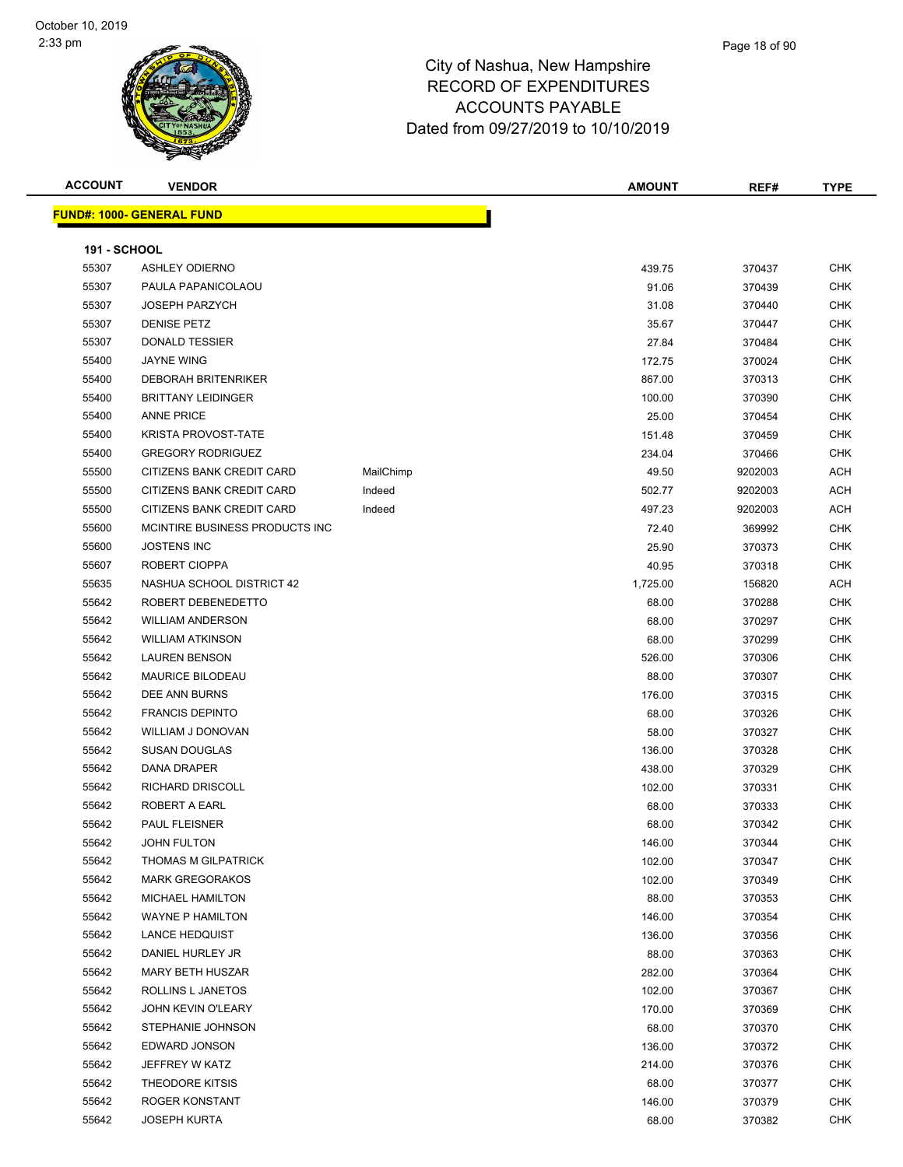#### Page 18 of 90

| <b>ACCOUNT</b>      | <b>VENDOR</b>                    |           | <b>AMOUNT</b> | REF#    | TYPE       |
|---------------------|----------------------------------|-----------|---------------|---------|------------|
|                     | <b>FUND#: 1000- GENERAL FUND</b> |           |               |         |            |
|                     |                                  |           |               |         |            |
| <b>191 - SCHOOL</b> |                                  |           |               |         |            |
| 55307               | <b>ASHLEY ODIERNO</b>            |           | 439.75        | 370437  | CHK        |
| 55307               | PAULA PAPANICOLAOU               |           | 91.06         | 370439  | <b>CHK</b> |
| 55307               | <b>JOSEPH PARZYCH</b>            |           | 31.08         | 370440  | <b>CHK</b> |
| 55307               | <b>DENISE PETZ</b>               |           | 35.67         | 370447  | <b>CHK</b> |
| 55307               | <b>DONALD TESSIER</b>            |           | 27.84         | 370484  | <b>CHK</b> |
| 55400               | <b>JAYNE WING</b>                |           | 172.75        | 370024  | <b>CHK</b> |
| 55400               | <b>DEBORAH BRITENRIKER</b>       |           | 867.00        | 370313  | <b>CHK</b> |
| 55400               | <b>BRITTANY LEIDINGER</b>        |           | 100.00        | 370390  | <b>CHK</b> |
| 55400               | <b>ANNE PRICE</b>                |           | 25.00         | 370454  | <b>CHK</b> |
| 55400               | <b>KRISTA PROVOST-TATE</b>       |           | 151.48        | 370459  | <b>CHK</b> |
| 55400               | <b>GREGORY RODRIGUEZ</b>         |           | 234.04        | 370466  | <b>CHK</b> |
| 55500               | CITIZENS BANK CREDIT CARD        | MailChimp | 49.50         | 9202003 | <b>ACH</b> |
| 55500               | CITIZENS BANK CREDIT CARD        | Indeed    | 502.77        | 9202003 | <b>ACH</b> |
| 55500               | CITIZENS BANK CREDIT CARD        | Indeed    | 497.23        | 9202003 | <b>ACH</b> |
| 55600               | MCINTIRE BUSINESS PRODUCTS INC   |           | 72.40         | 369992  | <b>CHK</b> |
| 55600               | <b>JOSTENS INC</b>               |           | 25.90         | 370373  | <b>CHK</b> |
| 55607               | ROBERT CIOPPA                    |           | 40.95         | 370318  | <b>CHK</b> |
| 55635               | NASHUA SCHOOL DISTRICT 42        |           | 1,725.00      | 156820  | <b>ACH</b> |
| 55642               | ROBERT DEBENEDETTO               |           | 68.00         | 370288  | CHK        |
| 55642               | <b>WILLIAM ANDERSON</b>          |           | 68.00         | 370297  | <b>CHK</b> |
| 55642               | <b>WILLIAM ATKINSON</b>          |           | 68.00         | 370299  | <b>CHK</b> |
| 55642               | <b>LAUREN BENSON</b>             |           | 526.00        | 370306  | <b>CHK</b> |
| 55642               | <b>MAURICE BILODEAU</b>          |           | 88.00         | 370307  | <b>CHK</b> |
| 55642               | DEE ANN BURNS                    |           | 176.00        | 370315  | <b>CHK</b> |
| 55642               | <b>FRANCIS DEPINTO</b>           |           | 68.00         | 370326  | <b>CHK</b> |
| 55642               | WILLIAM J DONOVAN                |           | 58.00         | 370327  | <b>CHK</b> |
| 55642               | <b>SUSAN DOUGLAS</b>             |           | 136.00        | 370328  | <b>CHK</b> |
| 55642               | DANA DRAPER                      |           | 438.00        | 370329  | <b>CHK</b> |
| 55642               | RICHARD DRISCOLL                 |           | 102.00        | 370331  | <b>CHK</b> |
| 55642               | ROBERT A EARL                    |           | 68.00         | 370333  | <b>CHK</b> |
| 55642               | PAUL FLEISNER                    |           | 68.00         | 370342  | <b>CHK</b> |
| 55642               | JOHN FULTON                      |           | 146.00        | 370344  | CHK        |
| 55642               | THOMAS M GILPATRICK              |           | 102.00        | 370347  | <b>CHK</b> |
| 55642               | <b>MARK GREGORAKOS</b>           |           | 102.00        | 370349  | <b>CHK</b> |
| 55642               | <b>MICHAEL HAMILTON</b>          |           | 88.00         | 370353  | <b>CHK</b> |
| 55642               | <b>WAYNE P HAMILTON</b>          |           | 146.00        | 370354  | <b>CHK</b> |
| 55642               | <b>LANCE HEDQUIST</b>            |           | 136.00        | 370356  | <b>CHK</b> |
| 55642               | DANIEL HURLEY JR                 |           | 88.00         | 370363  | <b>CHK</b> |
| 55642               | <b>MARY BETH HUSZAR</b>          |           | 282.00        | 370364  | <b>CHK</b> |
| 55642               | ROLLINS L JANETOS                |           | 102.00        | 370367  | <b>CHK</b> |
| 55642               | JOHN KEVIN O'LEARY               |           | 170.00        | 370369  | CHK        |
| 55642               | STEPHANIE JOHNSON                |           | 68.00         | 370370  | <b>CHK</b> |
| 55642               | EDWARD JONSON                    |           | 136.00        | 370372  | <b>CHK</b> |
| 55642               | JEFFREY W KATZ                   |           | 214.00        | 370376  | <b>CHK</b> |
| 55642               | <b>THEODORE KITSIS</b>           |           | 68.00         | 370377  | <b>CHK</b> |
| 55642               | ROGER KONSTANT                   |           | 146.00        | 370379  | <b>CHK</b> |
| 55642               | <b>JOSEPH KURTA</b>              |           | 68.00         | 370382  | <b>CHK</b> |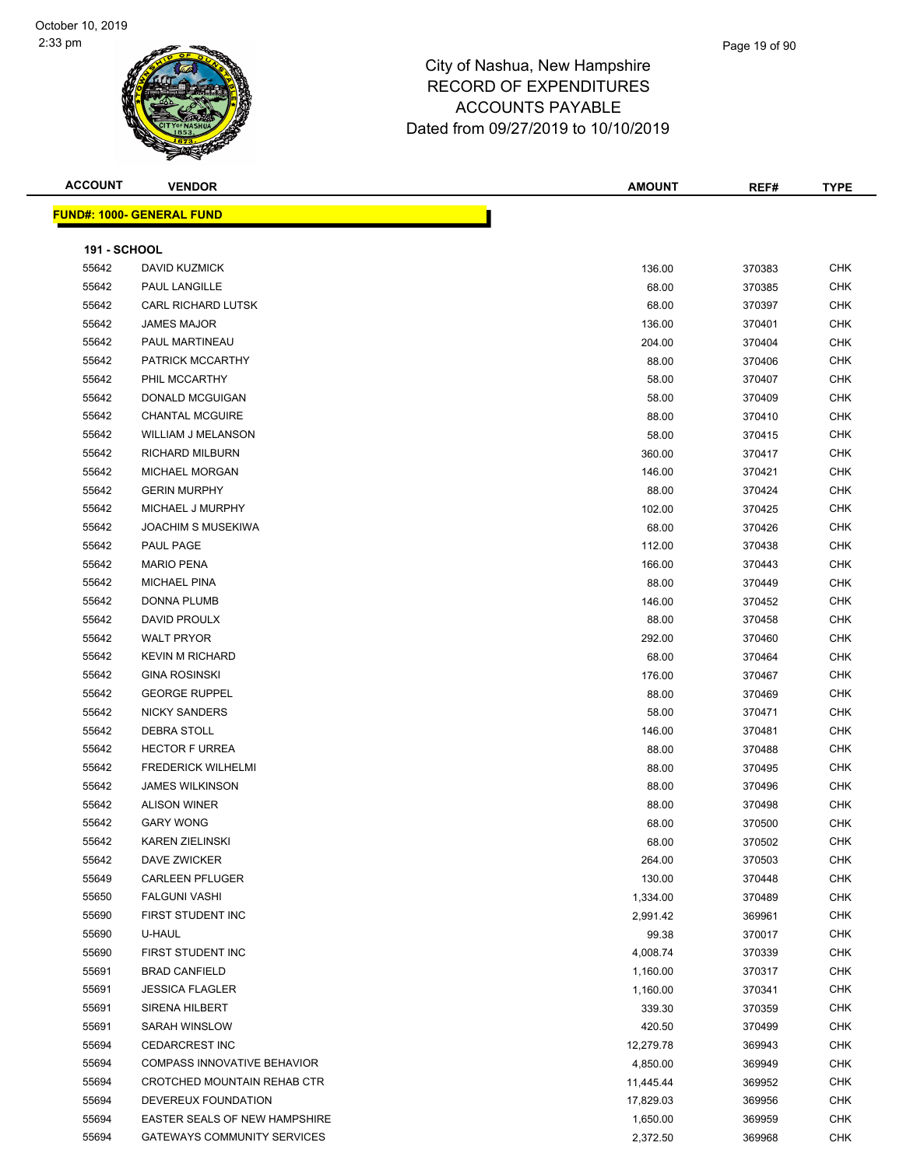| <b>ACCOUNT</b> | ыı |
|----------------|----|
|                |    |

| <b>FUND#: 1000- GENERAL FUND</b> |  |  |
|----------------------------------|--|--|

| <b>ACCOUNT</b>      | <b>VENDOR</b>                    | <b>AMOUNT</b> | REF#   | <b>TYPE</b> |
|---------------------|----------------------------------|---------------|--------|-------------|
|                     | <u> IND#: 1000- GENERAL FUND</u> |               |        |             |
| <b>191 - SCHOOL</b> |                                  |               |        |             |
| 55642               | <b>DAVID KUZMICK</b>             | 136.00        | 370383 | <b>CHK</b>  |
| 55642               | PAUL LANGILLE                    | 68.00         | 370385 | <b>CHK</b>  |
| 55642               | <b>CARL RICHARD LUTSK</b>        | 68.00         | 370397 | <b>CHK</b>  |
| 55642               | <b>JAMES MAJOR</b>               | 136.00        | 370401 | <b>CHK</b>  |
| 55642               | PAUL MARTINEAU                   | 204.00        | 370404 | <b>CHK</b>  |
| 55642               | PATRICK MCCARTHY                 | 88.00         | 370406 | <b>CHK</b>  |
| 55642               | PHIL MCCARTHY                    | 58.00         | 370407 | <b>CHK</b>  |
| 55642               | DONALD MCGUIGAN                  | 58.00         | 370409 | <b>CHK</b>  |
| 55642               | <b>CHANTAL MCGUIRE</b>           | 88.00         | 370410 | <b>CHK</b>  |
| 55642               | <b>WILLIAM J MELANSON</b>        | 58.00         | 370415 | <b>CHK</b>  |
| 55642               | RICHARD MILBURN                  | 360.00        | 370417 | <b>CHK</b>  |
| 55642               | MICHAEL MORGAN                   | 146.00        | 370421 | <b>CHK</b>  |
| 55642               | <b>GERIN MURPHY</b>              | 88.00         | 370424 | <b>CHK</b>  |
| 55642               | MICHAEL J MURPHY                 | 102.00        | 370425 | <b>CHK</b>  |
| 55642               | <b>JOACHIM S MUSEKIWA</b>        | 68.00         | 370426 | <b>CHK</b>  |
| 55642               | PAUL PAGE                        | 112.00        | 370438 | <b>CHK</b>  |
| 55642               | <b>MARIO PENA</b>                | 166.00        | 370443 | <b>CHK</b>  |
| 55642               | <b>MICHAEL PINA</b>              | 88.00         | 370449 | <b>CHK</b>  |
| 55642               | DONNA PLUMB                      | 146.00        | 370452 | <b>CHK</b>  |
| 55642               | DAVID PROULX                     | 88.00         | 370458 | <b>CHK</b>  |
| 55642               | <b>WALT PRYOR</b>                | 292.00        | 370460 | <b>CHK</b>  |
| 55642               | <b>KEVIN M RICHARD</b>           | 68.00         | 370464 | <b>CHK</b>  |
| 55642               | <b>GINA ROSINSKI</b>             | 176.00        | 370467 | <b>CHK</b>  |
| 55642               | <b>GEORGE RUPPEL</b>             | 88.00         | 370469 | <b>CHK</b>  |
| 55642               | <b>NICKY SANDERS</b>             | 58.00         | 370471 | <b>CHK</b>  |
| 55642               | DEBRA STOLL                      | 146.00        | 370481 | <b>CHK</b>  |
| 55642               | <b>HECTOR F URREA</b>            | 88.00         | 370488 | <b>CHK</b>  |
| 55642               | <b>FREDERICK WILHELMI</b>        | 88.00         | 370495 | <b>CHK</b>  |
| 55642               | <b>JAMES WILKINSON</b>           | 88.00         | 370496 | CHK         |
| 55642               | <b>ALISON WINER</b>              | 88.00         | 370498 | CHK         |
| 55642               | <b>GARY WONG</b>                 | 68.00         | 370500 | <b>CHK</b>  |
| 55642               | <b>KAREN ZIELINSKI</b>           | 68.00         | 370502 | <b>CHK</b>  |
| 55642               | <b>DAVE ZWICKER</b>              | 264.00        | 370503 | <b>CHK</b>  |
| 55649               | <b>CARLEEN PFLUGER</b>           | 130.00        | 370448 | <b>CHK</b>  |
| 55650               | <b>FALGUNI VASHI</b>             | 1,334.00      | 370489 | <b>CHK</b>  |
| 55690               | FIRST STUDENT INC                | 2,991.42      | 369961 | <b>CHK</b>  |
| 55690               | U-HAUL                           | 99.38         | 370017 | <b>CHK</b>  |
| 55690               | FIRST STUDENT INC                |               |        | <b>CHK</b>  |
| 55691               | <b>BRAD CANFIELD</b>             | 4,008.74      | 370339 | <b>CHK</b>  |
|                     |                                  | 1,160.00      | 370317 |             |
| 55691               | <b>JESSICA FLAGLER</b>           | 1,160.00      | 370341 | <b>CHK</b>  |
| 55691               | <b>SIRENA HILBERT</b>            | 339.30        | 370359 | <b>CHK</b>  |

 SARAH WINSLOW 420.50 370499 CHK CEDARCREST INC 12,279.78 369943 CHK COMPASS INNOVATIVE BEHAVIOR 4,850.00 369949 CHK 55694 CROTCHED MOUNTAIN REHAB CTR 11,445.44 369952 CHK DEVEREUX FOUNDATION 17,829.03 369956 CHK EASTER SEALS OF NEW HAMPSHIRE 1,650.00 369959 CHK GATEWAYS COMMUNITY SERVICES 2,372.50 369968 CHK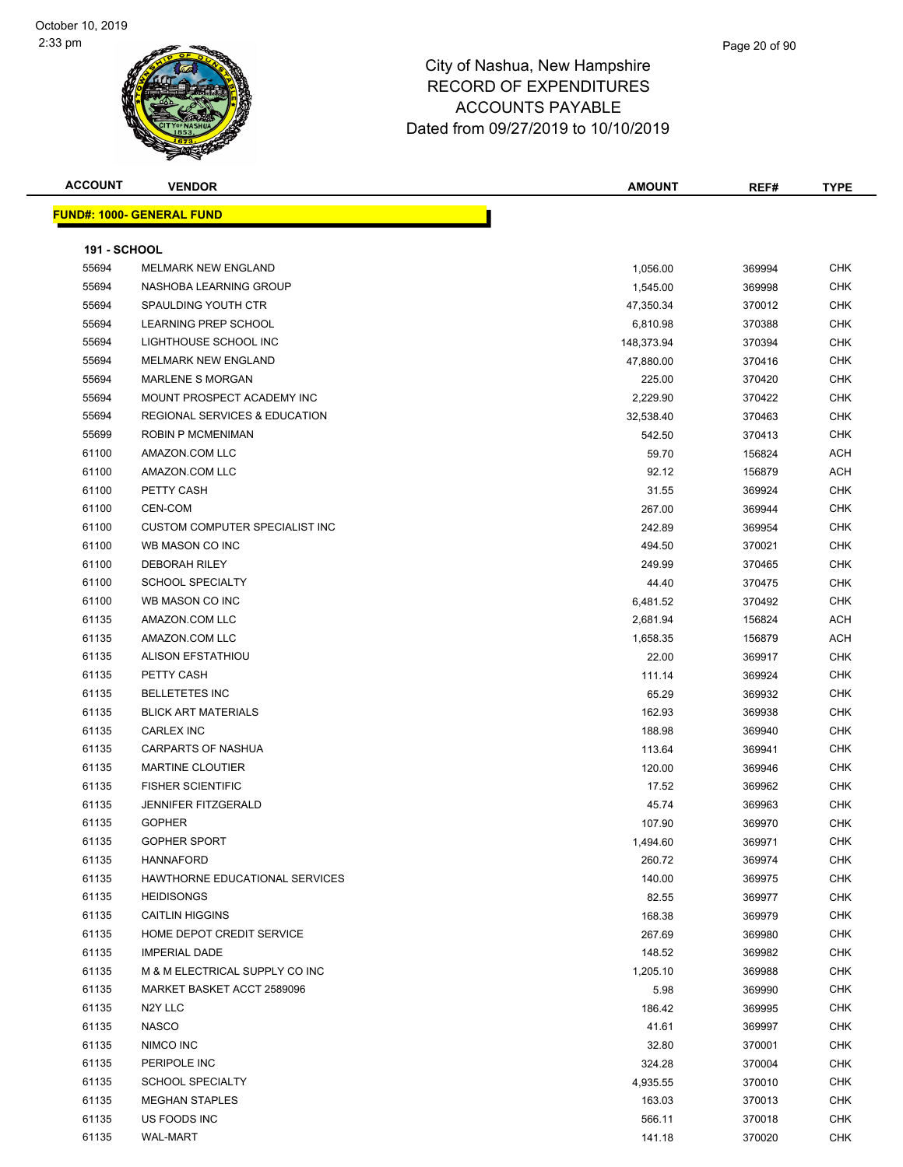| <b>ACCOUNT</b>      | <b>VENDOR</b>                            | <b>AMOUNT</b> | REF#   | <b>TYPE</b> |
|---------------------|------------------------------------------|---------------|--------|-------------|
|                     | <b>FUND#: 1000- GENERAL FUND</b>         |               |        |             |
|                     |                                          |               |        |             |
| <b>191 - SCHOOL</b> |                                          |               |        |             |
| 55694               | <b>MELMARK NEW ENGLAND</b>               | 1,056.00      | 369994 | CHK         |
| 55694               | NASHOBA LEARNING GROUP                   | 1,545.00      | 369998 | <b>CHK</b>  |
| 55694               | SPAULDING YOUTH CTR                      | 47,350.34     | 370012 | <b>CHK</b>  |
| 55694               | LEARNING PREP SCHOOL                     | 6,810.98      | 370388 | <b>CHK</b>  |
| 55694               | LIGHTHOUSE SCHOOL INC                    | 148,373.94    | 370394 | CHK         |
| 55694               | <b>MELMARK NEW ENGLAND</b>               | 47,880.00     | 370416 | <b>CHK</b>  |
| 55694               | <b>MARLENE S MORGAN</b>                  | 225.00        | 370420 | <b>CHK</b>  |
| 55694               | MOUNT PROSPECT ACADEMY INC               | 2,229.90      | 370422 | <b>CHK</b>  |
| 55694               | <b>REGIONAL SERVICES &amp; EDUCATION</b> | 32,538.40     | 370463 | <b>CHK</b>  |
| 55699               | ROBIN P MCMENIMAN                        | 542.50        | 370413 | CHK         |
| 61100               | AMAZON.COM LLC                           | 59.70         | 156824 | <b>ACH</b>  |
| 61100               | AMAZON.COM LLC                           | 92.12         | 156879 | ACH         |
| 61100               | PETTY CASH                               | 31.55         | 369924 | CHK         |
| 61100               | CEN-COM                                  | 267.00        | 369944 | <b>CHK</b>  |
| 61100               | CUSTOM COMPUTER SPECIALIST INC           | 242.89        | 369954 | <b>CHK</b>  |
| 61100               | WB MASON CO INC                          | 494.50        | 370021 | CHK         |
| 61100               | <b>DEBORAH RILEY</b>                     | 249.99        | 370465 | <b>CHK</b>  |
| 61100               | <b>SCHOOL SPECIALTY</b>                  | 44.40         | 370475 | <b>CHK</b>  |
| 61100               | WB MASON CO INC                          | 6,481.52      | 370492 | <b>CHK</b>  |
| 61135               | AMAZON.COM LLC                           | 2,681.94      | 156824 | <b>ACH</b>  |
| 61135               | AMAZON.COM LLC                           | 1,658.35      | 156879 | ACH         |
| 61135               | <b>ALISON EFSTATHIOU</b>                 | 22.00         | 369917 | <b>CHK</b>  |
| 61135               | PETTY CASH                               | 111.14        | 369924 | <b>CHK</b>  |
| 61135               | <b>BELLETETES INC</b>                    | 65.29         | 369932 | <b>CHK</b>  |
| 61135               | <b>BLICK ART MATERIALS</b>               | 162.93        | 369938 | <b>CHK</b>  |
| 61135               | <b>CARLEX INC</b>                        | 188.98        | 369940 | <b>CHK</b>  |
| 61135               | CARPARTS OF NASHUA                       | 113.64        | 369941 | CHK         |
| 61135               | <b>MARTINE CLOUTIER</b>                  | 120.00        | 369946 | <b>CHK</b>  |
| 61135               | <b>FISHER SCIENTIFIC</b>                 | 17.52         | 369962 | <b>CHK</b>  |
| 61135               | JENNIFER FITZGERALD                      | 45.74         | 369963 | <b>CHK</b>  |
| 61135               | <b>GOPHER</b>                            | 107.90        | 369970 | <b>CHK</b>  |
| 61135               | <b>GOPHER SPORT</b>                      | 1,494.60      | 369971 | <b>CHK</b>  |
| 61135               | <b>HANNAFORD</b>                         | 260.72        | 369974 | <b>CHK</b>  |
| 61135               | HAWTHORNE EDUCATIONAL SERVICES           | 140.00        | 369975 | <b>CHK</b>  |
| 61135               | <b>HEIDISONGS</b>                        | 82.55         | 369977 | <b>CHK</b>  |
| 61135               | <b>CAITLIN HIGGINS</b>                   | 168.38        | 369979 | <b>CHK</b>  |
| 61135               | HOME DEPOT CREDIT SERVICE                | 267.69        | 369980 | <b>CHK</b>  |
| 61135               | <b>IMPERIAL DADE</b>                     | 148.52        | 369982 | <b>CHK</b>  |
| 61135               | M & M ELECTRICAL SUPPLY CO INC           | 1,205.10      | 369988 | <b>CHK</b>  |
| 61135               | MARKET BASKET ACCT 2589096               | 5.98          | 369990 | <b>CHK</b>  |
| 61135               | N <sub>2</sub> Y LLC                     | 186.42        | 369995 | <b>CHK</b>  |
| 61135               | <b>NASCO</b>                             | 41.61         | 369997 | <b>CHK</b>  |
| 61135               | NIMCO INC                                | 32.80         | 370001 | <b>CHK</b>  |
| 61135               | PERIPOLE INC                             | 324.28        | 370004 | <b>CHK</b>  |
| 61135               | <b>SCHOOL SPECIALTY</b>                  | 4,935.55      | 370010 | CHK         |
| 61135               | <b>MEGHAN STAPLES</b>                    | 163.03        | 370013 | <b>CHK</b>  |
| 61135               | US FOODS INC                             | 566.11        | 370018 | CHK         |
| 61135               | <b>WAL-MART</b>                          | 141.18        | 370020 | <b>CHK</b>  |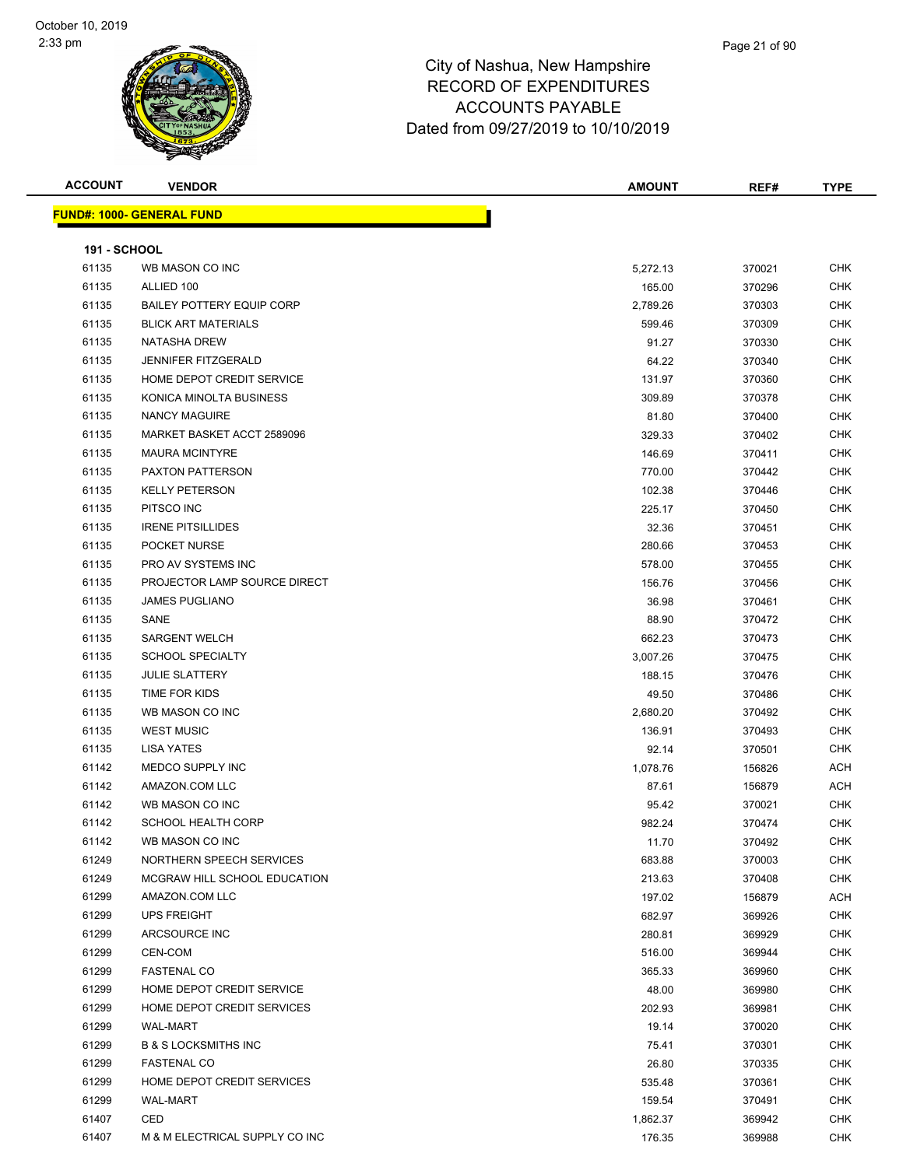#### Page 21 of 90

| <b>ACCOUNT</b>      | <b>VENDOR</b>                    | <b>AMOUNT</b> | REF#   | <b>TYPE</b> |
|---------------------|----------------------------------|---------------|--------|-------------|
|                     | <b>FUND#: 1000- GENERAL FUND</b> |               |        |             |
|                     |                                  |               |        |             |
| <b>191 - SCHOOL</b> |                                  |               |        |             |
| 61135               | WB MASON CO INC                  | 5,272.13      | 370021 | <b>CHK</b>  |
| 61135               | ALLIED 100                       | 165.00        | 370296 | <b>CHK</b>  |
| 61135               | <b>BAILEY POTTERY EQUIP CORP</b> | 2,789.26      | 370303 | <b>CHK</b>  |
| 61135               | <b>BLICK ART MATERIALS</b>       | 599.46        | 370309 | <b>CHK</b>  |
| 61135               | <b>NATASHA DREW</b>              | 91.27         | 370330 | <b>CHK</b>  |
| 61135               | JENNIFER FITZGERALD              | 64.22         | 370340 | <b>CHK</b>  |
| 61135               | HOME DEPOT CREDIT SERVICE        | 131.97        | 370360 | <b>CHK</b>  |
| 61135               | KONICA MINOLTA BUSINESS          | 309.89        | 370378 | <b>CHK</b>  |
| 61135               | <b>NANCY MAGUIRE</b>             | 81.80         | 370400 | <b>CHK</b>  |
| 61135               | MARKET BASKET ACCT 2589096       | 329.33        | 370402 | CHK         |
| 61135               | <b>MAURA MCINTYRE</b>            | 146.69        | 370411 | CHK         |
| 61135               | <b>PAXTON PATTERSON</b>          | 770.00        | 370442 | <b>CHK</b>  |
| 61135               | <b>KELLY PETERSON</b>            | 102.38        | 370446 | <b>CHK</b>  |
| 61135               | PITSCO INC                       | 225.17        | 370450 | CHK         |
| 61135               | <b>IRENE PITSILLIDES</b>         | 32.36         | 370451 | <b>CHK</b>  |
| 61135               | POCKET NURSE                     | 280.66        | 370453 | <b>CHK</b>  |
| 61135               | PRO AV SYSTEMS INC               | 578.00        | 370455 | <b>CHK</b>  |
| 61135               | PROJECTOR LAMP SOURCE DIRECT     | 156.76        | 370456 | <b>CHK</b>  |
| 61135               | <b>JAMES PUGLIANO</b>            | 36.98         | 370461 | <b>CHK</b>  |
| 61135               | SANE                             | 88.90         | 370472 | CHK         |
| 61135               | <b>SARGENT WELCH</b>             | 662.23        | 370473 | <b>CHK</b>  |
| 61135               | <b>SCHOOL SPECIALTY</b>          | 3,007.26      | 370475 | <b>CHK</b>  |
| 61135               | <b>JULIE SLATTERY</b>            | 188.15        | 370476 | <b>CHK</b>  |
| 61135               | TIME FOR KIDS                    | 49.50         | 370486 | CHK         |
| 61135               | WB MASON CO INC                  | 2,680.20      | 370492 | <b>CHK</b>  |
| 61135               | <b>WEST MUSIC</b>                | 136.91        | 370493 | <b>CHK</b>  |
| 61135               | <b>LISA YATES</b>                | 92.14         | 370501 | <b>CHK</b>  |
| 61142               | MEDCO SUPPLY INC                 | 1,078.76      | 156826 | <b>ACH</b>  |
| 61142               | AMAZON.COM LLC                   | 87.61         | 156879 | ACH         |
| 61142               | WB MASON CO INC                  | 95.42         | 370021 | CHK         |
| 61142               | <b>SCHOOL HEALTH CORP</b>        | 982.24        | 370474 | <b>CHK</b>  |
| 61142               | WB MASON CO INC                  | 11.70         | 370492 | CHK         |
| 61249               | NORTHERN SPEECH SERVICES         | 683.88        | 370003 | <b>CHK</b>  |
| 61249               | MCGRAW HILL SCHOOL EDUCATION     | 213.63        | 370408 | CHK         |
| 61299               | AMAZON.COM LLC                   | 197.02        | 156879 | ACH         |
| 61299               | <b>UPS FREIGHT</b>               | 682.97        | 369926 | <b>CHK</b>  |
| 61299               | ARCSOURCE INC                    | 280.81        | 369929 | <b>CHK</b>  |
| 61299               | CEN-COM                          | 516.00        | 369944 | <b>CHK</b>  |
| 61299               | <b>FASTENAL CO</b>               | 365.33        | 369960 | <b>CHK</b>  |
| 61299               | HOME DEPOT CREDIT SERVICE        | 48.00         | 369980 | CHK         |
| 61299               | HOME DEPOT CREDIT SERVICES       | 202.93        | 369981 | <b>CHK</b>  |
| 61299               | <b>WAL-MART</b>                  | 19.14         | 370020 | CHK         |
| 61299               | <b>B &amp; S LOCKSMITHS INC</b>  | 75.41         | 370301 | CHK         |
| 61299               | <b>FASTENAL CO</b>               | 26.80         | 370335 | <b>CHK</b>  |
| 61299               | HOME DEPOT CREDIT SERVICES       | 535.48        | 370361 | CHK         |
| 61299               | <b>WAL-MART</b>                  | 159.54        | 370491 | CHK         |
| 61407               | CED                              | 1,862.37      | 369942 | <b>CHK</b>  |
| 61407               | M & M ELECTRICAL SUPPLY CO INC   | 176.35        | 369988 | CHK         |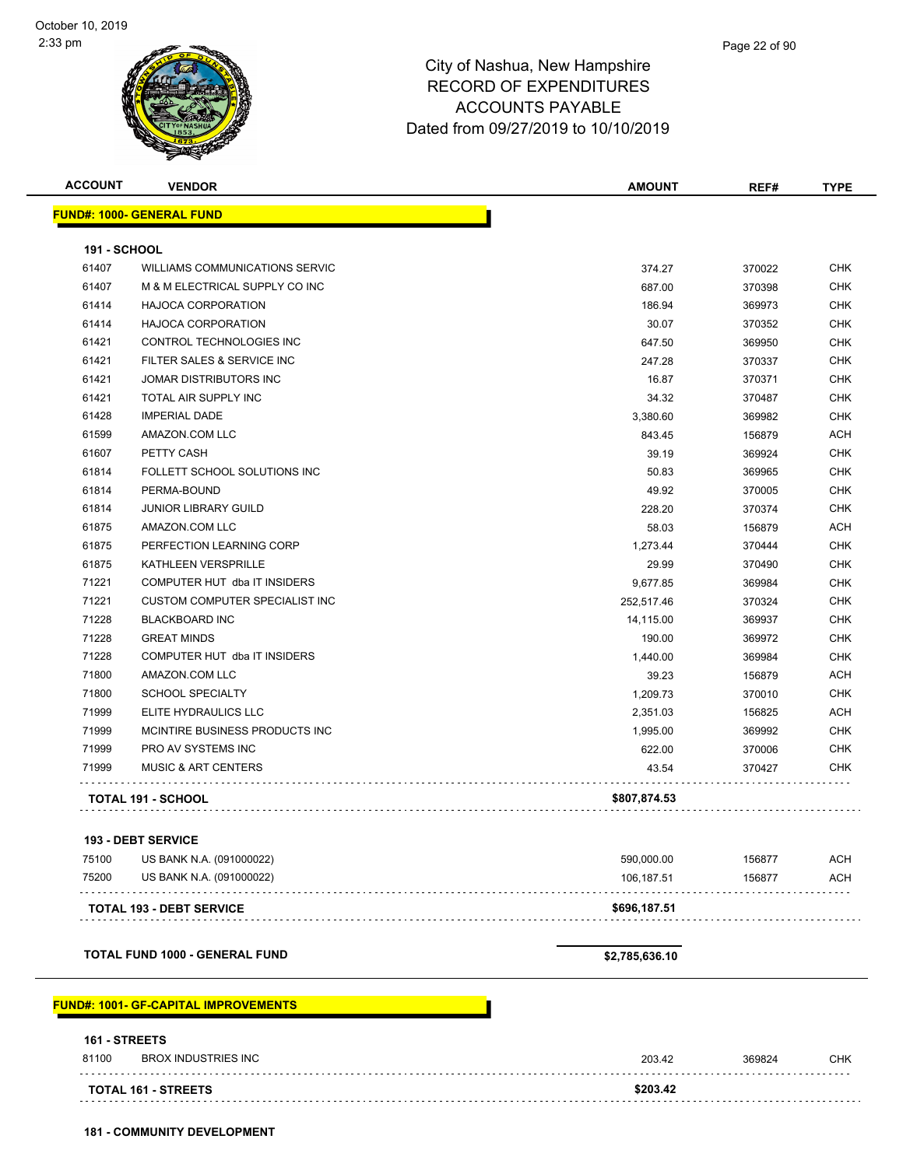| <b>ACCOUNT</b>      | <b>VENDOR</b>                                | <b>AMOUNT</b>  | REF#   | <b>TYPE</b> |
|---------------------|----------------------------------------------|----------------|--------|-------------|
|                     | <b>FUND#: 1000- GENERAL FUND</b>             |                |        |             |
| <b>191 - SCHOOL</b> |                                              |                |        |             |
| 61407               | WILLIAMS COMMUNICATIONS SERVIC               | 374.27         | 370022 | <b>CHK</b>  |
| 61407               | M & M ELECTRICAL SUPPLY CO INC               | 687.00         | 370398 | <b>CHK</b>  |
| 61414               | <b>HAJOCA CORPORATION</b>                    | 186.94         | 369973 | <b>CHK</b>  |
| 61414               | <b>HAJOCA CORPORATION</b>                    | 30.07          | 370352 | <b>CHK</b>  |
| 61421               | CONTROL TECHNOLOGIES INC                     | 647.50         | 369950 | <b>CHK</b>  |
| 61421               | FILTER SALES & SERVICE INC                   | 247.28         | 370337 | <b>CHK</b>  |
| 61421               | JOMAR DISTRIBUTORS INC                       | 16.87          | 370371 | <b>CHK</b>  |
| 61421               | TOTAL AIR SUPPLY INC                         | 34.32          | 370487 | <b>CHK</b>  |
| 61428               | <b>IMPERIAL DADE</b>                         | 3,380.60       | 369982 | <b>CHK</b>  |
| 61599               | AMAZON.COM LLC                               | 843.45         | 156879 | ACH         |
| 61607               | PETTY CASH                                   | 39.19          | 369924 | <b>CHK</b>  |
| 61814               | FOLLETT SCHOOL SOLUTIONS INC                 | 50.83          | 369965 | <b>CHK</b>  |
| 61814               | PERMA-BOUND                                  | 49.92          | 370005 | <b>CHK</b>  |
| 61814               | <b>JUNIOR LIBRARY GUILD</b>                  | 228.20         | 370374 | <b>CHK</b>  |
| 61875               | AMAZON.COM LLC                               | 58.03          | 156879 | <b>ACH</b>  |
| 61875               | PERFECTION LEARNING CORP                     | 1,273.44       | 370444 | <b>CHK</b>  |
| 61875               | KATHLEEN VERSPRILLE                          | 29.99          | 370490 | <b>CHK</b>  |
| 71221               | COMPUTER HUT dba IT INSIDERS                 | 9,677.85       | 369984 | <b>CHK</b>  |
| 71221               | <b>CUSTOM COMPUTER SPECIALIST INC</b>        | 252,517.46     | 370324 | <b>CHK</b>  |
| 71228               | <b>BLACKBOARD INC</b>                        | 14,115.00      | 369937 | <b>CHK</b>  |
| 71228               | <b>GREAT MINDS</b>                           | 190.00         | 369972 | <b>CHK</b>  |
| 71228               | COMPUTER HUT dba IT INSIDERS                 | 1,440.00       | 369984 | <b>CHK</b>  |
| 71800               | AMAZON.COM LLC                               | 39.23          | 156879 | ACH         |
| 71800               | <b>SCHOOL SPECIALTY</b>                      | 1,209.73       | 370010 | <b>CHK</b>  |
| 71999               | ELITE HYDRAULICS LLC                         | 2,351.03       | 156825 | <b>ACH</b>  |
| 71999               | MCINTIRE BUSINESS PRODUCTS INC               | 1,995.00       | 369992 | <b>CHK</b>  |
| 71999               | PRO AV SYSTEMS INC                           | 622.00         | 370006 | CHK         |
| 71999               | <b>MUSIC &amp; ART CENTERS</b>               | 43.54          | 370427 | <b>CHK</b>  |
|                     |                                              |                |        |             |
|                     | <b>TOTAL 191 - SCHOOL</b>                    | \$807,874.53   |        |             |
|                     | <b>193 - DEBT SERVICE</b>                    |                |        |             |
| 75100               | US BANK N.A. (091000022)                     | 590,000.00     | 156877 | ACH         |
| 75200               | US BANK N.A. (091000022)                     | 106,187.51     | 156877 | <b>ACH</b>  |
|                     |                                              |                |        |             |
|                     | <b>TOTAL 193 - DEBT SERVICE</b>              | \$696,187.51   |        |             |
|                     | <b>TOTAL FUND 1000 - GENERAL FUND</b>        | \$2,785,636.10 |        |             |
|                     |                                              |                |        |             |
|                     | <u> FUND#: 1001- GF-CAPITAL IMPROVEMENTS</u> |                |        |             |
| 161 - STREETS       |                                              |                |        |             |
| 81100               | <b>BROX INDUSTRIES INC</b>                   | 203.42         | 369824 | <b>CHK</b>  |
|                     | TOTAL 161 - STREETS                          | \$203.42       |        |             |
|                     |                                              |                |        |             |

**181 - COMMUNITY DEVELOPMENT**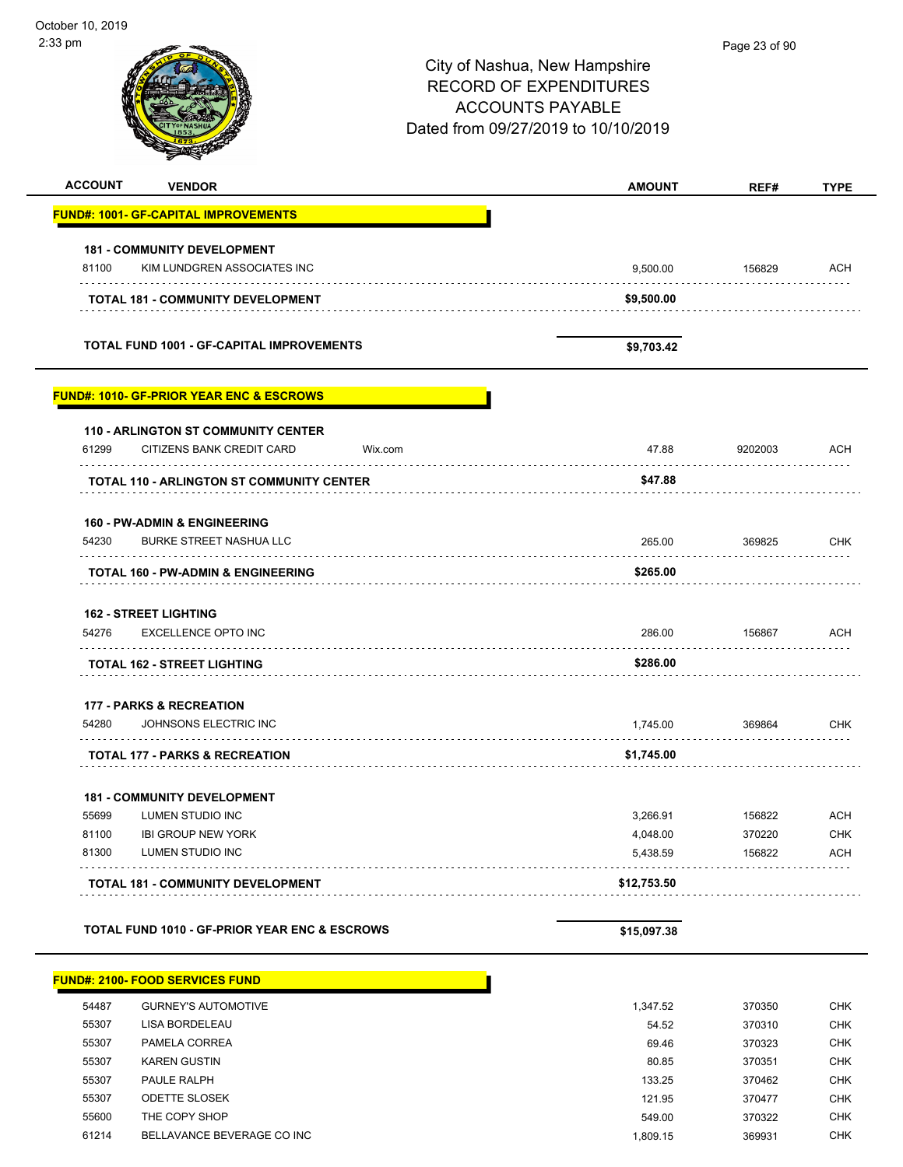| $2:33$ pm      |                                                          |         | City of Nashua, New Hampshire       | Page 23 of 90 |             |
|----------------|----------------------------------------------------------|---------|-------------------------------------|---------------|-------------|
|                |                                                          |         | <b>RECORD OF EXPENDITURES</b>       |               |             |
|                |                                                          |         |                                     |               |             |
|                |                                                          |         | <b>ACCOUNTS PAYABLE</b>             |               |             |
|                |                                                          |         | Dated from 09/27/2019 to 10/10/2019 |               |             |
|                |                                                          |         |                                     |               |             |
| <b>ACCOUNT</b> | <b>VENDOR</b>                                            |         | <b>AMOUNT</b>                       | REF#          | <b>TYPE</b> |
|                | <b>FUND#: 1001- GF-CAPITAL IMPROVEMENTS</b>              |         |                                     |               |             |
|                | <b>181 - COMMUNITY DEVELOPMENT</b>                       |         |                                     |               |             |
| 81100          | KIM LUNDGREN ASSOCIATES INC                              |         | 9,500.00                            | 156829<br>.   | ACH         |
|                | <b>TOTAL 181 - COMMUNITY DEVELOPMENT</b>                 |         | \$9,500.00                          |               |             |
|                | <b>TOTAL FUND 1001 - GF-CAPITAL IMPROVEMENTS</b>         |         | \$9,703.42                          |               |             |
|                | <b>FUND#: 1010- GF-PRIOR YEAR ENC &amp; ESCROWS</b>      |         |                                     |               |             |
|                | <b>110 - ARLINGTON ST COMMUNITY CENTER</b>               |         |                                     |               |             |
| 61299          | CITIZENS BANK CREDIT CARD                                | Wix.com | 47.88                               | 9202003       | <b>ACH</b>  |
|                | <b>TOTAL 110 - ARLINGTON ST COMMUNITY CENTER</b>         |         | \$47.88                             |               |             |
|                | <b>160 - PW-ADMIN &amp; ENGINEERING</b>                  |         |                                     |               |             |
| 54230          | <b>BURKE STREET NASHUA LLC</b>                           |         | 265.00                              | 369825        | <b>CHK</b>  |
|                | TOTAL 160 - PW-ADMIN & ENGINEERING                       |         | \$265.00                            |               |             |
|                | <b>162 - STREET LIGHTING</b>                             |         |                                     |               |             |
| 54276          | <b>EXCELLENCE OPTO INC</b>                               |         | 286.00                              | 156867        | ACH         |
|                | <b>TOTAL 162 - STREET LIGHTING</b>                       |         | \$286.00                            |               |             |
|                | 177 - PARKS & RECREATION                                 |         |                                     |               |             |
| 54280          | JOHNSONS ELECTRIC INC                                    |         | 1,745.00                            | 369864        | <b>CHK</b>  |
|                | <b>TOTAL 177 - PARKS &amp; RECREATION</b>                |         | \$1,745.00                          |               |             |
|                | <b>181 - COMMUNITY DEVELOPMENT</b>                       |         |                                     |               |             |
| 55699          | LUMEN STUDIO INC                                         |         | 3,266.91                            | 156822        | <b>ACH</b>  |
| 81100          | <b>IBI GROUP NEW YORK</b>                                |         | 4,048.00                            | 370220        | <b>CHK</b>  |
| 81300          | LUMEN STUDIO INC                                         |         | 5,438.59                            | 156822        | <b>ACH</b>  |
|                | <b>TOTAL 181 - COMMUNITY DEVELOPMENT</b>                 |         | \$12,753.50                         |               |             |
|                | <b>TOTAL FUND 1010 - GF-PRIOR YEAR ENC &amp; ESCROWS</b> |         | \$15,097.38                         |               |             |

| 54487 | <b>GURNEY'S AUTOMOTIVE</b> | 1.347.52 | 370350 | <b>CHK</b> |
|-------|----------------------------|----------|--------|------------|
| 55307 | LISA BORDELEAU             | 54.52    | 370310 | <b>CHK</b> |
| 55307 | PAMELA CORREA              | 69.46    | 370323 | <b>CHK</b> |
| 55307 | <b>KAREN GUSTIN</b>        | 80.85    | 370351 | <b>CHK</b> |
| 55307 | PAULE RALPH                | 133.25   | 370462 | <b>CHK</b> |
| 55307 | <b>ODETTE SLOSEK</b>       | 121.95   | 370477 | <b>CHK</b> |
| 55600 | THE COPY SHOP              | 549.00   | 370322 | <b>CHK</b> |
| 61214 | BELLAVANCE BEVERAGE CO INC | 1.809.15 | 369931 | CHK        |
|       |                            |          |        |            |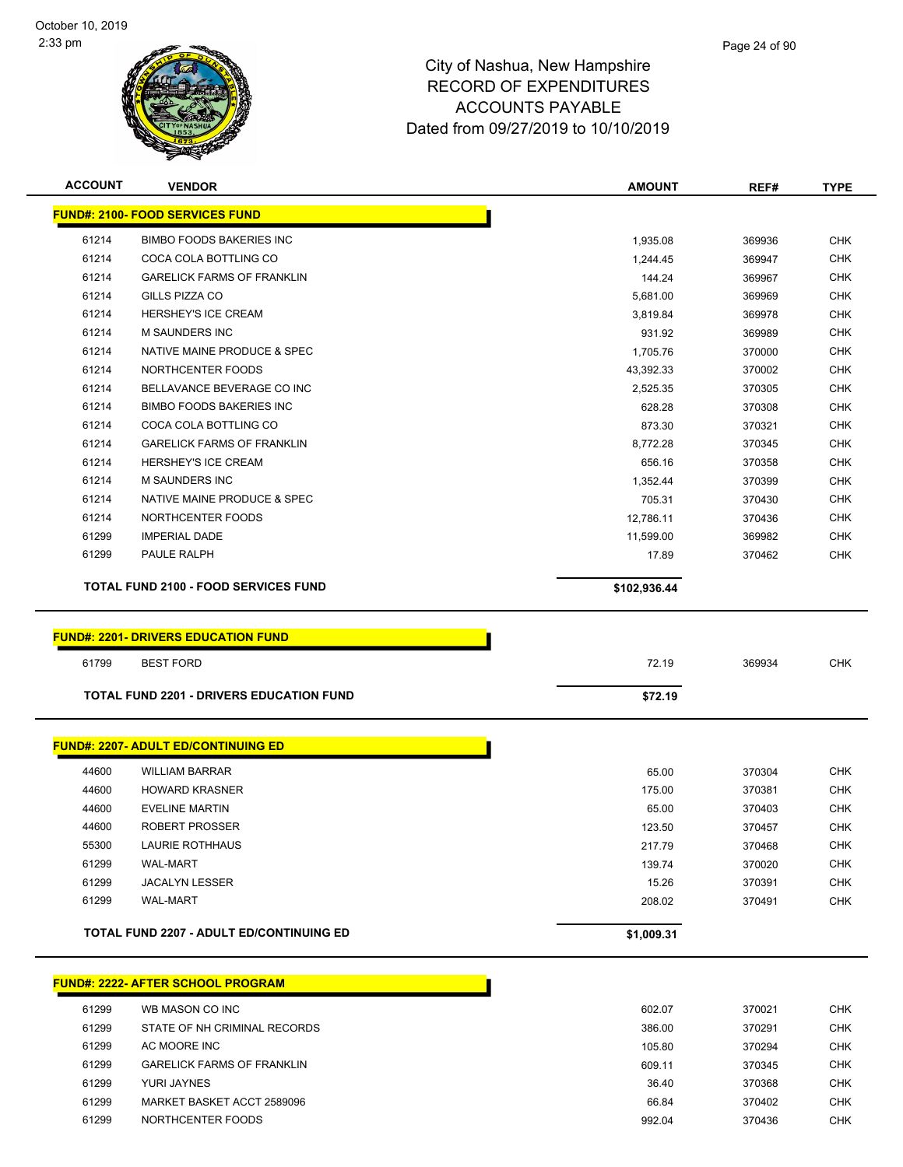

| <b>ACCOUNT</b> | <b>VENDOR</b>                                   | <b>AMOUNT</b>    | REF#             | <b>TYPE</b>       |
|----------------|-------------------------------------------------|------------------|------------------|-------------------|
|                | <b>FUND#: 2100- FOOD SERVICES FUND</b>          |                  |                  |                   |
| 61214          | <b>BIMBO FOODS BAKERIES INC</b>                 | 1,935.08         | 369936           | <b>CHK</b>        |
| 61214          | COCA COLA BOTTLING CO                           | 1,244.45         | 369947           | CHK               |
| 61214          | <b>GARELICK FARMS OF FRANKLIN</b>               | 144.24           | 369967           | <b>CHK</b>        |
| 61214          | <b>GILLS PIZZA CO</b>                           | 5,681.00         | 369969           | <b>CHK</b>        |
| 61214          | HERSHEY'S ICE CREAM                             | 3,819.84         | 369978           | <b>CHK</b>        |
| 61214          | <b>M SAUNDERS INC</b>                           | 931.92           | 369989           | <b>CHK</b>        |
| 61214          | NATIVE MAINE PRODUCE & SPEC                     | 1,705.76         | 370000           | <b>CHK</b>        |
| 61214          | NORTHCENTER FOODS                               | 43,392.33        | 370002           | <b>CHK</b>        |
| 61214          | BELLAVANCE BEVERAGE CO INC                      | 2,525.35         | 370305           | <b>CHK</b>        |
| 61214          | <b>BIMBO FOODS BAKERIES INC</b>                 | 628.28           | 370308           | <b>CHK</b>        |
| 61214          | COCA COLA BOTTLING CO                           | 873.30           | 370321           | <b>CHK</b>        |
| 61214          | <b>GARELICK FARMS OF FRANKLIN</b>               | 8,772.28         | 370345           | <b>CHK</b>        |
| 61214          | HERSHEY'S ICE CREAM                             | 656.16           | 370358           | <b>CHK</b>        |
| 61214          | M SAUNDERS INC                                  | 1,352.44         | 370399           | <b>CHK</b>        |
| 61214          | NATIVE MAINE PRODUCE & SPEC                     | 705.31           | 370430           | <b>CHK</b>        |
| 61214          | NORTHCENTER FOODS                               | 12,786.11        | 370436           | <b>CHK</b>        |
| 61299          | <b>IMPERIAL DADE</b>                            | 11,599.00        | 369982           | <b>CHK</b>        |
| 61299          | PAULE RALPH                                     | 17.89            | 370462           | <b>CHK</b>        |
|                | <b>TOTAL FUND 2100 - FOOD SERVICES FUND</b>     | \$102,936.44     |                  |                   |
|                |                                                 |                  |                  |                   |
|                | <b>FUND#: 2201- DRIVERS EDUCATION FUND</b>      |                  |                  |                   |
| 61799          | <b>BEST FORD</b>                                | 72.19            | 369934           | <b>CHK</b>        |
|                | <b>TOTAL FUND 2201 - DRIVERS EDUCATION FUND</b> | \$72.19          |                  |                   |
|                |                                                 |                  |                  |                   |
|                | <b>FUND#: 2207- ADULT ED/CONTINUING ED</b>      |                  |                  |                   |
|                |                                                 |                  |                  |                   |
| 44600          | <b>WILLIAM BARRAR</b>                           | 65.00            | 370304           | <b>CHK</b>        |
| 44600          | <b>HOWARD KRASNER</b>                           | 175.00           | 370381           | <b>CHK</b>        |
| 44600          | <b>EVELINE MARTIN</b>                           | 65.00            | 370403           | <b>CHK</b>        |
| 44600          | <b>ROBERT PROSSER</b>                           | 123.50           | 370457           | <b>CHK</b>        |
| 55300          | LAURIE ROTHHAUS                                 | 217.79<br>139.74 | 370468           | CHK               |
| 61299<br>61299 | <b>WAL-MART</b><br><b>JACALYN LESSER</b>        |                  | 370020           | <b>CHK</b><br>CHK |
| 61299          | <b>WAL-MART</b>                                 | 15.26<br>208.02  | 370391<br>370491 | <b>CHK</b>        |
|                |                                                 |                  |                  |                   |
|                | <b>TOTAL FUND 2207 - ADULT ED/CONTINUING ED</b> | \$1,009.31       |                  |                   |
|                |                                                 |                  |                  |                   |
|                | <b>FUND#: 2222- AFTER SCHOOL PROGRAM</b>        |                  |                  |                   |
| 61299          | WB MASON CO INC                                 | 602.07           | 370021           | <b>CHK</b>        |
| 61299          | STATE OF NH CRIMINAL RECORDS                    | 386.00           | 370291           | <b>CHK</b>        |
| 61299          | AC MOORE INC                                    | 105.80           | 370294           | <b>CHK</b>        |
| 61299          | <b>GARELICK FARMS OF FRANKLIN</b>               | 609.11           | 370345           | <b>CHK</b>        |
| 61299          | YURI JAYNES                                     | 36.40            | 370368           | <b>CHK</b>        |
| 61299          | MARKET BASKET ACCT 2589096                      | 66.84            | 370402           | <b>CHK</b>        |
|                |                                                 |                  |                  |                   |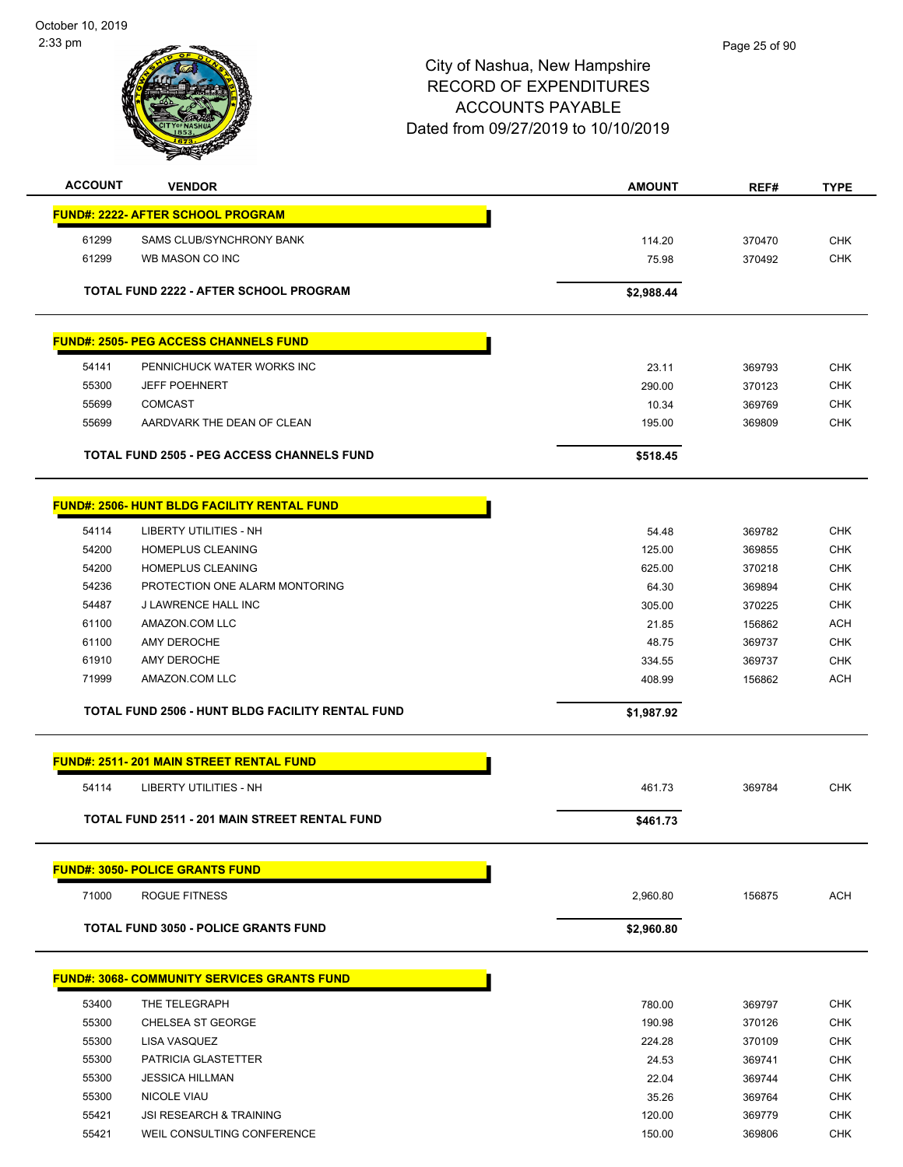October 10, 2019 2:33 pm



| <b>ACCOUNT</b> | <b>VENDOR</b>                                        | <b>AMOUNT</b> | REF#   | <b>TYPE</b> |
|----------------|------------------------------------------------------|---------------|--------|-------------|
|                | <b>FUND#: 2222- AFTER SCHOOL PROGRAM</b>             |               |        |             |
| 61299          | SAMS CLUB/SYNCHRONY BANK                             | 114.20        | 370470 | <b>CHK</b>  |
| 61299          | WB MASON CO INC                                      | 75.98         | 370492 | <b>CHK</b>  |
|                |                                                      |               |        |             |
|                | <b>TOTAL FUND 2222 - AFTER SCHOOL PROGRAM</b>        | \$2,988.44    |        |             |
|                |                                                      |               |        |             |
|                | <b>FUND#: 2505- PEG ACCESS CHANNELS FUND</b>         |               |        |             |
| 54141          | PENNICHUCK WATER WORKS INC                           | 23.11         | 369793 | <b>CHK</b>  |
| 55300          | <b>JEFF POEHNERT</b>                                 | 290.00        | 370123 | <b>CHK</b>  |
| 55699          | <b>COMCAST</b>                                       | 10.34         | 369769 | <b>CHK</b>  |
| 55699          | AARDVARK THE DEAN OF CLEAN                           | 195.00        | 369809 | <b>CHK</b>  |
|                | <b>TOTAL FUND 2505 - PEG ACCESS CHANNELS FUND</b>    | \$518.45      |        |             |
|                |                                                      |               |        |             |
|                | <b>FUND#: 2506- HUNT BLDG FACILITY RENTAL FUND</b>   |               |        |             |
| 54114          | <b>LIBERTY UTILITIES - NH</b>                        | 54.48         | 369782 | <b>CHK</b>  |
| 54200          | HOMEPLUS CLEANING                                    | 125.00        | 369855 | <b>CHK</b>  |
| 54200          | HOMEPLUS CLEANING                                    | 625.00        | 370218 | <b>CHK</b>  |
| 54236          | PROTECTION ONE ALARM MONTORING                       | 64.30         | 369894 | <b>CHK</b>  |
| 54487          | J LAWRENCE HALL INC                                  | 305.00        | 370225 | <b>CHK</b>  |
| 61100          | AMAZON.COM LLC                                       | 21.85         | 156862 | <b>ACH</b>  |
| 61100          | AMY DEROCHE                                          | 48.75         | 369737 | <b>CHK</b>  |
| 61910          | AMY DEROCHE                                          | 334.55        | 369737 | <b>CHK</b>  |
| 71999          | AMAZON.COM LLC                                       | 408.99        | 156862 | <b>ACH</b>  |
|                | TOTAL FUND 2506 - HUNT BLDG FACILITY RENTAL FUND     | \$1,987.92    |        |             |
|                | <b>FUND#: 2511-201 MAIN STREET RENTAL FUND</b>       |               |        |             |
| 54114          | <b>LIBERTY UTILITIES - NH</b>                        | 461.73        | 369784 | <b>CHK</b>  |
|                |                                                      |               |        |             |
|                | <b>TOTAL FUND 2511 - 201 MAIN STREET RENTAL FUND</b> | \$461.73      |        |             |
|                | <b>FUND#: 3050- POLICE GRANTS FUND</b>               |               |        |             |
| 71000          | <b>ROGUE FITNESS</b>                                 | 2,960.80      | 156875 | <b>ACH</b>  |
|                | <b>TOTAL FUND 3050 - POLICE GRANTS FUND</b>          | \$2,960.80    |        |             |
|                |                                                      |               |        |             |
|                | <b>FUND#: 3068- COMMUNITY SERVICES GRANTS FUND</b>   |               |        |             |
| 53400          | THE TELEGRAPH                                        | 780.00        | 369797 | <b>CHK</b>  |
| 55300          | CHELSEA ST GEORGE                                    | 190.98        | 370126 | <b>CHK</b>  |
| 55300          | LISA VASQUEZ                                         | 224.28        | 370109 | <b>CHK</b>  |
| 55300          | PATRICIA GLASTETTER                                  | 24.53         | 369741 | <b>CHK</b>  |
| 55300          | <b>JESSICA HILLMAN</b>                               | 22.04         | 369744 | <b>CHK</b>  |
| 55300          | <b>NICOLE VIAU</b>                                   | 35.26         | 369764 | CHK         |
| 55421          | <b>JSI RESEARCH &amp; TRAINING</b>                   | 120.00        | 369779 | <b>CHK</b>  |
| 55421          | WEIL CONSULTING CONFERENCE                           | 150.00        | 369806 | <b>CHK</b>  |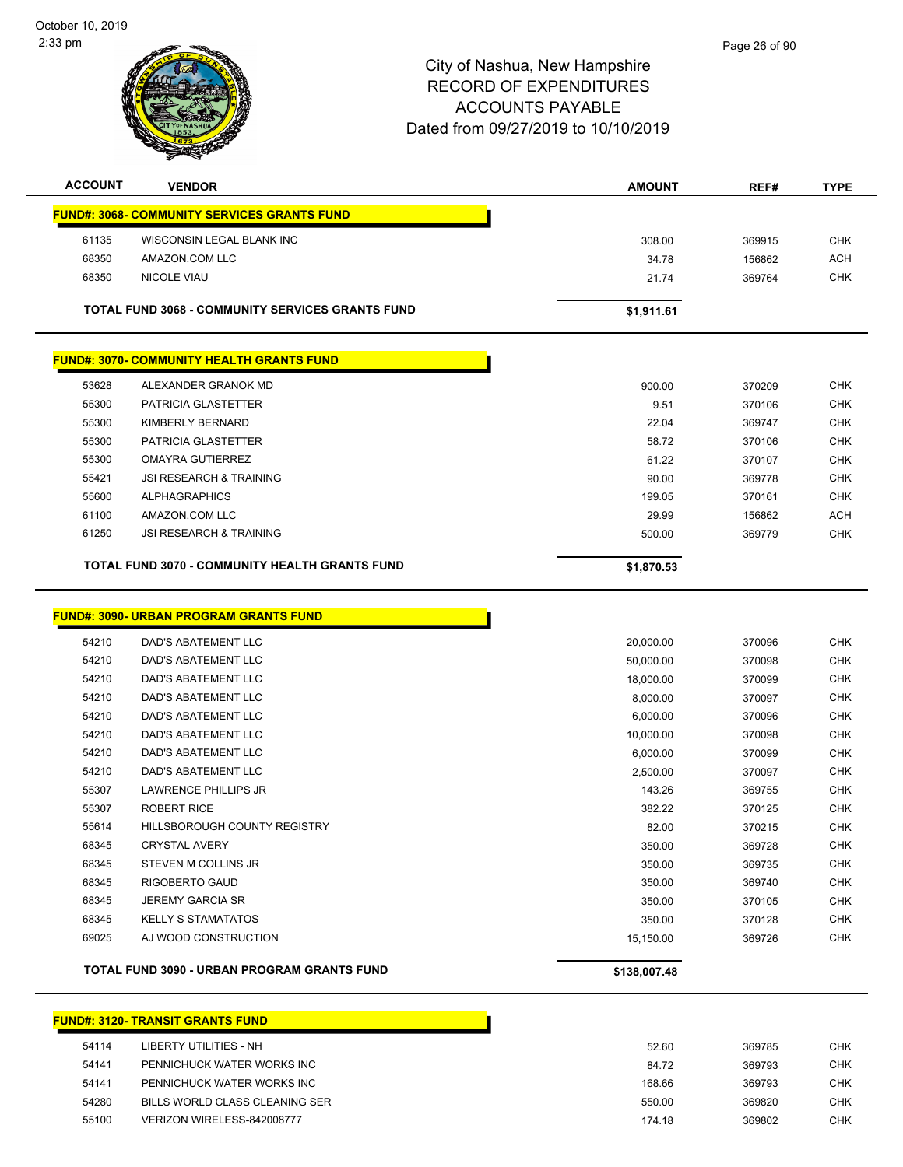

| <b>ACCOUNT</b> | <b>VENDOR</b>                                           | <b>AMOUNT</b> | REF#   | <b>TYPE</b> |
|----------------|---------------------------------------------------------|---------------|--------|-------------|
|                | <b>FUND#: 3068- COMMUNITY SERVICES GRANTS FUND</b>      |               |        |             |
| 61135          | WISCONSIN LEGAL BLANK INC                               | 308.00        | 369915 | <b>CHK</b>  |
| 68350          | AMAZON.COM LLC                                          | 34.78         | 156862 | ACH         |
| 68350          | <b>NICOLE VIAU</b>                                      | 21.74         | 369764 | <b>CHK</b>  |
|                |                                                         |               |        |             |
|                | <b>TOTAL FUND 3068 - COMMUNITY SERVICES GRANTS FUND</b> | \$1,911.61    |        |             |
|                | <b>FUND#: 3070- COMMUNITY HEALTH GRANTS FUND</b>        |               |        |             |
| 53628          | ALEXANDER GRANOK MD                                     | 900.00        | 370209 | <b>CHK</b>  |
| 55300          | PATRICIA GLASTETTER                                     | 9.51          | 370106 | <b>CHK</b>  |

|       | TOTAL FUND 3070 - COMMUNITY HEALTH GRANTS FUND | \$1,870.53 |        |            |
|-------|------------------------------------------------|------------|--------|------------|
| 61250 | JSI RESEARCH & TRAINING                        | 500.00     | 369779 | <b>CHK</b> |
| 61100 | AMAZON.COM LLC                                 | 29.99      | 156862 | <b>ACH</b> |
| 55600 | <b>ALPHAGRAPHICS</b>                           | 199.05     | 370161 | <b>CHK</b> |
| 55421 | JSI RESEARCH & TRAINING                        | 90.00      | 369778 | <b>CHK</b> |
| 55300 | OMAYRA GUTIERREZ                               | 61.22      | 370107 | <b>CHK</b> |
| 55300 | PATRICIA GLASTETTER                            | 58.72      | 370106 | <b>CHK</b> |
|       |                                                |            |        |            |

 $\mathbf{I}$ 

#### **FUND#: 3090- URBAN PROGRAM GRANTS FUND**

|       | <b>TOTAL FUND 3090 - URBAN PROGRAM GRANTS FUND</b> | \$138,007.48 |        |            |
|-------|----------------------------------------------------|--------------|--------|------------|
| 69025 | AJ WOOD CONSTRUCTION                               | 15,150.00    | 369726 | <b>CHK</b> |
| 68345 | <b>KELLY S STAMATATOS</b>                          | 350.00       | 370128 | <b>CHK</b> |
| 68345 | <b>JEREMY GARCIA SR</b>                            | 350.00       | 370105 | <b>CHK</b> |
| 68345 | RIGOBERTO GAUD                                     | 350.00       | 369740 | <b>CHK</b> |
| 68345 | <b>STEVEN M COLLINS JR</b>                         | 350.00       | 369735 | <b>CHK</b> |
| 68345 | <b>CRYSTAL AVERY</b>                               | 350.00       | 369728 | <b>CHK</b> |
| 55614 | HILLSBOROUGH COUNTY REGISTRY                       | 82.00        | 370215 | <b>CHK</b> |
| 55307 | <b>ROBERT RICE</b>                                 | 382.22       | 370125 | <b>CHK</b> |
| 55307 | <b>LAWRENCE PHILLIPS JR</b>                        | 143.26       | 369755 | <b>CHK</b> |
| 54210 | <b>DAD'S ABATEMENT LLC</b>                         | 2,500.00     | 370097 | <b>CHK</b> |
| 54210 | DAD'S ABATEMENT LLC                                | 6,000.00     | 370099 | <b>CHK</b> |
| 54210 | <b>DAD'S ABATEMENT LLC</b>                         | 10,000.00    | 370098 | <b>CHK</b> |
| 54210 | <b>DAD'S ABATEMENT LLC</b>                         | 6,000.00     | 370096 | <b>CHK</b> |
| 54210 | DAD'S ABATEMENT LLC                                | 8,000.00     | 370097 | <b>CHK</b> |
| 54210 | DAD'S ABATEMENT LLC                                | 18,000.00    | 370099 | <b>CHK</b> |
| 54210 | DAD'S ABATEMENT LLC                                | 50,000.00    | 370098 | <b>CHK</b> |
| 54210 | DAD'S ABATEMENT LLC                                | 20,000.00    | 370096 | <b>CHK</b> |

## **FUND#: 3120- TRANSIT GRANTS FUND**

| LIBERTY UTILITIES - NH         |
|--------------------------------|
| PENNICHUCK WATER WORKS INC     |
| PENNICHUCK WATER WORKS INC     |
| BILLS WORLD CLASS CLEANING SER |
| VERIZON WIRELESS-842008777     |
|                                |

h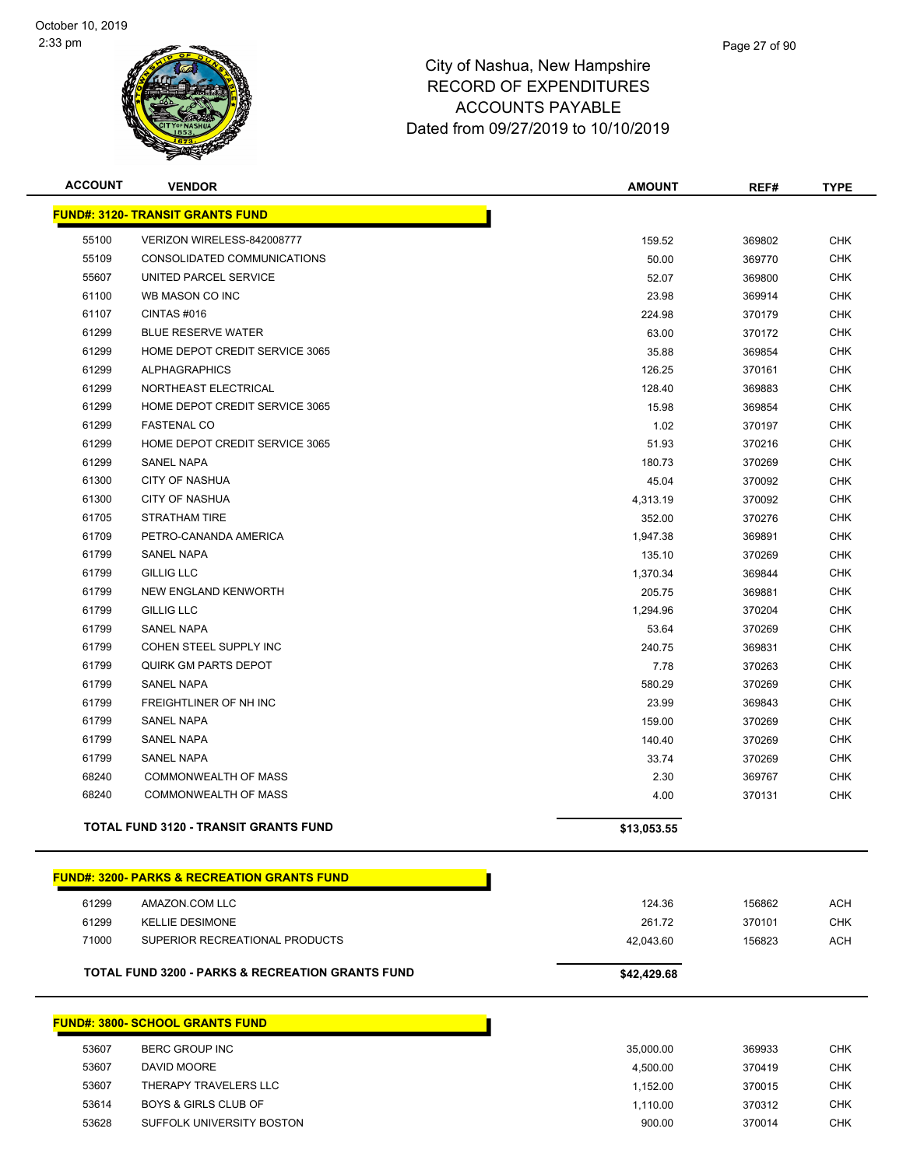

| <b>ACCOUNT</b> | <b>VENDOR</b>                                | <b>AMOUNT</b> | REF#   | <b>TYPE</b> |
|----------------|----------------------------------------------|---------------|--------|-------------|
|                | <b>FUND#: 3120- TRANSIT GRANTS FUND</b>      |               |        |             |
| 55100          | VERIZON WIRELESS-842008777                   | 159.52        | 369802 | <b>CHK</b>  |
| 55109          | CONSOLIDATED COMMUNICATIONS                  | 50.00         | 369770 | <b>CHK</b>  |
| 55607          | UNITED PARCEL SERVICE                        | 52.07         | 369800 | <b>CHK</b>  |
| 61100          | WB MASON CO INC                              | 23.98         | 369914 | <b>CHK</b>  |
| 61107          | CINTAS#016                                   | 224.98        | 370179 | <b>CHK</b>  |
| 61299          | <b>BLUE RESERVE WATER</b>                    | 63.00         | 370172 | <b>CHK</b>  |
| 61299          | HOME DEPOT CREDIT SERVICE 3065               | 35.88         | 369854 | <b>CHK</b>  |
| 61299          | <b>ALPHAGRAPHICS</b>                         | 126.25        | 370161 | <b>CHK</b>  |
| 61299          | NORTHEAST ELECTRICAL                         | 128.40        | 369883 | <b>CHK</b>  |
| 61299          | HOME DEPOT CREDIT SERVICE 3065               | 15.98         | 369854 | <b>CHK</b>  |
| 61299          | <b>FASTENAL CO</b>                           | 1.02          | 370197 | <b>CHK</b>  |
| 61299          | HOME DEPOT CREDIT SERVICE 3065               | 51.93         | 370216 | <b>CHK</b>  |
| 61299          | <b>SANEL NAPA</b>                            | 180.73        | 370269 | <b>CHK</b>  |
| 61300          | <b>CITY OF NASHUA</b>                        | 45.04         | 370092 | <b>CHK</b>  |
| 61300          | <b>CITY OF NASHUA</b>                        | 4,313.19      | 370092 | <b>CHK</b>  |
| 61705          | <b>STRATHAM TIRE</b>                         | 352.00        | 370276 | <b>CHK</b>  |
| 61709          | PETRO-CANANDA AMERICA                        | 1,947.38      | 369891 | <b>CHK</b>  |
| 61799          | <b>SANEL NAPA</b>                            | 135.10        | 370269 | <b>CHK</b>  |
| 61799          | <b>GILLIG LLC</b>                            | 1,370.34      | 369844 | <b>CHK</b>  |
| 61799          | NEW ENGLAND KENWORTH                         | 205.75        | 369881 | <b>CHK</b>  |
| 61799          | <b>GILLIG LLC</b>                            | 1,294.96      | 370204 | <b>CHK</b>  |
| 61799          | <b>SANEL NAPA</b>                            | 53.64         | 370269 | <b>CHK</b>  |
| 61799          | COHEN STEEL SUPPLY INC                       | 240.75        | 369831 | <b>CHK</b>  |
| 61799          | <b>QUIRK GM PARTS DEPOT</b>                  | 7.78          | 370263 | <b>CHK</b>  |
| 61799          | <b>SANEL NAPA</b>                            | 580.29        | 370269 | <b>CHK</b>  |
| 61799          | FREIGHTLINER OF NH INC                       | 23.99         | 369843 | <b>CHK</b>  |
| 61799          | <b>SANEL NAPA</b>                            | 159.00        | 370269 | <b>CHK</b>  |
| 61799          | <b>SANEL NAPA</b>                            | 140.40        | 370269 | <b>CHK</b>  |
| 61799          | <b>SANEL NAPA</b>                            | 33.74         | 370269 | <b>CHK</b>  |
| 68240          | <b>COMMONWEALTH OF MASS</b>                  | 2.30          | 369767 | <b>CHK</b>  |
| 68240          | COMMONWEALTH OF MASS                         | 4.00          | 370131 | <b>CHK</b>  |
|                | <b>TOTAL FUND 3120 - TRANSIT GRANTS FUND</b> | \$13,053.55   |        |             |
|                |                                              |               |        |             |

|       | <b>FUND#: 3200- PARKS &amp; RECREATION GRANTS FUND</b>      |             |        |            |
|-------|-------------------------------------------------------------|-------------|--------|------------|
| 61299 | AMAZON.COM LLC                                              | 124.36      | 156862 | <b>ACH</b> |
| 61299 | KELLIE DESIMONE                                             | 261.72      | 370101 | <b>CHK</b> |
| 71000 | SUPERIOR RECREATIONAL PRODUCTS                              | 42.043.60   | 156823 | ACH        |
|       | <b>TOTAL FUND 3200 - PARKS &amp; RECREATION GRANTS FUND</b> | \$42,429.68 |        |            |

|       | FUND#: 3800- SCHOOL GRANTS FUND_ |  |
|-------|----------------------------------|--|
| 53607 | BERC GROUP INC                   |  |
| 53607 | DAVID MOORE                      |  |
| 53607 | THERAPY TRAVELERS LLC            |  |
| 53614 | <b>BOYS &amp; GIRLS CLUB OF</b>  |  |
| 53628 | SUFFOLK UNIVERSITY BOSTON        |  |
|       |                                  |  |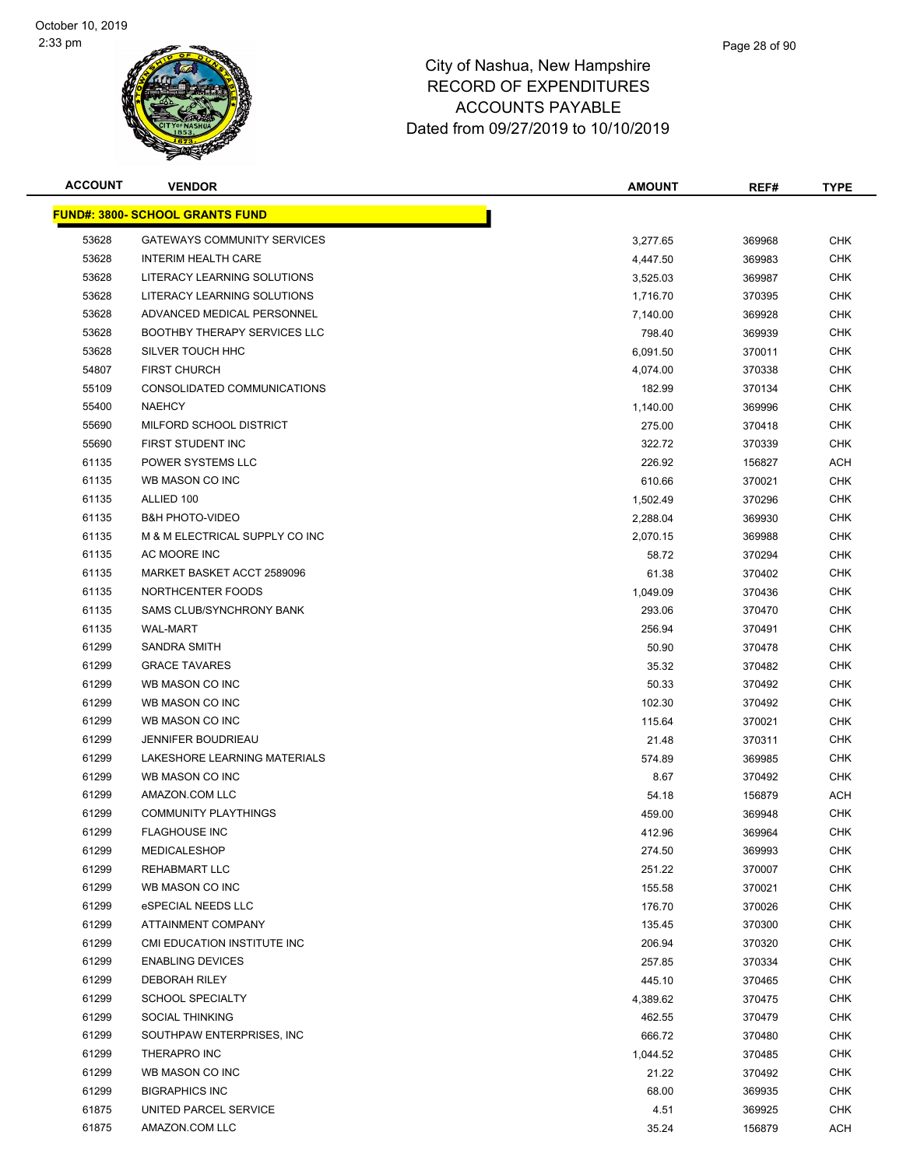

| <b>ACCOUNT</b> | <b>VENDOR</b>                          | <b>AMOUNT</b> | REF#   | <b>TYPE</b> |
|----------------|----------------------------------------|---------------|--------|-------------|
|                | <b>FUND#: 3800- SCHOOL GRANTS FUND</b> |               |        |             |
| 53628          | <b>GATEWAYS COMMUNITY SERVICES</b>     | 3,277.65      | 369968 | <b>CHK</b>  |
| 53628          | <b>INTERIM HEALTH CARE</b>             | 4,447.50      | 369983 | <b>CHK</b>  |
| 53628          | LITERACY LEARNING SOLUTIONS            | 3,525.03      | 369987 | <b>CHK</b>  |
| 53628          | LITERACY LEARNING SOLUTIONS            | 1,716.70      | 370395 | <b>CHK</b>  |
| 53628          | ADVANCED MEDICAL PERSONNEL             | 7,140.00      | 369928 | <b>CHK</b>  |
| 53628          | <b>BOOTHBY THERAPY SERVICES LLC</b>    | 798.40        | 369939 | <b>CHK</b>  |
| 53628          | SILVER TOUCH HHC                       | 6,091.50      | 370011 | <b>CHK</b>  |
| 54807          | <b>FIRST CHURCH</b>                    | 4,074.00      | 370338 | <b>CHK</b>  |
| 55109          | CONSOLIDATED COMMUNICATIONS            | 182.99        | 370134 | <b>CHK</b>  |
| 55400          | <b>NAEHCY</b>                          | 1,140.00      | 369996 | <b>CHK</b>  |
| 55690          | MILFORD SCHOOL DISTRICT                | 275.00        | 370418 | CHK         |
| 55690          | FIRST STUDENT INC                      | 322.72        | 370339 | <b>CHK</b>  |
| 61135          | POWER SYSTEMS LLC                      | 226.92        | 156827 | <b>ACH</b>  |
| 61135          | WB MASON CO INC                        | 610.66        | 370021 | <b>CHK</b>  |
| 61135          | ALLIED 100                             | 1,502.49      | 370296 | <b>CHK</b>  |
| 61135          | <b>B&amp;H PHOTO-VIDEO</b>             | 2,288.04      | 369930 | <b>CHK</b>  |
| 61135          | M & M ELECTRICAL SUPPLY CO INC         | 2,070.15      | 369988 | <b>CHK</b>  |
| 61135          | AC MOORE INC                           | 58.72         | 370294 | <b>CHK</b>  |
| 61135          | MARKET BASKET ACCT 2589096             | 61.38         | 370402 | <b>CHK</b>  |
| 61135          | NORTHCENTER FOODS                      | 1,049.09      | 370436 | <b>CHK</b>  |
| 61135          | SAMS CLUB/SYNCHRONY BANK               | 293.06        | 370470 | <b>CHK</b>  |
| 61135          | <b>WAL-MART</b>                        | 256.94        | 370491 | CHK         |
| 61299          | SANDRA SMITH                           | 50.90         | 370478 | <b>CHK</b>  |
| 61299          | <b>GRACE TAVARES</b>                   | 35.32         | 370482 | <b>CHK</b>  |
| 61299          | WB MASON CO INC                        | 50.33         | 370492 | <b>CHK</b>  |
| 61299          | WB MASON CO INC                        | 102.30        | 370492 | <b>CHK</b>  |
| 61299          | WB MASON CO INC                        | 115.64        | 370021 | <b>CHK</b>  |
| 61299          | <b>JENNIFER BOUDRIEAU</b>              | 21.48         | 370311 | <b>CHK</b>  |
| 61299          | LAKESHORE LEARNING MATERIALS           | 574.89        | 369985 | <b>CHK</b>  |
| 61299          | WB MASON CO INC                        | 8.67          | 370492 | <b>CHK</b>  |
| 61299          | AMAZON.COM LLC                         | 54.18         | 156879 | ACH         |
| 61299          | <b>COMMUNITY PLAYTHINGS</b>            | 459.00        | 369948 | <b>CHK</b>  |
| 61299          | <b>FLAGHOUSE INC</b>                   | 412.96        | 369964 | <b>CHK</b>  |
| 61299          | MEDICALESHOP                           | 274.50        | 369993 | <b>CHK</b>  |
| 61299          | REHABMART LLC                          | 251.22        | 370007 | <b>CHK</b>  |
| 61299          | WB MASON CO INC                        | 155.58        | 370021 | CHK         |
| 61299          | eSPECIAL NEEDS LLC                     | 176.70        | 370026 | <b>CHK</b>  |
| 61299          | ATTAINMENT COMPANY                     | 135.45        | 370300 | <b>CHK</b>  |
| 61299          | CMI EDUCATION INSTITUTE INC            | 206.94        | 370320 | <b>CHK</b>  |
| 61299          | <b>ENABLING DEVICES</b>                | 257.85        | 370334 | <b>CHK</b>  |
| 61299          | <b>DEBORAH RILEY</b>                   | 445.10        | 370465 | <b>CHK</b>  |
| 61299          | <b>SCHOOL SPECIALTY</b>                | 4,389.62      | 370475 | <b>CHK</b>  |
| 61299          | <b>SOCIAL THINKING</b>                 | 462.55        | 370479 | <b>CHK</b>  |
| 61299          | SOUTHPAW ENTERPRISES, INC              | 666.72        | 370480 | CHK         |
| 61299          | THERAPRO INC                           | 1,044.52      | 370485 | <b>CHK</b>  |
| 61299          | WB MASON CO INC                        | 21.22         | 370492 | <b>CHK</b>  |
| 61299          | <b>BIGRAPHICS INC</b>                  | 68.00         | 369935 | CHK         |
| 61875          | UNITED PARCEL SERVICE                  | 4.51          | 369925 | CHK         |
| 61875          | AMAZON.COM LLC                         | 35.24         | 156879 | <b>ACH</b>  |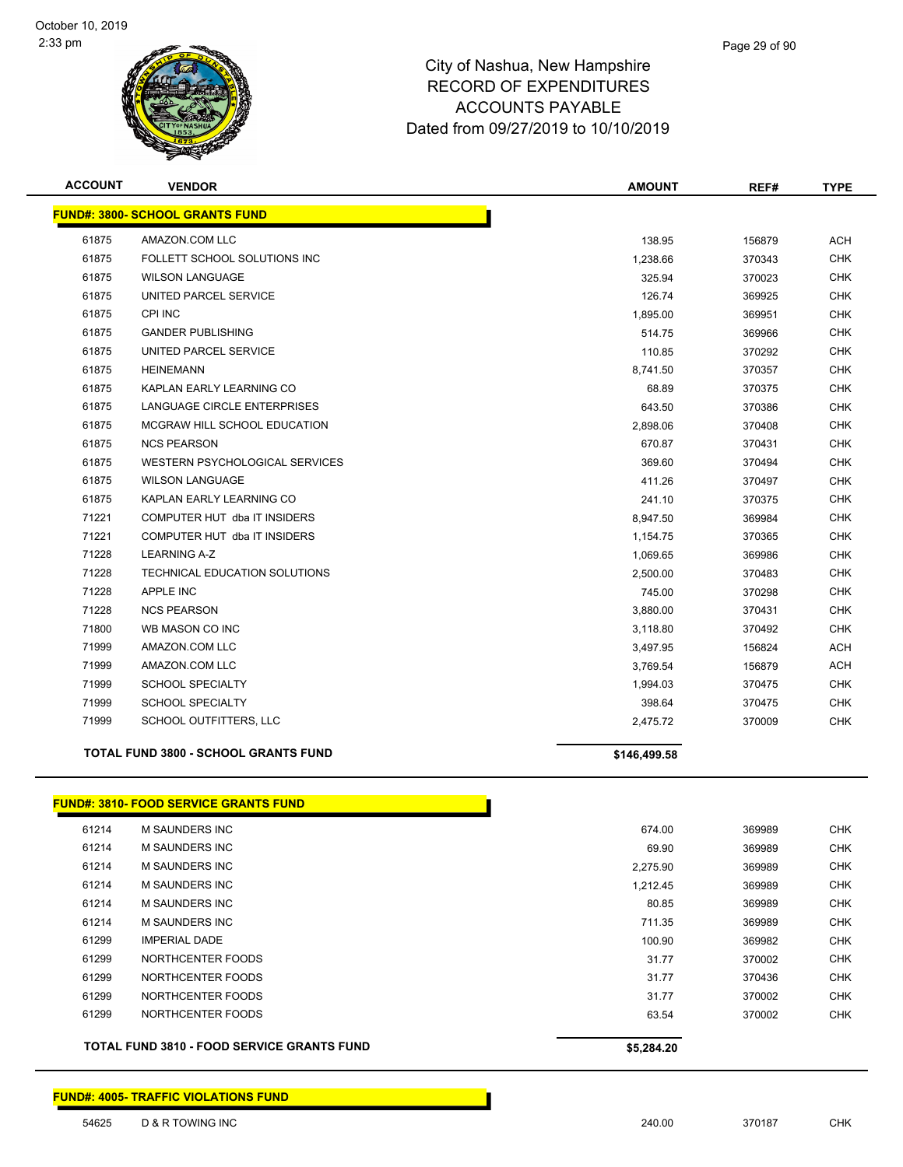

| <b>ACCOUNT</b> | <b>VENDOR</b>                                | <b>AMOUNT</b>    | REF#             | <b>TYPE</b> |
|----------------|----------------------------------------------|------------------|------------------|-------------|
|                | <b>FUND#: 3800- SCHOOL GRANTS FUND</b>       |                  |                  |             |
| 61875          | AMAZON.COM LLC                               |                  |                  | ACH         |
| 61875          | FOLLETT SCHOOL SOLUTIONS INC                 | 138.95           | 156879<br>370343 | <b>CHK</b>  |
| 61875          | <b>WILSON LANGUAGE</b>                       | 1,238.66         |                  | <b>CHK</b>  |
| 61875          | UNITED PARCEL SERVICE                        | 325.94<br>126.74 | 370023           | <b>CHK</b>  |
| 61875          | <b>CPI INC</b>                               |                  | 369925           | <b>CHK</b>  |
| 61875          | <b>GANDER PUBLISHING</b>                     | 1,895.00         | 369951           |             |
|                |                                              | 514.75           | 369966           | <b>CHK</b>  |
| 61875          | UNITED PARCEL SERVICE                        | 110.85           | 370292           | <b>CHK</b>  |
| 61875          | <b>HEINEMANN</b>                             | 8,741.50         | 370357           | <b>CHK</b>  |
| 61875          | KAPLAN EARLY LEARNING CO                     | 68.89            | 370375           | <b>CHK</b>  |
| 61875          | LANGUAGE CIRCLE ENTERPRISES                  | 643.50           | 370386           | <b>CHK</b>  |
| 61875          | MCGRAW HILL SCHOOL EDUCATION                 | 2,898.06         | 370408           | CHK         |
| 61875          | <b>NCS PEARSON</b>                           | 670.87           | 370431           | <b>CHK</b>  |
| 61875          | WESTERN PSYCHOLOGICAL SERVICES               | 369.60           | 370494           | <b>CHK</b>  |
| 61875          | <b>WILSON LANGUAGE</b>                       | 411.26           | 370497           | <b>CHK</b>  |
| 61875          | KAPLAN EARLY LEARNING CO                     | 241.10           | 370375           | <b>CHK</b>  |
| 71221          | COMPUTER HUT dba IT INSIDERS                 | 8,947.50         | 369984           | <b>CHK</b>  |
| 71221          | COMPUTER HUT dba IT INSIDERS                 | 1,154.75         | 370365           | <b>CHK</b>  |
| 71228          | <b>LEARNING A-Z</b>                          | 1,069.65         | 369986           | <b>CHK</b>  |
| 71228          | TECHNICAL EDUCATION SOLUTIONS                | 2,500.00         | 370483           | <b>CHK</b>  |
| 71228          | APPLE INC                                    | 745.00           | 370298           | <b>CHK</b>  |
| 71228          | <b>NCS PEARSON</b>                           | 3,880.00         | 370431           | <b>CHK</b>  |
| 71800          | WB MASON CO INC                              | 3,118.80         | 370492           | <b>CHK</b>  |
| 71999          | AMAZON.COM LLC                               | 3,497.95         | 156824           | <b>ACH</b>  |
| 71999          | AMAZON.COM LLC                               | 3,769.54         | 156879           | <b>ACH</b>  |
| 71999          | <b>SCHOOL SPECIALTY</b>                      | 1,994.03         | 370475           | <b>CHK</b>  |
| 71999          | <b>SCHOOL SPECIALTY</b>                      | 398.64           | 370475           | <b>CHK</b>  |
| 71999          | SCHOOL OUTFITTERS, LLC                       | 2,475.72         | 370009           | <b>CHK</b>  |
|                | <b>TOTAL FUND 3800 - SCHOOL GRANTS FUND</b>  | \$146,499.58     |                  |             |
|                | <b>FUND#: 3810- FOOD SERVICE GRANTS FUND</b> |                  |                  |             |
| 61214          | <b>M SAUNDERS INC</b>                        | 674.00           | 369989           | <b>CHK</b>  |
| 61214          | <b>M SAUNDERS INC</b>                        | 69.90            | 369989           | <b>CHK</b>  |
| 61214          | M SAUNDERS INC                               | 2,275.90         | 369989           | <b>CHK</b>  |
| 61214          | M SAUNDERS INC                               | 1,212.45         | 369989           | <b>CHK</b>  |
| 61214          | M SAUNDERS INC                               | 80.85            | 369989           | <b>CHK</b>  |
| 61214          | M SAUNDERS INC                               | 711.35           | 369989           | <b>CHK</b>  |
| 61299          | <b>IMPERIAL DADE</b>                         | 100.90           | 369982           | CHK         |
| 61299          | NORTHCENTER FOODS                            | 31.77            | 370002           | <b>CHK</b>  |
| 61299          | NORTHCENTER FOODS                            | 31.77            | 370436           | <b>CHK</b>  |
| 61299          | NORTHCENTER FOODS                            | 31.77            | 370002           | <b>CHK</b>  |
| 61299          | NORTHCENTER FOODS                            | 63.54            | 370002           | <b>CHK</b>  |

**TOTAL FUND 3810 - FOOD SERVICE GRANTS FUND \$5,284.20** 

**FUND#: 4005- TRAFFIC VIOLATIONS FUND**

D & R TOWING INC 240.00 370187 CHK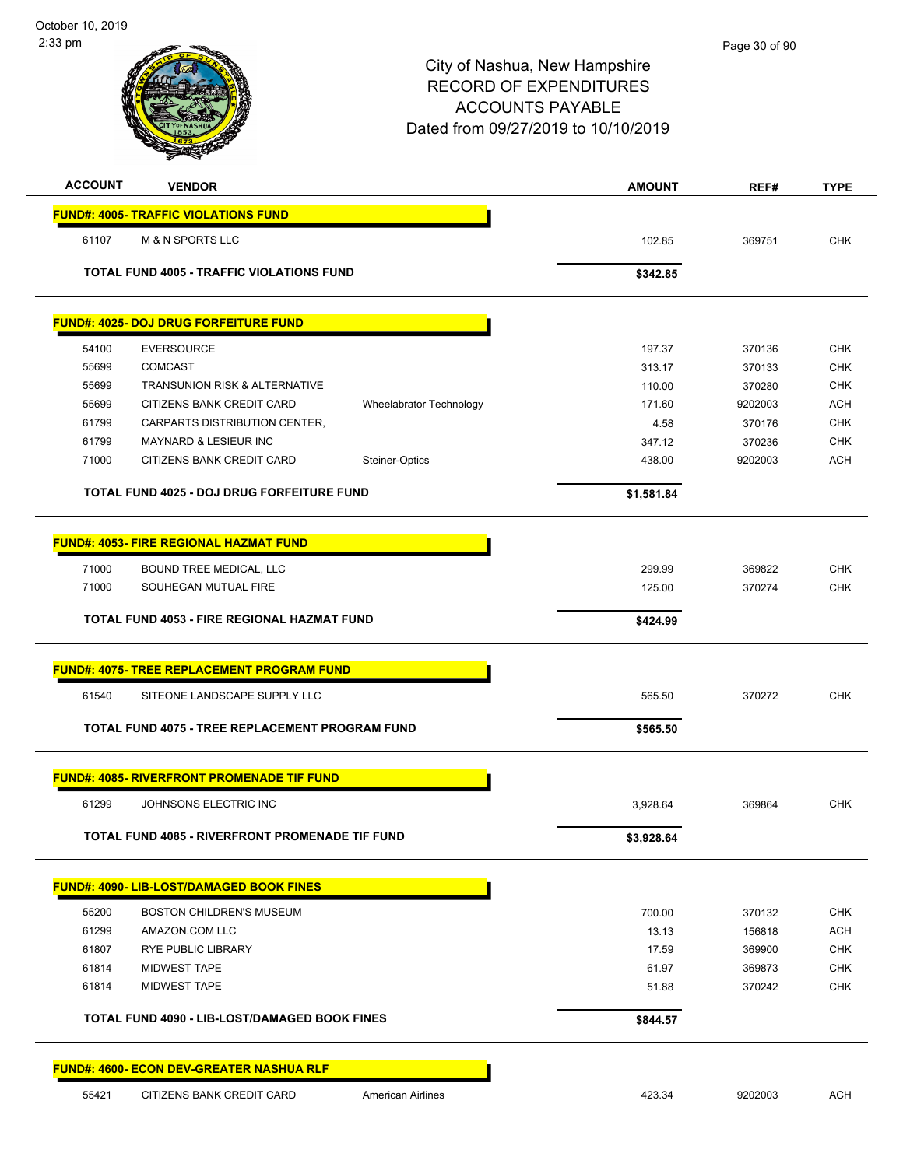| <b>ACCOUNT</b> | <b>VENDOR</b>                                        | <b>AMOUNT</b> | REF#    | <b>TYPE</b> |
|----------------|------------------------------------------------------|---------------|---------|-------------|
|                | <b>FUND#: 4005- TRAFFIC VIOLATIONS FUND</b>          |               |         |             |
| 61107          | <b>M &amp; N SPORTS LLC</b>                          | 102.85        | 369751  | <b>CHK</b>  |
|                | <b>TOTAL FUND 4005 - TRAFFIC VIOLATIONS FUND</b>     | \$342.85      |         |             |
|                | <b>FUND#: 4025- DOJ DRUG FORFEITURE FUND</b>         |               |         |             |
| 54100          | <b>EVERSOURCE</b>                                    | 197.37        | 370136  | <b>CHK</b>  |
| 55699          | <b>COMCAST</b>                                       | 313.17        | 370133  | <b>CHK</b>  |
| 55699          | TRANSUNION RISK & ALTERNATIVE                        | 110.00        | 370280  | <b>CHK</b>  |
| 55699          | CITIZENS BANK CREDIT CARD<br>Wheelabrator Technology | 171.60        | 9202003 | <b>ACH</b>  |
| 61799          | CARPARTS DISTRIBUTION CENTER,                        | 4.58          | 370176  | <b>CHK</b>  |
| 61799          | MAYNARD & LESIEUR INC                                | 347.12        | 370236  | CHK         |
| 71000          | CITIZENS BANK CREDIT CARD<br>Steiner-Optics          | 438.00        | 9202003 | <b>ACH</b>  |
|                | TOTAL FUND 4025 - DOJ DRUG FORFEITURE FUND           | \$1,581.84    |         |             |
|                | <b>FUND#: 4053- FIRE REGIONAL HAZMAT FUND</b>        |               |         |             |
| 71000          | <b>BOUND TREE MEDICAL, LLC</b>                       | 299.99        | 369822  | <b>CHK</b>  |
| 71000          | SOUHEGAN MUTUAL FIRE                                 | 125.00        | 370274  | <b>CHK</b>  |
|                | TOTAL FUND 4053 - FIRE REGIONAL HAZMAT FUND          | \$424.99      |         |             |
|                | <b>FUND#: 4075- TREE REPLACEMENT PROGRAM FUND</b>    |               |         |             |
| 61540          | SITEONE LANDSCAPE SUPPLY LLC                         | 565.50        | 370272  | <b>CHK</b>  |
|                | TOTAL FUND 4075 - TREE REPLACEMENT PROGRAM FUND      | \$565.50      |         |             |
|                | <b>FUND#: 4085- RIVERFRONT PROMENADE TIF FUND</b>    |               |         |             |
| 61299          | JOHNSONS ELECTRIC INC                                | 3,928.64      | 369864  | <b>CHK</b>  |
|                | TOTAL FUND 4085 - RIVERFRONT PROMENADE TIF FUND      | \$3,928.64    |         |             |
|                | <b>FUND#: 4090- LIB-LOST/DAMAGED BOOK FINES</b>      |               |         |             |
| 55200          | <b>BOSTON CHILDREN'S MUSEUM</b>                      | 700.00        | 370132  | <b>CHK</b>  |
| 61299          | AMAZON.COM LLC                                       | 13.13         | 156818  | <b>ACH</b>  |
| 61807          | <b>RYE PUBLIC LIBRARY</b>                            | 17.59         | 369900  | <b>CHK</b>  |
| 61814          | <b>MIDWEST TAPE</b>                                  | 61.97         | 369873  | <b>CHK</b>  |
| 61814          | <b>MIDWEST TAPE</b>                                  | 51.88         | 370242  | <b>CHK</b>  |
|                | <b>TOTAL FUND 4090 - LIB-LOST/DAMAGED BOOK FINES</b> | \$844.57      |         |             |
|                | <b>FUND#: 4600- ECON DEV-GREATER NASHUA RLF</b>      |               |         |             |
| 55421          | CITIZENS BANK CREDIT CARD<br>American Airlines       | 423.34        | 9202003 | <b>ACH</b>  |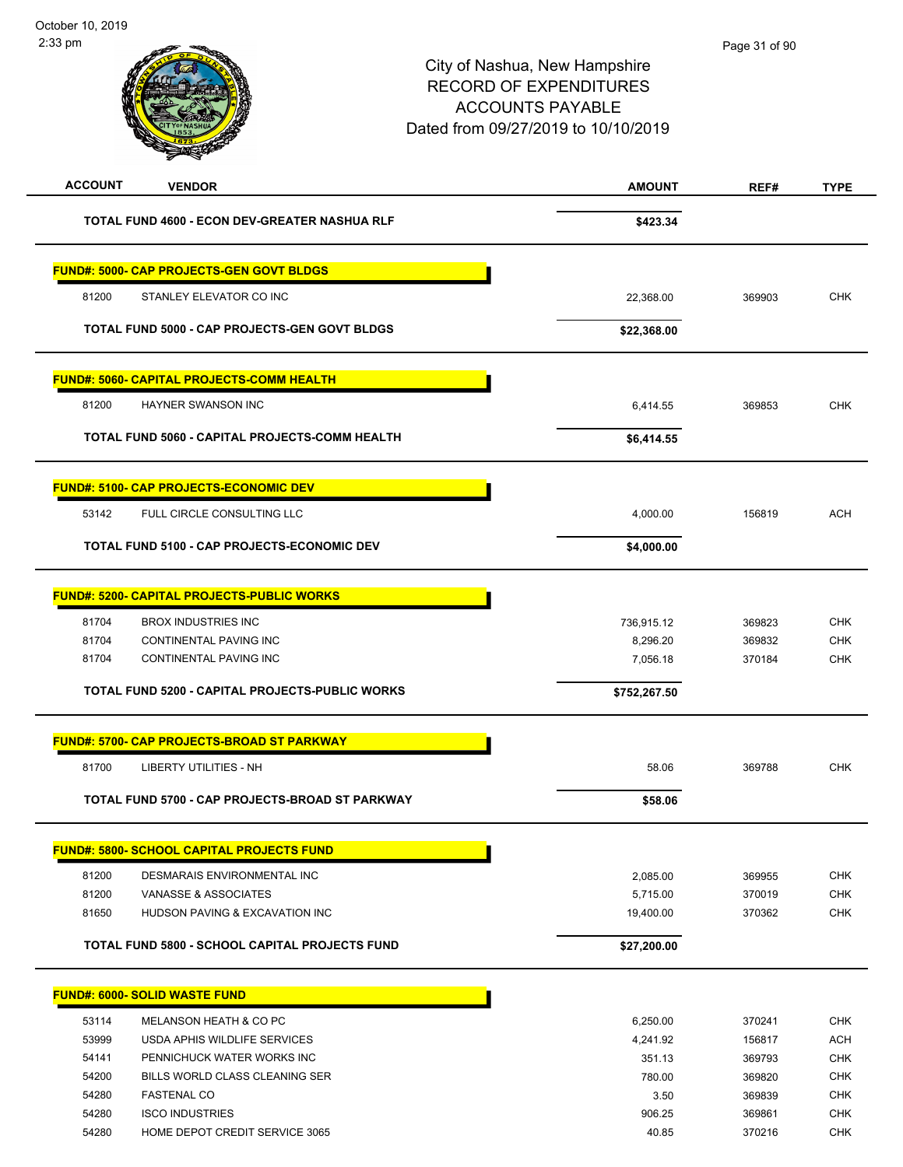| <b>ACCOUNT</b><br><b>VENDOR</b>                        | <b>AMOUNT</b> | REF#   | <b>TYPE</b> |
|--------------------------------------------------------|---------------|--------|-------------|
| TOTAL FUND 4600 - ECON DEV-GREATER NASHUA RLF          | \$423.34      |        |             |
| <b>FUND#: 5000- CAP PROJECTS-GEN GOVT BLDGS</b>        |               |        |             |
| STANLEY ELEVATOR CO INC<br>81200                       | 22,368.00     | 369903 | <b>CHK</b>  |
| <b>TOTAL FUND 5000 - CAP PROJECTS-GEN GOVT BLDGS</b>   | \$22,368.00   |        |             |
| <b>FUND#: 5060- CAPITAL PROJECTS-COMM HEALTH</b>       |               |        |             |
| 81200<br>HAYNER SWANSON INC                            | 6,414.55      | 369853 | <b>CHK</b>  |
| TOTAL FUND 5060 - CAPITAL PROJECTS-COMM HEALTH         | \$6,414.55    |        |             |
| <b>FUND#: 5100- CAP PROJECTS-ECONOMIC DEV</b>          |               |        |             |
| 53142<br>FULL CIRCLE CONSULTING LLC                    | 4,000.00      | 156819 | <b>ACH</b>  |
| TOTAL FUND 5100 - CAP PROJECTS-ECONOMIC DEV            | \$4,000.00    |        |             |
| <b>FUND#: 5200- CAPITAL PROJECTS-PUBLIC WORKS</b>      |               |        |             |
| 81704<br><b>BROX INDUSTRIES INC</b>                    | 736,915.12    | 369823 | <b>CHK</b>  |
| 81704<br><b>CONTINENTAL PAVING INC</b>                 | 8,296.20      | 369832 | <b>CHK</b>  |
| CONTINENTAL PAVING INC<br>81704                        | 7,056.18      | 370184 | <b>CHK</b>  |
| <b>TOTAL FUND 5200 - CAPITAL PROJECTS-PUBLIC WORKS</b> | \$752,267.50  |        |             |
| <b>FUND#: 5700- CAP PROJECTS-BROAD ST PARKWAY</b>      |               |        |             |
| 81700<br><b>LIBERTY UTILITIES - NH</b>                 | 58.06         | 369788 | <b>CHK</b>  |
| TOTAL FUND 5700 - CAP PROJECTS-BROAD ST PARKWAY        | \$58.06       |        |             |
| <b>FUND#: 5800- SCHOOL CAPITAL PROJECTS FUND</b>       |               |        |             |
| 81200<br>DESMARAIS ENVIRONMENTAL INC                   | 2,085.00      | 369955 | <b>CHK</b>  |
| 81200<br>VANASSE & ASSOCIATES                          | 5,715.00      | 370019 | <b>CHK</b>  |
| 81650<br>HUDSON PAVING & EXCAVATION INC                | 19,400.00     | 370362 | <b>CHK</b>  |
| <b>TOTAL FUND 5800 - SCHOOL CAPITAL PROJECTS FUND</b>  | \$27,200.00   |        |             |
| <b>FUND#: 6000- SOLID WASTE FUND</b>                   |               |        |             |
| 53114<br>MELANSON HEATH & CO PC                        | 6,250.00      | 370241 | <b>CHK</b>  |
| 53999<br>USDA APHIS WILDLIFE SERVICES                  | 4,241.92      | 156817 | <b>ACH</b>  |
| 54141<br>PENNICHUCK WATER WORKS INC                    | 351.13        | 369793 | <b>CHK</b>  |
| 54200<br>BILLS WORLD CLASS CLEANING SER                | 780.00        | 369820 | <b>CHK</b>  |
| 54280<br><b>FASTENAL CO</b>                            | 3.50          | 369839 | <b>CHK</b>  |
| 54280<br><b>ISCO INDUSTRIES</b>                        | 906.25        | 369861 | <b>CHK</b>  |
| 54280<br>HOME DEPOT CREDIT SERVICE 3065                | 40.85         | 370216 | <b>CHK</b>  |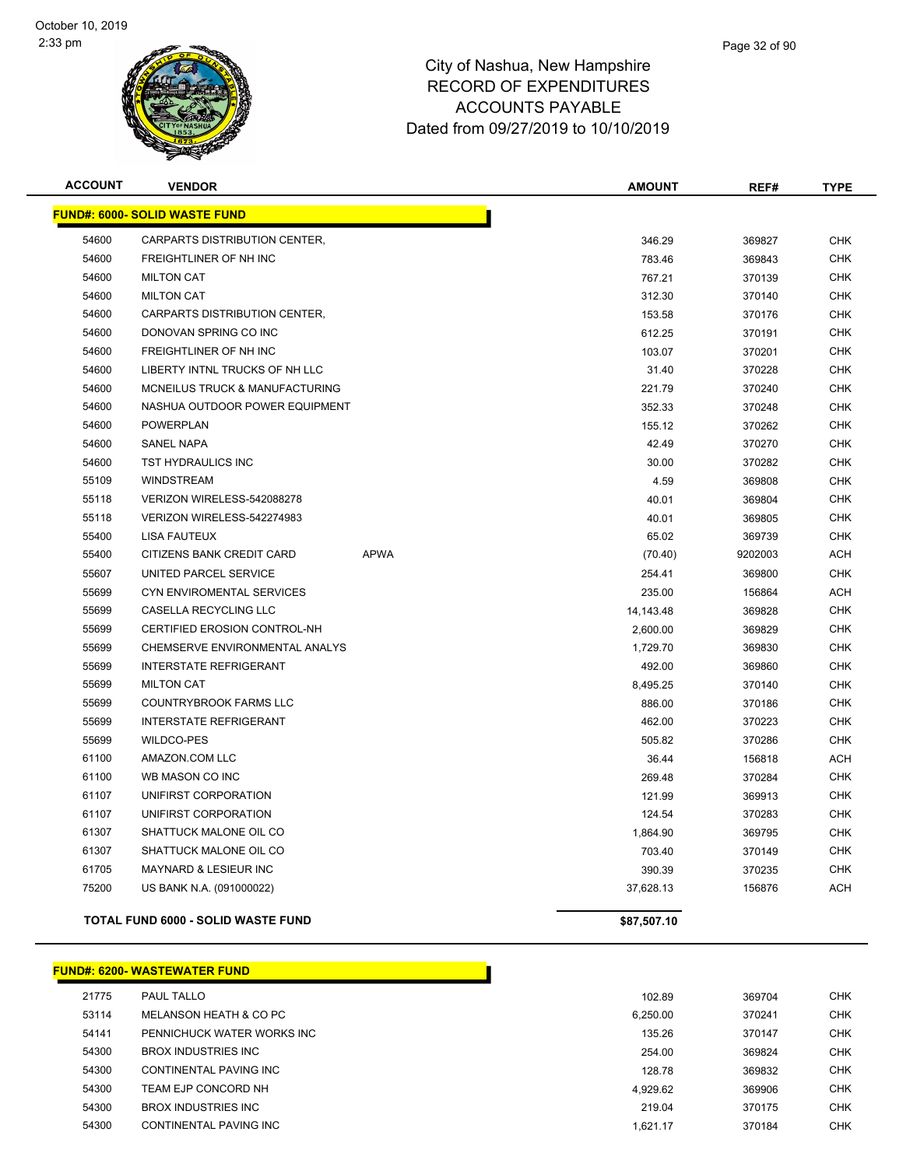

| <b>ACCOUNT</b> | <b>VENDOR</b>                             |             | <b>AMOUNT</b> | REF#    | <b>TYPE</b> |
|----------------|-------------------------------------------|-------------|---------------|---------|-------------|
|                | <b>FUND#: 6000- SOLID WASTE FUND</b>      |             |               |         |             |
| 54600          | CARPARTS DISTRIBUTION CENTER,             |             | 346.29        | 369827  | <b>CHK</b>  |
| 54600          | FREIGHTLINER OF NH INC                    |             | 783.46        | 369843  | <b>CHK</b>  |
| 54600          | <b>MILTON CAT</b>                         |             | 767.21        | 370139  | <b>CHK</b>  |
| 54600          | <b>MILTON CAT</b>                         |             | 312.30        | 370140  | <b>CHK</b>  |
| 54600          | CARPARTS DISTRIBUTION CENTER,             |             | 153.58        | 370176  | <b>CHK</b>  |
| 54600          | DONOVAN SPRING CO INC                     |             | 612.25        | 370191  | <b>CHK</b>  |
| 54600          | FREIGHTLINER OF NH INC                    |             | 103.07        | 370201  | <b>CHK</b>  |
| 54600          | LIBERTY INTNL TRUCKS OF NH LLC            |             | 31.40         | 370228  | <b>CHK</b>  |
| 54600          | <b>MCNEILUS TRUCK &amp; MANUFACTURING</b> |             | 221.79        | 370240  | <b>CHK</b>  |
| 54600          | NASHUA OUTDOOR POWER EQUIPMENT            |             | 352.33        | 370248  | <b>CHK</b>  |
| 54600          | <b>POWERPLAN</b>                          |             | 155.12        | 370262  | <b>CHK</b>  |
| 54600          | <b>SANEL NAPA</b>                         |             | 42.49         | 370270  | <b>CHK</b>  |
| 54600          | TST HYDRAULICS INC                        |             | 30.00         | 370282  | <b>CHK</b>  |
| 55109          | <b>WINDSTREAM</b>                         |             | 4.59          | 369808  | <b>CHK</b>  |
| 55118          | VERIZON WIRELESS-542088278                |             | 40.01         | 369804  | <b>CHK</b>  |
| 55118          | VERIZON WIRELESS-542274983                |             | 40.01         | 369805  | <b>CHK</b>  |
| 55400          | <b>LISA FAUTEUX</b>                       |             | 65.02         | 369739  | <b>CHK</b>  |
| 55400          | CITIZENS BANK CREDIT CARD                 | <b>APWA</b> | (70.40)       | 9202003 | ACH         |
| 55607          | UNITED PARCEL SERVICE                     |             | 254.41        | 369800  | <b>CHK</b>  |
| 55699          | CYN ENVIROMENTAL SERVICES                 |             | 235.00        | 156864  | <b>ACH</b>  |
| 55699          | CASELLA RECYCLING LLC                     |             | 14,143.48     | 369828  | <b>CHK</b>  |
| 55699          | CERTIFIED EROSION CONTROL-NH              |             | 2,600.00      | 369829  | <b>CHK</b>  |
| 55699          | CHEMSERVE ENVIRONMENTAL ANALYS            |             | 1,729.70      | 369830  | <b>CHK</b>  |
| 55699          | <b>INTERSTATE REFRIGERANT</b>             |             | 492.00        | 369860  | <b>CHK</b>  |
| 55699          | <b>MILTON CAT</b>                         |             | 8,495.25      | 370140  | <b>CHK</b>  |
| 55699          | <b>COUNTRYBROOK FARMS LLC</b>             |             | 886.00        | 370186  | <b>CHK</b>  |
| 55699          | <b>INTERSTATE REFRIGERANT</b>             |             | 462.00        | 370223  | <b>CHK</b>  |
| 55699          | <b>WILDCO-PES</b>                         |             | 505.82        | 370286  | <b>CHK</b>  |
| 61100          | AMAZON.COM LLC                            |             | 36.44         | 156818  | <b>ACH</b>  |
| 61100          | WB MASON CO INC                           |             | 269.48        | 370284  | <b>CHK</b>  |
| 61107          | UNIFIRST CORPORATION                      |             | 121.99        | 369913  | <b>CHK</b>  |
| 61107          | UNIFIRST CORPORATION                      |             | 124.54        | 370283  | <b>CHK</b>  |
| 61307          | SHATTUCK MALONE OIL CO                    |             | 1,864.90      | 369795  | <b>CHK</b>  |
| 61307          | SHATTUCK MALONE OIL CO                    |             | 703.40        | 370149  | <b>CHK</b>  |
| 61705          | <b>MAYNARD &amp; LESIEUR INC</b>          |             | 390.39        | 370235  | <b>CHK</b>  |
| 75200          | US BANK N.A. (091000022)                  |             | 37,628.13     | 156876  | <b>ACH</b>  |
|                | <b>TOTAL FUND 6000 - SOLID WASTE FUND</b> |             | \$87,507.10   |         |             |

**FUND#: 6200- WASTEWATER FUND** PAUL TALLO 102.89 369704 CHK MELANSON HEATH & CO PC 6,250.00 370241 CHK 54141 PENNICHUCK WATER WORKS INC **135.26** 370147 CHK BROX INDUSTRIES INC 254.00 369824 CHK CONTINENTAL PAVING INC 128.78 369832 CHK TEAM EJP CONCORD NH 4,929.62 369906 CHK BROX INDUSTRIES INC 219.04 370175 CHK CONTINENTAL PAVING INC 1,621.17 370184 CHK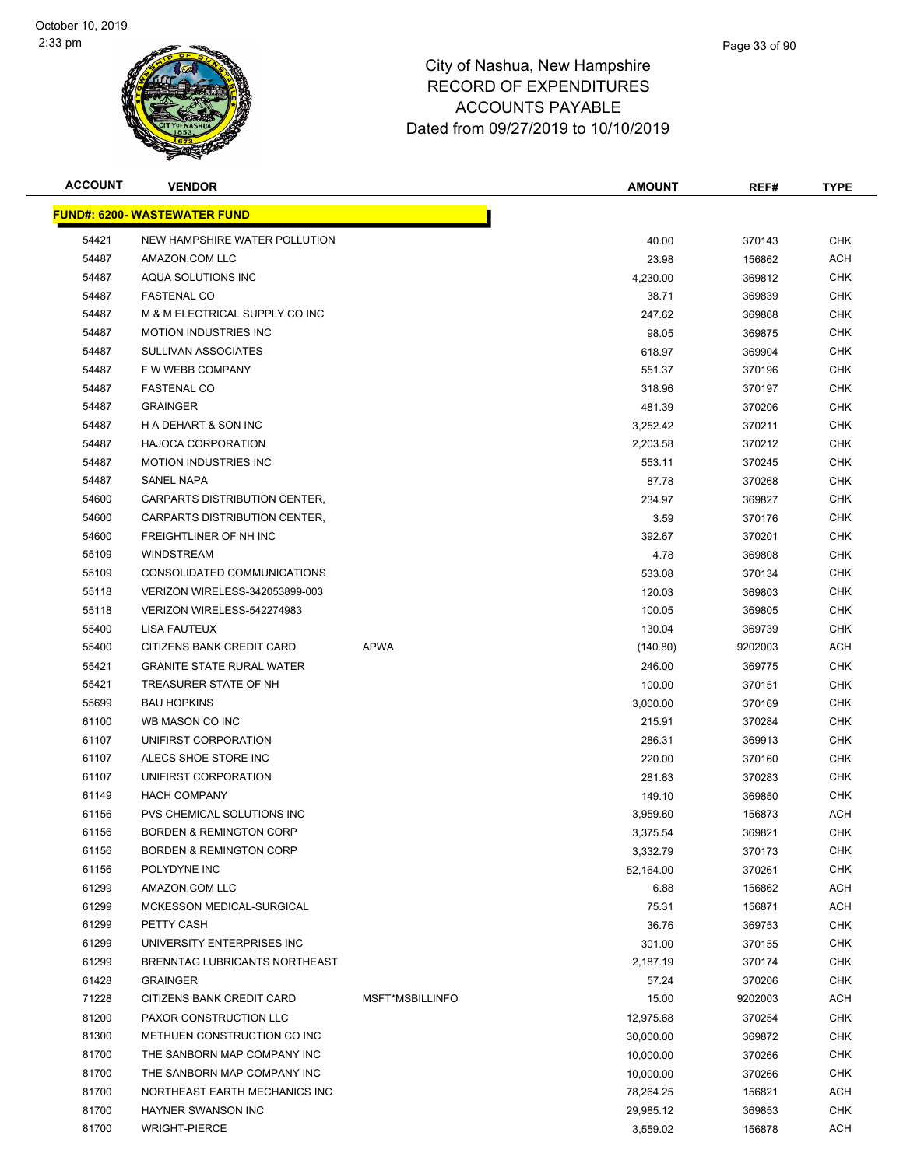

| <b>ACCOUNT</b> | <b>VENDOR</b>                        |                 | <b>AMOUNT</b> | REF#    | <b>TYPE</b> |
|----------------|--------------------------------------|-----------------|---------------|---------|-------------|
|                | <b>FUND#: 6200- WASTEWATER FUND</b>  |                 |               |         |             |
| 54421          | NEW HAMPSHIRE WATER POLLUTION        |                 | 40.00         | 370143  | <b>CHK</b>  |
| 54487          | AMAZON.COM LLC                       |                 | 23.98         | 156862  | <b>ACH</b>  |
| 54487          | AQUA SOLUTIONS INC                   |                 | 4,230.00      | 369812  | <b>CHK</b>  |
| 54487          | <b>FASTENAL CO</b>                   |                 | 38.71         | 369839  | <b>CHK</b>  |
| 54487          | M & M ELECTRICAL SUPPLY CO INC       |                 | 247.62        | 369868  | <b>CHK</b>  |
| 54487          | <b>MOTION INDUSTRIES INC</b>         |                 | 98.05         | 369875  | <b>CHK</b>  |
| 54487          | <b>SULLIVAN ASSOCIATES</b>           |                 | 618.97        | 369904  | <b>CHK</b>  |
| 54487          | F W WEBB COMPANY                     |                 | 551.37        | 370196  | <b>CHK</b>  |
| 54487          | <b>FASTENAL CO</b>                   |                 | 318.96        | 370197  | <b>CHK</b>  |
| 54487          | <b>GRAINGER</b>                      |                 | 481.39        | 370206  | <b>CHK</b>  |
| 54487          | H A DEHART & SON INC                 |                 | 3,252.42      | 370211  | <b>CHK</b>  |
| 54487          | <b>HAJOCA CORPORATION</b>            |                 | 2,203.58      | 370212  | <b>CHK</b>  |
| 54487          | <b>MOTION INDUSTRIES INC</b>         |                 | 553.11        | 370245  | <b>CHK</b>  |
| 54487          | <b>SANEL NAPA</b>                    |                 | 87.78         | 370268  | <b>CHK</b>  |
| 54600          | CARPARTS DISTRIBUTION CENTER,        |                 | 234.97        | 369827  | <b>CHK</b>  |
| 54600          | CARPARTS DISTRIBUTION CENTER,        |                 | 3.59          | 370176  | <b>CHK</b>  |
| 54600          | FREIGHTLINER OF NH INC               |                 | 392.67        | 370201  | <b>CHK</b>  |
| 55109          | <b>WINDSTREAM</b>                    |                 | 4.78          | 369808  | <b>CHK</b>  |
| 55109          | CONSOLIDATED COMMUNICATIONS          |                 | 533.08        | 370134  | <b>CHK</b>  |
| 55118          | VERIZON WIRELESS-342053899-003       |                 | 120.03        | 369803  | <b>CHK</b>  |
| 55118          | VERIZON WIRELESS-542274983           |                 | 100.05        | 369805  | <b>CHK</b>  |
| 55400          | LISA FAUTEUX                         |                 | 130.04        | 369739  | <b>CHK</b>  |
| 55400          | CITIZENS BANK CREDIT CARD            | <b>APWA</b>     | (140.80)      | 9202003 | ACH         |
| 55421          | <b>GRANITE STATE RURAL WATER</b>     |                 | 246.00        | 369775  | <b>CHK</b>  |
| 55421          | TREASURER STATE OF NH                |                 | 100.00        | 370151  | <b>CHK</b>  |
| 55699          | <b>BAU HOPKINS</b>                   |                 | 3,000.00      | 370169  | <b>CHK</b>  |
| 61100          | WB MASON CO INC                      |                 | 215.91        | 370284  | <b>CHK</b>  |
| 61107          | UNIFIRST CORPORATION                 |                 | 286.31        | 369913  | <b>CHK</b>  |
| 61107          | ALECS SHOE STORE INC                 |                 | 220.00        | 370160  | CHK         |
| 61107          | UNIFIRST CORPORATION                 |                 | 281.83        | 370283  | <b>CHK</b>  |
| 61149          | <b>HACH COMPANY</b>                  |                 | 149.10        | 369850  | <b>CHK</b>  |
| 61156          | PVS CHEMICAL SOLUTIONS INC           |                 | 3,959.60      | 156873  | ACH         |
| 61156          | <b>BORDEN &amp; REMINGTON CORP</b>   |                 | 3,375.54      | 369821  | <b>CHK</b>  |
| 61156          | <b>BORDEN &amp; REMINGTON CORP</b>   |                 | 3,332.79      | 370173  | <b>CHK</b>  |
| 61156          | POLYDYNE INC                         |                 | 52,164.00     | 370261  | <b>CHK</b>  |
| 61299          | AMAZON.COM LLC                       |                 | 6.88          | 156862  | <b>ACH</b>  |
| 61299          | MCKESSON MEDICAL-SURGICAL            |                 | 75.31         | 156871  | ACH         |
| 61299          | PETTY CASH                           |                 | 36.76         | 369753  | <b>CHK</b>  |
| 61299          | UNIVERSITY ENTERPRISES INC           |                 | 301.00        | 370155  | <b>CHK</b>  |
| 61299          | <b>BRENNTAG LUBRICANTS NORTHEAST</b> |                 | 2,187.19      | 370174  | <b>CHK</b>  |
| 61428          | <b>GRAINGER</b>                      |                 | 57.24         | 370206  | <b>CHK</b>  |
| 71228          | CITIZENS BANK CREDIT CARD            | MSFT*MSBILLINFO | 15.00         | 9202003 | ACH         |
| 81200          | PAXOR CONSTRUCTION LLC               |                 | 12,975.68     | 370254  | <b>CHK</b>  |
| 81300          | METHUEN CONSTRUCTION CO INC          |                 | 30,000.00     | 369872  | <b>CHK</b>  |
| 81700          | THE SANBORN MAP COMPANY INC          |                 | 10,000.00     | 370266  | <b>CHK</b>  |
| 81700          | THE SANBORN MAP COMPANY INC          |                 | 10,000.00     | 370266  | <b>CHK</b>  |
| 81700          | NORTHEAST EARTH MECHANICS INC        |                 | 78,264.25     | 156821  | ACH         |
| 81700          | <b>HAYNER SWANSON INC</b>            |                 | 29,985.12     | 369853  | <b>CHK</b>  |
| 81700          | <b>WRIGHT-PIERCE</b>                 |                 | 3,559.02      | 156878  | ACH         |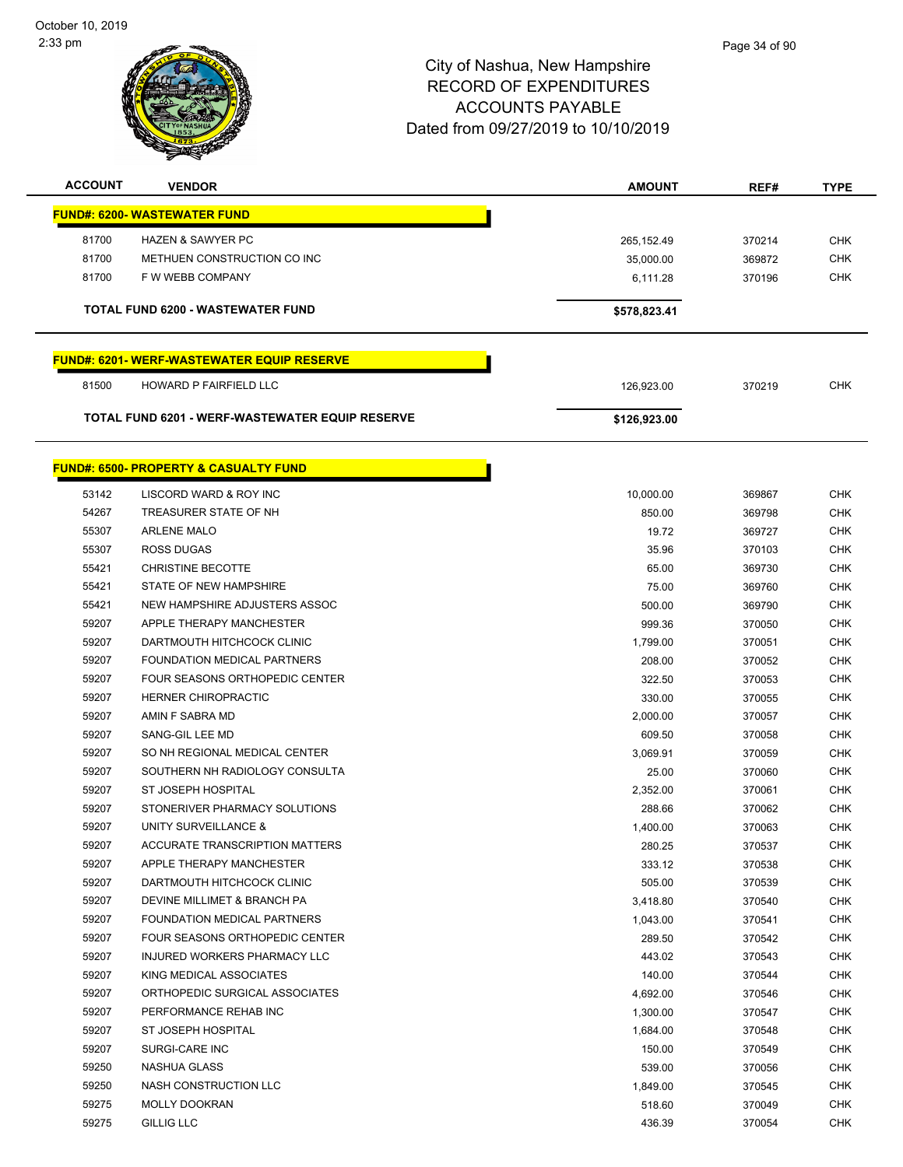

| <b>ACCOUNT</b>                      | <b>VENDOR</b>                                    | <b>AMOUNT</b> | REF#   | <b>TYPE</b> |  |  |  |
|-------------------------------------|--------------------------------------------------|---------------|--------|-------------|--|--|--|
| <b>FUND#: 6200- WASTEWATER FUND</b> |                                                  |               |        |             |  |  |  |
| 81700                               | <b>HAZEN &amp; SAWYER PC</b>                     | 265, 152.49   | 370214 | <b>CHK</b>  |  |  |  |
| 81700                               | METHUEN CONSTRUCTION CO INC                      | 35,000.00     | 369872 | CHK         |  |  |  |
| 81700                               | F W WEBB COMPANY                                 | 6,111.28      | 370196 | <b>CHK</b>  |  |  |  |
|                                     |                                                  |               |        |             |  |  |  |
|                                     | <b>TOTAL FUND 6200 - WASTEWATER FUND</b>         | \$578,823.41  |        |             |  |  |  |
|                                     | <b>FUND#: 6201-WERF-WASTEWATER EQUIP RESERVE</b> |               |        |             |  |  |  |
| 81500                               | HOWARD P FAIRFIELD LLC                           | 126,923.00    | 370219 | <b>CHK</b>  |  |  |  |
|                                     | TOTAL FUND 6201 - WERF-WASTEWATER EQUIP RESERVE  | \$126,923.00  |        |             |  |  |  |
|                                     |                                                  |               |        |             |  |  |  |
|                                     | <b>FUND#: 6500- PROPERTY &amp; CASUALTY FUND</b> |               |        |             |  |  |  |
| 53142                               | LISCORD WARD & ROY INC                           | 10,000.00     | 369867 | <b>CHK</b>  |  |  |  |
| 54267                               | TREASURER STATE OF NH                            | 850.00        | 369798 | <b>CHK</b>  |  |  |  |
| 55307                               | <b>ARLENE MALO</b>                               | 19.72         | 369727 | <b>CHK</b>  |  |  |  |
| 55307                               | <b>ROSS DUGAS</b>                                | 35.96         | 370103 | <b>CHK</b>  |  |  |  |
| 55421                               | <b>CHRISTINE BECOTTE</b>                         | 65.00         | 369730 | <b>CHK</b>  |  |  |  |
| 55421                               | STATE OF NEW HAMPSHIRE                           | 75.00         | 369760 | <b>CHK</b>  |  |  |  |
| 55421                               | NEW HAMPSHIRE ADJUSTERS ASSOC                    | 500.00        | 369790 | <b>CHK</b>  |  |  |  |
| 59207                               | APPLE THERAPY MANCHESTER                         | 999.36        | 370050 | <b>CHK</b>  |  |  |  |
| 59207                               | DARTMOUTH HITCHCOCK CLINIC                       | 1,799.00      | 370051 | <b>CHK</b>  |  |  |  |
| 59207                               | FOUNDATION MEDICAL PARTNERS                      | 208.00        | 370052 | <b>CHK</b>  |  |  |  |
| 59207                               | FOUR SEASONS ORTHOPEDIC CENTER                   | 322.50        | 370053 | <b>CHK</b>  |  |  |  |
| 59207                               | <b>HERNER CHIROPRACTIC</b>                       | 330.00        | 370055 | <b>CHK</b>  |  |  |  |
| 59207                               | AMIN F SABRA MD                                  | 2,000.00      | 370057 | <b>CHK</b>  |  |  |  |
| 59207                               | SANG-GIL LEE MD                                  | 609.50        | 370058 | <b>CHK</b>  |  |  |  |
| 59207                               | SO NH REGIONAL MEDICAL CENTER                    | 3,069.91      | 370059 | <b>CHK</b>  |  |  |  |
| 59207                               | SOUTHERN NH RADIOLOGY CONSULTA                   | 25.00         | 370060 | <b>CHK</b>  |  |  |  |
| 59207                               | ST JOSEPH HOSPITAL                               | 2,352.00      | 370061 | <b>CHK</b>  |  |  |  |
| 59207                               | STONERIVER PHARMACY SOLUTIONS                    | 288.66        | 370062 | <b>CHK</b>  |  |  |  |
| 59207                               | UNITY SURVEILLANCE &                             | 1,400.00      | 370063 | <b>CHK</b>  |  |  |  |
| 59207                               | ACCURATE TRANSCRIPTION MATTERS                   | 280.25        | 370537 | <b>CHK</b>  |  |  |  |
| 59207                               | APPLE THERAPY MANCHESTER                         | 333.12        | 370538 | <b>CHK</b>  |  |  |  |
| 59207                               | DARTMOUTH HITCHCOCK CLINIC                       | 505.00        | 370539 | <b>CHK</b>  |  |  |  |
| 59207                               | DEVINE MILLIMET & BRANCH PA                      | 3,418.80      | 370540 | <b>CHK</b>  |  |  |  |
| 59207                               | FOUNDATION MEDICAL PARTNERS                      | 1,043.00      | 370541 | <b>CHK</b>  |  |  |  |
| 59207                               | FOUR SEASONS ORTHOPEDIC CENTER                   | 289.50        | 370542 | <b>CHK</b>  |  |  |  |
| 59207                               | <b>INJURED WORKERS PHARMACY LLC</b>              | 443.02        | 370543 | <b>CHK</b>  |  |  |  |
| 59207                               | KING MEDICAL ASSOCIATES                          | 140.00        | 370544 | <b>CHK</b>  |  |  |  |
| 59207                               | ORTHOPEDIC SURGICAL ASSOCIATES                   | 4,692.00      | 370546 | <b>CHK</b>  |  |  |  |
| 59207                               | PERFORMANCE REHAB INC                            | 1,300.00      | 370547 | <b>CHK</b>  |  |  |  |
| 59207                               | ST JOSEPH HOSPITAL                               | 1,684.00      | 370548 | <b>CHK</b>  |  |  |  |
| 59207                               | SURGI-CARE INC                                   | 150.00        | 370549 | CHK         |  |  |  |
| 59250                               | NASHUA GLASS                                     | 539.00        | 370056 | <b>CHK</b>  |  |  |  |
| 59250                               | NASH CONSTRUCTION LLC                            | 1,849.00      | 370545 | <b>CHK</b>  |  |  |  |
| 59275                               | <b>MOLLY DOOKRAN</b>                             | 518.60        | 370049 | <b>CHK</b>  |  |  |  |
| 59275                               | <b>GILLIG LLC</b>                                | 436.39        | 370054 | <b>CHK</b>  |  |  |  |
|                                     |                                                  |               |        |             |  |  |  |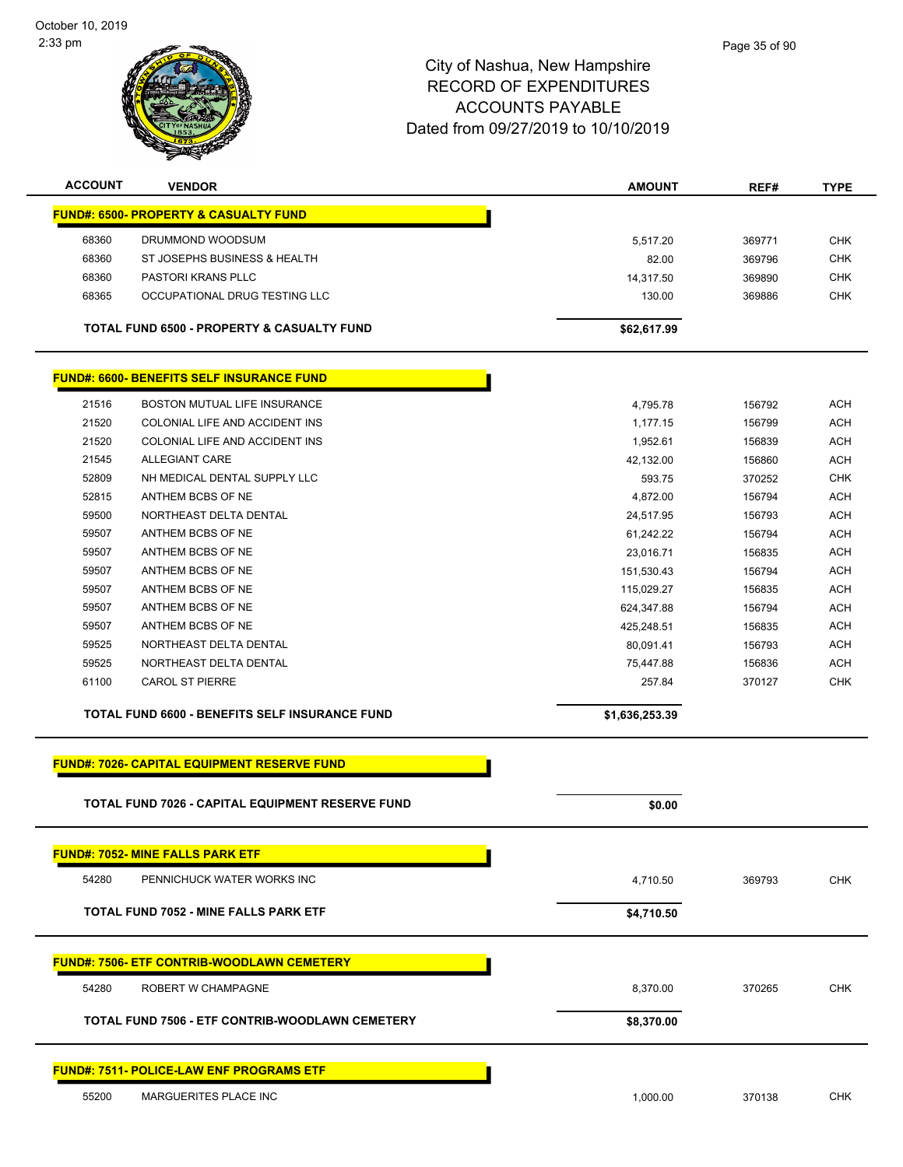| <b>ACCOUNT</b> | <b>VENDOR</b>                                      | <b>AMOUNT</b>  | REF#   | <b>TYPE</b> |
|----------------|----------------------------------------------------|----------------|--------|-------------|
|                | <b>FUND#: 6500- PROPERTY &amp; CASUALTY FUND</b>   |                |        |             |
| 68360          | DRUMMOND WOODSUM                                   | 5,517.20       | 369771 | <b>CHK</b>  |
| 68360          | ST JOSEPHS BUSINESS & HEALTH                       | 82.00          | 369796 | <b>CHK</b>  |
| 68360          | PASTORI KRANS PLLC                                 | 14,317.50      | 369890 | <b>CHK</b>  |
| 68365          | OCCUPATIONAL DRUG TESTING LLC                      | 130.00         | 369886 | CHK         |
|                |                                                    |                |        |             |
|                | TOTAL FUND 6500 - PROPERTY & CASUALTY FUND         | \$62,617.99    |        |             |
|                |                                                    |                |        |             |
|                | <b>FUND#: 6600- BENEFITS SELF INSURANCE FUND</b>   |                |        |             |
| 21516          | BOSTON MUTUAL LIFE INSURANCE                       | 4,795.78       | 156792 | <b>ACH</b>  |
| 21520          | COLONIAL LIFE AND ACCIDENT INS                     | 1,177.15       | 156799 | <b>ACH</b>  |
| 21520          | COLONIAL LIFE AND ACCIDENT INS                     | 1,952.61       | 156839 | <b>ACH</b>  |
| 21545          | <b>ALLEGIANT CARE</b>                              | 42,132.00      | 156860 | <b>ACH</b>  |
| 52809          | NH MEDICAL DENTAL SUPPLY LLC                       | 593.75         | 370252 | <b>CHK</b>  |
| 52815          | ANTHEM BCBS OF NE                                  | 4,872.00       | 156794 | <b>ACH</b>  |
| 59500          | NORTHEAST DELTA DENTAL                             | 24,517.95      | 156793 | <b>ACH</b>  |
| 59507          | ANTHEM BCBS OF NE                                  | 61,242.22      | 156794 | <b>ACH</b>  |
| 59507          | ANTHEM BCBS OF NE                                  | 23,016.71      | 156835 | <b>ACH</b>  |
| 59507          | ANTHEM BCBS OF NE                                  | 151,530.43     | 156794 | <b>ACH</b>  |
| 59507          | ANTHEM BCBS OF NE                                  | 115,029.27     | 156835 | <b>ACH</b>  |
| 59507          | ANTHEM BCBS OF NE                                  | 624,347.88     | 156794 | <b>ACH</b>  |
| 59507          | ANTHEM BCBS OF NE                                  | 425,248.51     | 156835 | <b>ACH</b>  |
| 59525          | NORTHEAST DELTA DENTAL                             | 80,091.41      | 156793 | <b>ACH</b>  |
| 59525          | NORTHEAST DELTA DENTAL                             | 75,447.88      | 156836 | <b>ACH</b>  |
| 61100          | <b>CAROL ST PIERRE</b>                             | 257.84         | 370127 | <b>CHK</b>  |
|                | TOTAL FUND 6600 - BENEFITS SELF INSURANCE FUND     | \$1,636,253.39 |        |             |
|                |                                                    |                |        |             |
|                | <b>FUND#: 7026- CAPITAL EQUIPMENT RESERVE FUND</b> |                |        |             |
|                | TOTAL FUND 7026 - CAPITAL EQUIPMENT RESERVE FUND   | \$0.00         |        |             |
|                | <b>FUND#: 7052- MINE FALLS PARK ETF</b>            |                |        |             |
| 54280          | PENNICHUCK WATER WORKS INC                         | 4,710.50       | 369793 | <b>CHK</b>  |
|                |                                                    |                |        |             |
|                | <b>TOTAL FUND 7052 - MINE FALLS PARK ETF</b>       | \$4,710.50     |        |             |
|                | <b>FUND#: 7506- ETF CONTRIB-WOODLAWN CEMETERY</b>  |                |        |             |
| 54280          | ROBERT W CHAMPAGNE                                 | 8,370.00       | 370265 | <b>CHK</b>  |
|                | TOTAL FUND 7506 - ETF CONTRIB-WOODLAWN CEMETERY    | \$8,370.00     |        |             |
|                |                                                    |                |        |             |
|                | <b>FUND#: 7511- POLICE-LAW ENF PROGRAMS ETF</b>    |                |        |             |
| 55200          | MARGUERITES PLACE INC                              | 1,000.00       | 370138 | <b>CHK</b>  |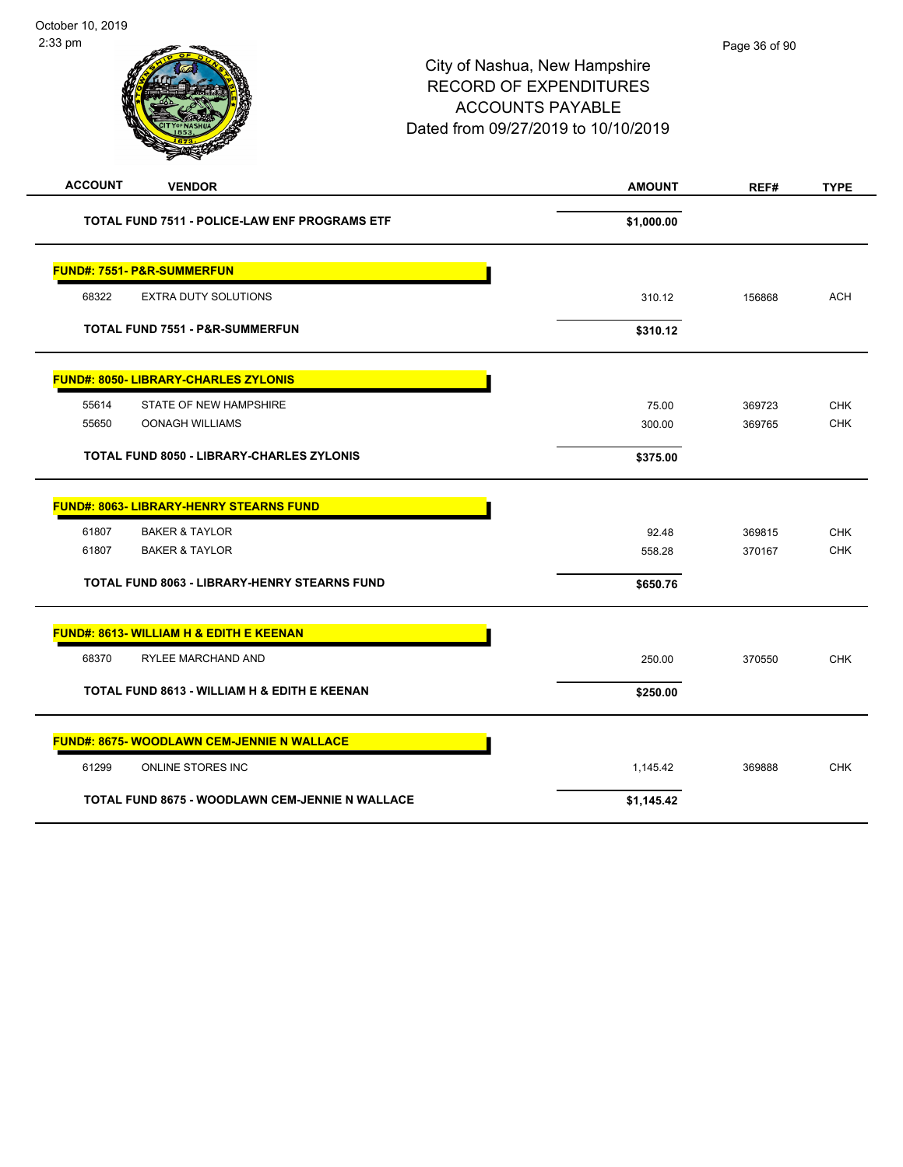| <b>ACCOUNT</b><br><b>VENDOR</b>                      | <b>AMOUNT</b> | REF#   | <b>TYPE</b> |
|------------------------------------------------------|---------------|--------|-------------|
| <b>TOTAL FUND 7511 - POLICE-LAW ENF PROGRAMS ETF</b> | \$1,000.00    |        |             |
| <b>FUND#: 7551- P&amp;R-SUMMERFUN</b>                |               |        |             |
| 68322<br><b>EXTRA DUTY SOLUTIONS</b>                 | 310.12        | 156868 | <b>ACH</b>  |
| <b>TOTAL FUND 7551 - P&amp;R-SUMMERFUN</b>           | \$310.12      |        |             |
| <b>FUND#: 8050- LIBRARY-CHARLES ZYLONIS</b>          |               |        |             |
| 55614<br>STATE OF NEW HAMPSHIRE                      | 75.00         | 369723 | <b>CHK</b>  |
| 55650<br><b>OONAGH WILLIAMS</b>                      | 300.00        | 369765 | <b>CHK</b>  |
| <b>TOTAL FUND 8050 - LIBRARY-CHARLES ZYLONIS</b>     | \$375.00      |        |             |
| <b>FUND#: 8063- LIBRARY-HENRY STEARNS FUND</b>       |               |        |             |
| 61807<br><b>BAKER &amp; TAYLOR</b>                   | 92.48         | 369815 | <b>CHK</b>  |
| 61807<br><b>BAKER &amp; TAYLOR</b>                   | 558.28        | 370167 | <b>CHK</b>  |
| <b>TOTAL FUND 8063 - LIBRARY-HENRY STEARNS FUND</b>  | \$650.76      |        |             |
| FUND#: 8613- WILLIAM H & EDITH E KEENAN              |               |        |             |
| 68370<br>RYLEE MARCHAND AND                          | 250.00        | 370550 | <b>CHK</b>  |
| TOTAL FUND 8613 - WILLIAM H & EDITH E KEENAN         | \$250.00      |        |             |
| <b>FUND#: 8675- WOODLAWN CEM-JENNIE N WALLACE</b>    |               |        |             |
| 61299<br><b>ONLINE STORES INC</b>                    | 1,145.42      | 369888 | <b>CHK</b>  |
| TOTAL FUND 8675 - WOODLAWN CEM-JENNIE N WALLACE      | \$1,145.42    |        |             |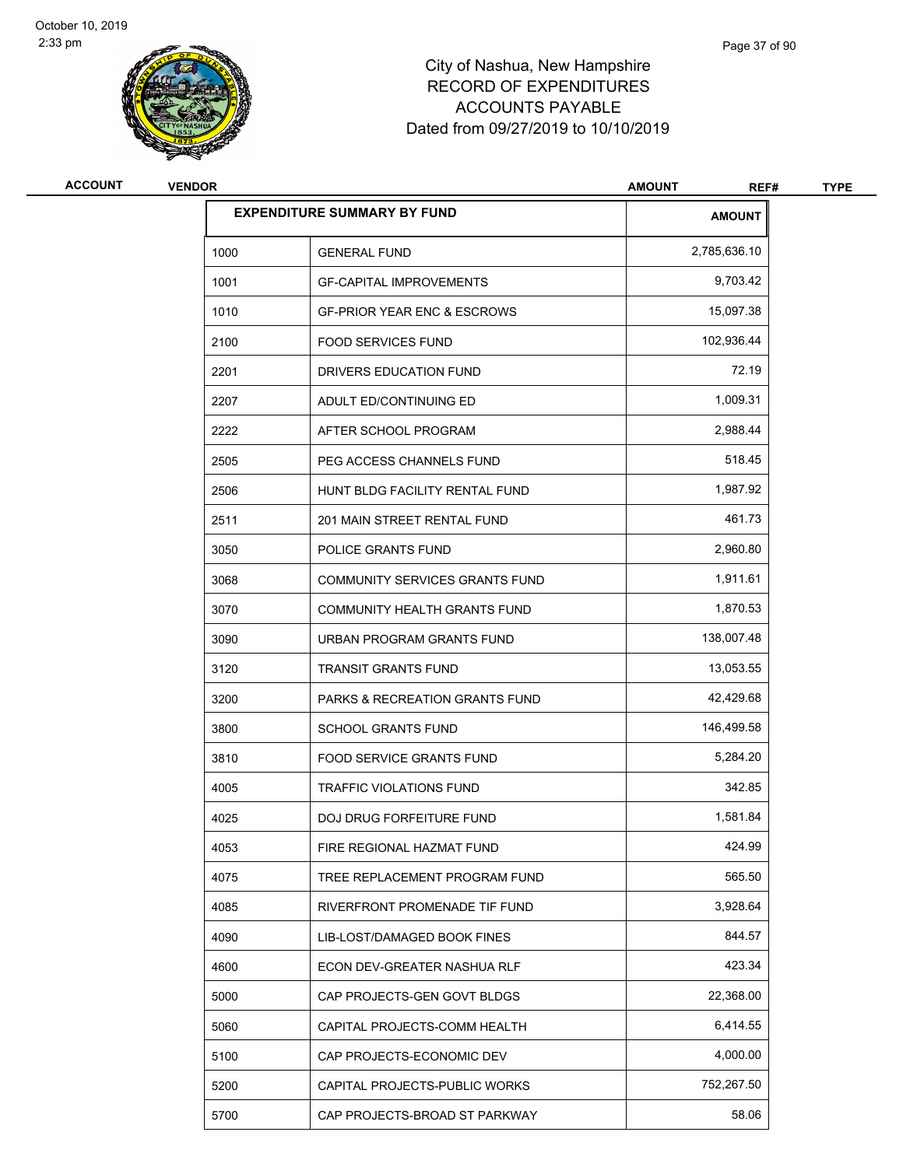

# City of Nashua, New Hampshire RECORD OF EXPENDITURES ACCOUNTS PAYABLE Dated from 09/27/2019 to 10/10/2019

| <b>ACCOUNT</b> | <b>VENDOR</b> |                                        | <b>AMOUNT</b><br>REF# | <b>TYPE</b> |
|----------------|---------------|----------------------------------------|-----------------------|-------------|
|                |               | <b>EXPENDITURE SUMMARY BY FUND</b>     | <b>AMOUNT</b>         |             |
|                | 1000          | <b>GENERAL FUND</b>                    | 2,785,636.10          |             |
|                | 1001          | <b>GF-CAPITAL IMPROVEMENTS</b>         | 9,703.42              |             |
|                | 1010          | <b>GF-PRIOR YEAR ENC &amp; ESCROWS</b> | 15,097.38             |             |
|                | 2100          | <b>FOOD SERVICES FUND</b>              | 102,936.44            |             |
|                | 2201          | DRIVERS EDUCATION FUND                 | 72.19                 |             |
|                | 2207          | ADULT ED/CONTINUING ED                 | 1,009.31              |             |
|                | 2222          | AFTER SCHOOL PROGRAM                   | 2,988.44              |             |
|                | 2505          | PEG ACCESS CHANNELS FUND               | 518.45                |             |
|                | 2506          | HUNT BLDG FACILITY RENTAL FUND         | 1,987.92              |             |
|                | 2511          | 201 MAIN STREET RENTAL FUND            | 461.73                |             |
|                | 3050          | POLICE GRANTS FUND                     | 2,960.80              |             |
|                | 3068          | <b>COMMUNITY SERVICES GRANTS FUND</b>  | 1,911.61              |             |
|                | 3070          | COMMUNITY HEALTH GRANTS FUND           | 1,870.53              |             |
|                | 3090          | URBAN PROGRAM GRANTS FUND              | 138,007.48            |             |
|                | 3120          | <b>TRANSIT GRANTS FUND</b>             | 13,053.55             |             |
|                | 3200          | PARKS & RECREATION GRANTS FUND         | 42,429.68             |             |
|                | 3800          | <b>SCHOOL GRANTS FUND</b>              | 146,499.58            |             |
|                | 3810          | <b>FOOD SERVICE GRANTS FUND</b>        | 5,284.20              |             |
|                | 4005          | <b>TRAFFIC VIOLATIONS FUND</b>         | 342.85                |             |
|                | 4025          | <b>DOJ DRUG FORFEITURE FUND</b>        | 1,581.84              |             |
|                | 4053          | FIRE REGIONAL HAZMAT FUND              | 424.99                |             |
|                | 4075          | TREE REPLACEMENT PROGRAM FUND          | 565.50                |             |
|                | 4085          | RIVERFRONT PROMENADE TIF FUND          | 3,928.64              |             |
|                | 4090          | LIB-LOST/DAMAGED BOOK FINES            | 844.57                |             |
|                | 4600          | ECON DEV-GREATER NASHUA RLF            | 423.34                |             |
|                | 5000          | CAP PROJECTS-GEN GOVT BLDGS            | 22,368.00             |             |
|                | 5060          | CAPITAL PROJECTS-COMM HEALTH           | 6,414.55              |             |
|                | 5100          | CAP PROJECTS-ECONOMIC DEV              | 4,000.00              |             |
|                | 5200          | CAPITAL PROJECTS-PUBLIC WORKS          | 752,267.50            |             |
|                | 5700          | CAP PROJECTS-BROAD ST PARKWAY          | 58.06                 |             |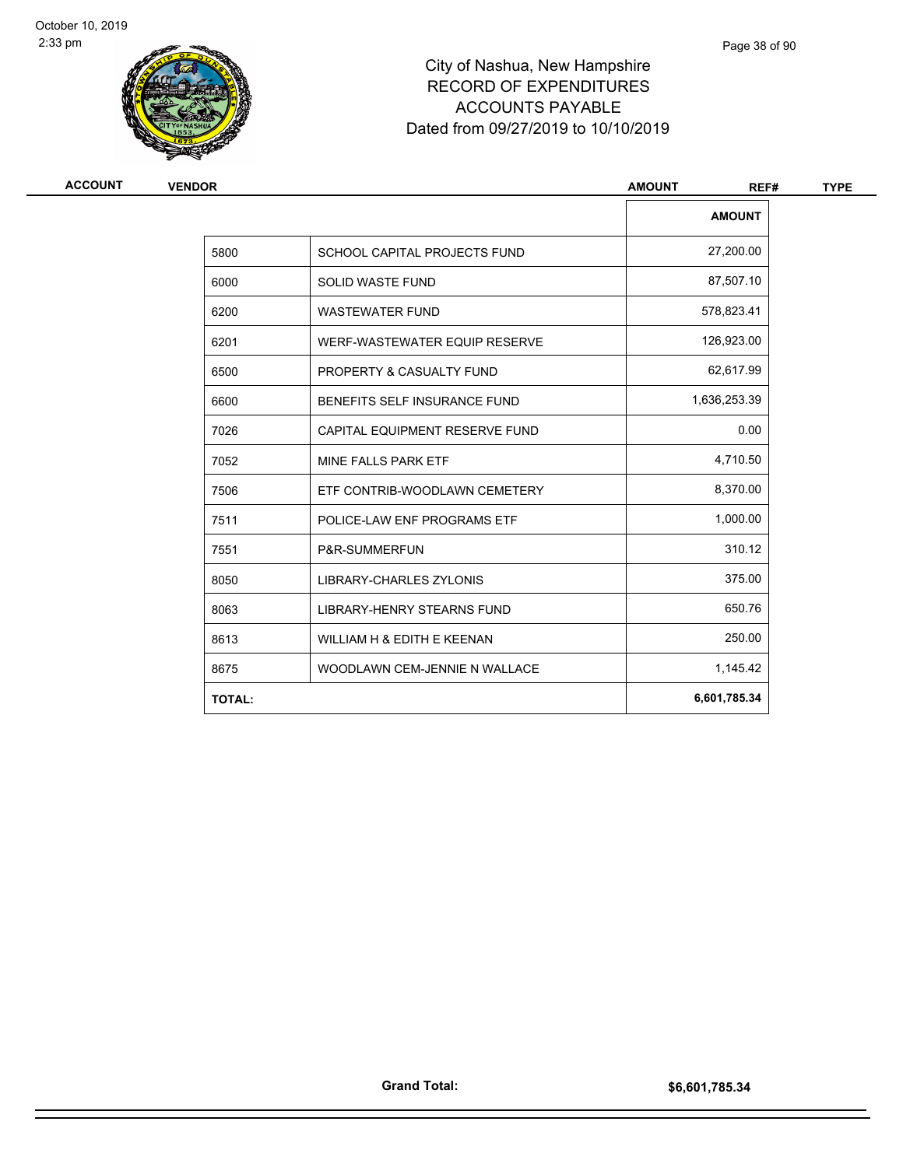

# City of Nashua, New Hampshire RECORD OF EXPENDITURES ACCOUNTS PAYABLE Dated from 09/27/2019 to 10/10/2019

| ACCOUNT | <b>VENDOR</b> |                                     | <b>AMOUNT</b><br>REF# | <b>TYPE</b> |
|---------|---------------|-------------------------------------|-----------------------|-------------|
|         |               |                                     | <b>AMOUNT</b>         |             |
|         | 5800          | <b>SCHOOL CAPITAL PROJECTS FUND</b> | 27,200.00             |             |
|         | 6000          | <b>SOLID WASTE FUND</b>             | 87,507.10             |             |
|         | 6200          | <b>WASTEWATER FUND</b>              | 578,823.41            |             |
|         | 6201          | WERF-WASTEWATER EQUIP RESERVE       | 126,923.00            |             |
|         | 6500          | PROPERTY & CASUALTY FUND            | 62,617.99             |             |
|         | 6600          | BENEFITS SELF INSURANCE FUND        | 1,636,253.39          |             |
|         | 7026          | CAPITAL EQUIPMENT RESERVE FUND      | 0.00                  |             |
|         | 7052          | MINE FALLS PARK ETF                 | 4,710.50              |             |
|         | 7506          | ETF CONTRIB-WOODLAWN CEMETERY       | 8,370.00              |             |
|         | 7511          | POLICE-LAW ENF PROGRAMS ETF         | 1,000.00              |             |
|         | 7551          | P&R-SUMMERFUN                       | 310.12                |             |
|         | 8050          | LIBRARY-CHARLES ZYLONIS             | 375.00                |             |
|         | 8063          | <b>LIBRARY-HENRY STEARNS FUND</b>   | 650.76                |             |
|         | 8613          | WILLIAM H & EDITH E KEENAN          | 250.00                |             |
|         | 8675          | WOODLAWN CEM-JENNIE N WALLACE       | 1,145.42              |             |
|         | <b>TOTAL:</b> |                                     | 6,601,785.34          |             |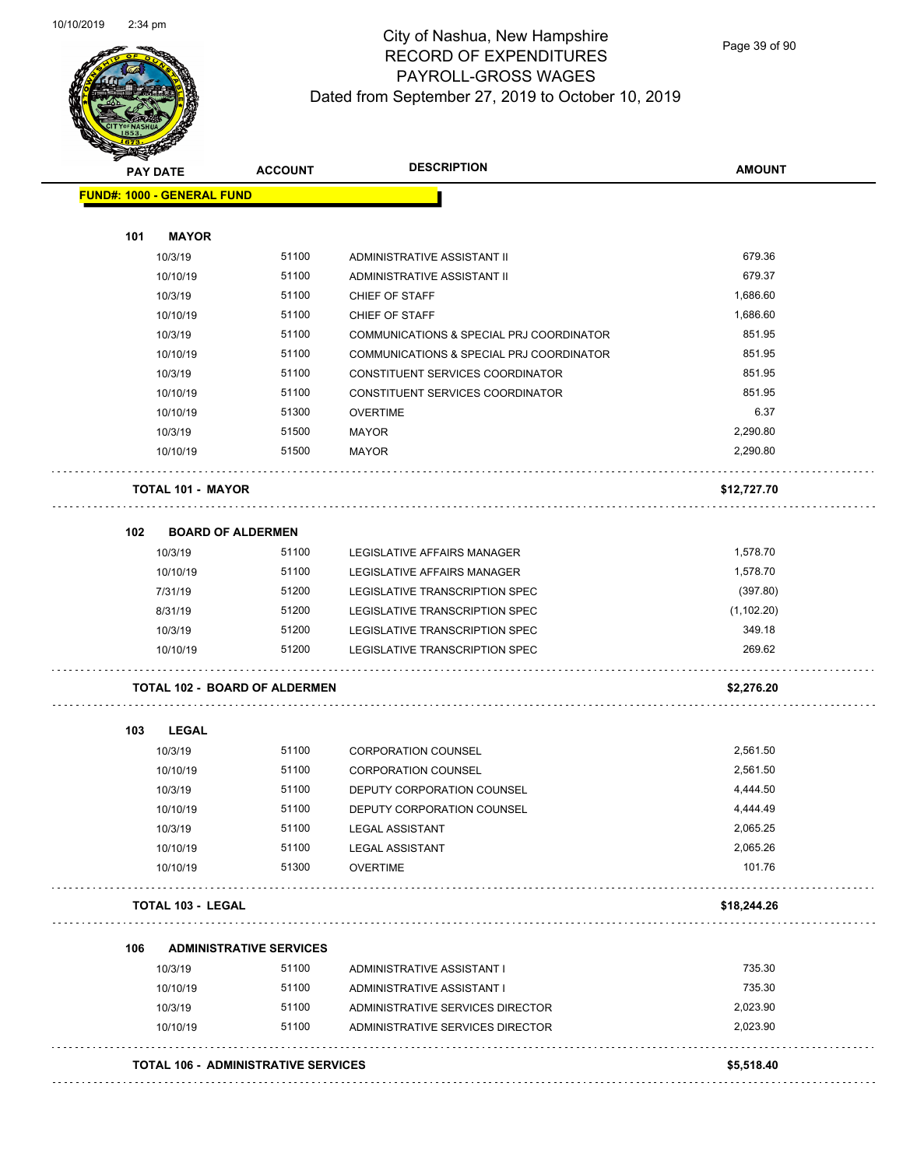

Page 39 of 90

|     | <b>PAY DATE</b>                      | <b>ACCOUNT</b>                             |                                          |             |
|-----|--------------------------------------|--------------------------------------------|------------------------------------------|-------------|
|     | <b>FUND#: 1000 - GENERAL FUND</b>    |                                            |                                          |             |
| 101 | <b>MAYOR</b>                         |                                            |                                          |             |
|     | 10/3/19                              | 51100                                      | ADMINISTRATIVE ASSISTANT II              | 679.36      |
|     | 10/10/19                             | 51100                                      | ADMINISTRATIVE ASSISTANT II              | 679.37      |
|     | 10/3/19                              | 51100                                      | CHIEF OF STAFF                           | 1,686.60    |
|     | 10/10/19                             | 51100                                      | <b>CHIEF OF STAFF</b>                    | 1,686.60    |
|     | 10/3/19                              | 51100                                      | COMMUNICATIONS & SPECIAL PRJ COORDINATOR | 851.95      |
|     | 10/10/19                             | 51100                                      | COMMUNICATIONS & SPECIAL PRJ COORDINATOR | 851.95      |
|     | 10/3/19                              | 51100                                      | CONSTITUENT SERVICES COORDINATOR         | 851.95      |
|     | 10/10/19                             | 51100                                      | CONSTITUENT SERVICES COORDINATOR         | 851.95      |
|     | 10/10/19                             | 51300                                      | <b>OVERTIME</b>                          | 6.37        |
|     | 10/3/19                              | 51500                                      | MAYOR                                    | 2,290.80    |
|     | 10/10/19                             | 51500                                      | <b>MAYOR</b>                             | 2,290.80    |
|     | <b>TOTAL 101 - MAYOR</b>             |                                            |                                          | \$12,727.70 |
| 102 | <b>BOARD OF ALDERMEN</b>             |                                            |                                          |             |
|     | 10/3/19                              | 51100                                      | <b>LEGISLATIVE AFFAIRS MANAGER</b>       | 1,578.70    |
|     | 10/10/19                             | 51100                                      | <b>LEGISLATIVE AFFAIRS MANAGER</b>       | 1,578.70    |
|     | 7/31/19                              | 51200                                      | LEGISLATIVE TRANSCRIPTION SPEC           | (397.80)    |
|     | 8/31/19                              | 51200                                      | LEGISLATIVE TRANSCRIPTION SPEC           | (1, 102.20) |
|     | 10/3/19                              | 51200                                      | LEGISLATIVE TRANSCRIPTION SPEC           | 349.18      |
|     | 10/10/19                             | 51200                                      | LEGISLATIVE TRANSCRIPTION SPEC           | 269.62      |
|     | <b>TOTAL 102 - BOARD OF ALDERMEN</b> |                                            |                                          | \$2,276.20  |
| 103 | <b>LEGAL</b>                         |                                            |                                          |             |
|     | 10/3/19                              | 51100                                      | CORPORATION COUNSEL                      | 2,561.50    |
|     | 10/10/19                             | 51100                                      | <b>CORPORATION COUNSEL</b>               | 2,561.50    |
|     | 10/3/19                              | 51100                                      | DEPUTY CORPORATION COUNSEL               | 4,444.50    |
|     | 10/10/19                             | 51100                                      | DEPUTY CORPORATION COUNSEL               | 4,444.49    |
|     | 10/3/19                              | 51100                                      | <b>LEGAL ASSISTANT</b>                   | 2,065.25    |
|     | 10/10/19                             | 51100                                      | <b>LEGAL ASSISTANT</b>                   | 2,065.26    |
|     | 10/10/19                             | 51300                                      | <b>OVERTIME</b>                          | 101.76      |
|     | <b>TOTAL 103 - LEGAL</b>             |                                            |                                          | \$18,244.26 |
| 106 | <b>ADMINISTRATIVE SERVICES</b>       |                                            |                                          |             |
|     | 10/3/19                              | 51100                                      | ADMINISTRATIVE ASSISTANT I               | 735.30      |
|     | 10/10/19                             | 51100                                      | ADMINISTRATIVE ASSISTANT I               | 735.30      |
|     | 10/3/19                              | 51100                                      | ADMINISTRATIVE SERVICES DIRECTOR         | 2,023.90    |
|     | 10/10/19                             | 51100                                      | ADMINISTRATIVE SERVICES DIRECTOR         | 2,023.90    |
|     |                                      | <b>TOTAL 106 - ADMINISTRATIVE SERVICES</b> |                                          | \$5,518.40  |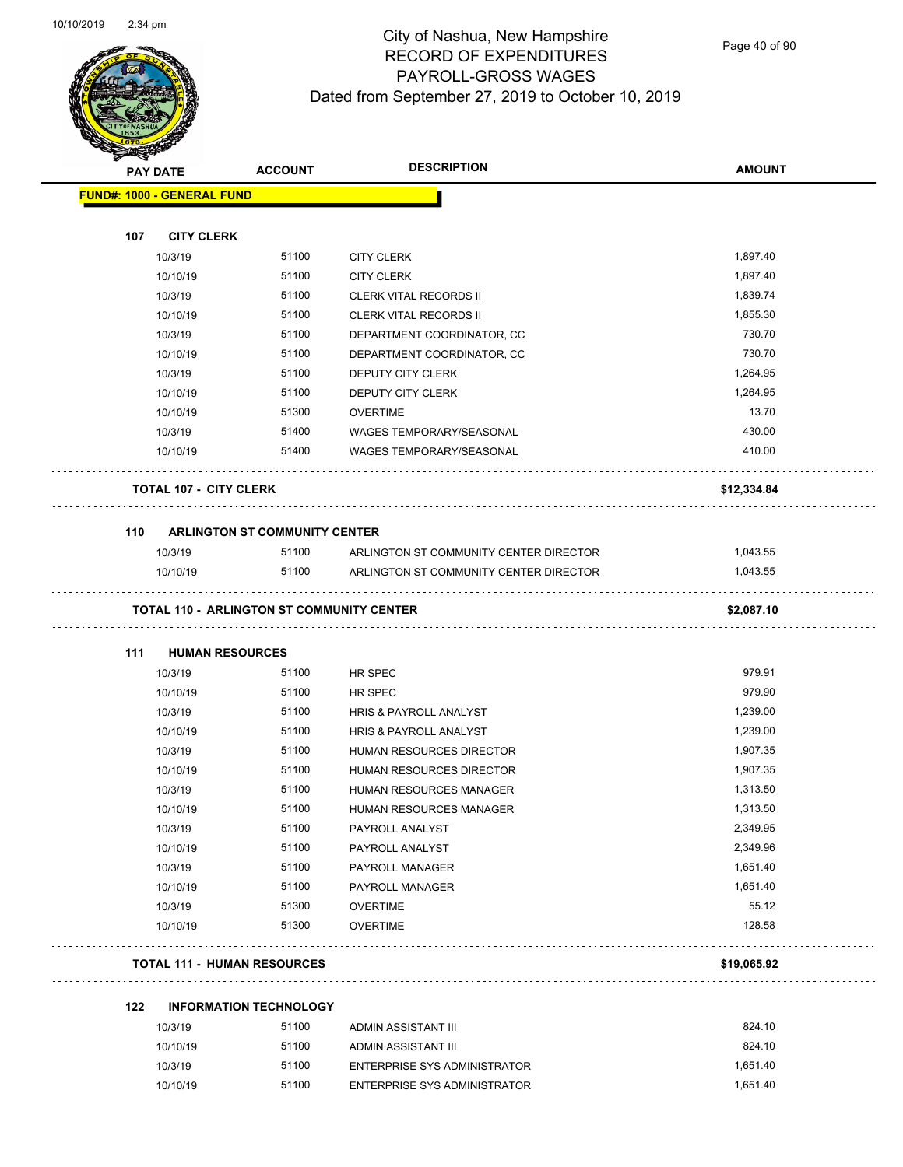

Page 40 of 90

|     | <b>PAY DATE</b>                                  | <b>ACCOUNT</b>                       | <b>DESCRIPTION</b>                     | <b>AMOUNT</b> |
|-----|--------------------------------------------------|--------------------------------------|----------------------------------------|---------------|
|     | <b>FUND#: 1000 - GENERAL FUND</b>                |                                      |                                        |               |
|     |                                                  |                                      |                                        |               |
| 107 | <b>CITY CLERK</b>                                |                                      |                                        |               |
|     | 10/3/19                                          | 51100                                | <b>CITY CLERK</b>                      | 1,897.40      |
|     | 10/10/19                                         | 51100                                | <b>CITY CLERK</b>                      | 1,897.40      |
|     | 10/3/19                                          | 51100                                | <b>CLERK VITAL RECORDS II</b>          | 1,839.74      |
|     | 10/10/19                                         | 51100                                | <b>CLERK VITAL RECORDS II</b>          | 1,855.30      |
|     | 10/3/19                                          | 51100                                | DEPARTMENT COORDINATOR, CC             | 730.70        |
|     | 10/10/19                                         | 51100                                | DEPARTMENT COORDINATOR, CC             | 730.70        |
|     | 10/3/19                                          | 51100                                | DEPUTY CITY CLERK                      | 1,264.95      |
|     | 10/10/19                                         | 51100                                | DEPUTY CITY CLERK                      | 1,264.95      |
|     | 10/10/19                                         | 51300                                | <b>OVERTIME</b>                        | 13.70         |
|     | 10/3/19                                          | 51400                                | WAGES TEMPORARY/SEASONAL               | 430.00        |
|     | 10/10/19                                         | 51400                                | <b>WAGES TEMPORARY/SEASONAL</b>        | 410.00        |
|     | <b>TOTAL 107 - CITY CLERK</b>                    |                                      |                                        | \$12,334.84   |
| 110 |                                                  | <b>ARLINGTON ST COMMUNITY CENTER</b> |                                        |               |
|     | 10/3/19                                          | 51100                                | ARLINGTON ST COMMUNITY CENTER DIRECTOR | 1,043.55      |
|     | 10/10/19                                         | 51100                                | ARLINGTON ST COMMUNITY CENTER DIRECTOR | 1,043.55      |
|     | <b>TOTAL 110 - ARLINGTON ST COMMUNITY CENTER</b> |                                      |                                        | \$2,087.10    |
|     |                                                  |                                      |                                        |               |
| 111 | <b>HUMAN RESOURCES</b>                           |                                      |                                        |               |
|     | 10/3/19                                          | 51100                                | HR SPEC                                | 979.91        |
|     | 10/10/19                                         | 51100                                | HR SPEC                                | 979.90        |
|     | 10/3/19                                          | 51100                                | HRIS & PAYROLL ANALYST                 | 1,239.00      |
|     | 10/10/19                                         | 51100                                | HRIS & PAYROLL ANALYST                 | 1,239.00      |
|     | 10/3/19                                          | 51100                                | HUMAN RESOURCES DIRECTOR               | 1,907.35      |
|     | 10/10/19                                         | 51100                                | HUMAN RESOURCES DIRECTOR               | 1,907.35      |
|     | 10/3/19                                          | 51100                                | <b>HUMAN RESOURCES MANAGER</b>         | 1,313.50      |
|     | 10/10/19                                         | 51100                                | HUMAN RESOURCES MANAGER                | 1,313.50      |
|     | 10/3/19                                          | 51100                                | PAYROLL ANALYST                        | 2,349.95      |
|     | 10/10/19                                         | 51100                                | PAYROLL ANALYST                        | 2,349.96      |
|     | 10/3/19                                          | 51100                                | PAYROLL MANAGER                        | 1,651.40      |
|     | 10/10/19                                         | 51100                                | PAYROLL MANAGER                        | 1,651.40      |
|     | 10/3/19                                          | 51300                                | <b>OVERTIME</b>                        | 55.12         |
|     | 10/10/19                                         | 51300                                | <b>OVERTIME</b>                        | 128.58        |
|     | <b>TOTAL 111 - HUMAN RESOURCES</b>               |                                      |                                        | \$19,065.92   |
| 122 |                                                  | <b>INFORMATION TECHNOLOGY</b>        |                                        |               |
|     | 10/3/19                                          | 51100                                | ADMIN ASSISTANT III                    | 824.10        |
|     | 10/10/19                                         | 51100                                | ADMIN ASSISTANT III                    | 824.10        |
|     | 10/3/19                                          | 51100                                | ENTERPRISE SYS ADMINISTRATOR           | 1,651.40      |
|     | 10/10/19                                         | 51100                                | ENTERPRISE SYS ADMINISTRATOR           | 1,651.40      |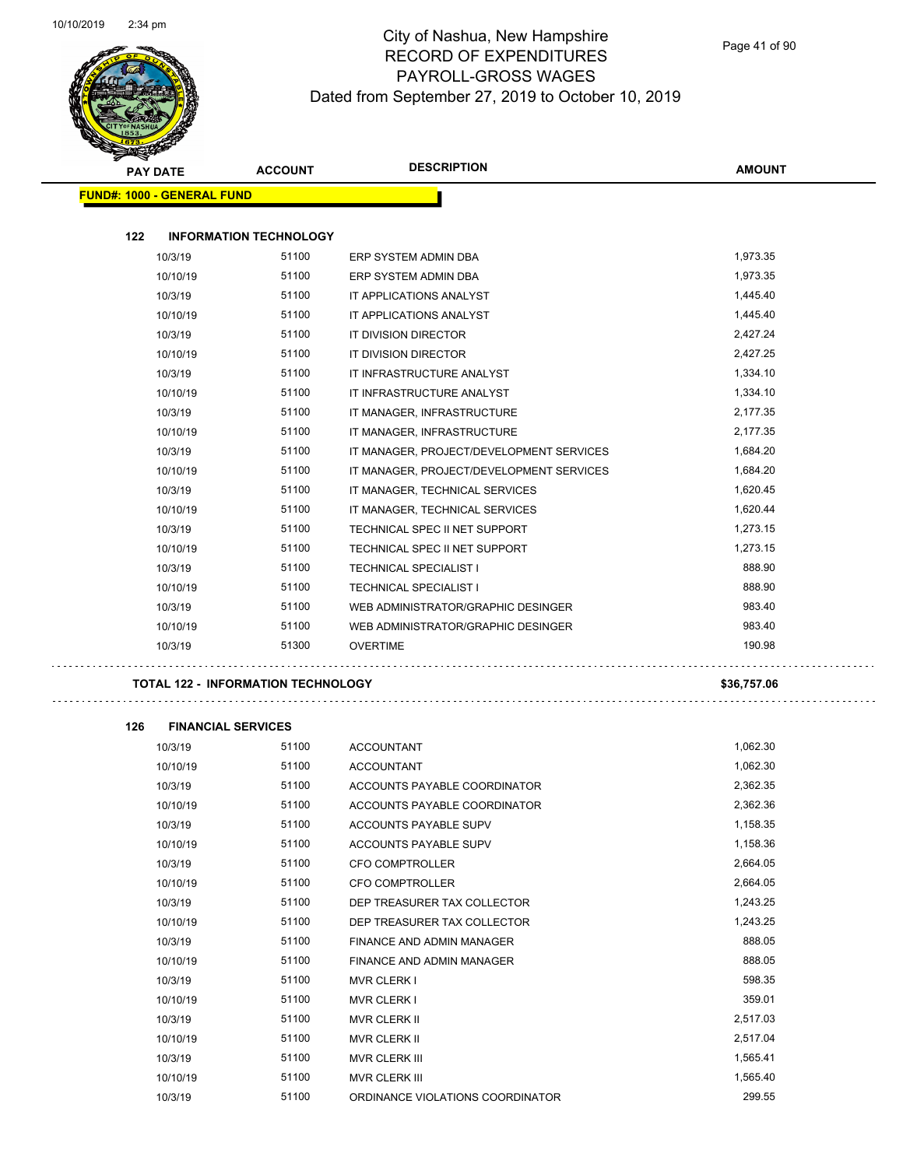$\ddot{\phantom{1}}$  .

 $\sim$ 



# City of Nashua, New Hampshire RECORD OF EXPENDITURES PAYROLL-GROSS WAGES Dated from September 27, 2019 to October 10, 2019

|     | <b>PAY DATE</b>                   | <b>ACCOUNT</b>                            | <b>DESCRIPTION</b>                       | <b>AMOUNT</b> |
|-----|-----------------------------------|-------------------------------------------|------------------------------------------|---------------|
|     | <b>FUND#: 1000 - GENERAL FUND</b> |                                           |                                          |               |
|     |                                   |                                           |                                          |               |
| 122 |                                   | <b>INFORMATION TECHNOLOGY</b>             |                                          |               |
|     | 10/3/19                           | 51100                                     | ERP SYSTEM ADMIN DBA                     | 1,973.35      |
|     | 10/10/19                          | 51100                                     | ERP SYSTEM ADMIN DBA                     | 1,973.35      |
|     | 10/3/19                           | 51100                                     | IT APPLICATIONS ANALYST                  | 1,445.40      |
|     | 10/10/19                          | 51100                                     | IT APPLICATIONS ANALYST                  | 1,445.40      |
|     | 10/3/19                           | 51100                                     | IT DIVISION DIRECTOR                     | 2,427.24      |
|     | 10/10/19                          | 51100                                     | IT DIVISION DIRECTOR                     | 2,427.25      |
|     | 10/3/19                           | 51100                                     | IT INFRASTRUCTURE ANALYST                | 1,334.10      |
|     | 10/10/19                          | 51100                                     | IT INFRASTRUCTURE ANALYST                | 1,334.10      |
|     | 10/3/19                           | 51100                                     | IT MANAGER, INFRASTRUCTURE               | 2,177.35      |
|     | 10/10/19                          | 51100                                     | IT MANAGER, INFRASTRUCTURE               | 2,177.35      |
|     | 10/3/19                           | 51100                                     | IT MANAGER, PROJECT/DEVELOPMENT SERVICES | 1,684.20      |
|     | 10/10/19                          | 51100                                     | IT MANAGER, PROJECT/DEVELOPMENT SERVICES | 1,684.20      |
|     | 10/3/19                           | 51100                                     | IT MANAGER, TECHNICAL SERVICES           | 1,620.45      |
|     | 10/10/19                          | 51100                                     | IT MANAGER, TECHNICAL SERVICES           | 1,620.44      |
|     | 10/3/19                           | 51100                                     | TECHNICAL SPEC II NET SUPPORT            | 1,273.15      |
|     | 10/10/19                          | 51100                                     | TECHNICAL SPEC II NET SUPPORT            | 1,273.15      |
|     | 10/3/19                           | 51100                                     | TECHNICAL SPECIALIST I                   | 888.90        |
|     | 10/10/19                          | 51100                                     | TECHNICAL SPECIALIST I                   | 888.90        |
|     | 10/3/19                           | 51100                                     | WEB ADMINISTRATOR/GRAPHIC DESINGER       | 983.40        |
|     | 10/10/19                          | 51100                                     | WEB ADMINISTRATOR/GRAPHIC DESINGER       | 983.40        |
|     | 10/3/19                           | 51300                                     | <b>OVERTIME</b>                          | 190.98        |
|     |                                   | <b>TOTAL 122 - INFORMATION TECHNOLOGY</b> |                                          | \$36,757.06   |
| 126 | <b>FINANCIAL SERVICES</b>         |                                           |                                          |               |
|     | 10/3/19                           | 51100                                     | <b>ACCOUNTANT</b>                        | 1,062.30      |
|     | 10/10/19                          | 51100                                     | <b>ACCOUNTANT</b>                        | 1,062.30      |
|     | 10/3/19                           | 51100                                     | ACCOUNTS PAYABLE COORDINATOR             | 2,362.35      |
|     | 10/10/19                          | 51100                                     | ACCOUNTS PAYABLE COORDINATOR             | 2,362.36      |
|     | 10/3/19                           | 51100                                     | ACCOUNTS PAYABLE SUPV                    | 1,158.35      |
|     | 10/10/19                          | 51100                                     | ACCOUNTS PAYABLE SUPV                    | 1,158.36      |
|     | 10/3/19                           | 51100                                     | <b>CFO COMPTROLLER</b>                   | 2,664.05      |
|     | 10/10/19                          | 51100                                     | <b>CFO COMPTROLLER</b>                   | 2,664.05      |

10/3/19 51100 DEP TREASURER TAX COLLECTOR 1,243.25 10/10/19 51100 DEP TREASURER TAX COLLECTOR 1,243.25 10/3/19 51100 FINANCE AND ADMIN MANAGER 888.05 10/10/19 51100 FINANCE AND ADMIN MANAGER 888.05 10/3/19 598.35 598.35 598.35 10/10/19 51100 MVR CLERK I 359.01 10/3/19 51100 MVR CLERK II 2,517.03 10/10/19 51100 MVR CLERK II 2,517.04 10/3/19 51100 MVR CLERK III 1,565.41 10/10/19 51100 MVR CLERK III 1,565.40 10/3/19 51100 ORDINANCE VIOLATIONS COORDINATOR 299.55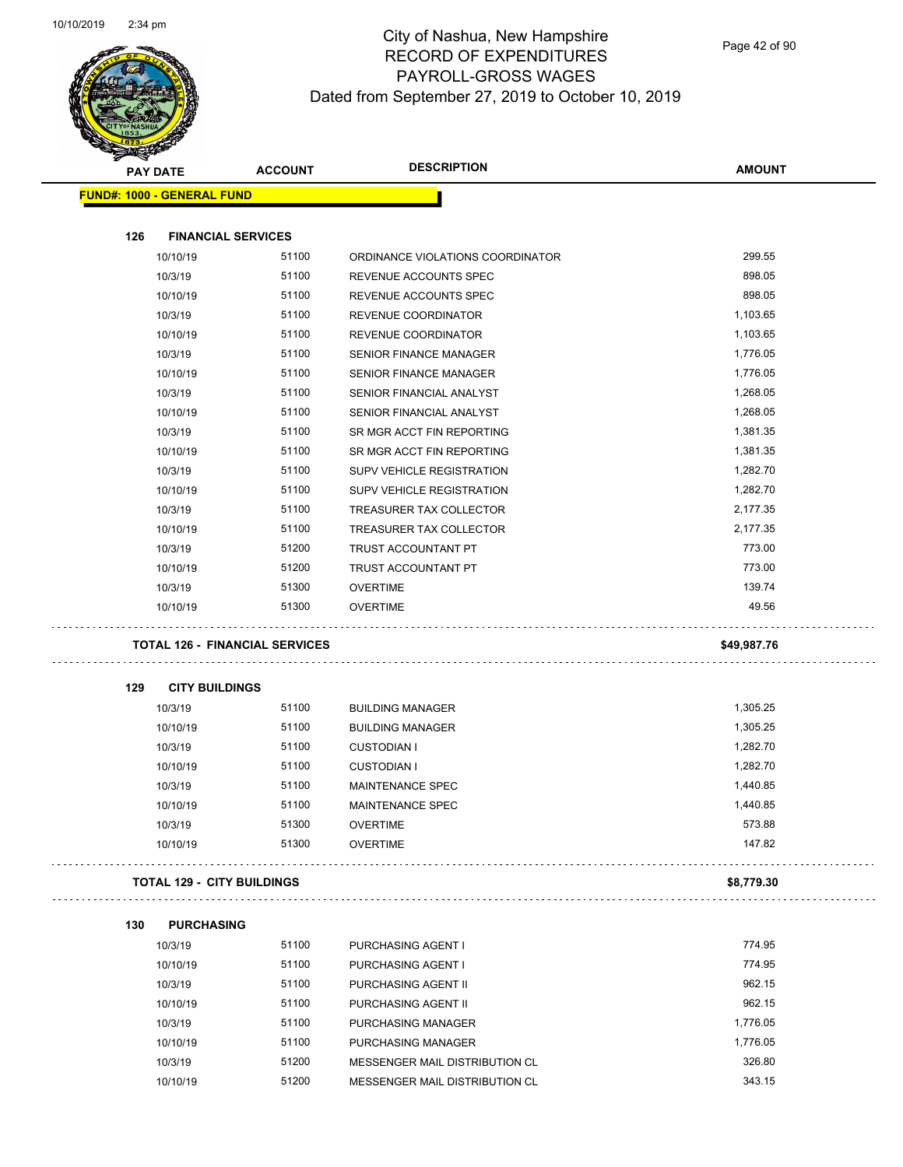$\overline{\phantom{0}}$ 



# City of Nashua, New Hampshire RECORD OF EXPENDITURES PAYROLL-GROSS WAGES Dated from September 27, 2019 to October 10, 2019

Page 42 of 90

| ææ.<br><b>PAY DATE</b>            | <b>ACCOUNT</b>                        | <b>DESCRIPTION</b>               | <b>AMOUNT</b> |
|-----------------------------------|---------------------------------------|----------------------------------|---------------|
| <b>FUND#: 1000 - GENERAL FUND</b> |                                       |                                  |               |
|                                   |                                       |                                  |               |
| 126                               | <b>FINANCIAL SERVICES</b>             |                                  |               |
| 10/10/19                          | 51100                                 | ORDINANCE VIOLATIONS COORDINATOR | 299.55        |
| 10/3/19                           | 51100                                 | REVENUE ACCOUNTS SPEC            | 898.05        |
| 10/10/19                          | 51100                                 | REVENUE ACCOUNTS SPEC            | 898.05        |
| 10/3/19                           | 51100                                 | REVENUE COORDINATOR              | 1,103.65      |
| 10/10/19                          | 51100                                 | <b>REVENUE COORDINATOR</b>       | 1,103.65      |
| 10/3/19                           | 51100                                 | <b>SENIOR FINANCE MANAGER</b>    | 1,776.05      |
| 10/10/19                          | 51100                                 | <b>SENIOR FINANCE MANAGER</b>    | 1,776.05      |
| 10/3/19                           | 51100                                 | SENIOR FINANCIAL ANALYST         | 1,268.05      |
| 10/10/19                          | 51100                                 | SENIOR FINANCIAL ANALYST         | 1,268.05      |
| 10/3/19                           | 51100                                 | SR MGR ACCT FIN REPORTING        | 1,381.35      |
| 10/10/19                          | 51100                                 | SR MGR ACCT FIN REPORTING        | 1,381.35      |
| 10/3/19                           | 51100                                 | SUPV VEHICLE REGISTRATION        | 1,282.70      |
| 10/10/19                          | 51100                                 | SUPV VEHICLE REGISTRATION        | 1,282.70      |
| 10/3/19                           | 51100                                 | TREASURER TAX COLLECTOR          | 2,177.35      |
| 10/10/19                          | 51100                                 | TREASURER TAX COLLECTOR          | 2,177.35      |
| 10/3/19                           | 51200                                 | TRUST ACCOUNTANT PT              | 773.00        |
| 10/10/19                          | 51200                                 | TRUST ACCOUNTANT PT              | 773.00        |
| 10/3/19                           | 51300                                 | <b>OVERTIME</b>                  | 139.74        |
| 10/10/19                          | 51300                                 | <b>OVERTIME</b>                  | 49.56         |
|                                   | <b>TOTAL 126 - FINANCIAL SERVICES</b> |                                  | \$49,987.76   |
| <b>CITY BUILDINGS</b><br>129      |                                       |                                  |               |
| 10/3/19                           | 51100                                 | <b>BUILDING MANAGER</b>          | 1,305.25      |
| 10/10/19                          | 51100                                 | <b>BUILDING MANAGER</b>          | 1,305.25      |
| 10/3/19                           | 51100                                 | <b>CUSTODIAN I</b>               | 1,282.70      |
| 10/10/19                          | 51100                                 | <b>CUSTODIAN I</b>               | 1,282.70      |
| 10/3/19                           | 51100                                 | <b>MAINTENANCE SPEC</b>          | 1,440.85      |
| 10/10/19                          | 51100                                 | <b>MAINTENANCE SPEC</b>          | 1,440.85      |
| 10/3/19                           | 51300                                 | <b>OVERTIME</b>                  | 573.88        |
| 10/10/19                          | 51300                                 | <b>OVERTIME</b>                  | 147.82        |
| TOTAL 129 - CITY BUILDINGS        |                                       |                                  | \$8,779.30    |
|                                   |                                       |                                  |               |
| 130<br><b>PURCHASING</b>          |                                       |                                  |               |
| 10/3/19                           | 51100                                 | PURCHASING AGENT I               | 774.95        |
| 10/10/19                          | 51100                                 | PURCHASING AGENT I               | 774.95        |
| 10/3/19                           | 51100                                 | PURCHASING AGENT II              | 962.15        |
| 10/10/19                          | 51100                                 | PURCHASING AGENT II              | 962.15        |
| 10/3/19                           | 51100                                 | PURCHASING MANAGER               | 1,776.05      |
| 10/10/19                          | 51100                                 | PURCHASING MANAGER               | 1,776.05      |
| 10/3/19                           | 51200                                 | MESSENGER MAIL DISTRIBUTION CL   | 326.80        |
| 10/10/19                          | 51200                                 | MESSENGER MAIL DISTRIBUTION CL   | 343.15        |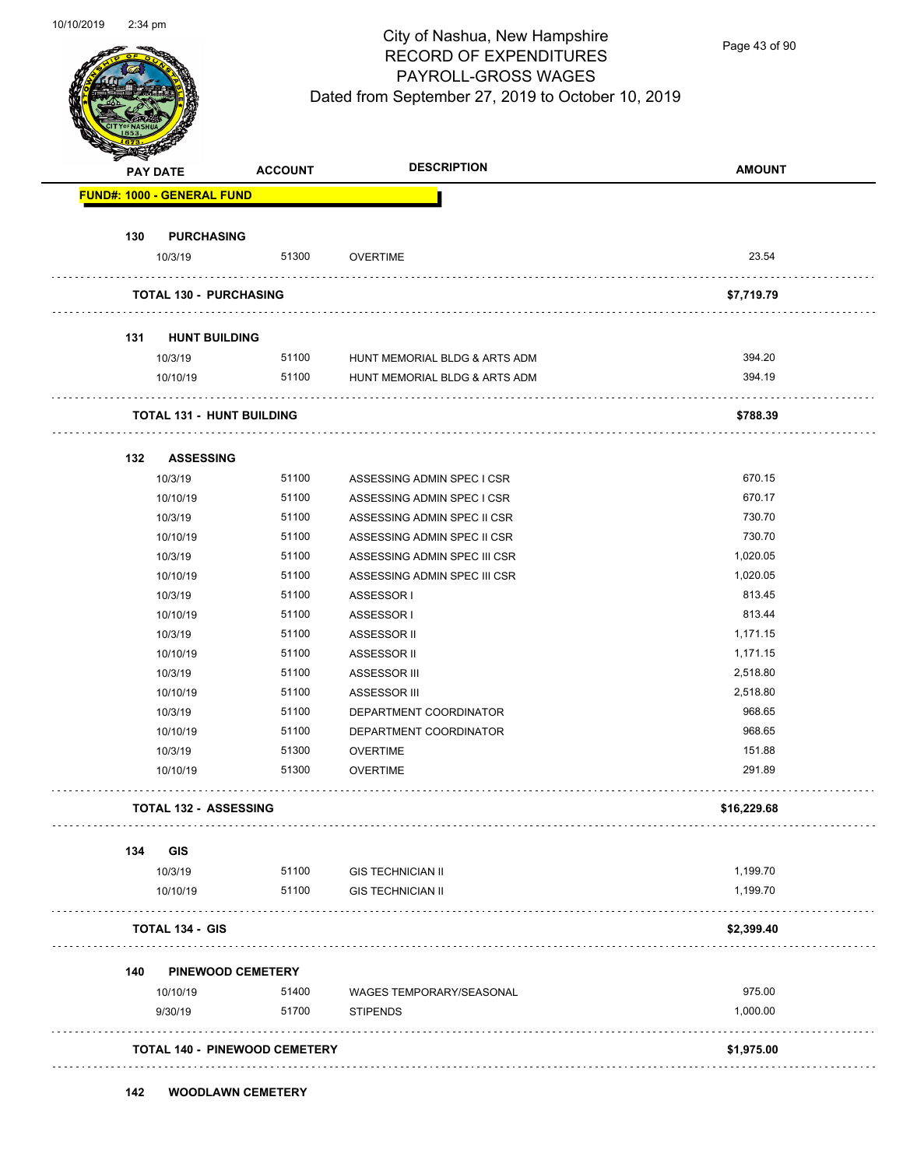

Page 43 of 90

| <b>PAY DATE</b> |                                      | <b>ACCOUNT</b> |                               | <b>AMOUNT</b>      |
|-----------------|--------------------------------------|----------------|-------------------------------|--------------------|
|                 | <b>FUND#: 1000 - GENERAL FUND</b>    |                |                               |                    |
| 130             | <b>PURCHASING</b>                    |                |                               |                    |
|                 | 10/3/19                              | 51300          | <b>OVERTIME</b>               | 23.54              |
|                 | <b>TOTAL 130 - PURCHASING</b>        |                |                               | \$7,719.79         |
| 131             | <b>HUNT BUILDING</b>                 |                |                               |                    |
|                 | 10/3/19                              | 51100          | HUNT MEMORIAL BLDG & ARTS ADM | 394.20             |
|                 | 10/10/19                             | 51100          | HUNT MEMORIAL BLDG & ARTS ADM | 394.19             |
|                 | <b>TOTAL 131 - HUNT BUILDING</b>     |                |                               | \$788.39           |
|                 |                                      |                |                               |                    |
| 132             | <b>ASSESSING</b>                     |                |                               |                    |
|                 | 10/3/19                              | 51100          | ASSESSING ADMIN SPEC I CSR    | 670.15             |
|                 | 10/10/19                             | 51100          | ASSESSING ADMIN SPEC I CSR    | 670.17             |
|                 | 10/3/19                              | 51100          | ASSESSING ADMIN SPEC II CSR   | 730.70             |
|                 | 10/10/19                             | 51100          | ASSESSING ADMIN SPEC II CSR   | 730.70             |
|                 | 10/3/19                              | 51100          | ASSESSING ADMIN SPEC III CSR  | 1,020.05           |
|                 | 10/10/19                             | 51100          | ASSESSING ADMIN SPEC III CSR  | 1,020.05           |
|                 | 10/3/19                              | 51100          | ASSESSOR I                    | 813.45             |
|                 | 10/10/19                             | 51100<br>51100 | ASSESSOR I                    | 813.44<br>1,171.15 |
|                 | 10/3/19<br>10/10/19                  | 51100          | ASSESSOR II                   | 1,171.15           |
|                 | 10/3/19                              | 51100          | ASSESSOR II<br>ASSESSOR III   | 2,518.80           |
|                 | 10/10/19                             | 51100          | ASSESSOR III                  | 2,518.80           |
|                 | 10/3/19                              | 51100          | DEPARTMENT COORDINATOR        | 968.65             |
|                 | 10/10/19                             | 51100          | DEPARTMENT COORDINATOR        | 968.65             |
|                 | 10/3/19                              | 51300          | <b>OVERTIME</b>               | 151.88             |
|                 | 10/10/19                             | 51300          | <b>OVERTIME</b>               | 291.89             |
|                 | <b>TOTAL 132 - ASSESSING</b>         |                |                               | \$16,229.68        |
| 134             | <b>GIS</b>                           |                |                               |                    |
|                 | 10/3/19                              | 51100          | <b>GIS TECHNICIAN II</b>      | 1,199.70           |
|                 | 10/10/19                             | 51100          | <b>GIS TECHNICIAN II</b>      | 1,199.70           |
|                 | <b>TOTAL 134 - GIS</b>               |                |                               | \$2,399.40         |
| 140             | <b>PINEWOOD CEMETERY</b>             |                |                               |                    |
|                 | 10/10/19                             | 51400          | WAGES TEMPORARY/SEASONAL      | 975.00             |
|                 | 9/30/19                              | 51700          | <b>STIPENDS</b>               | 1,000.00           |
|                 | <b>TOTAL 140 - PINEWOOD CEMETERY</b> |                |                               | \$1,975.00         |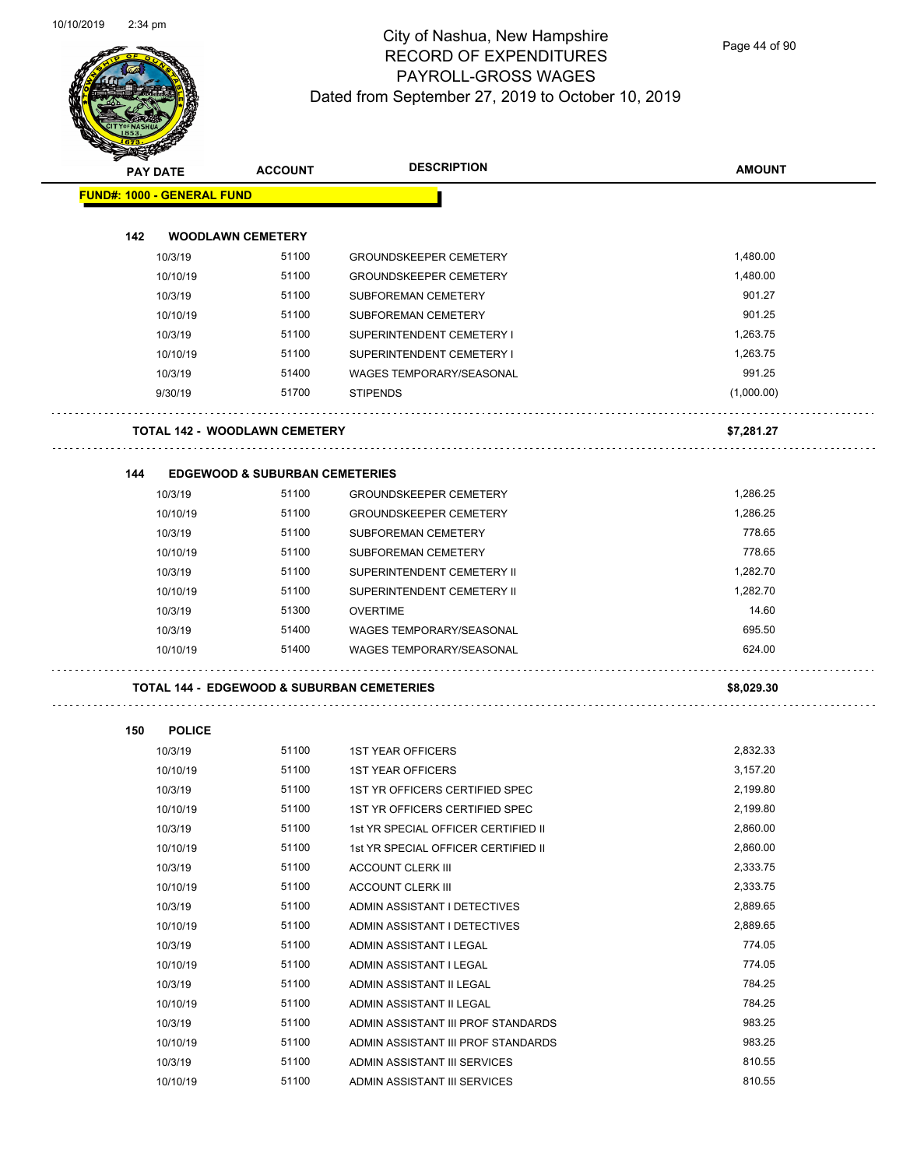and the contract of the contract of the contract of the contract of the contract of the contract of the contract of the contract of the contract of the contract of the contract of the contract of the contract of the contra



# City of Nashua, New Hampshire RECORD OF EXPENDITURES PAYROLL-GROSS WAGES Dated from September 27, 2019 to October 10, 2019

Page 44 of 90

| <b>PAY DATE</b>                   | <b>ACCOUNT</b>                                        | <b>DESCRIPTION</b>                  | <b>AMOUNT</b> |
|-----------------------------------|-------------------------------------------------------|-------------------------------------|---------------|
| <b>FUND#: 1000 - GENERAL FUND</b> |                                                       |                                     |               |
| 142                               | <b>WOODLAWN CEMETERY</b>                              |                                     |               |
| 10/3/19                           | 51100                                                 | <b>GROUNDSKEEPER CEMETERY</b>       | 1,480.00      |
| 10/10/19                          | 51100                                                 | <b>GROUNDSKEEPER CEMETERY</b>       | 1,480.00      |
| 10/3/19                           | 51100                                                 | SUBFOREMAN CEMETERY                 | 901.27        |
| 10/10/19                          | 51100                                                 | SUBFOREMAN CEMETERY                 | 901.25        |
| 10/3/19                           | 51100                                                 | SUPERINTENDENT CEMETERY I           | 1,263.75      |
| 10/10/19                          | 51100                                                 | SUPERINTENDENT CEMETERY I           | 1,263.75      |
| 10/3/19                           | 51400                                                 | <b>WAGES TEMPORARY/SEASONAL</b>     | 991.25        |
| 9/30/19                           | 51700                                                 | <b>STIPENDS</b>                     | (1,000.00)    |
|                                   | <b>TOTAL 142 - WOODLAWN CEMETERY</b>                  |                                     | \$7,281.27    |
|                                   |                                                       |                                     |               |
| 144                               | <b>EDGEWOOD &amp; SUBURBAN CEMETERIES</b>             |                                     |               |
| 10/3/19                           | 51100                                                 | <b>GROUNDSKEEPER CEMETERY</b>       | 1,286.25      |
| 10/10/19                          | 51100                                                 | <b>GROUNDSKEEPER CEMETERY</b>       | 1,286.25      |
| 10/3/19                           | 51100                                                 | SUBFOREMAN CEMETERY                 | 778.65        |
| 10/10/19                          | 51100                                                 | SUBFOREMAN CEMETERY                 | 778.65        |
| 10/3/19                           | 51100                                                 | SUPERINTENDENT CEMETERY II          | 1,282.70      |
| 10/10/19                          | 51100                                                 | SUPERINTENDENT CEMETERY II          | 1,282.70      |
| 10/3/19                           | 51300                                                 | <b>OVERTIME</b>                     | 14.60         |
| 10/3/19                           | 51400                                                 | <b>WAGES TEMPORARY/SEASONAL</b>     | 695.50        |
| 10/10/19                          | 51400                                                 | <b>WAGES TEMPORARY/SEASONAL</b>     | 624.00        |
|                                   | <b>TOTAL 144 - EDGEWOOD &amp; SUBURBAN CEMETERIES</b> |                                     | \$8,029.30    |
| 150<br><b>POLICE</b>              |                                                       |                                     |               |
| 10/3/19                           | 51100                                                 | <b>1ST YEAR OFFICERS</b>            | 2,832.33      |
| 10/10/19                          | 51100                                                 | <b>1ST YEAR OFFICERS</b>            | 3,157.20      |
| 10/3/19                           | 51100                                                 | 1ST YR OFFICERS CERTIFIED SPEC      | 2,199.80      |
| 10/10/19                          | 51100                                                 | 1ST YR OFFICERS CERTIFIED SPEC      | 2,199.80      |
| 10/3/19                           | 51100                                                 | 1st YR SPECIAL OFFICER CERTIFIED II | 2,860.00      |
| 10/10/19                          | 51100                                                 | 1st YR SPECIAL OFFICER CERTIFIED II | 2,860.00      |
| 10/3/19                           | 51100                                                 | <b>ACCOUNT CLERK III</b>            | 2,333.75      |
| 10/10/19                          | 51100                                                 | <b>ACCOUNT CLERK III</b>            | 2,333.75      |
| 10/3/19                           | 51100                                                 | ADMIN ASSISTANT I DETECTIVES        | 2,889.65      |
| 10/10/19                          | 51100                                                 | ADMIN ASSISTANT I DETECTIVES        | 2,889.65      |
| 10/3/19                           | 51100                                                 | ADMIN ASSISTANT I LEGAL             | 774.05        |
| 10/10/19                          | 51100                                                 | ADMIN ASSISTANT I LEGAL             | 774.05        |
| 10/3/19                           | 51100                                                 | ADMIN ASSISTANT II LEGAL            | 784.25        |
| 10/10/19                          | 51100                                                 | ADMIN ASSISTANT II LEGAL            | 784.25        |
| 10/3/19                           | 51100                                                 | ADMIN ASSISTANT III PROF STANDARDS  | 983.25        |
| 10/10/19                          | 51100                                                 | ADMIN ASSISTANT III PROF STANDARDS  | 983.25        |

10/3/19 51100 ADMIN ASSISTANT III SERVICES 810.55 10/10/19 51100 ADMIN ASSISTANT III SERVICES 810.55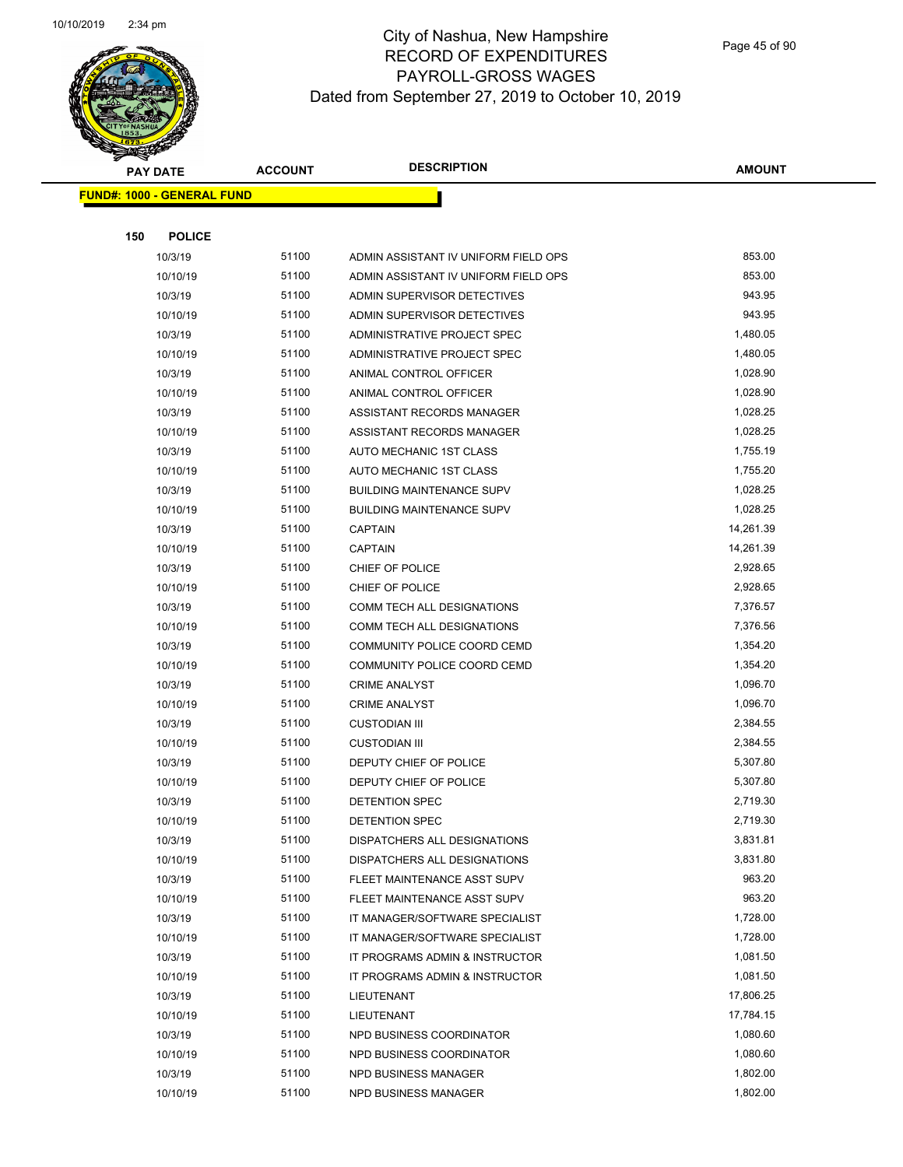

Page 45 of 90

|     | <b>PAY DATE</b>                   | <b>ACCOUNT</b> | <b>DESCRIPTION</b>                   | <b>AMOUNT</b> |
|-----|-----------------------------------|----------------|--------------------------------------|---------------|
|     | <b>FUND#: 1000 - GENERAL FUND</b> |                |                                      |               |
|     |                                   |                |                                      |               |
| 150 | <b>POLICE</b>                     |                |                                      |               |
|     | 10/3/19                           | 51100          | ADMIN ASSISTANT IV UNIFORM FIELD OPS | 853.00        |
|     | 10/10/19                          | 51100          | ADMIN ASSISTANT IV UNIFORM FIELD OPS | 853.00        |
|     | 10/3/19                           | 51100          | ADMIN SUPERVISOR DETECTIVES          | 943.95        |
|     | 10/10/19                          | 51100          | ADMIN SUPERVISOR DETECTIVES          | 943.95        |
|     | 10/3/19                           | 51100          | <b>ADMINISTRATIVE PROJECT SPEC</b>   | 1,480.05      |
|     | 10/10/19                          | 51100          | ADMINISTRATIVE PROJECT SPEC          | 1,480.05      |
|     | 10/3/19                           | 51100          | ANIMAL CONTROL OFFICER               | 1,028.90      |
|     | 10/10/19                          | 51100          | ANIMAL CONTROL OFFICER               | 1,028.90      |
|     | 10/3/19                           | 51100          | ASSISTANT RECORDS MANAGER            | 1,028.25      |
|     | 10/10/19                          | 51100          | ASSISTANT RECORDS MANAGER            | 1,028.25      |
|     | 10/3/19                           | 51100          | AUTO MECHANIC 1ST CLASS              | 1,755.19      |
|     | 10/10/19                          | 51100          | AUTO MECHANIC 1ST CLASS              | 1,755.20      |
|     | 10/3/19                           | 51100          | <b>BUILDING MAINTENANCE SUPV</b>     | 1,028.25      |
|     | 10/10/19                          | 51100          | <b>BUILDING MAINTENANCE SUPV</b>     | 1,028.25      |
|     | 10/3/19                           | 51100          | <b>CAPTAIN</b>                       | 14,261.39     |
|     | 10/10/19                          | 51100          | <b>CAPTAIN</b>                       | 14,261.39     |
|     | 10/3/19                           | 51100          | CHIEF OF POLICE                      | 2,928.65      |
|     | 10/10/19                          | 51100          | CHIEF OF POLICE                      | 2,928.65      |
|     | 10/3/19                           | 51100          | COMM TECH ALL DESIGNATIONS           | 7,376.57      |
|     | 10/10/19                          | 51100          | COMM TECH ALL DESIGNATIONS           | 7,376.56      |
|     | 10/3/19                           | 51100          | COMMUNITY POLICE COORD CEMD          | 1,354.20      |
|     | 10/10/19                          | 51100          | COMMUNITY POLICE COORD CEMD          | 1,354.20      |
|     | 10/3/19                           | 51100          | <b>CRIME ANALYST</b>                 | 1,096.70      |
|     | 10/10/19                          | 51100          | <b>CRIME ANALYST</b>                 | 1,096.70      |
|     | 10/3/19                           | 51100          | <b>CUSTODIAN III</b>                 | 2,384.55      |
|     | 10/10/19                          | 51100          | <b>CUSTODIAN III</b>                 | 2,384.55      |
|     | 10/3/19                           | 51100          | DEPUTY CHIEF OF POLICE               | 5,307.80      |
|     | 10/10/19                          | 51100          | DEPUTY CHIEF OF POLICE               | 5,307.80      |
|     | 10/3/19                           | 51100          | DETENTION SPEC                       | 2,719.30      |
|     | 10/10/19                          | 51100          | DETENTION SPEC                       | 2.719.30      |
|     | 10/3/19                           | 51100          | DISPATCHERS ALL DESIGNATIONS         | 3,831.81      |
|     | 10/10/19                          | 51100          | DISPATCHERS ALL DESIGNATIONS         | 3,831.80      |
|     | 10/3/19                           | 51100          | FLEET MAINTENANCE ASST SUPV          | 963.20        |
|     | 10/10/19                          | 51100          | FLEET MAINTENANCE ASST SUPV          | 963.20        |
|     | 10/3/19                           | 51100          | IT MANAGER/SOFTWARE SPECIALIST       | 1,728.00      |
|     | 10/10/19                          | 51100          | IT MANAGER/SOFTWARE SPECIALIST       | 1,728.00      |
|     | 10/3/19                           | 51100          | IT PROGRAMS ADMIN & INSTRUCTOR       | 1,081.50      |
|     | 10/10/19                          | 51100          | IT PROGRAMS ADMIN & INSTRUCTOR       | 1,081.50      |
|     | 10/3/19                           | 51100          | LIEUTENANT                           | 17,806.25     |
|     | 10/10/19                          | 51100          | LIEUTENANT                           | 17,784.15     |
|     | 10/3/19                           | 51100          | NPD BUSINESS COORDINATOR             | 1,080.60      |
|     | 10/10/19                          | 51100          | NPD BUSINESS COORDINATOR             | 1,080.60      |
|     | 10/3/19                           | 51100          | <b>NPD BUSINESS MANAGER</b>          | 1,802.00      |
|     | 10/10/19                          | 51100          | NPD BUSINESS MANAGER                 | 1,802.00      |
|     |                                   |                |                                      |               |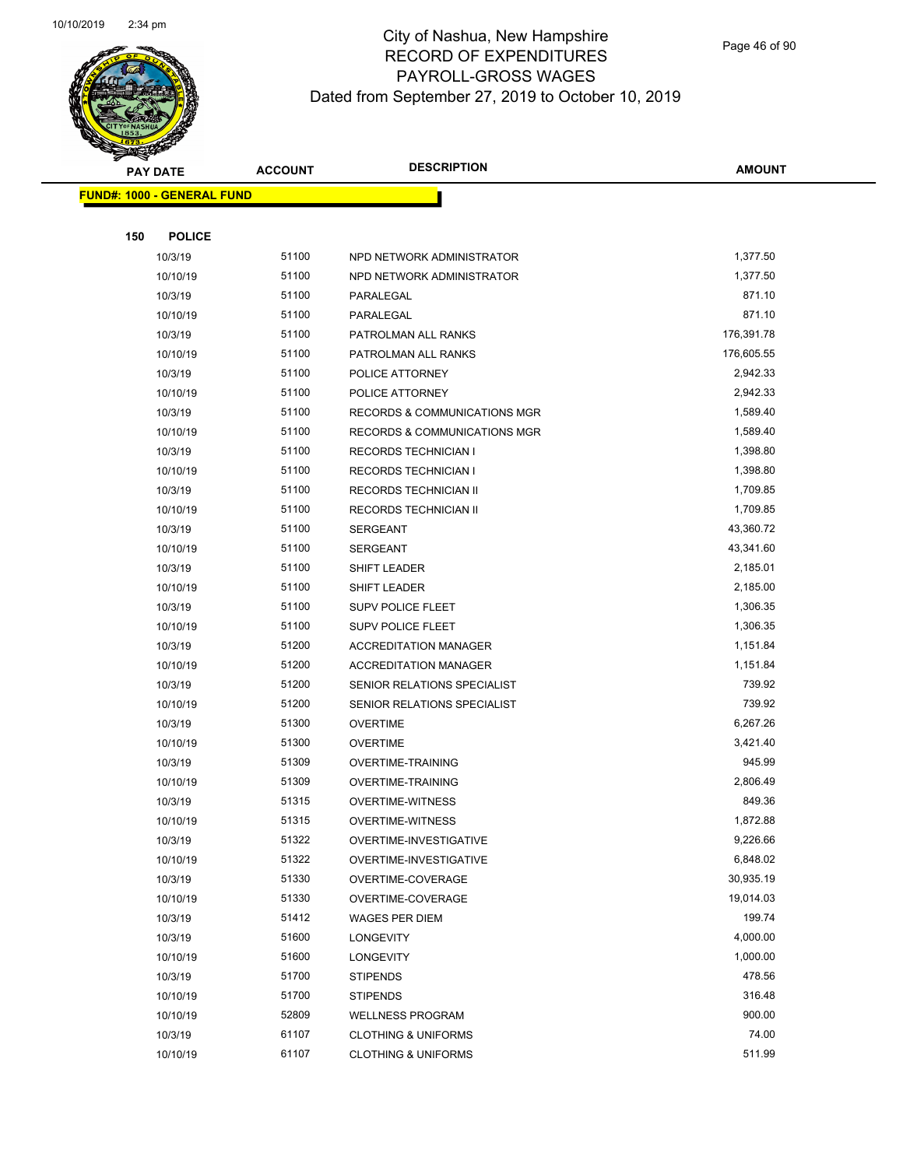

Page 46 of 90

| <b>PAY DATE</b>                   | <b>ACCOUNT</b> | <b>DESCRIPTION</b>             | <b>AMOUNT</b> |
|-----------------------------------|----------------|--------------------------------|---------------|
| <b>FUND#: 1000 - GENERAL FUND</b> |                |                                |               |
|                                   |                |                                |               |
| 150<br><b>POLICE</b>              |                |                                |               |
| 10/3/19                           | 51100          | NPD NETWORK ADMINISTRATOR      | 1,377.50      |
| 10/10/19                          | 51100          | NPD NETWORK ADMINISTRATOR      | 1,377.50      |
| 10/3/19                           | 51100          | PARALEGAL                      | 871.10        |
| 10/10/19                          | 51100          | PARALEGAL                      | 871.10        |
| 10/3/19                           | 51100          | PATROLMAN ALL RANKS            | 176,391.78    |
| 10/10/19                          | 51100          | PATROLMAN ALL RANKS            | 176,605.55    |
| 10/3/19                           | 51100          | POLICE ATTORNEY                | 2,942.33      |
| 10/10/19                          | 51100          | POLICE ATTORNEY                | 2,942.33      |
| 10/3/19                           | 51100          | RECORDS & COMMUNICATIONS MGR   | 1,589.40      |
| 10/10/19                          | 51100          | RECORDS & COMMUNICATIONS MGR   | 1,589.40      |
| 10/3/19                           | 51100          | <b>RECORDS TECHNICIAN I</b>    | 1,398.80      |
| 10/10/19                          | 51100          | <b>RECORDS TECHNICIAN I</b>    | 1,398.80      |
| 10/3/19                           | 51100          | RECORDS TECHNICIAN II          | 1,709.85      |
| 10/10/19                          | 51100          | <b>RECORDS TECHNICIAN II</b>   | 1,709.85      |
| 10/3/19                           | 51100          | <b>SERGEANT</b>                | 43,360.72     |
| 10/10/19                          | 51100          | <b>SERGEANT</b>                | 43,341.60     |
| 10/3/19                           | 51100          | SHIFT LEADER                   | 2,185.01      |
| 10/10/19                          | 51100          | SHIFT LEADER                   | 2,185.00      |
| 10/3/19                           | 51100          | SUPV POLICE FLEET              | 1,306.35      |
| 10/10/19                          | 51100          | SUPV POLICE FLEET              | 1,306.35      |
| 10/3/19                           | 51200          | <b>ACCREDITATION MANAGER</b>   | 1,151.84      |
| 10/10/19                          | 51200          | <b>ACCREDITATION MANAGER</b>   | 1,151.84      |
| 10/3/19                           | 51200          | SENIOR RELATIONS SPECIALIST    | 739.92        |
| 10/10/19                          | 51200          | SENIOR RELATIONS SPECIALIST    | 739.92        |
| 10/3/19                           | 51300          | <b>OVERTIME</b>                | 6,267.26      |
| 10/10/19                          | 51300          | <b>OVERTIME</b>                | 3,421.40      |
| 10/3/19                           | 51309          | OVERTIME-TRAINING              | 945.99        |
| 10/10/19                          | 51309          | <b>OVERTIME-TRAINING</b>       | 2,806.49      |
| 10/3/19                           | 51315          | <b>OVERTIME-WITNESS</b>        | 849.36        |
| 10/10/19                          | 51315          | <b>OVERTIME-WITNESS</b>        | 1,872.88      |
| 10/3/19                           | 51322          | OVERTIME-INVESTIGATIVE         | 9,226.66      |
| 10/10/19                          | 51322          | OVERTIME-INVESTIGATIVE         | 6,848.02      |
| 10/3/19                           | 51330          | OVERTIME-COVERAGE              | 30,935.19     |
| 10/10/19                          | 51330          | OVERTIME-COVERAGE              | 19,014.03     |
| 10/3/19                           | 51412          | WAGES PER DIEM                 | 199.74        |
| 10/3/19                           | 51600          | LONGEVITY                      | 4,000.00      |
| 10/10/19                          | 51600          | LONGEVITY                      | 1,000.00      |
| 10/3/19                           | 51700          | <b>STIPENDS</b>                | 478.56        |
| 10/10/19                          | 51700          | <b>STIPENDS</b>                | 316.48        |
| 10/10/19                          | 52809          | <b>WELLNESS PROGRAM</b>        | 900.00        |
| 10/3/19                           | 61107          | <b>CLOTHING &amp; UNIFORMS</b> | 74.00         |
| 10/10/19                          | 61107          | <b>CLOTHING &amp; UNIFORMS</b> | 511.99        |
|                                   |                |                                |               |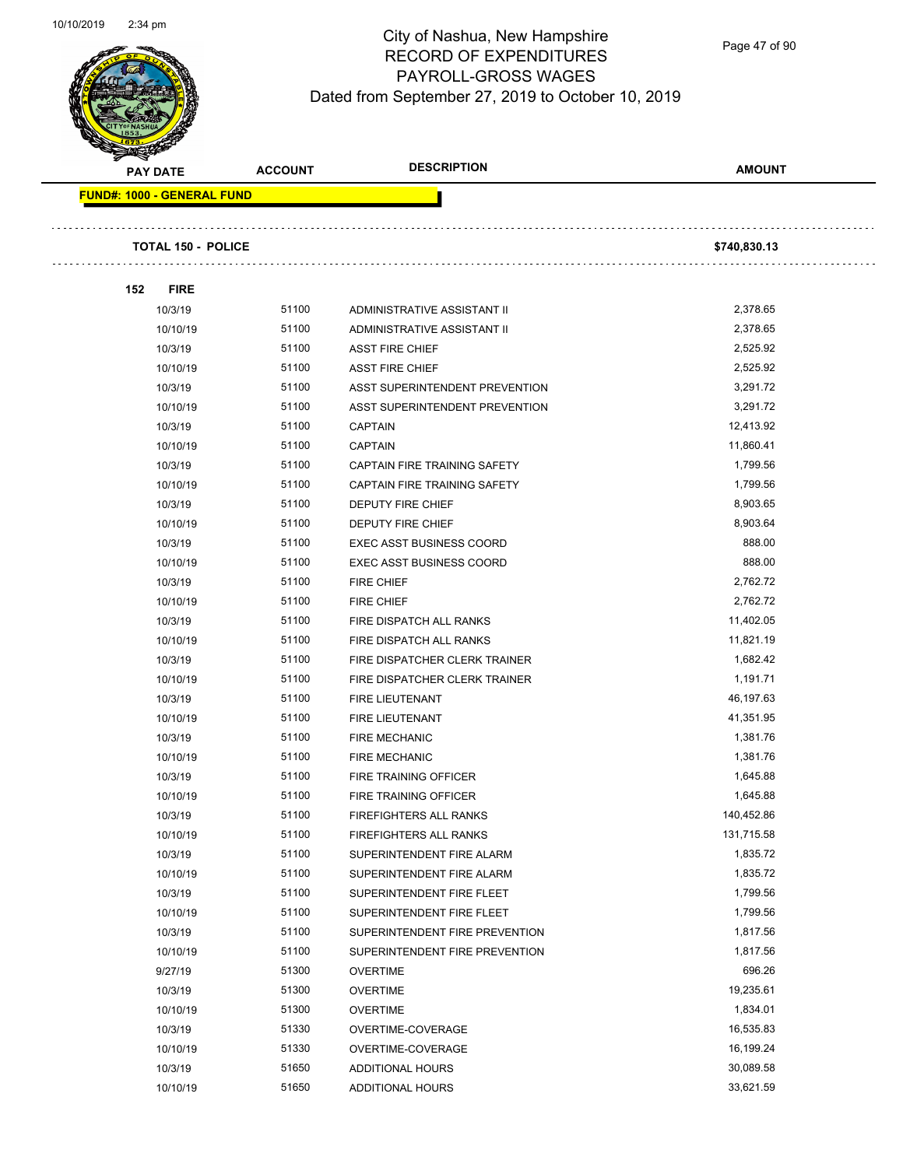

Page 47 of 90

| <b>PAY DATE</b>            | <b>ACCOUNT</b> | <b>DESCRIPTION</b>                  | <b>AMOUNT</b> |  |
|----------------------------|----------------|-------------------------------------|---------------|--|
| FUND#: 1000 - GENERAL FUND |                |                                     |               |  |
|                            |                |                                     |               |  |
| <b>TOTAL 150 - POLICE</b>  |                |                                     | \$740,830.13  |  |
| <b>FIRE</b><br>152         |                |                                     |               |  |
| 10/3/19                    | 51100          | ADMINISTRATIVE ASSISTANT II         | 2,378.65      |  |
| 10/10/19                   | 51100          | ADMINISTRATIVE ASSISTANT II         | 2,378.65      |  |
| 10/3/19                    | 51100          | <b>ASST FIRE CHIEF</b>              | 2,525.92      |  |
| 10/10/19                   | 51100          | <b>ASST FIRE CHIEF</b>              | 2,525.92      |  |
| 10/3/19                    | 51100          | ASST SUPERINTENDENT PREVENTION      | 3,291.72      |  |
| 10/10/19                   | 51100          | ASST SUPERINTENDENT PREVENTION      | 3,291.72      |  |
| 10/3/19                    | 51100          | <b>CAPTAIN</b>                      | 12,413.92     |  |
| 10/10/19                   | 51100          | <b>CAPTAIN</b>                      | 11,860.41     |  |
| 10/3/19                    | 51100          | CAPTAIN FIRE TRAINING SAFETY        | 1,799.56      |  |
| 10/10/19                   | 51100          | <b>CAPTAIN FIRE TRAINING SAFETY</b> | 1,799.56      |  |
| 10/3/19                    | 51100          | DEPUTY FIRE CHIEF                   | 8,903.65      |  |
| 10/10/19                   | 51100          | DEPUTY FIRE CHIEF                   | 8,903.64      |  |
| 10/3/19                    | 51100          | <b>EXEC ASST BUSINESS COORD</b>     | 888.00        |  |
| 10/10/19                   | 51100          | <b>EXEC ASST BUSINESS COORD</b>     | 888.00        |  |
| 10/3/19                    | 51100          | <b>FIRE CHIEF</b>                   | 2,762.72      |  |
| 10/10/19                   | 51100          | <b>FIRE CHIEF</b>                   | 2,762.72      |  |
| 10/3/19                    | 51100          | FIRE DISPATCH ALL RANKS             | 11,402.05     |  |
| 10/10/19                   | 51100          | FIRE DISPATCH ALL RANKS             | 11,821.19     |  |
| 10/3/19                    | 51100          | FIRE DISPATCHER CLERK TRAINER       | 1,682.42      |  |
| 10/10/19                   | 51100          | FIRE DISPATCHER CLERK TRAINER       | 1,191.71      |  |
| 10/3/19                    | 51100          | FIRE LIEUTENANT                     | 46,197.63     |  |
| 10/10/19                   | 51100          | <b>FIRE LIEUTENANT</b>              | 41,351.95     |  |
| 10/3/19                    | 51100          | <b>FIRE MECHANIC</b>                | 1,381.76      |  |
| 10/10/19                   | 51100          | <b>FIRE MECHANIC</b>                | 1,381.76      |  |
| 10/3/19                    | 51100          | FIRE TRAINING OFFICER               | 1,645.88      |  |
| 10/10/19                   | 51100          | <b>FIRE TRAINING OFFICER</b>        | 1,645.88      |  |
| 10/3/19                    | 51100          | FIREFIGHTERS ALL RANKS              | 140,452.86    |  |
| 10/10/19                   | 51100          | FIREFIGHTERS ALL RANKS              | 131,715.58    |  |
| 10/3/19                    | 51100          | SUPERINTENDENT FIRE ALARM           | 1,835.72      |  |
| 10/10/19                   | 51100          | SUPERINTENDENT FIRE ALARM           | 1,835.72      |  |
| 10/3/19                    | 51100          | SUPERINTENDENT FIRE FLEET           | 1,799.56      |  |
| 10/10/19                   | 51100          | SUPERINTENDENT FIRE FLEET           | 1,799.56      |  |
| 10/3/19                    | 51100          | SUPERINTENDENT FIRE PREVENTION      | 1,817.56      |  |
| 10/10/19                   | 51100          | SUPERINTENDENT FIRE PREVENTION      | 1,817.56      |  |
| 9/27/19                    | 51300          | <b>OVERTIME</b>                     | 696.26        |  |
| 10/3/19                    | 51300          | <b>OVERTIME</b>                     | 19,235.61     |  |
| 10/10/19                   | 51300          | <b>OVERTIME</b>                     | 1,834.01      |  |
| 10/3/19                    | 51330          | OVERTIME-COVERAGE                   | 16,535.83     |  |
| 10/10/19                   | 51330          | OVERTIME-COVERAGE                   | 16,199.24     |  |
| 10/3/19                    | 51650          | ADDITIONAL HOURS                    | 30,089.58     |  |
| 10/10/19                   | 51650          | ADDITIONAL HOURS                    | 33,621.59     |  |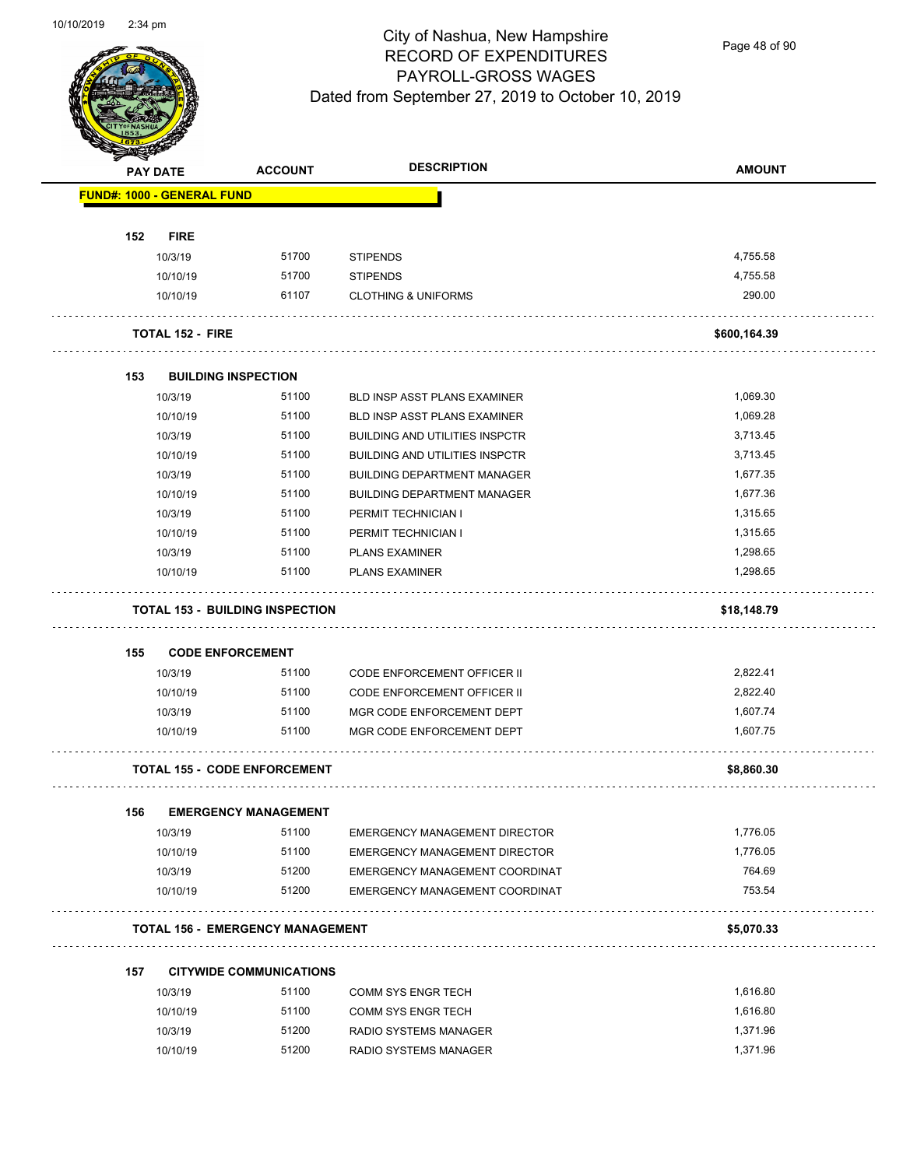

Page 48 of 90

|     | <b>PAY DATE</b>                   | <b>ACCOUNT</b>                          | <b>DESCRIPTION</b>                    | <b>AMOUNT</b> |
|-----|-----------------------------------|-----------------------------------------|---------------------------------------|---------------|
|     | <b>FUND#: 1000 - GENERAL FUND</b> |                                         |                                       |               |
| 152 | <b>FIRE</b>                       |                                         |                                       |               |
|     | 10/3/19                           | 51700                                   | <b>STIPENDS</b>                       | 4,755.58      |
|     | 10/10/19                          | 51700                                   | <b>STIPENDS</b>                       | 4,755.58      |
|     | 10/10/19                          | 61107                                   | <b>CLOTHING &amp; UNIFORMS</b>        | 290.00        |
|     | <b>TOTAL 152 - FIRE</b>           |                                         |                                       | \$600,164.39  |
| 153 | <b>BUILDING INSPECTION</b>        |                                         |                                       |               |
|     | 10/3/19                           | 51100                                   | BLD INSP ASST PLANS EXAMINER          | 1,069.30      |
|     | 10/10/19                          | 51100                                   | BLD INSP ASST PLANS EXAMINER          | 1,069.28      |
|     | 10/3/19                           | 51100                                   | <b>BUILDING AND UTILITIES INSPCTR</b> | 3,713.45      |
|     | 10/10/19                          | 51100                                   | <b>BUILDING AND UTILITIES INSPCTR</b> | 3,713.45      |
|     | 10/3/19                           | 51100                                   | <b>BUILDING DEPARTMENT MANAGER</b>    | 1,677.35      |
|     | 10/10/19                          | 51100                                   | <b>BUILDING DEPARTMENT MANAGER</b>    | 1,677.36      |
|     | 10/3/19                           | 51100                                   | PERMIT TECHNICIAN I                   | 1,315.65      |
|     | 10/10/19                          | 51100                                   | PERMIT TECHNICIAN I                   | 1,315.65      |
|     | 10/3/19                           | 51100                                   | <b>PLANS EXAMINER</b>                 | 1,298.65      |
|     | 10/10/19                          | 51100                                   | <b>PLANS EXAMINER</b>                 | 1,298.65      |
|     |                                   | <b>TOTAL 153 - BUILDING INSPECTION</b>  |                                       | \$18,148.79   |
| 155 | <b>CODE ENFORCEMENT</b>           |                                         |                                       |               |
|     | 10/3/19                           | 51100                                   | CODE ENFORCEMENT OFFICER II           | 2,822.41      |
|     | 10/10/19                          | 51100                                   | <b>CODE ENFORCEMENT OFFICER II</b>    | 2,822.40      |
|     | 10/3/19                           | 51100                                   | MGR CODE ENFORCEMENT DEPT             | 1,607.74      |
|     | 10/10/19                          | 51100                                   | MGR CODE ENFORCEMENT DEPT             | 1,607.75      |
|     |                                   | <b>TOTAL 155 - CODE ENFORCEMENT</b>     |                                       | \$8,860.30    |
| 156 |                                   | <b>EMERGENCY MANAGEMENT</b>             |                                       |               |
|     | 10/3/19                           | 51100                                   | <b>EMERGENCY MANAGEMENT DIRECTOR</b>  | 1,776.05      |
|     | 10/10/19                          | 51100                                   | <b>EMERGENCY MANAGEMENT DIRECTOR</b>  | 1,776.05      |
|     | 10/3/19                           | 51200                                   | EMERGENCY MANAGEMENT COORDINAT        | 764.69        |
|     | 10/10/19                          | 51200                                   | EMERGENCY MANAGEMENT COORDINAT<br>.   | 753.54        |
|     |                                   | <b>TOTAL 156 - EMERGENCY MANAGEMENT</b> |                                       | \$5,070.33    |
| 157 |                                   | <b>CITYWIDE COMMUNICATIONS</b>          |                                       |               |
|     | 10/3/19                           | 51100                                   | <b>COMM SYS ENGR TECH</b>             | 1,616.80      |
|     | 10/10/19                          | 51100                                   | <b>COMM SYS ENGR TECH</b>             | 1,616.80      |
|     | 10/3/19                           | 51200                                   | RADIO SYSTEMS MANAGER                 | 1,371.96      |
|     | 10/10/19                          | 51200                                   | RADIO SYSTEMS MANAGER                 | 1,371.96      |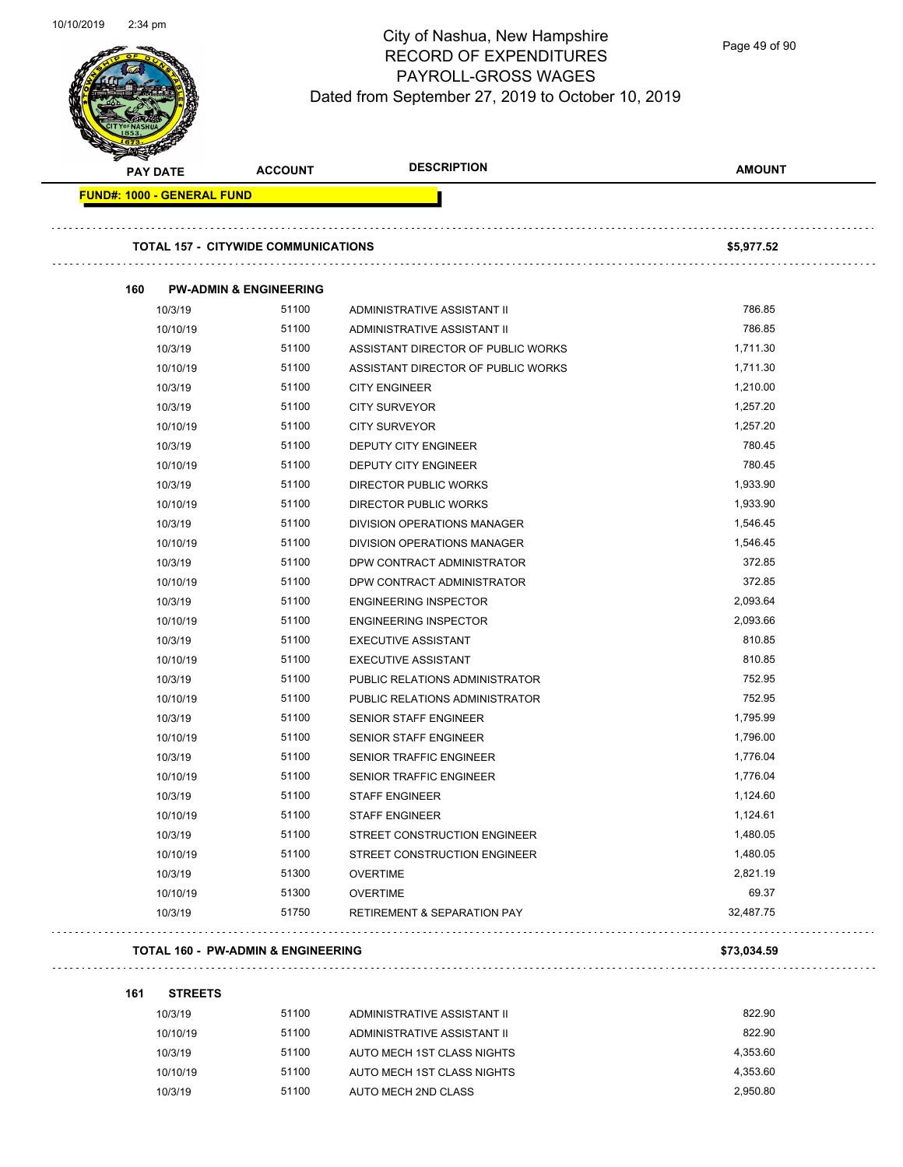Page 49 of 90

| <b>PAY DATE</b>                   | <b>ACCOUNT</b>                             | <b>DESCRIPTION</b>                     | <b>AMOUNT</b> |
|-----------------------------------|--------------------------------------------|----------------------------------------|---------------|
| <b>FUND#: 1000 - GENERAL FUND</b> |                                            |                                        |               |
|                                   | <b>TOTAL 157 - CITYWIDE COMMUNICATIONS</b> |                                        | \$5,977.52    |
| 160                               | <b>PW-ADMIN &amp; ENGINEERING</b>          |                                        |               |
| 10/3/19                           | 51100                                      | ADMINISTRATIVE ASSISTANT II            | 786.85        |
| 10/10/19                          | 51100                                      | ADMINISTRATIVE ASSISTANT II            | 786.85        |
| 10/3/19                           | 51100                                      | ASSISTANT DIRECTOR OF PUBLIC WORKS     | 1,711.30      |
| 10/10/19                          | 51100                                      | ASSISTANT DIRECTOR OF PUBLIC WORKS     | 1,711.30      |
| 10/3/19                           | 51100                                      | <b>CITY ENGINEER</b>                   | 1,210.00      |
| 10/3/19                           | 51100                                      | <b>CITY SURVEYOR</b>                   | 1,257.20      |
| 10/10/19                          | 51100                                      | <b>CITY SURVEYOR</b>                   | 1,257.20      |
| 10/3/19                           | 51100                                      | DEPUTY CITY ENGINEER                   | 780.45        |
| 10/10/19                          | 51100                                      | <b>DEPUTY CITY ENGINEER</b>            | 780.45        |
| 10/3/19                           | 51100                                      | <b>DIRECTOR PUBLIC WORKS</b>           | 1,933.90      |
| 10/10/19                          | 51100                                      | DIRECTOR PUBLIC WORKS                  | 1,933.90      |
| 10/3/19                           | 51100                                      | DIVISION OPERATIONS MANAGER            | 1,546.45      |
| 10/10/19                          | 51100                                      | DIVISION OPERATIONS MANAGER            | 1,546.45      |
| 10/3/19                           | 51100                                      | DPW CONTRACT ADMINISTRATOR             | 372.85        |
| 10/10/19                          | 51100                                      | DPW CONTRACT ADMINISTRATOR             | 372.85        |
| 10/3/19                           | 51100                                      | <b>ENGINEERING INSPECTOR</b>           | 2,093.64      |
| 10/10/19                          | 51100                                      | <b>ENGINEERING INSPECTOR</b>           | 2,093.66      |
| 10/3/19                           | 51100                                      | <b>EXECUTIVE ASSISTANT</b>             | 810.85        |
| 10/10/19                          | 51100                                      | <b>EXECUTIVE ASSISTANT</b>             | 810.85        |
| 10/3/19                           | 51100                                      | PUBLIC RELATIONS ADMINISTRATOR         | 752.95        |
| 10/10/19                          | 51100                                      | PUBLIC RELATIONS ADMINISTRATOR         | 752.95        |
| 10/3/19                           | 51100                                      | <b>SENIOR STAFF ENGINEER</b>           | 1,795.99      |
| 10/10/19                          | 51100                                      | <b>SENIOR STAFF ENGINEER</b>           | 1,796.00      |
| 10/3/19                           | 51100                                      | SENIOR TRAFFIC ENGINEER                | 1,776.04      |
| 10/10/19                          | 51100                                      | <b>SENIOR TRAFFIC ENGINEER</b>         | 1,776.04      |
| 10/3/19                           | 51100                                      | <b>STAFF ENGINEER</b>                  | 1,124.60      |
| 10/10/19                          | 51100                                      | <b>STAFF ENGINEER</b>                  | 1,124.61      |
| 10/3/19                           | 51100                                      | STREET CONSTRUCTION ENGINEER           | 1,480.05      |
| 10/10/19                          | 51100                                      | STREET CONSTRUCTION ENGINEER           | 1,480.05      |
| 10/3/19                           | 51300                                      | <b>OVERTIME</b>                        | 2,821.19      |
| 10/10/19                          | 51300                                      | <b>OVERTIME</b>                        | 69.37         |
| 10/3/19                           | 51750                                      | <b>RETIREMENT &amp; SEPARATION PAY</b> | 32,487.75     |

#### **161 STREETS**

| 10/3/19  | 51100 | ADMINISTRATIVE ASSISTANT II | 822.90   |
|----------|-------|-----------------------------|----------|
| 10/10/19 | 51100 | ADMINISTRATIVE ASSISTANT II | 822.90   |
| 10/3/19  | 51100 | AUTO MECH 1ST CLASS NIGHTS  | 4.353.60 |
| 10/10/19 | 51100 | AUTO MECH 1ST CLASS NIGHTS  | 4.353.60 |
| 10/3/19  | 51100 | AUTO MECH 2ND CLASS         | 2.950.80 |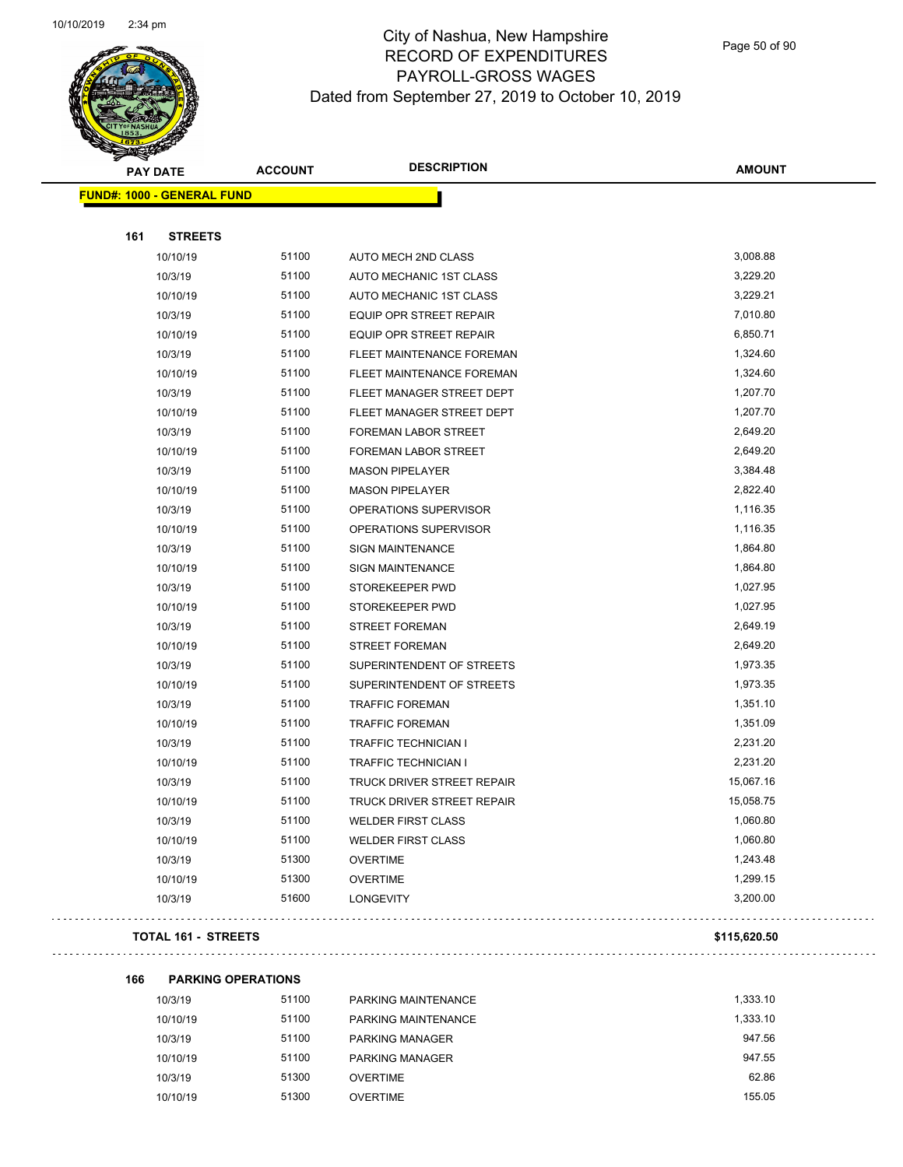

Page 50 of 90

|     | <b>PAY DATE</b>                   | <b>ACCOUNT</b> | <b>DESCRIPTION</b>             | <b>AMOUNT</b> |
|-----|-----------------------------------|----------------|--------------------------------|---------------|
|     | <b>FUND#: 1000 - GENERAL FUND</b> |                |                                |               |
|     |                                   |                |                                |               |
| 161 | <b>STREETS</b>                    |                |                                |               |
|     | 10/10/19                          | 51100          | AUTO MECH 2ND CLASS            | 3,008.88      |
|     | 10/3/19                           | 51100          | AUTO MECHANIC 1ST CLASS        | 3,229.20      |
|     | 10/10/19                          | 51100          | AUTO MECHANIC 1ST CLASS        | 3,229.21      |
|     | 10/3/19                           | 51100          | EQUIP OPR STREET REPAIR        | 7,010.80      |
|     | 10/10/19                          | 51100          | <b>EQUIP OPR STREET REPAIR</b> | 6,850.71      |
|     | 10/3/19                           | 51100          | FLEET MAINTENANCE FOREMAN      | 1,324.60      |
|     | 10/10/19                          | 51100          | FLEET MAINTENANCE FOREMAN      | 1,324.60      |
|     | 10/3/19                           | 51100          | FLEET MANAGER STREET DEPT      | 1,207.70      |
|     | 10/10/19                          | 51100          | FLEET MANAGER STREET DEPT      | 1,207.70      |
|     | 10/3/19                           | 51100          | FOREMAN LABOR STREET           | 2,649.20      |
|     | 10/10/19                          | 51100          | FOREMAN LABOR STREET           | 2,649.20      |
|     | 10/3/19                           | 51100          | <b>MASON PIPELAYER</b>         | 3,384.48      |
|     | 10/10/19                          | 51100          | <b>MASON PIPELAYER</b>         | 2,822.40      |
|     | 10/3/19                           | 51100          | OPERATIONS SUPERVISOR          | 1,116.35      |
|     | 10/10/19                          | 51100          | OPERATIONS SUPERVISOR          | 1,116.35      |
|     | 10/3/19                           | 51100          | <b>SIGN MAINTENANCE</b>        | 1,864.80      |
|     | 10/10/19                          | 51100          | SIGN MAINTENANCE               | 1,864.80      |
|     | 10/3/19                           | 51100          | STOREKEEPER PWD                | 1,027.95      |
|     | 10/10/19                          | 51100          | STOREKEEPER PWD                | 1,027.95      |
|     | 10/3/19                           | 51100          | <b>STREET FOREMAN</b>          | 2,649.19      |
|     | 10/10/19                          | 51100          | <b>STREET FOREMAN</b>          | 2,649.20      |
|     | 10/3/19                           | 51100          | SUPERINTENDENT OF STREETS      | 1,973.35      |
|     | 10/10/19                          | 51100          | SUPERINTENDENT OF STREETS      | 1,973.35      |
|     | 10/3/19                           | 51100          | <b>TRAFFIC FOREMAN</b>         | 1,351.10      |
|     | 10/10/19                          | 51100          | <b>TRAFFIC FOREMAN</b>         | 1,351.09      |
|     | 10/3/19                           | 51100          | TRAFFIC TECHNICIAN I           | 2,231.20      |
|     | 10/10/19                          | 51100          | TRAFFIC TECHNICIAN I           | 2,231.20      |
|     | 10/3/19                           | 51100          | TRUCK DRIVER STREET REPAIR     | 15,067.16     |
|     | 10/10/19                          | 51100          | TRUCK DRIVER STREET REPAIR     | 15,058.75     |
|     | 10/3/19                           | 51100          | <b>WELDER FIRST CLASS</b>      | 1,060.80      |
|     | 10/10/19                          | 51100          | <b>WELDER FIRST CLASS</b>      | 1,060.80      |
|     | 10/3/19                           | 51300          | <b>OVERTIME</b>                | 1,243.48      |
|     | 10/10/19                          | 51300          | <b>OVERTIME</b>                | 1,299.15      |
|     | 10/3/19                           | 51600          | <b>LONGEVITY</b>               | 3,200.00      |
|     |                                   |                |                                |               |

#### **TOTAL 161 - STREETS \$115,620.50**

 $\mathbb{R}^2$ 

. . . . . . . . . . . . .

| 166 | <b>PARKING OPERATIONS</b> |       |                     |          |
|-----|---------------------------|-------|---------------------|----------|
|     | 10/3/19                   | 51100 | PARKING MAINTENANCE | 1.333.10 |
|     | 10/10/19                  | 51100 | PARKING MAINTENANCE | 1.333.10 |
|     | 10/3/19                   | 51100 | PARKING MANAGER     | 947.56   |
|     | 10/10/19                  | 51100 | PARKING MANAGER     | 947.55   |
|     | 10/3/19                   | 51300 | <b>OVERTIME</b>     | 62.86    |
|     | 10/10/19                  | 51300 | OVERTIME            | 155.05   |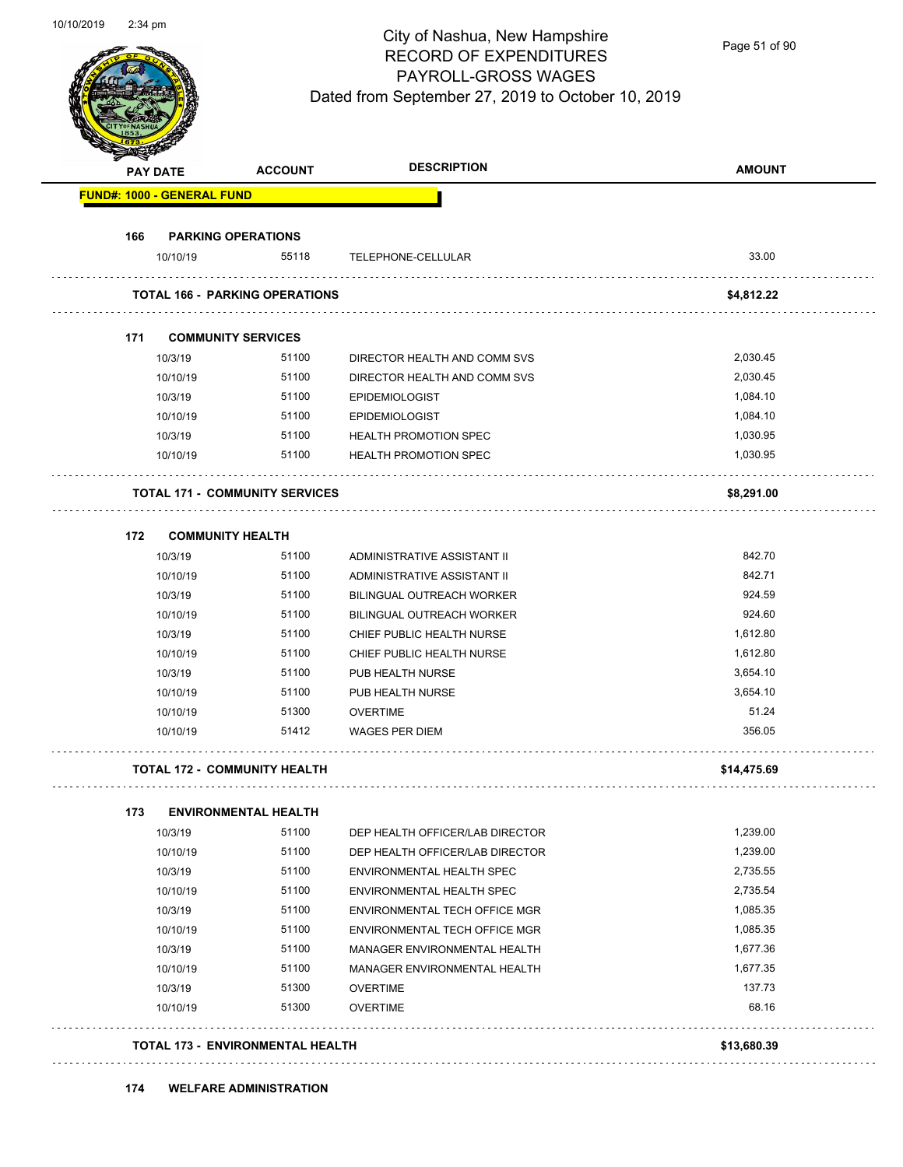Page 51 of 90

|                                   | <b>PAY DATE</b> | <b>ACCOUNT</b>                          | <b>DESCRIPTION</b>                   | <b>AMOUNT</b> |
|-----------------------------------|-----------------|-----------------------------------------|--------------------------------------|---------------|
| <b>FUND#: 1000 - GENERAL FUND</b> |                 |                                         |                                      |               |
| 166                               |                 | <b>PARKING OPERATIONS</b>               |                                      |               |
|                                   | 10/10/19        | 55118                                   | TELEPHONE-CELLULAR                   | 33.00         |
|                                   |                 | <b>TOTAL 166 - PARKING OPERATIONS</b>   |                                      | \$4,812.22    |
| 171                               |                 | <b>COMMUNITY SERVICES</b>               |                                      |               |
|                                   | 10/3/19         | 51100                                   | DIRECTOR HEALTH AND COMM SVS         | 2,030.45      |
|                                   | 10/10/19        | 51100                                   | DIRECTOR HEALTH AND COMM SVS         | 2,030.45      |
|                                   | 10/3/19         | 51100                                   | <b>EPIDEMIOLOGIST</b>                | 1,084.10      |
|                                   | 10/10/19        | 51100                                   | <b>EPIDEMIOLOGIST</b>                | 1,084.10      |
|                                   | 10/3/19         | 51100                                   | <b>HEALTH PROMOTION SPEC</b>         | 1,030.95      |
|                                   | 10/10/19        | 51100                                   | <b>HEALTH PROMOTION SPEC</b>         | 1,030.95      |
|                                   |                 | <b>TOTAL 171 - COMMUNITY SERVICES</b>   |                                      | \$8,291.00    |
|                                   |                 |                                         |                                      |               |
| 172                               | 10/3/19         | <b>COMMUNITY HEALTH</b><br>51100        | ADMINISTRATIVE ASSISTANT II          | 842.70        |
|                                   | 10/10/19        | 51100                                   | ADMINISTRATIVE ASSISTANT II          | 842.71        |
|                                   | 10/3/19         | 51100                                   | BILINGUAL OUTREACH WORKER            | 924.59        |
|                                   | 10/10/19        | 51100                                   | <b>BILINGUAL OUTREACH WORKER</b>     | 924.60        |
|                                   | 10/3/19         | 51100                                   | CHIEF PUBLIC HEALTH NURSE            | 1,612.80      |
|                                   | 10/10/19        | 51100                                   | CHIEF PUBLIC HEALTH NURSE            | 1,612.80      |
|                                   | 10/3/19         | 51100                                   | PUB HEALTH NURSE                     | 3,654.10      |
|                                   | 10/10/19        | 51100                                   | PUB HEALTH NURSE                     | 3,654.10      |
|                                   | 10/10/19        | 51300                                   | <b>OVERTIME</b>                      | 51.24         |
|                                   | 10/10/19        | 51412                                   | <b>WAGES PER DIEM</b>                | 356.05        |
|                                   |                 | <b>TOTAL 172 - COMMUNITY HEALTH</b>     |                                      | \$14,475.69   |
| 173                               |                 | <b>ENVIRONMENTAL HEALTH</b>             |                                      |               |
|                                   | 10/3/19         | 51100                                   | DEP HEALTH OFFICER/LAB DIRECTOR      | 1,239.00      |
|                                   | 10/10/19        | 51100                                   | DEP HEALTH OFFICER/LAB DIRECTOR      | 1,239.00      |
|                                   | 10/3/19         | 51100                                   | ENVIRONMENTAL HEALTH SPEC            | 2,735.55      |
|                                   | 10/10/19        | 51100                                   | ENVIRONMENTAL HEALTH SPEC            | 2,735.54      |
|                                   | 10/3/19         | 51100                                   | ENVIRONMENTAL TECH OFFICE MGR        | 1,085.35      |
|                                   | 10/10/19        | 51100                                   | <b>ENVIRONMENTAL TECH OFFICE MGR</b> | 1,085.35      |
|                                   | 10/3/19         | 51100                                   | MANAGER ENVIRONMENTAL HEALTH         | 1,677.36      |
|                                   | 10/10/19        | 51100                                   | MANAGER ENVIRONMENTAL HEALTH         | 1,677.35      |
|                                   | 10/3/19         | 51300                                   | <b>OVERTIME</b>                      | 137.73        |
|                                   | 10/10/19        | 51300                                   | <b>OVERTIME</b>                      | 68.16         |
|                                   |                 | <b>TOTAL 173 - ENVIRONMENTAL HEALTH</b> |                                      | \$13,680.39   |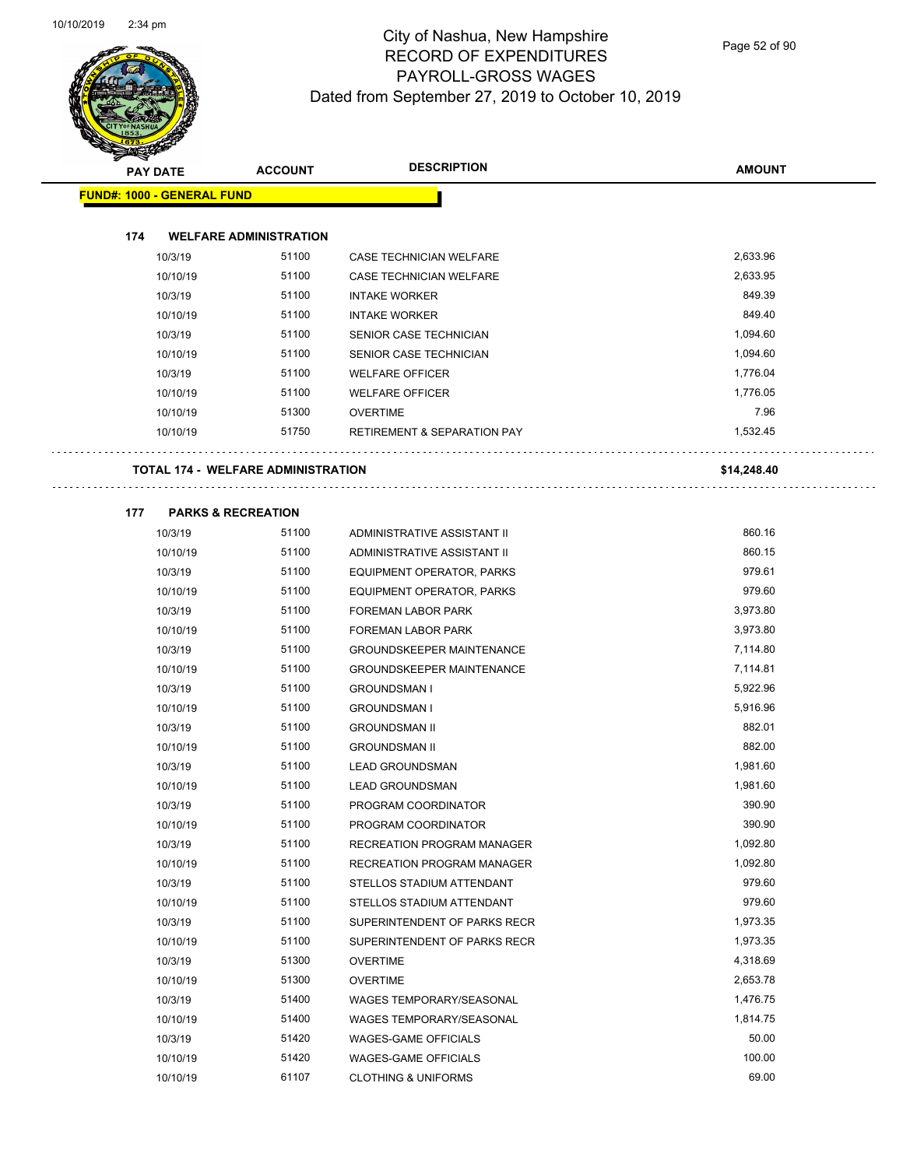$\overline{\phantom{0}}$ 



# City of Nashua, New Hampshire RECORD OF EXPENDITURES PAYROLL-GROSS WAGES Dated from September 27, 2019 to October 10, 2019

Page 52 of 90

| <b>STARKER</b> |                                           |                |                                        |               |
|----------------|-------------------------------------------|----------------|----------------------------------------|---------------|
|                | <b>PAY DATE</b>                           | <b>ACCOUNT</b> | <b>DESCRIPTION</b>                     | <b>AMOUNT</b> |
|                | <b>FUND#: 1000 - GENERAL FUND</b>         |                |                                        |               |
|                |                                           |                |                                        |               |
| 174            | <b>WELFARE ADMINISTRATION</b>             |                |                                        |               |
|                | 10/3/19                                   | 51100          | <b>CASE TECHNICIAN WELFARE</b>         | 2,633.96      |
|                | 10/10/19                                  | 51100          | <b>CASE TECHNICIAN WELFARE</b>         | 2,633.95      |
|                | 10/3/19                                   | 51100          | <b>INTAKE WORKER</b>                   | 849.39        |
|                | 10/10/19                                  | 51100          | <b>INTAKE WORKER</b>                   | 849.40        |
|                | 10/3/19                                   | 51100          | SENIOR CASE TECHNICIAN                 | 1,094.60      |
|                | 10/10/19                                  | 51100          | SENIOR CASE TECHNICIAN                 | 1,094.60      |
|                | 10/3/19                                   | 51100          | <b>WELFARE OFFICER</b>                 | 1,776.04      |
|                | 10/10/19                                  | 51100          | <b>WELFARE OFFICER</b>                 | 1,776.05      |
|                | 10/10/19                                  | 51300          | <b>OVERTIME</b>                        | 7.96          |
|                | 10/10/19                                  | 51750          | <b>RETIREMENT &amp; SEPARATION PAY</b> | 1,532.45      |
|                |                                           |                |                                        |               |
|                | <b>TOTAL 174 - WELFARE ADMINISTRATION</b> |                |                                        | \$14,248.40   |
|                |                                           |                |                                        |               |
| 177            | <b>PARKS &amp; RECREATION</b>             |                |                                        |               |
|                | 10/3/19                                   | 51100          | ADMINISTRATIVE ASSISTANT II            | 860.16        |
|                | 10/10/19                                  | 51100          | ADMINISTRATIVE ASSISTANT II            | 860.15        |
|                | 10/3/19                                   | 51100          | <b>EQUIPMENT OPERATOR, PARKS</b>       | 979.61        |
|                | 10/10/19                                  | 51100          | EQUIPMENT OPERATOR, PARKS              | 979.60        |
|                | 10/3/19                                   | 51100          | FOREMAN LABOR PARK                     | 3,973.80      |
|                | 10/10/19                                  | 51100          | <b>FOREMAN LABOR PARK</b>              | 3,973.80      |
|                | 10/3/19                                   | 51100          | <b>GROUNDSKEEPER MAINTENANCE</b>       | 7,114.80      |
|                | 10/10/19                                  | 51100          | <b>GROUNDSKEEPER MAINTENANCE</b>       | 7,114.81      |
|                | 10/3/19                                   | 51100          | <b>GROUNDSMAN I</b>                    | 5,922.96      |
|                | 10/10/19                                  | 51100          | <b>GROUNDSMAN I</b>                    | 5,916.96      |
|                | 10/3/19                                   | 51100          | <b>GROUNDSMAN II</b>                   | 882.01        |
|                | 10/10/19                                  | 51100          | <b>GROUNDSMAN II</b>                   | 882.00        |
|                | 10/3/19                                   | 51100          | <b>LEAD GROUNDSMAN</b>                 | 1,981.60      |
|                | 10/10/19                                  | 51100          | <b>LEAD GROUNDSMAN</b>                 | 1,981.60      |
|                | 10/3/19                                   | 51100          | PROGRAM COORDINATOR                    | 390.90        |
|                | 10/10/19                                  | 51100          | PROGRAM COORDINATOR                    | 390.90        |
|                | 10/3/19                                   | 51100          | <b>RECREATION PROGRAM MANAGER</b>      | 1,092.80      |
|                | 10/10/19                                  | 51100          | <b>RECREATION PROGRAM MANAGER</b>      | 1,092.80      |
|                | 10/3/19                                   | 51100          | STELLOS STADIUM ATTENDANT              | 979.60        |
|                | 10/10/19                                  | 51100          | STELLOS STADIUM ATTENDANT              | 979.60        |
|                | 10/3/19                                   | 51100          | SUPERINTENDENT OF PARKS RECR           | 1,973.35      |
|                | 10/10/19                                  | 51100          | SUPERINTENDENT OF PARKS RECR           | 1,973.35      |
|                | 10/3/19                                   | 51300          | <b>OVERTIME</b>                        | 4,318.69      |
|                | 10/10/19                                  | 51300          | <b>OVERTIME</b>                        | 2,653.78      |
|                | 10/3/19                                   | 51400          | WAGES TEMPORARY/SEASONAL               | 1,476.75      |
|                | 10/10/19                                  | 51400          | WAGES TEMPORARY/SEASONAL               | 1,814.75      |
|                | 10/3/19                                   | 51420          | <b>WAGES-GAME OFFICIALS</b>            | 50.00         |
|                | 10/10/19                                  | 51420          | <b>WAGES-GAME OFFICIALS</b>            | 100.00        |
|                | 10/10/19                                  | 61107          | <b>CLOTHING &amp; UNIFORMS</b>         | 69.00         |
|                |                                           |                |                                        |               |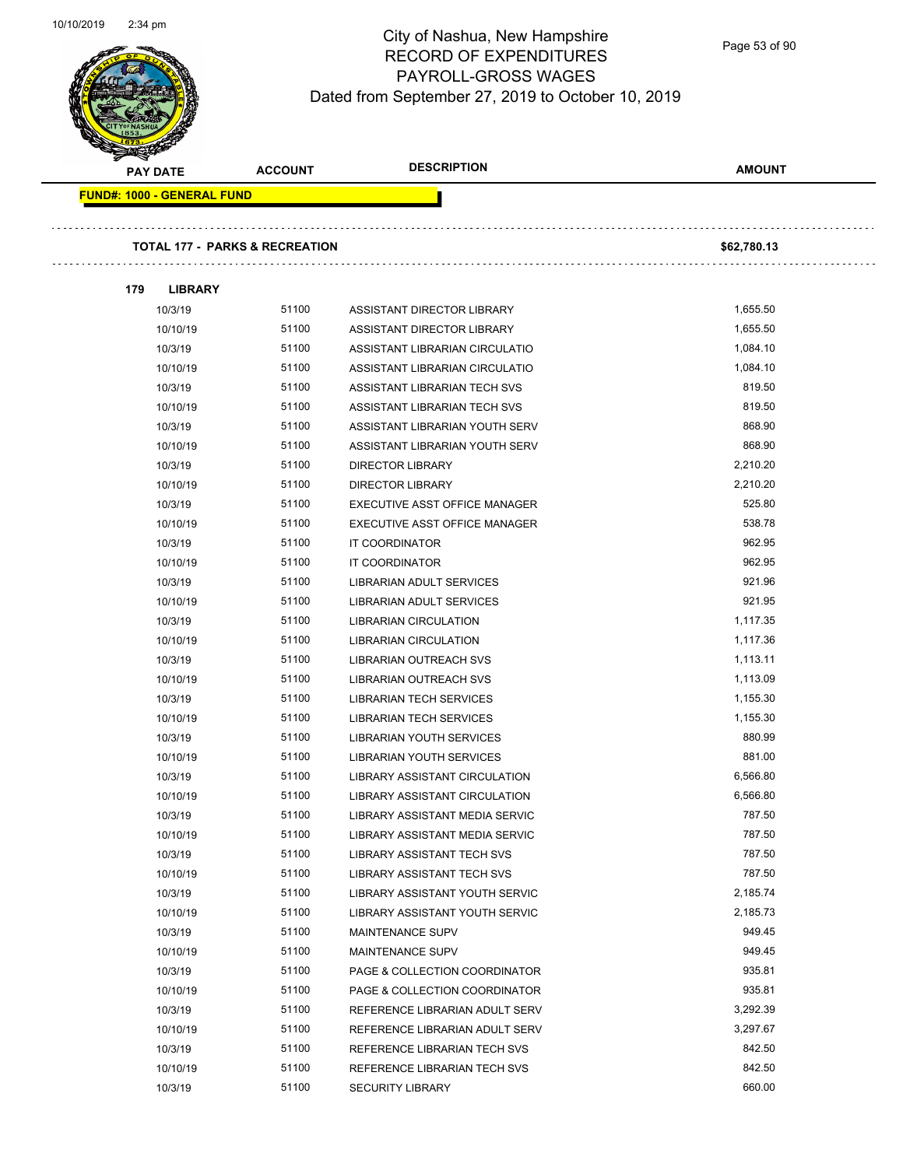Page 53 of 90

| <b>PAY DATE</b>                   | <b>ACCOUNT</b>                            | <b>DESCRIPTION</b>                | <b>AMOUNT</b> |
|-----------------------------------|-------------------------------------------|-----------------------------------|---------------|
| <b>FUND#: 1000 - GENERAL FUND</b> |                                           |                                   |               |
|                                   | <b>TOTAL 177 - PARKS &amp; RECREATION</b> |                                   | \$62,780.13   |
|                                   |                                           |                                   |               |
| 179<br><b>LIBRARY</b>             |                                           |                                   |               |
| 10/3/19                           | 51100                                     | ASSISTANT DIRECTOR LIBRARY        | 1,655.50      |
| 10/10/19                          | 51100                                     | ASSISTANT DIRECTOR LIBRARY        | 1,655.50      |
| 10/3/19                           | 51100                                     | ASSISTANT LIBRARIAN CIRCULATIO    | 1,084.10      |
| 10/10/19                          | 51100                                     | ASSISTANT LIBRARIAN CIRCULATIO    | 1,084.10      |
| 10/3/19                           | 51100                                     | ASSISTANT LIBRARIAN TECH SVS      | 819.50        |
| 10/10/19                          | 51100                                     | ASSISTANT LIBRARIAN TECH SVS      | 819.50        |
| 10/3/19                           | 51100                                     | ASSISTANT LIBRARIAN YOUTH SERV    | 868.90        |
| 10/10/19                          | 51100                                     | ASSISTANT LIBRARIAN YOUTH SERV    | 868.90        |
| 10/3/19                           | 51100                                     | <b>DIRECTOR LIBRARY</b>           | 2,210.20      |
| 10/10/19                          | 51100                                     | <b>DIRECTOR LIBRARY</b>           | 2,210.20      |
| 10/3/19                           | 51100                                     | EXECUTIVE ASST OFFICE MANAGER     | 525.80        |
| 10/10/19                          | 51100                                     | EXECUTIVE ASST OFFICE MANAGER     | 538.78        |
| 10/3/19                           | 51100                                     | <b>IT COORDINATOR</b>             | 962.95        |
| 10/10/19                          | 51100                                     | IT COORDINATOR                    | 962.95        |
| 10/3/19                           | 51100                                     | LIBRARIAN ADULT SERVICES          | 921.96        |
| 10/10/19                          | 51100                                     | LIBRARIAN ADULT SERVICES          | 921.95        |
| 10/3/19                           | 51100                                     | <b>LIBRARIAN CIRCULATION</b>      | 1,117.35      |
| 10/10/19                          | 51100                                     | <b>LIBRARIAN CIRCULATION</b>      | 1,117.36      |
| 10/3/19                           | 51100                                     | LIBRARIAN OUTREACH SVS            | 1,113.11      |
| 10/10/19                          | 51100                                     | LIBRARIAN OUTREACH SVS            | 1,113.09      |
| 10/3/19                           | 51100                                     | <b>LIBRARIAN TECH SERVICES</b>    | 1,155.30      |
| 10/10/19                          | 51100                                     | <b>LIBRARIAN TECH SERVICES</b>    | 1,155.30      |
| 10/3/19                           | 51100                                     | LIBRARIAN YOUTH SERVICES          | 880.99        |
| 10/10/19                          | 51100                                     | LIBRARIAN YOUTH SERVICES          | 881.00        |
| 10/3/19                           | 51100                                     | LIBRARY ASSISTANT CIRCULATION     | 6,566.80      |
| 10/10/19                          | 51100                                     | LIBRARY ASSISTANT CIRCULATION     | 6,566.80      |
| 10/3/19                           | 51100                                     | LIBRARY ASSISTANT MEDIA SERVIC    | 787.50        |
| 10/10/19                          | 51100                                     | LIBRARY ASSISTANT MEDIA SERVIC    | 787.50        |
| 10/3/19                           | 51100                                     | LIBRARY ASSISTANT TECH SVS        | 787.50        |
| 10/10/19                          | 51100                                     | <b>LIBRARY ASSISTANT TECH SVS</b> | 787.50        |
| 10/3/19                           | 51100                                     | LIBRARY ASSISTANT YOUTH SERVIC    | 2,185.74      |
| 10/10/19                          | 51100                                     | LIBRARY ASSISTANT YOUTH SERVIC    | 2,185.73      |
| 10/3/19                           | 51100                                     | <b>MAINTENANCE SUPV</b>           | 949.45        |
| 10/10/19                          | 51100                                     | <b>MAINTENANCE SUPV</b>           | 949.45        |
| 10/3/19                           | 51100                                     | PAGE & COLLECTION COORDINATOR     | 935.81        |
| 10/10/19                          | 51100                                     | PAGE & COLLECTION COORDINATOR     | 935.81        |
| 10/3/19                           | 51100                                     | REFERENCE LIBRARIAN ADULT SERV    | 3,292.39      |
| 10/10/19                          | 51100                                     | REFERENCE LIBRARIAN ADULT SERV    | 3,297.67      |
| 10/3/19                           | 51100                                     | REFERENCE LIBRARIAN TECH SVS      | 842.50        |
| 10/10/19                          | 51100                                     | REFERENCE LIBRARIAN TECH SVS      | 842.50        |
| 10/3/19                           | 51100                                     | <b>SECURITY LIBRARY</b>           | 660.00        |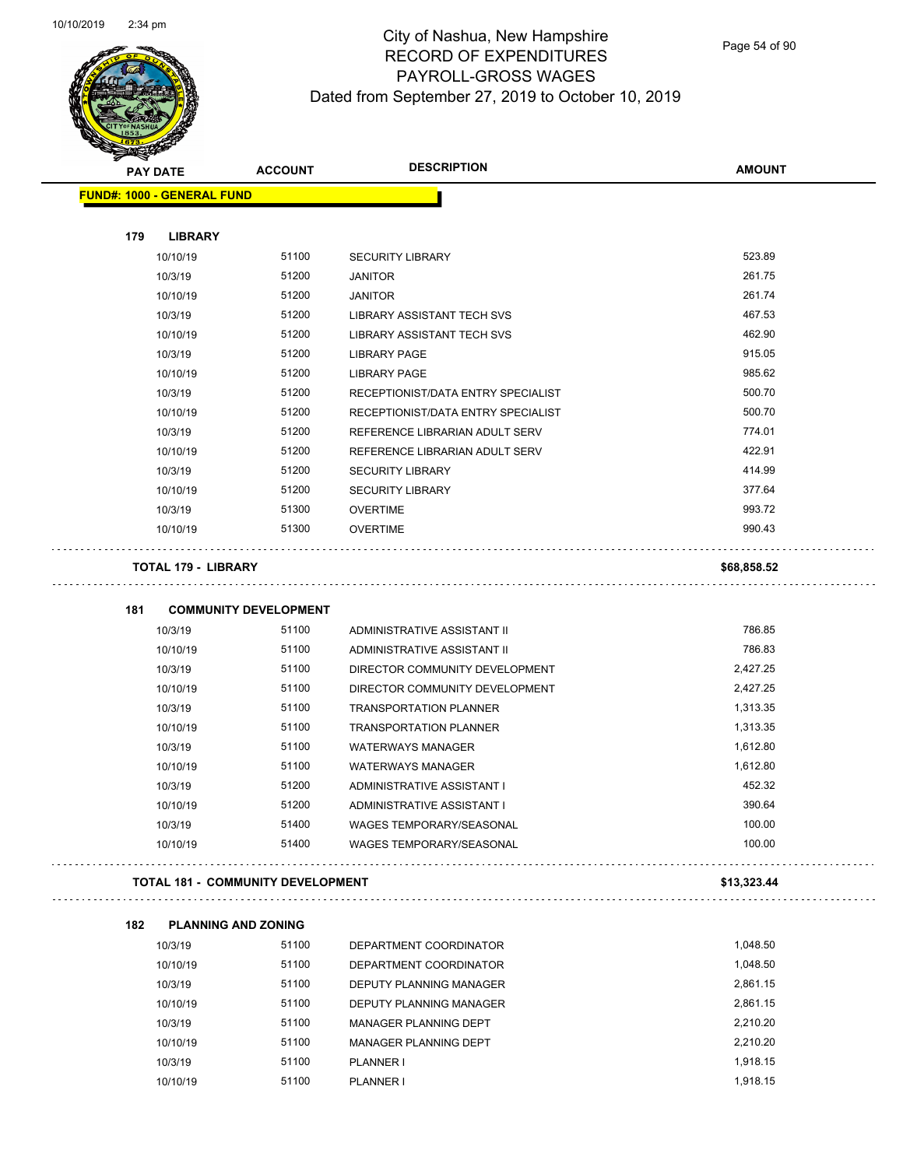

Page 54 of 90

| <b>PAY DATE</b>                          | <b>ACCOUNT</b>               | <b>DESCRIPTION</b>                 | <b>AMOUNT</b> |
|------------------------------------------|------------------------------|------------------------------------|---------------|
| <b>FUND#: 1000 - GENERAL FUND</b>        |                              |                                    |               |
|                                          |                              |                                    |               |
| 179<br><b>LIBRARY</b>                    |                              |                                    |               |
| 10/10/19                                 | 51100                        | <b>SECURITY LIBRARY</b>            | 523.89        |
| 10/3/19                                  | 51200                        | <b>JANITOR</b>                     | 261.75        |
| 10/10/19                                 | 51200                        | <b>JANITOR</b>                     | 261.74        |
| 10/3/19                                  | 51200                        | LIBRARY ASSISTANT TECH SVS         | 467.53        |
| 10/10/19                                 | 51200                        | <b>LIBRARY ASSISTANT TECH SVS</b>  | 462.90        |
| 10/3/19                                  | 51200                        | <b>LIBRARY PAGE</b>                | 915.05        |
| 10/10/19                                 | 51200                        | <b>LIBRARY PAGE</b>                | 985.62        |
| 10/3/19                                  | 51200                        | RECEPTIONIST/DATA ENTRY SPECIALIST | 500.70        |
| 10/10/19                                 | 51200                        | RECEPTIONIST/DATA ENTRY SPECIALIST | 500.70        |
| 10/3/19                                  | 51200                        | REFERENCE LIBRARIAN ADULT SERV     | 774.01        |
| 10/10/19                                 | 51200                        | REFERENCE LIBRARIAN ADULT SERV     | 422.91        |
| 10/3/19                                  | 51200                        | <b>SECURITY LIBRARY</b>            | 414.99        |
| 10/10/19                                 | 51200                        | <b>SECURITY LIBRARY</b>            | 377.64        |
| 10/3/19                                  | 51300                        | <b>OVERTIME</b>                    | 993.72        |
| 10/10/19                                 | 51300                        | <b>OVERTIME</b>                    | 990.43        |
| <b>TOTAL 179 - LIBRARY</b>               |                              |                                    | \$68,858.52   |
|                                          |                              |                                    |               |
| 181                                      | <b>COMMUNITY DEVELOPMENT</b> |                                    |               |
| 10/3/19                                  | 51100                        | ADMINISTRATIVE ASSISTANT II        | 786.85        |
| 10/10/19                                 | 51100                        | ADMINISTRATIVE ASSISTANT II        | 786.83        |
| 10/3/19                                  | 51100                        | DIRECTOR COMMUNITY DEVELOPMENT     | 2,427.25      |
| 10/10/19                                 | 51100                        | DIRECTOR COMMUNITY DEVELOPMENT     | 2,427.25      |
| 10/3/19                                  | 51100                        | <b>TRANSPORTATION PLANNER</b>      | 1,313.35      |
| 10/10/19                                 | 51100                        | <b>TRANSPORTATION PLANNER</b>      | 1,313.35      |
| 10/3/19                                  | 51100                        | <b>WATERWAYS MANAGER</b>           | 1,612.80      |
| 10/10/19                                 | 51100                        | <b>WATERWAYS MANAGER</b>           | 1,612.80      |
| 10/3/19                                  | 51200                        | ADMINISTRATIVE ASSISTANT I         | 452.32        |
| 10/10/19                                 | 51200                        | ADMINISTRATIVE ASSISTANT I         | 390.64        |
| 10/3/19                                  | 51400                        | WAGES TEMPORARY/SEASONAL           | 100.00        |
| 10/10/19                                 | 51400                        | WAGES TEMPORARY/SEASONAL           | 100.00        |
| <b>TOTAL 181 - COMMUNITY DEVELOPMENT</b> |                              |                                    | \$13,323.44   |
| 182                                      | <b>PLANNING AND ZONING</b>   |                                    |               |
| 10/3/19                                  | 51100                        | DEPARTMENT COORDINATOR             | 1,048.50      |
| 10/10/19                                 | 51100                        | DEPARTMENT COORDINATOR             | 1,048.50      |
| 10/3/19                                  | 51100                        | DEPUTY PLANNING MANAGER            | 2,861.15      |
| 10/10/19                                 | 51100                        | DEPUTY PLANNING MANAGER            | 2,861.15      |
| 10/3/19                                  | 51100                        | MANAGER PLANNING DEPT              | 2,210.20      |
| 10/10/19                                 | 51100                        | MANAGER PLANNING DEPT              | 2,210.20      |
| 10/3/19                                  | 51100                        | PLANNER I                          | 1,918.15      |

10/10/19 51100 PLANNER I 1,918.15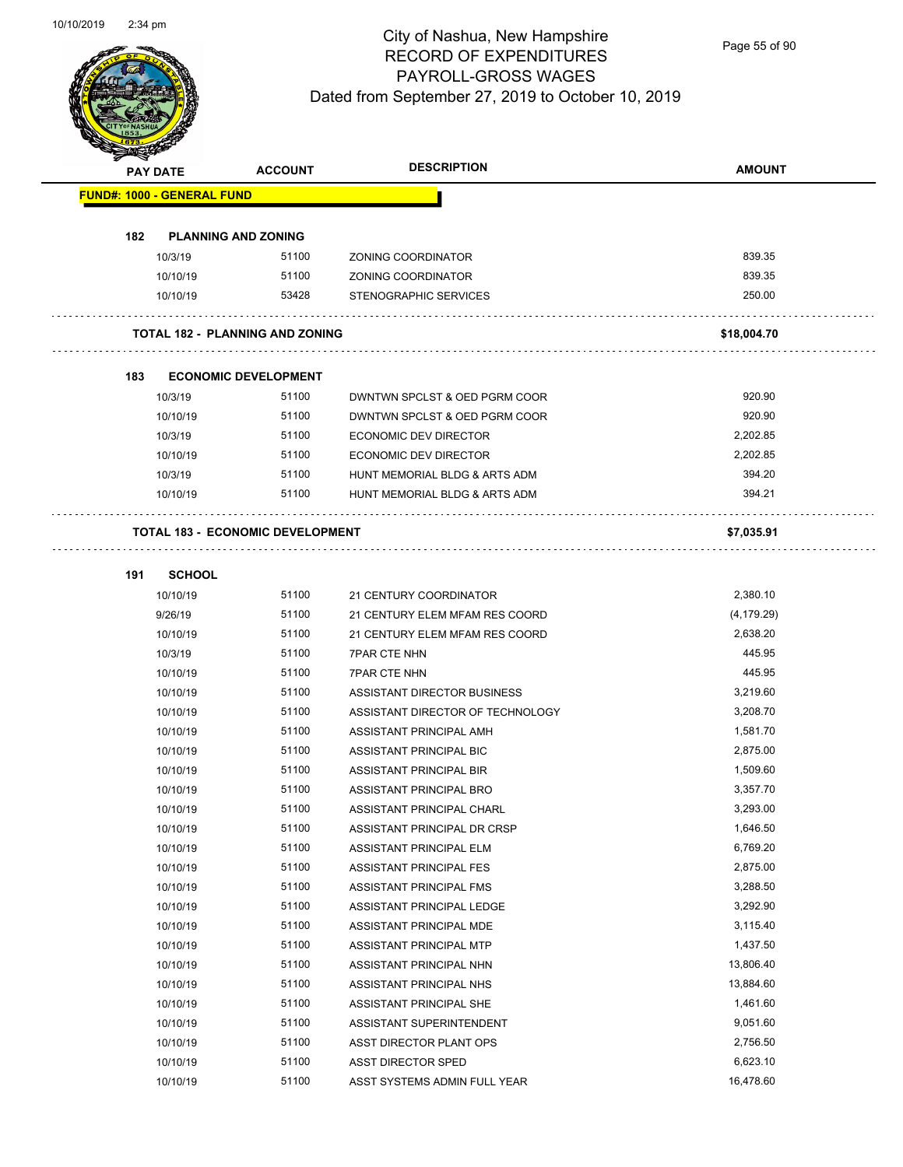$\overline{\phantom{0}}$ 



# City of Nashua, New Hampshire RECORD OF EXPENDITURES PAYROLL-GROSS WAGES Dated from September 27, 2019 to October 10, 2019

Page 55 of 90

| <b>STARTING</b><br>PAY DATE       | <b>ACCOUNT</b>                          | <b>DESCRIPTION</b>               | <b>AMOUNT</b> |
|-----------------------------------|-----------------------------------------|----------------------------------|---------------|
| <b>FUND#: 1000 - GENERAL FUND</b> |                                         |                                  |               |
|                                   |                                         |                                  |               |
| 182                               | <b>PLANNING AND ZONING</b>              |                                  |               |
| 10/3/19                           | 51100                                   | ZONING COORDINATOR               | 839.35        |
| 10/10/19                          | 51100                                   | ZONING COORDINATOR               | 839.35        |
| 10/10/19                          | 53428                                   | STENOGRAPHIC SERVICES            | 250.00        |
|                                   | <b>TOTAL 182 - PLANNING AND ZONING</b>  |                                  | \$18,004.70   |
| 183                               | <b>ECONOMIC DEVELOPMENT</b>             |                                  |               |
| 10/3/19                           | 51100                                   | DWNTWN SPCLST & OED PGRM COOR    | 920.90        |
| 10/10/19                          | 51100                                   | DWNTWN SPCLST & OED PGRM COOR    | 920.90        |
| 10/3/19                           | 51100                                   | ECONOMIC DEV DIRECTOR            | 2,202.85      |
| 10/10/19                          | 51100                                   | <b>ECONOMIC DEV DIRECTOR</b>     | 2,202.85      |
| 10/3/19                           | 51100                                   | HUNT MEMORIAL BLDG & ARTS ADM    | 394.20        |
| 10/10/19                          | 51100                                   | HUNT MEMORIAL BLDG & ARTS ADM    | 394.21        |
|                                   | <b>TOTAL 183 - ECONOMIC DEVELOPMENT</b> |                                  | \$7,035.91    |
| 191<br><b>SCHOOL</b>              |                                         |                                  |               |
| 10/10/19                          | 51100                                   | 21 CENTURY COORDINATOR           | 2,380.10      |
| 9/26/19                           | 51100                                   | 21 CENTURY ELEM MFAM RES COORD   | (4, 179.29)   |
| 10/10/19                          | 51100                                   | 21 CENTURY ELEM MFAM RES COORD   | 2,638.20      |
| 10/3/19                           | 51100                                   | <b>7PAR CTE NHN</b>              | 445.95        |
| 10/10/19                          | 51100                                   | <b>7PAR CTE NHN</b>              | 445.95        |
| 10/10/19                          | 51100                                   | ASSISTANT DIRECTOR BUSINESS      | 3,219.60      |
| 10/10/19                          | 51100                                   | ASSISTANT DIRECTOR OF TECHNOLOGY | 3,208.70      |
| 10/10/19                          | 51100                                   | ASSISTANT PRINCIPAL AMH          | 1,581.70      |
| 10/10/19                          | 51100                                   | ASSISTANT PRINCIPAL BIC          | 2,875.00      |
| 10/10/19                          | 51100                                   | ASSISTANT PRINCIPAL BIR          | 1,509.60      |
| 10/10/19                          | 51100                                   | ASSISTANT PRINCIPAL BRO          | 3,357.70      |
| 10/10/19                          | 51100                                   | ASSISTANT PRINCIPAL CHARL        | 3,293.00      |
| 10/10/19                          | 51100                                   | ASSISTANT PRINCIPAL DR CRSP      | 1,646.50      |
| 10/10/19                          | 51100                                   | ASSISTANT PRINCIPAL ELM          | 6,769.20      |
| 10/10/19                          | 51100                                   | ASSISTANT PRINCIPAL FES          | 2,875.00      |
| 10/10/19                          | 51100                                   | ASSISTANT PRINCIPAL FMS          | 3,288.50      |
| 10/10/19                          | 51100                                   | ASSISTANT PRINCIPAL LEDGE        | 3,292.90      |
| 10/10/19                          | 51100                                   | ASSISTANT PRINCIPAL MDE          | 3,115.40      |
| 10/10/19                          | 51100                                   | ASSISTANT PRINCIPAL MTP          | 1,437.50      |
| 10/10/19                          | 51100                                   | ASSISTANT PRINCIPAL NHN          | 13,806.40     |
| 10/10/19                          | 51100                                   | ASSISTANT PRINCIPAL NHS          | 13,884.60     |
| 10/10/19                          | 51100                                   | ASSISTANT PRINCIPAL SHE          | 1,461.60      |
| 10/10/19                          | 51100                                   | ASSISTANT SUPERINTENDENT         | 9,051.60      |
| 10/10/19                          | 51100                                   | ASST DIRECTOR PLANT OPS          | 2,756.50      |
| 10/10/19                          | 51100                                   | ASST DIRECTOR SPED               | 6,623.10      |
| 10/10/19                          | 51100                                   | ASST SYSTEMS ADMIN FULL YEAR     | 16,478.60     |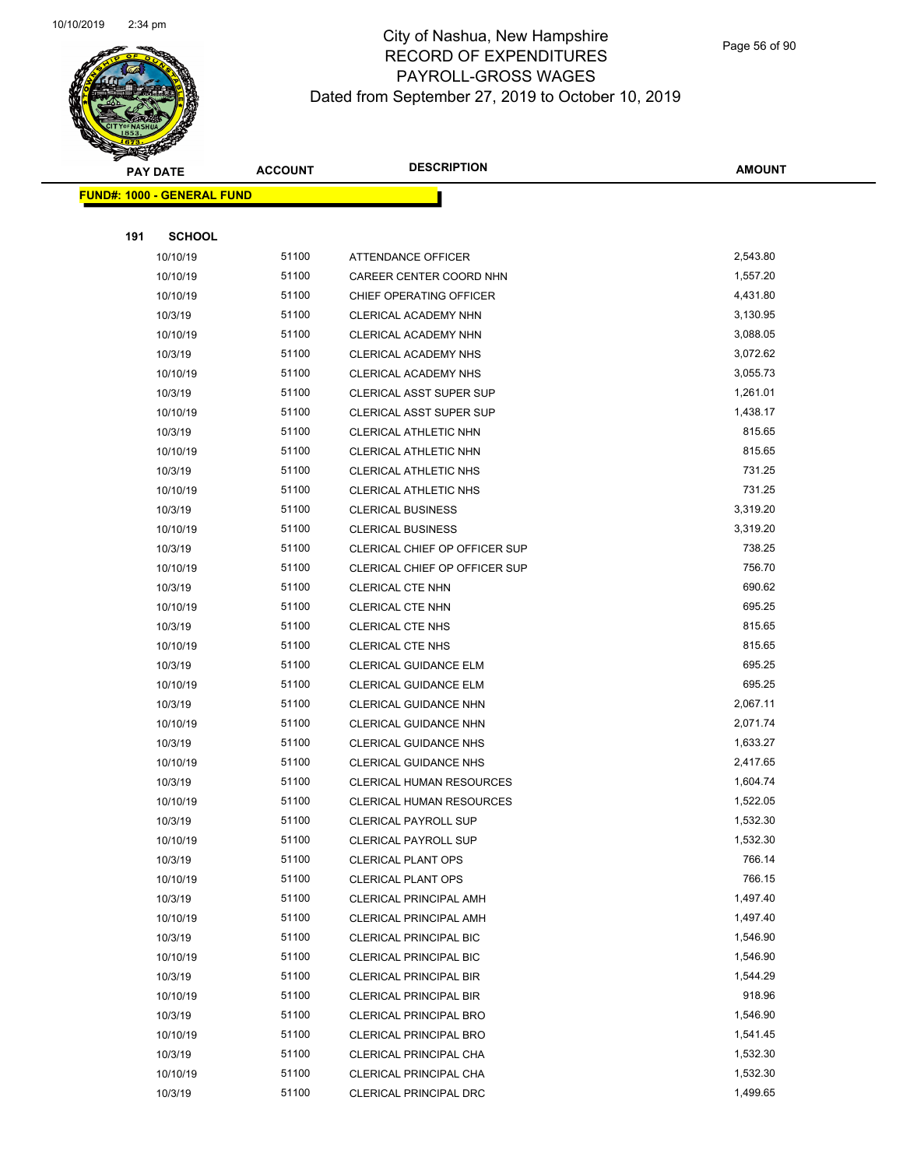

Page 56 of 90

|     | <b>PAY DATE</b>                   | <b>ACCOUNT</b> | <b>DESCRIPTION</b>                                  | <b>AMOUNT</b>      |
|-----|-----------------------------------|----------------|-----------------------------------------------------|--------------------|
|     | <b>FUND#: 1000 - GENERAL FUND</b> |                |                                                     |                    |
|     |                                   |                |                                                     |                    |
| 191 | <b>SCHOOL</b>                     |                |                                                     |                    |
|     | 10/10/19                          | 51100          | ATTENDANCE OFFICER                                  | 2,543.80           |
|     | 10/10/19                          | 51100          | CAREER CENTER COORD NHN                             | 1,557.20           |
|     | 10/10/19                          | 51100          | CHIEF OPERATING OFFICER                             | 4,431.80           |
|     | 10/3/19                           | 51100          | CLERICAL ACADEMY NHN                                | 3,130.95           |
|     | 10/10/19                          | 51100          | CLERICAL ACADEMY NHN                                | 3,088.05           |
|     | 10/3/19                           | 51100          | CLERICAL ACADEMY NHS                                | 3,072.62           |
|     | 10/10/19                          | 51100          | <b>CLERICAL ACADEMY NHS</b>                         | 3,055.73           |
|     | 10/3/19                           | 51100          | CLERICAL ASST SUPER SUP                             | 1,261.01           |
|     | 10/10/19                          | 51100          | <b>CLERICAL ASST SUPER SUP</b>                      | 1,438.17           |
|     | 10/3/19                           | 51100          | CLERICAL ATHLETIC NHN                               | 815.65             |
|     | 10/10/19                          | 51100          | CLERICAL ATHLETIC NHN                               | 815.65             |
|     | 10/3/19                           | 51100          | <b>CLERICAL ATHLETIC NHS</b>                        | 731.25             |
|     | 10/10/19                          | 51100          | CLERICAL ATHLETIC NHS                               | 731.25             |
|     | 10/3/19                           | 51100          | <b>CLERICAL BUSINESS</b>                            | 3,319.20           |
|     | 10/10/19                          | 51100          | <b>CLERICAL BUSINESS</b>                            | 3,319.20           |
|     | 10/3/19                           | 51100          | CLERICAL CHIEF OP OFFICER SUP                       | 738.25             |
|     | 10/10/19                          | 51100          | CLERICAL CHIEF OP OFFICER SUP                       | 756.70             |
|     | 10/3/19                           | 51100          | <b>CLERICAL CTE NHN</b>                             | 690.62             |
|     | 10/10/19                          | 51100          | <b>CLERICAL CTE NHN</b>                             | 695.25             |
|     | 10/3/19                           | 51100          | CLERICAL CTE NHS                                    | 815.65             |
|     | 10/10/19                          | 51100          | <b>CLERICAL CTE NHS</b>                             | 815.65             |
|     | 10/3/19                           | 51100          | <b>CLERICAL GUIDANCE ELM</b>                        | 695.25             |
|     | 10/10/19                          | 51100          | <b>CLERICAL GUIDANCE ELM</b>                        | 695.25             |
|     | 10/3/19                           | 51100          | CLERICAL GUIDANCE NHN                               | 2,067.11           |
|     | 10/10/19                          | 51100          | CLERICAL GUIDANCE NHN                               | 2,071.74           |
|     | 10/3/19                           | 51100          | <b>CLERICAL GUIDANCE NHS</b>                        | 1,633.27           |
|     | 10/10/19                          | 51100          | <b>CLERICAL GUIDANCE NHS</b>                        | 2,417.65           |
|     | 10/3/19                           | 51100          | <b>CLERICAL HUMAN RESOURCES</b>                     | 1,604.74           |
|     | 10/10/19                          | 51100          | <b>CLERICAL HUMAN RESOURCES</b>                     | 1,522.05           |
|     | 10/3/19                           | 51100          | <b>CLERICAL PAYROLL SUP</b>                         | 1,532.30           |
|     | 10/10/19                          | 51100          | <b>CLERICAL PAYROLL SUP</b>                         | 1,532.30           |
|     | 10/3/19                           | 51100          | <b>CLERICAL PLANT OPS</b>                           | 766.14             |
|     | 10/10/19<br>10/3/19               | 51100<br>51100 | <b>CLERICAL PLANT OPS</b><br>CLERICAL PRINCIPAL AMH | 766.15<br>1,497.40 |
|     | 10/10/19                          | 51100          | <b>CLERICAL PRINCIPAL AMH</b>                       | 1,497.40           |
|     | 10/3/19                           | 51100          | <b>CLERICAL PRINCIPAL BIC</b>                       | 1,546.90           |
|     | 10/10/19                          | 51100          | <b>CLERICAL PRINCIPAL BIC</b>                       | 1,546.90           |
|     | 10/3/19                           | 51100          | <b>CLERICAL PRINCIPAL BIR</b>                       | 1,544.29           |
|     | 10/10/19                          | 51100          | <b>CLERICAL PRINCIPAL BIR</b>                       | 918.96             |
|     | 10/3/19                           | 51100          | <b>CLERICAL PRINCIPAL BRO</b>                       | 1,546.90           |
|     | 10/10/19                          | 51100          | <b>CLERICAL PRINCIPAL BRO</b>                       | 1,541.45           |
|     | 10/3/19                           | 51100          | CLERICAL PRINCIPAL CHA                              | 1,532.30           |
|     | 10/10/19                          | 51100          | CLERICAL PRINCIPAL CHA                              | 1,532.30           |
|     | 10/3/19                           | 51100          | CLERICAL PRINCIPAL DRC                              | 1,499.65           |
|     |                                   |                |                                                     |                    |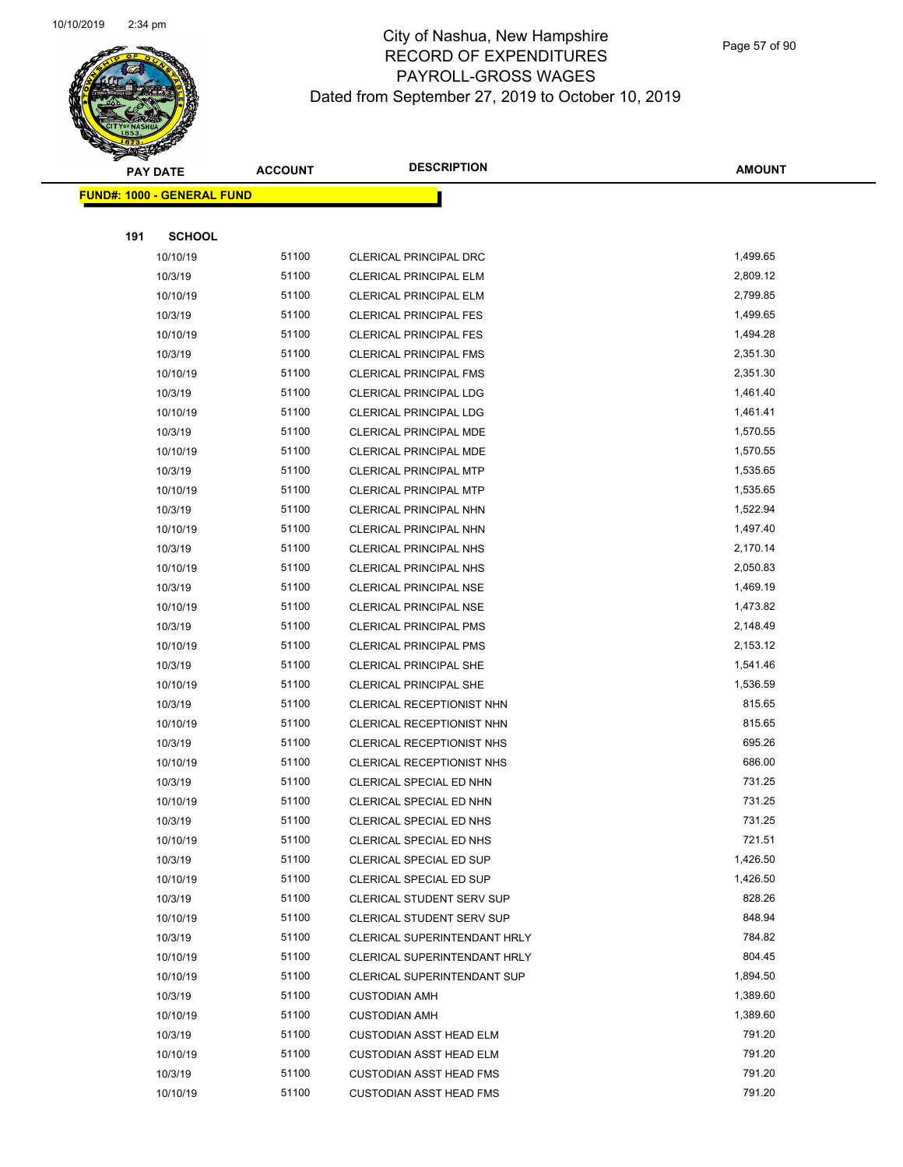

Page 57 of 90

|     | <b>PAY DATE</b>                    | <b>ACCOUNT</b> | <b>DESCRIPTION</b>                 | <b>AMOUNT</b> |  |
|-----|------------------------------------|----------------|------------------------------------|---------------|--|
|     | <u> FUND#: 1000 - GENERAL FUND</u> |                |                                    |               |  |
|     |                                    |                |                                    |               |  |
| 191 | <b>SCHOOL</b>                      |                |                                    |               |  |
|     | 10/10/19                           | 51100          | CLERICAL PRINCIPAL DRC             | 1,499.65      |  |
|     | 10/3/19                            | 51100          | <b>CLERICAL PRINCIPAL ELM</b>      | 2,809.12      |  |
|     | 10/10/19                           | 51100          | <b>CLERICAL PRINCIPAL ELM</b>      | 2,799.85      |  |
|     | 10/3/19                            | 51100          | <b>CLERICAL PRINCIPAL FES</b>      | 1,499.65      |  |
|     | 10/10/19                           | 51100          | <b>CLERICAL PRINCIPAL FES</b>      | 1,494.28      |  |
|     | 10/3/19                            | 51100          | CLERICAL PRINCIPAL FMS             | 2,351.30      |  |
|     | 10/10/19                           | 51100          | <b>CLERICAL PRINCIPAL FMS</b>      | 2,351.30      |  |
|     | 10/3/19                            | 51100          | <b>CLERICAL PRINCIPAL LDG</b>      | 1,461.40      |  |
|     | 10/10/19                           | 51100          | <b>CLERICAL PRINCIPAL LDG</b>      | 1,461.41      |  |
|     | 10/3/19                            | 51100          | <b>CLERICAL PRINCIPAL MDE</b>      | 1,570.55      |  |
|     | 10/10/19                           | 51100          | CLERICAL PRINCIPAL MDE             | 1,570.55      |  |
|     | 10/3/19                            | 51100          | <b>CLERICAL PRINCIPAL MTP</b>      | 1,535.65      |  |
|     | 10/10/19                           | 51100          | <b>CLERICAL PRINCIPAL MTP</b>      | 1,535.65      |  |
|     | 10/3/19                            | 51100          | CLERICAL PRINCIPAL NHN             | 1,522.94      |  |
|     | 10/10/19                           | 51100          | <b>CLERICAL PRINCIPAL NHN</b>      | 1,497.40      |  |
|     | 10/3/19                            | 51100          | CLERICAL PRINCIPAL NHS             | 2,170.14      |  |
|     | 10/10/19                           | 51100          | <b>CLERICAL PRINCIPAL NHS</b>      | 2,050.83      |  |
|     | 10/3/19                            | 51100          | <b>CLERICAL PRINCIPAL NSE</b>      | 1,469.19      |  |
|     | 10/10/19                           | 51100          | <b>CLERICAL PRINCIPAL NSE</b>      | 1,473.82      |  |
|     | 10/3/19                            | 51100          | <b>CLERICAL PRINCIPAL PMS</b>      | 2,148.49      |  |
|     | 10/10/19                           | 51100          | CLERICAL PRINCIPAL PMS             | 2,153.12      |  |
|     | 10/3/19                            | 51100          | CLERICAL PRINCIPAL SHE             | 1,541.46      |  |
|     | 10/10/19                           | 51100          | CLERICAL PRINCIPAL SHE             | 1,536.59      |  |
|     | 10/3/19                            | 51100          | CLERICAL RECEPTIONIST NHN          | 815.65        |  |
|     | 10/10/19                           | 51100          | CLERICAL RECEPTIONIST NHN          | 815.65        |  |
|     | 10/3/19                            | 51100          | <b>CLERICAL RECEPTIONIST NHS</b>   | 695.26        |  |
|     | 10/10/19                           | 51100          | CLERICAL RECEPTIONIST NHS          | 686.00        |  |
|     | 10/3/19                            | 51100          | CLERICAL SPECIAL ED NHN            | 731.25        |  |
|     | 10/10/19                           | 51100          | CLERICAL SPECIAL ED NHN            | 731.25        |  |
|     | 10/3/19                            | 51100          | <b>CLERICAL SPECIAL ED NHS</b>     | 731.25        |  |
|     | 10/10/19                           | 51100          | CLERICAL SPECIAL ED NHS            | 721.51        |  |
|     | 10/3/19                            | 51100          | CLERICAL SPECIAL ED SUP            | 1,426.50      |  |
|     | 10/10/19                           | 51100          | CLERICAL SPECIAL ED SUP            | 1,426.50      |  |
|     | 10/3/19                            | 51100          | CLERICAL STUDENT SERV SUP          | 828.26        |  |
|     | 10/10/19                           | 51100          | CLERICAL STUDENT SERV SUP          | 848.94        |  |
|     | 10/3/19                            | 51100          | CLERICAL SUPERINTENDANT HRLY       | 784.82        |  |
|     | 10/10/19                           | 51100          | CLERICAL SUPERINTENDANT HRLY       | 804.45        |  |
|     | 10/10/19                           | 51100          | <b>CLERICAL SUPERINTENDANT SUP</b> | 1,894.50      |  |
|     | 10/3/19                            | 51100          | <b>CUSTODIAN AMH</b>               | 1,389.60      |  |
|     | 10/10/19                           | 51100          | <b>CUSTODIAN AMH</b>               | 1,389.60      |  |
|     | 10/3/19                            | 51100          | <b>CUSTODIAN ASST HEAD ELM</b>     | 791.20        |  |
|     | 10/10/19                           | 51100          | <b>CUSTODIAN ASST HEAD ELM</b>     | 791.20        |  |
|     | 10/3/19                            | 51100          | <b>CUSTODIAN ASST HEAD FMS</b>     | 791.20        |  |
|     | 10/10/19                           | 51100          | <b>CUSTODIAN ASST HEAD FMS</b>     | 791.20        |  |
|     |                                    |                |                                    |               |  |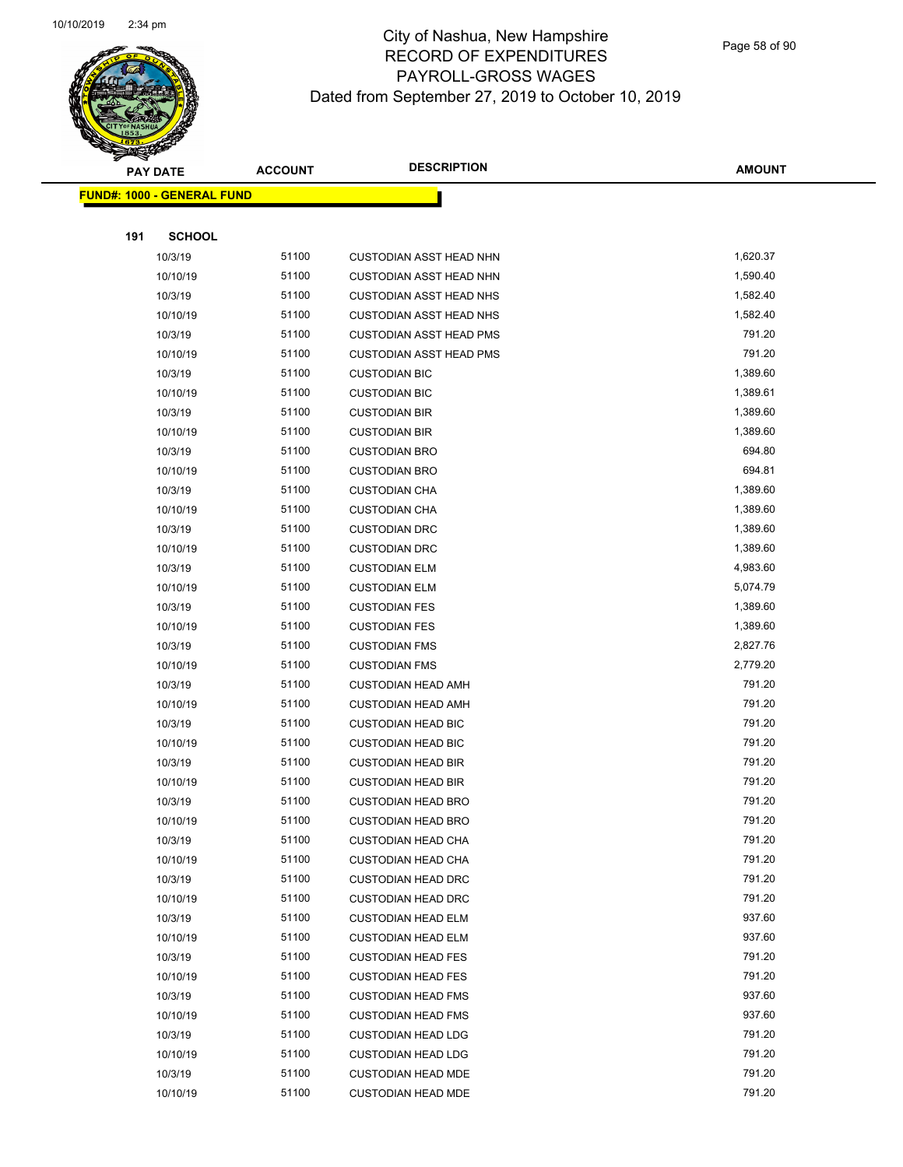

Page 58 of 90

|     | <b>PAY DATE</b>                   | <b>ACCOUNT</b> | <b>DESCRIPTION</b>                                     | <b>AMOUNT</b>    |
|-----|-----------------------------------|----------------|--------------------------------------------------------|------------------|
|     | <b>FUND#: 1000 - GENERAL FUND</b> |                |                                                        |                  |
|     |                                   |                |                                                        |                  |
| 191 | <b>SCHOOL</b>                     |                |                                                        |                  |
|     | 10/3/19                           | 51100          | <b>CUSTODIAN ASST HEAD NHN</b>                         | 1,620.37         |
|     | 10/10/19                          | 51100          | <b>CUSTODIAN ASST HEAD NHN</b>                         | 1,590.40         |
|     | 10/3/19                           | 51100          | <b>CUSTODIAN ASST HEAD NHS</b>                         | 1,582.40         |
|     | 10/10/19                          | 51100          | <b>CUSTODIAN ASST HEAD NHS</b>                         | 1,582.40         |
|     | 10/3/19                           | 51100          | <b>CUSTODIAN ASST HEAD PMS</b>                         | 791.20           |
|     | 10/10/19                          | 51100          | <b>CUSTODIAN ASST HEAD PMS</b>                         | 791.20           |
|     | 10/3/19                           | 51100          | <b>CUSTODIAN BIC</b>                                   | 1,389.60         |
|     | 10/10/19                          | 51100          | <b>CUSTODIAN BIC</b>                                   | 1,389.61         |
|     | 10/3/19                           | 51100          | <b>CUSTODIAN BIR</b>                                   | 1,389.60         |
|     | 10/10/19                          | 51100          | <b>CUSTODIAN BIR</b>                                   | 1,389.60         |
|     | 10/3/19                           | 51100          | <b>CUSTODIAN BRO</b>                                   | 694.80           |
|     | 10/10/19                          | 51100          | <b>CUSTODIAN BRO</b>                                   | 694.81           |
|     | 10/3/19                           | 51100          | <b>CUSTODIAN CHA</b>                                   | 1,389.60         |
|     | 10/10/19                          | 51100          | <b>CUSTODIAN CHA</b>                                   | 1,389.60         |
|     | 10/3/19                           | 51100          | <b>CUSTODIAN DRC</b>                                   | 1,389.60         |
|     | 10/10/19                          | 51100          | <b>CUSTODIAN DRC</b>                                   | 1,389.60         |
|     | 10/3/19                           | 51100          | <b>CUSTODIAN ELM</b>                                   | 4,983.60         |
|     | 10/10/19                          | 51100          | <b>CUSTODIAN ELM</b>                                   | 5,074.79         |
|     | 10/3/19                           | 51100          | <b>CUSTODIAN FES</b>                                   | 1,389.60         |
|     | 10/10/19                          | 51100          | <b>CUSTODIAN FES</b>                                   | 1,389.60         |
|     | 10/3/19                           | 51100          | <b>CUSTODIAN FMS</b>                                   | 2,827.76         |
|     | 10/10/19                          | 51100          | <b>CUSTODIAN FMS</b>                                   | 2,779.20         |
|     | 10/3/19                           | 51100          | <b>CUSTODIAN HEAD AMH</b>                              | 791.20           |
|     | 10/10/19                          | 51100          | <b>CUSTODIAN HEAD AMH</b>                              | 791.20           |
|     | 10/3/19                           | 51100          | <b>CUSTODIAN HEAD BIC</b>                              | 791.20           |
|     | 10/10/19                          | 51100          | <b>CUSTODIAN HEAD BIC</b>                              | 791.20           |
|     | 10/3/19                           | 51100          | <b>CUSTODIAN HEAD BIR</b>                              | 791.20           |
|     | 10/10/19                          | 51100          | <b>CUSTODIAN HEAD BIR</b>                              | 791.20           |
|     | 10/3/19                           | 51100          | <b>CUSTODIAN HEAD BRO</b>                              | 791.20           |
|     | 10/10/19                          | 51100          | <b>CUSTODIAN HEAD BRO</b>                              | 791.20           |
|     | 10/3/19                           | 51100          | <b>CUSTODIAN HEAD CHA</b>                              | 791.20           |
|     | 10/10/19                          | 51100          | <b>CUSTODIAN HEAD CHA</b>                              | 791.20           |
|     | 10/3/19                           | 51100          | <b>CUSTODIAN HEAD DRC</b>                              | 791.20           |
|     | 10/10/19                          | 51100          | <b>CUSTODIAN HEAD DRC</b>                              | 791.20           |
|     | 10/3/19                           | 51100          | <b>CUSTODIAN HEAD ELM</b>                              | 937.60           |
|     | 10/10/19                          | 51100          | <b>CUSTODIAN HEAD ELM</b>                              | 937.60<br>791.20 |
|     | 10/3/19                           | 51100<br>51100 | <b>CUSTODIAN HEAD FES</b>                              | 791.20           |
|     | 10/10/19                          |                | <b>CUSTODIAN HEAD FES</b>                              | 937.60           |
|     | 10/3/19                           | 51100<br>51100 | <b>CUSTODIAN HEAD FMS</b>                              | 937.60           |
|     | 10/10/19                          | 51100          | <b>CUSTODIAN HEAD FMS</b>                              | 791.20           |
|     | 10/3/19<br>10/10/19               | 51100          | <b>CUSTODIAN HEAD LDG</b><br><b>CUSTODIAN HEAD LDG</b> | 791.20           |
|     | 10/3/19                           | 51100          | <b>CUSTODIAN HEAD MDE</b>                              | 791.20           |
|     | 10/10/19                          | 51100          | <b>CUSTODIAN HEAD MDE</b>                              | 791.20           |
|     |                                   |                |                                                        |                  |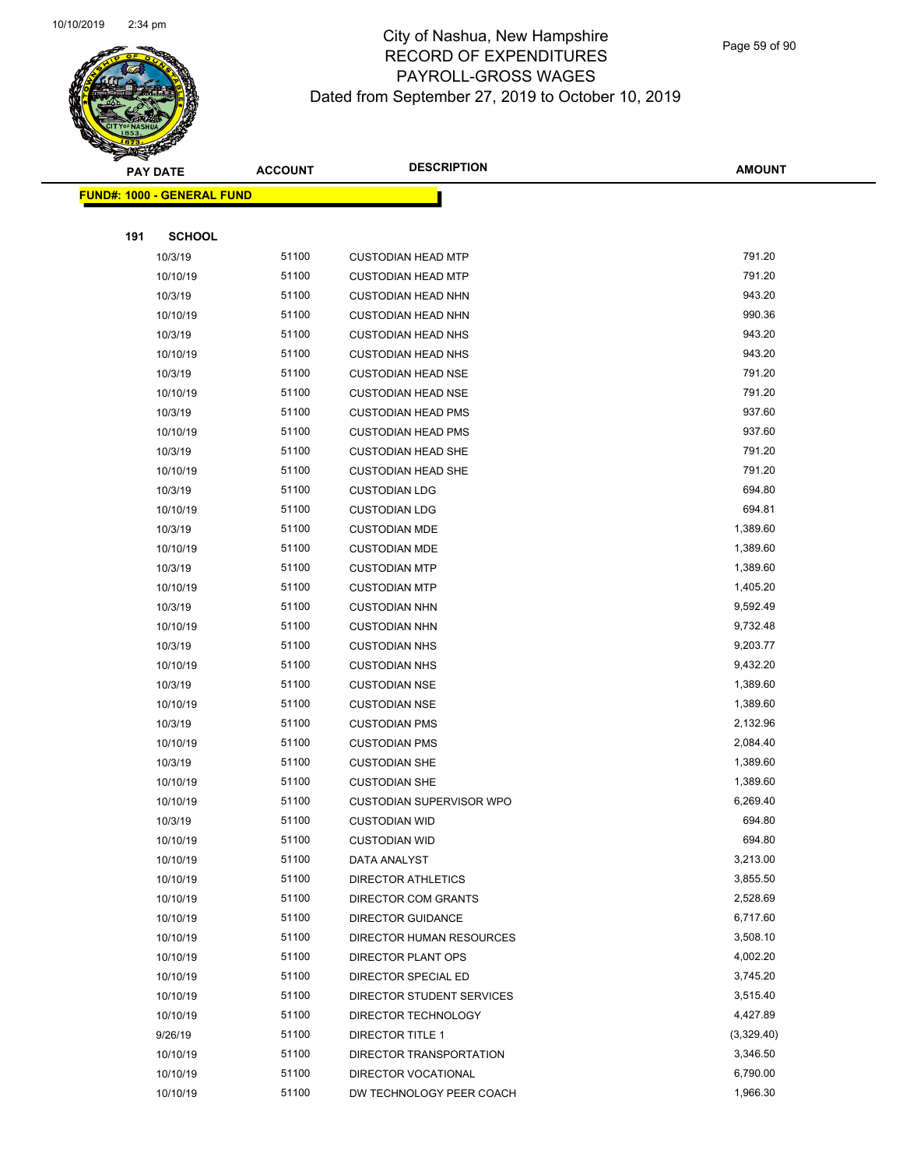

Page 59 of 90

| <b>PAY DATE</b>                   | <b>ACCOUNT</b> | <b>DESCRIPTION</b>              | <b>AMOUNT</b> |
|-----------------------------------|----------------|---------------------------------|---------------|
| <b>FUND#: 1000 - GENERAL FUND</b> |                |                                 |               |
|                                   |                |                                 |               |
| 191<br><b>SCHOOL</b>              |                |                                 |               |
| 10/3/19                           | 51100          | <b>CUSTODIAN HEAD MTP</b>       | 791.20        |
| 10/10/19                          | 51100          | <b>CUSTODIAN HEAD MTP</b>       | 791.20        |
| 10/3/19                           | 51100          | <b>CUSTODIAN HEAD NHN</b>       | 943.20        |
| 10/10/19                          | 51100          | <b>CUSTODIAN HEAD NHN</b>       | 990.36        |
| 10/3/19                           | 51100          | <b>CUSTODIAN HEAD NHS</b>       | 943.20        |
| 10/10/19                          | 51100          | <b>CUSTODIAN HEAD NHS</b>       | 943.20        |
| 10/3/19                           | 51100          | <b>CUSTODIAN HEAD NSE</b>       | 791.20        |
| 10/10/19                          | 51100          | <b>CUSTODIAN HEAD NSE</b>       | 791.20        |
| 10/3/19                           | 51100          | <b>CUSTODIAN HEAD PMS</b>       | 937.60        |
| 10/10/19                          | 51100          | <b>CUSTODIAN HEAD PMS</b>       | 937.60        |
| 10/3/19                           | 51100          | <b>CUSTODIAN HEAD SHE</b>       | 791.20        |
| 10/10/19                          | 51100          | <b>CUSTODIAN HEAD SHE</b>       | 791.20        |
| 10/3/19                           | 51100          | <b>CUSTODIAN LDG</b>            | 694.80        |
| 10/10/19                          | 51100          | <b>CUSTODIAN LDG</b>            | 694.81        |
| 10/3/19                           | 51100          | <b>CUSTODIAN MDE</b>            | 1,389.60      |
| 10/10/19                          | 51100          | <b>CUSTODIAN MDE</b>            | 1,389.60      |
| 10/3/19                           | 51100          | <b>CUSTODIAN MTP</b>            | 1,389.60      |
| 10/10/19                          | 51100          | <b>CUSTODIAN MTP</b>            | 1,405.20      |
| 10/3/19                           | 51100          | <b>CUSTODIAN NHN</b>            | 9,592.49      |
| 10/10/19                          | 51100          | <b>CUSTODIAN NHN</b>            | 9,732.48      |
| 10/3/19                           | 51100          | <b>CUSTODIAN NHS</b>            | 9,203.77      |
| 10/10/19                          | 51100          | <b>CUSTODIAN NHS</b>            | 9,432.20      |
| 10/3/19                           | 51100          | <b>CUSTODIAN NSE</b>            | 1,389.60      |
| 10/10/19                          | 51100          | <b>CUSTODIAN NSE</b>            | 1,389.60      |
| 10/3/19                           | 51100          | <b>CUSTODIAN PMS</b>            | 2,132.96      |
| 10/10/19                          | 51100          | <b>CUSTODIAN PMS</b>            | 2,084.40      |
| 10/3/19                           | 51100          | <b>CUSTODIAN SHE</b>            | 1,389.60      |
| 10/10/19                          | 51100          | <b>CUSTODIAN SHE</b>            | 1,389.60      |
| 10/10/19                          | 51100          | <b>CUSTODIAN SUPERVISOR WPO</b> | 6,269.40      |
| 10/3/19                           | 51100          | <b>CUSTODIAN WID</b>            | 694.80        |
| 10/10/19                          | 51100          | <b>CUSTODIAN WID</b>            | 694.80        |
| 10/10/19                          | 51100          | DATA ANALYST                    | 3,213.00      |
| 10/10/19                          | 51100          | <b>DIRECTOR ATHLETICS</b>       | 3,855.50      |
| 10/10/19                          | 51100          | DIRECTOR COM GRANTS             | 2,528.69      |
| 10/10/19                          | 51100          | <b>DIRECTOR GUIDANCE</b>        | 6,717.60      |
| 10/10/19                          | 51100          | DIRECTOR HUMAN RESOURCES        | 3,508.10      |
| 10/10/19                          | 51100          | DIRECTOR PLANT OPS              | 4,002.20      |
| 10/10/19                          | 51100          | DIRECTOR SPECIAL ED             | 3,745.20      |
| 10/10/19                          | 51100          | DIRECTOR STUDENT SERVICES       | 3,515.40      |
| 10/10/19                          | 51100          | DIRECTOR TECHNOLOGY             | 4,427.89      |
| 9/26/19                           | 51100          | DIRECTOR TITLE 1                | (3,329.40)    |
| 10/10/19                          | 51100          | DIRECTOR TRANSPORTATION         | 3,346.50      |
| 10/10/19                          | 51100          | DIRECTOR VOCATIONAL             | 6,790.00      |
| 10/10/19                          | 51100          | DW TECHNOLOGY PEER COACH        | 1,966.30      |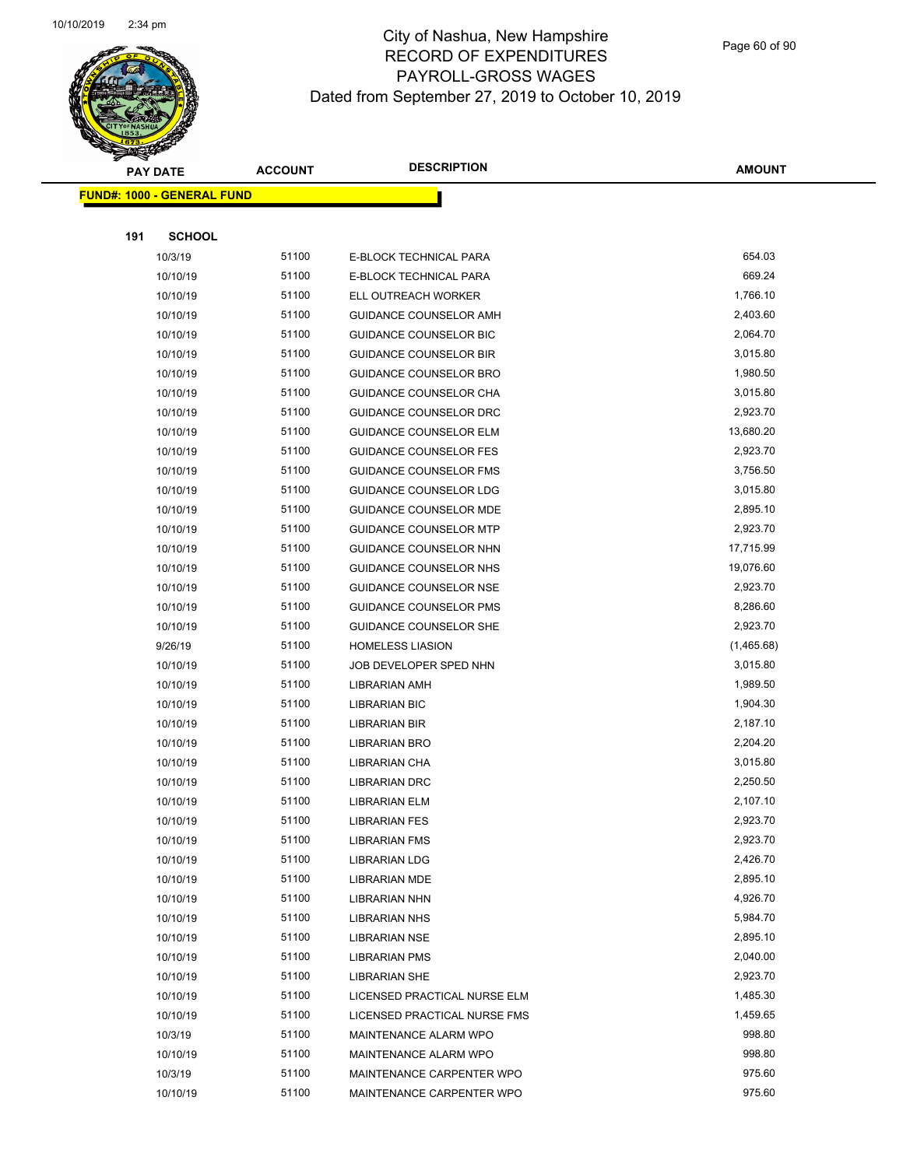

Page 60 of 90

|     | <b>PAY DATE</b>                   | <b>ACCOUNT</b> | <b>DESCRIPTION</b>            | <b>AMOUNT</b> |
|-----|-----------------------------------|----------------|-------------------------------|---------------|
|     | <b>FUND#: 1000 - GENERAL FUND</b> |                |                               |               |
|     |                                   |                |                               |               |
| 191 | <b>SCHOOL</b>                     |                |                               |               |
|     | 10/3/19                           | 51100          | E-BLOCK TECHNICAL PARA        | 654.03        |
|     | 10/10/19                          | 51100          | E-BLOCK TECHNICAL PARA        | 669.24        |
|     | 10/10/19                          | 51100          | ELL OUTREACH WORKER           | 1,766.10      |
|     | 10/10/19                          | 51100          | GUIDANCE COUNSELOR AMH        | 2,403.60      |
|     | 10/10/19                          | 51100          | GUIDANCE COUNSELOR BIC        | 2,064.70      |
|     | 10/10/19                          | 51100          | <b>GUIDANCE COUNSELOR BIR</b> | 3,015.80      |
|     | 10/10/19                          | 51100          | GUIDANCE COUNSELOR BRO        | 1,980.50      |
|     | 10/10/19                          | 51100          | GUIDANCE COUNSELOR CHA        | 3,015.80      |
|     | 10/10/19                          | 51100          | GUIDANCE COUNSELOR DRC        | 2,923.70      |
|     | 10/10/19                          | 51100          | <b>GUIDANCE COUNSELOR ELM</b> | 13,680.20     |
|     | 10/10/19                          | 51100          | <b>GUIDANCE COUNSELOR FES</b> | 2,923.70      |
|     | 10/10/19                          | 51100          | GUIDANCE COUNSELOR FMS        | 3,756.50      |
|     | 10/10/19                          | 51100          | GUIDANCE COUNSELOR LDG        | 3,015.80      |
|     | 10/10/19                          | 51100          | GUIDANCE COUNSELOR MDE        | 2,895.10      |
|     | 10/10/19                          | 51100          | <b>GUIDANCE COUNSELOR MTP</b> | 2,923.70      |
|     | 10/10/19                          | 51100          | GUIDANCE COUNSELOR NHN        | 17,715.99     |
|     | 10/10/19                          | 51100          | GUIDANCE COUNSELOR NHS        | 19,076.60     |
|     | 10/10/19                          | 51100          | GUIDANCE COUNSELOR NSE        | 2,923.70      |
|     | 10/10/19                          | 51100          | <b>GUIDANCE COUNSELOR PMS</b> | 8,286.60      |
|     | 10/10/19                          | 51100          | <b>GUIDANCE COUNSELOR SHE</b> | 2,923.70      |
|     | 9/26/19                           | 51100          | <b>HOMELESS LIASION</b>       | (1,465.68)    |
|     | 10/10/19                          | 51100          | JOB DEVELOPER SPED NHN        | 3,015.80      |
|     | 10/10/19                          | 51100          | <b>LIBRARIAN AMH</b>          | 1,989.50      |
|     | 10/10/19                          | 51100          | <b>LIBRARIAN BIC</b>          | 1,904.30      |
|     | 10/10/19                          | 51100          | LIBRARIAN BIR                 | 2,187.10      |
|     | 10/10/19                          | 51100          | LIBRARIAN BRO                 | 2,204.20      |
|     | 10/10/19                          | 51100          | LIBRARIAN CHA                 | 3,015.80      |
|     | 10/10/19                          | 51100          | <b>LIBRARIAN DRC</b>          | 2,250.50      |
|     | 10/10/19                          | 51100          | <b>LIBRARIAN ELM</b>          | 2,107.10      |
|     | 10/10/19                          | 51100          | <b>LIBRARIAN FES</b>          | 2,923.70      |
|     | 10/10/19                          | 51100          | <b>LIBRARIAN FMS</b>          | 2,923.70      |
|     | 10/10/19                          | 51100          | <b>LIBRARIAN LDG</b>          | 2,426.70      |
|     | 10/10/19                          | 51100          | LIBRARIAN MDE                 | 2,895.10      |
|     | 10/10/19                          | 51100          | <b>LIBRARIAN NHN</b>          | 4,926.70      |
|     | 10/10/19                          | 51100          | <b>LIBRARIAN NHS</b>          | 5,984.70      |
|     | 10/10/19                          | 51100          | <b>LIBRARIAN NSE</b>          | 2,895.10      |
|     | 10/10/19                          | 51100          | <b>LIBRARIAN PMS</b>          | 2,040.00      |
|     | 10/10/19                          | 51100          | <b>LIBRARIAN SHE</b>          | 2,923.70      |
|     | 10/10/19                          | 51100          | LICENSED PRACTICAL NURSE ELM  | 1,485.30      |
|     | 10/10/19                          | 51100          | LICENSED PRACTICAL NURSE FMS  | 1,459.65      |
|     | 10/3/19                           | 51100          | MAINTENANCE ALARM WPO         | 998.80        |
|     | 10/10/19                          | 51100          | MAINTENANCE ALARM WPO         | 998.80        |
|     | 10/3/19                           | 51100          | MAINTENANCE CARPENTER WPO     | 975.60        |
|     | 10/10/19                          | 51100          | MAINTENANCE CARPENTER WPO     | 975.60        |
|     |                                   |                |                               |               |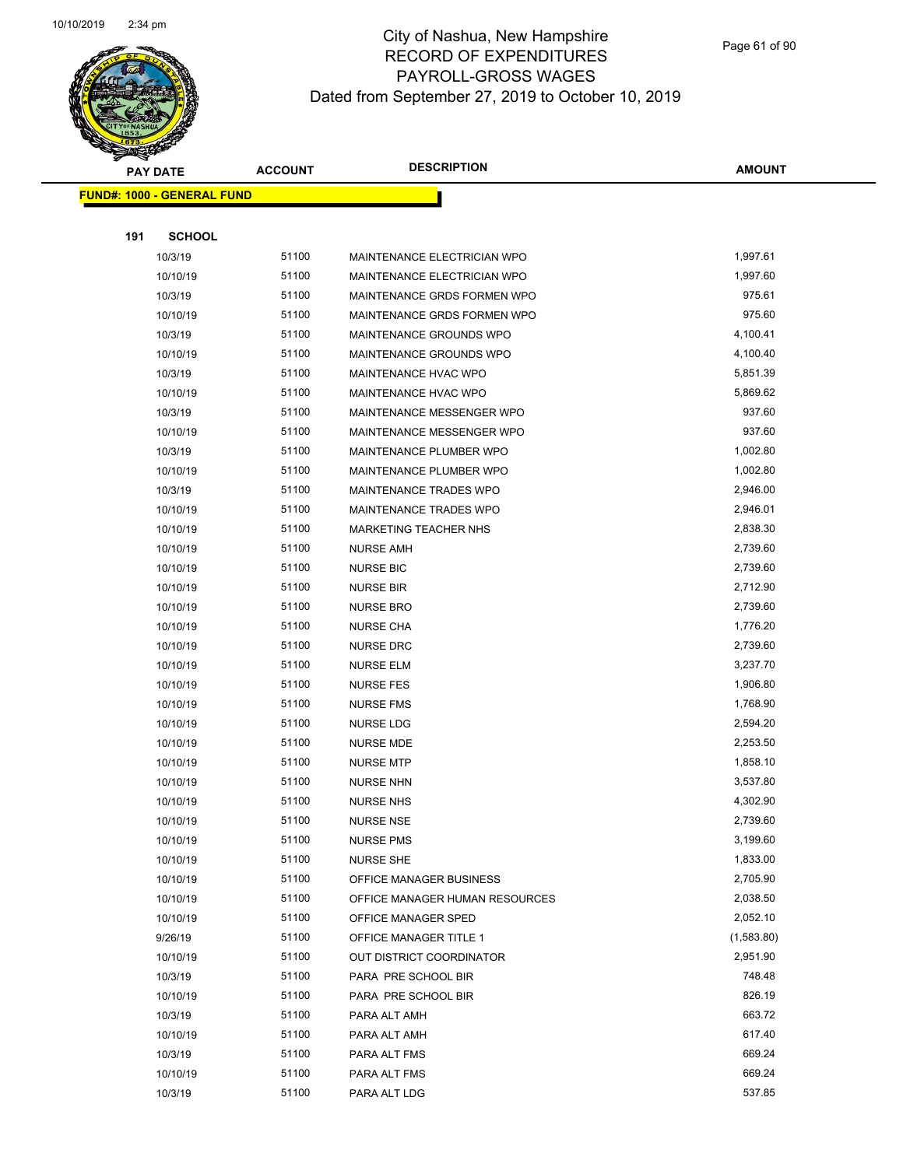

|     | <b>PAY DATE</b>                   | <b>ACCOUNT</b> | <b>DESCRIPTION</b>             | <b>AMOUNT</b> |
|-----|-----------------------------------|----------------|--------------------------------|---------------|
|     | <b>FUND#: 1000 - GENERAL FUND</b> |                |                                |               |
|     |                                   |                |                                |               |
| 191 | <b>SCHOOL</b>                     |                |                                |               |
|     | 10/3/19                           | 51100          | MAINTENANCE ELECTRICIAN WPO    | 1,997.61      |
|     | 10/10/19                          | 51100          | MAINTENANCE ELECTRICIAN WPO    | 1,997.60      |
|     | 10/3/19                           | 51100          | MAINTENANCE GRDS FORMEN WPO    | 975.61        |
|     | 10/10/19                          | 51100          | MAINTENANCE GRDS FORMEN WPO    | 975.60        |
|     | 10/3/19                           | 51100          | MAINTENANCE GROUNDS WPO        | 4,100.41      |
|     | 10/10/19                          | 51100          | MAINTENANCE GROUNDS WPO        | 4,100.40      |
|     | 10/3/19                           | 51100          | MAINTENANCE HVAC WPO           | 5,851.39      |
|     | 10/10/19                          | 51100          | MAINTENANCE HVAC WPO           | 5,869.62      |
|     | 10/3/19                           | 51100          | MAINTENANCE MESSENGER WPO      | 937.60        |
|     | 10/10/19                          | 51100          | MAINTENANCE MESSENGER WPO      | 937.60        |
|     | 10/3/19                           | 51100          | MAINTENANCE PLUMBER WPO        | 1,002.80      |
|     | 10/10/19                          | 51100          | MAINTENANCE PLUMBER WPO        | 1,002.80      |
|     | 10/3/19                           | 51100          | MAINTENANCE TRADES WPO         | 2,946.00      |
|     | 10/10/19                          | 51100          | MAINTENANCE TRADES WPO         | 2,946.01      |
|     | 10/10/19                          | 51100          | MARKETING TEACHER NHS          | 2,838.30      |
|     | 10/10/19                          | 51100          | <b>NURSE AMH</b>               | 2,739.60      |
|     | 10/10/19                          | 51100          | <b>NURSE BIC</b>               | 2,739.60      |
|     | 10/10/19                          | 51100          | <b>NURSE BIR</b>               | 2,712.90      |
|     | 10/10/19                          | 51100          | <b>NURSE BRO</b>               | 2,739.60      |
|     | 10/10/19                          | 51100          | <b>NURSE CHA</b>               | 1,776.20      |
|     | 10/10/19                          | 51100          | <b>NURSE DRC</b>               | 2,739.60      |
|     | 10/10/19                          | 51100          | <b>NURSE ELM</b>               | 3,237.70      |
|     | 10/10/19                          | 51100          | <b>NURSE FES</b>               | 1,906.80      |
|     | 10/10/19                          | 51100          | <b>NURSE FMS</b>               | 1,768.90      |
|     | 10/10/19                          | 51100          | <b>NURSE LDG</b>               | 2,594.20      |
|     | 10/10/19                          | 51100          | <b>NURSE MDE</b>               | 2,253.50      |
|     | 10/10/19                          | 51100          | <b>NURSE MTP</b>               | 1,858.10      |
|     | 10/10/19                          | 51100          | <b>NURSE NHN</b>               | 3,537.80      |
|     | 10/10/19                          | 51100          | NURSE NHS                      | 4,302.90      |
|     | 10/10/19                          | 51100          | <b>NURSE NSE</b>               | 2,739.60      |
|     | 10/10/19                          | 51100          | <b>NURSE PMS</b>               | 3,199.60      |
|     | 10/10/19                          | 51100          | <b>NURSE SHE</b>               | 1,833.00      |
|     | 10/10/19                          | 51100          | OFFICE MANAGER BUSINESS        | 2,705.90      |
|     | 10/10/19                          | 51100          | OFFICE MANAGER HUMAN RESOURCES | 2,038.50      |
|     | 10/10/19                          | 51100          | OFFICE MANAGER SPED            | 2,052.10      |
|     | 9/26/19                           | 51100          | OFFICE MANAGER TITLE 1         | (1,583.80)    |
|     | 10/10/19                          | 51100          | OUT DISTRICT COORDINATOR       | 2,951.90      |
|     | 10/3/19                           | 51100          | PARA PRE SCHOOL BIR            | 748.48        |
|     | 10/10/19                          | 51100          | PARA PRE SCHOOL BIR            | 826.19        |
|     | 10/3/19                           | 51100          | PARA ALT AMH                   | 663.72        |
|     | 10/10/19                          | 51100          | PARA ALT AMH                   | 617.40        |
|     | 10/3/19                           | 51100          | PARA ALT FMS                   | 669.24        |
|     | 10/10/19                          | 51100          | PARA ALT FMS                   | 669.24        |
|     | 10/3/19                           | 51100          | PARA ALT LDG                   | 537.85        |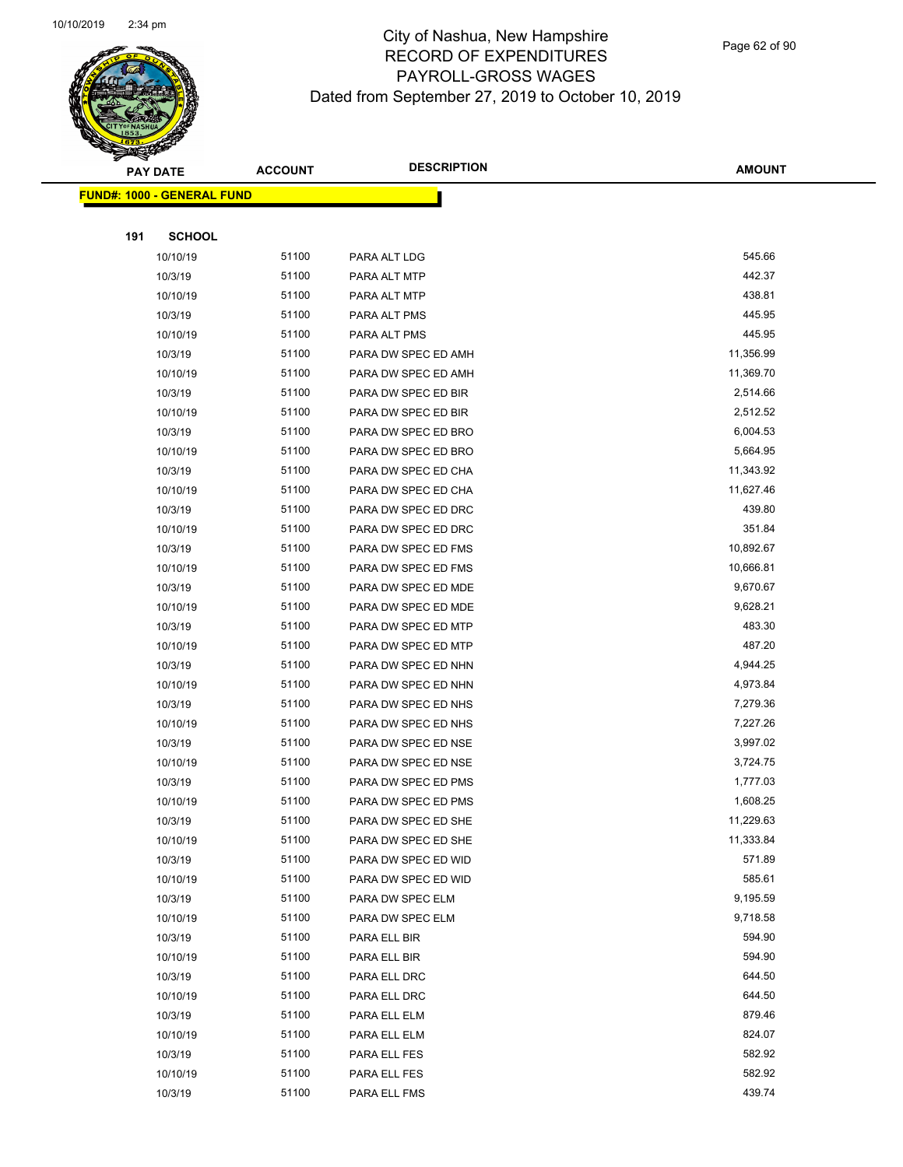

Page 62 of 90

|     | <b>PAY DATE</b>                    | <b>ACCOUNT</b> | <b>DESCRIPTION</b>  | <b>AMOUNT</b> |
|-----|------------------------------------|----------------|---------------------|---------------|
|     | <u> FUND#: 1000 - GENERAL FUND</u> |                |                     |               |
|     |                                    |                |                     |               |
| 191 | <b>SCHOOL</b>                      |                |                     |               |
|     | 10/10/19                           | 51100          | PARA ALT LDG        | 545.66        |
|     | 10/3/19                            | 51100          | PARA ALT MTP        | 442.37        |
|     | 10/10/19                           | 51100          | PARA ALT MTP        | 438.81        |
|     | 10/3/19                            | 51100          | PARA ALT PMS        | 445.95        |
|     | 10/10/19                           | 51100          | PARA ALT PMS        | 445.95        |
|     | 10/3/19                            | 51100          | PARA DW SPEC ED AMH | 11,356.99     |
|     | 10/10/19                           | 51100          | PARA DW SPEC ED AMH | 11,369.70     |
|     | 10/3/19                            | 51100          | PARA DW SPEC ED BIR | 2,514.66      |
|     | 10/10/19                           | 51100          | PARA DW SPEC ED BIR | 2,512.52      |
|     | 10/3/19                            | 51100          | PARA DW SPEC ED BRO | 6,004.53      |
|     | 10/10/19                           | 51100          | PARA DW SPEC ED BRO | 5,664.95      |
|     | 10/3/19                            | 51100          | PARA DW SPEC ED CHA | 11,343.92     |
|     | 10/10/19                           | 51100          | PARA DW SPEC ED CHA | 11,627.46     |
|     | 10/3/19                            | 51100          | PARA DW SPEC ED DRC | 439.80        |
|     | 10/10/19                           | 51100          | PARA DW SPEC ED DRC | 351.84        |
|     | 10/3/19                            | 51100          | PARA DW SPEC ED FMS | 10,892.67     |
|     | 10/10/19                           | 51100          | PARA DW SPEC ED FMS | 10,666.81     |
|     | 10/3/19                            | 51100          | PARA DW SPEC ED MDE | 9,670.67      |
|     | 10/10/19                           | 51100          | PARA DW SPEC ED MDE | 9,628.21      |
|     | 10/3/19                            | 51100          | PARA DW SPEC ED MTP | 483.30        |
|     | 10/10/19                           | 51100          | PARA DW SPEC ED MTP | 487.20        |
|     | 10/3/19                            | 51100          | PARA DW SPEC ED NHN | 4,944.25      |
|     | 10/10/19                           | 51100          | PARA DW SPEC ED NHN | 4,973.84      |
|     | 10/3/19                            | 51100          | PARA DW SPEC ED NHS | 7,279.36      |
|     | 10/10/19                           | 51100          | PARA DW SPEC ED NHS | 7,227.26      |
|     | 10/3/19                            | 51100          | PARA DW SPEC ED NSE | 3,997.02      |
|     | 10/10/19                           | 51100          | PARA DW SPEC ED NSE | 3,724.75      |
|     | 10/3/19                            | 51100          | PARA DW SPEC ED PMS | 1,777.03      |
|     | 10/10/19                           | 51100          | PARA DW SPEC ED PMS | 1,608.25      |
|     | 10/3/19                            | 51100          | PARA DW SPEC ED SHE | 11,229.63     |
|     | 10/10/19                           | 51100          | PARA DW SPEC ED SHE | 11,333.84     |
|     | 10/3/19                            | 51100          | PARA DW SPEC ED WID | 571.89        |
|     | 10/10/19                           | 51100          | PARA DW SPEC ED WID | 585.61        |
|     | 10/3/19                            | 51100          | PARA DW SPEC ELM    | 9,195.59      |
|     | 10/10/19                           | 51100          | PARA DW SPEC ELM    | 9,718.58      |
|     | 10/3/19                            | 51100          | PARA ELL BIR        | 594.90        |
|     | 10/10/19                           | 51100          | PARA ELL BIR        | 594.90        |
|     | 10/3/19                            | 51100          | PARA ELL DRC        | 644.50        |
|     | 10/10/19                           | 51100          | PARA ELL DRC        | 644.50        |
|     | 10/3/19                            | 51100          | PARA ELL ELM        | 879.46        |
|     | 10/10/19                           | 51100          | PARA ELL ELM        | 824.07        |
|     | 10/3/19                            | 51100          | PARA ELL FES        | 582.92        |
|     | 10/10/19                           | 51100          | PARA ELL FES        | 582.92        |
|     | 10/3/19                            | 51100          | PARA ELL FMS        | 439.74        |
|     |                                    |                |                     |               |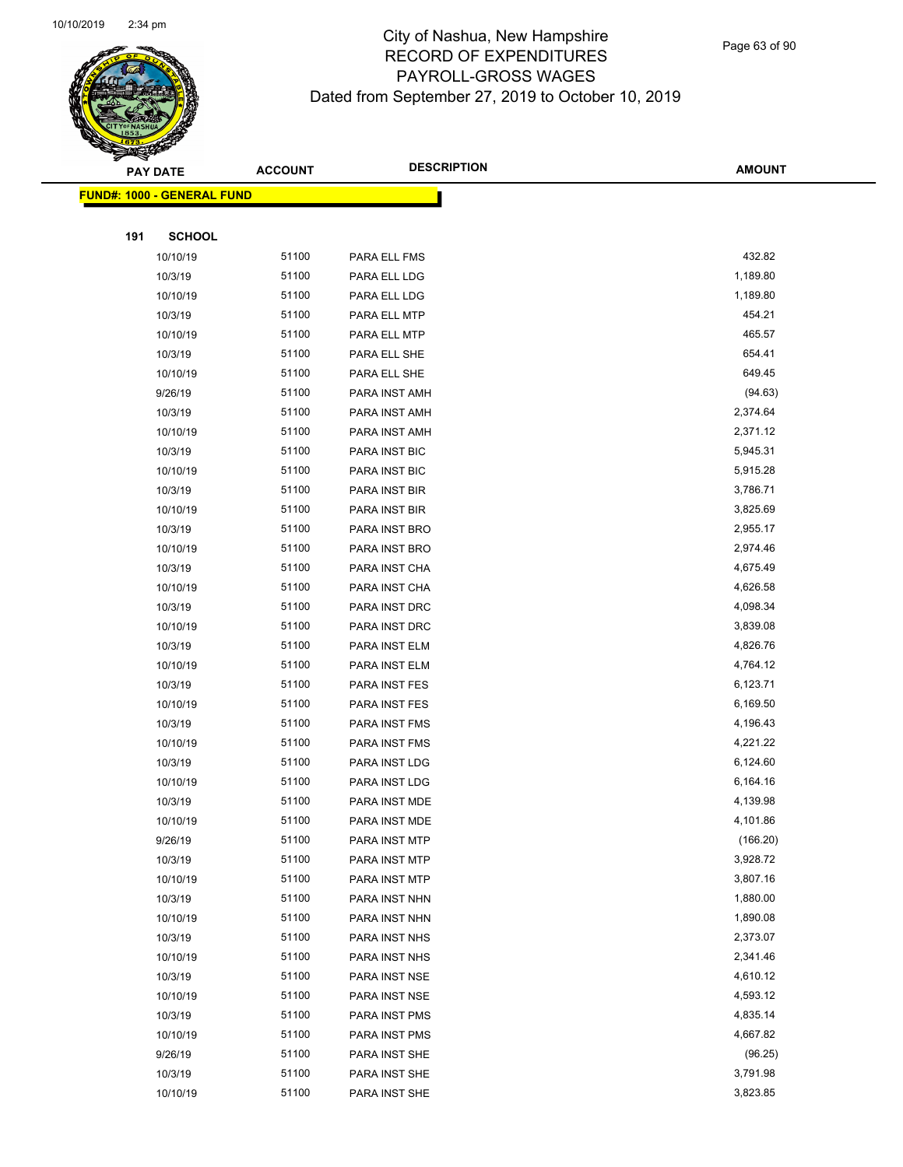

Page 63 of 90

|     | <b>PAY DATE</b>                    | <b>ACCOUNT</b> | <b>DESCRIPTION</b> | <b>AMOUNT</b> |
|-----|------------------------------------|----------------|--------------------|---------------|
|     | <u> FUND#: 1000 - GENERAL FUND</u> |                |                    |               |
|     |                                    |                |                    |               |
| 191 | <b>SCHOOL</b>                      |                |                    |               |
|     | 10/10/19                           | 51100          | PARA ELL FMS       | 432.82        |
|     | 10/3/19                            | 51100          | PARA ELL LDG       | 1,189.80      |
|     | 10/10/19                           | 51100          | PARA ELL LDG       | 1,189.80      |
|     | 10/3/19                            | 51100          | PARA ELL MTP       | 454.21        |
|     | 10/10/19                           | 51100          | PARA ELL MTP       | 465.57        |
|     | 10/3/19                            | 51100          | PARA ELL SHE       | 654.41        |
|     | 10/10/19                           | 51100          | PARA ELL SHE       | 649.45        |
|     | 9/26/19                            | 51100          | PARA INST AMH      | (94.63)       |
|     | 10/3/19                            | 51100          | PARA INST AMH      | 2,374.64      |
|     | 10/10/19                           | 51100          | PARA INST AMH      | 2,371.12      |
|     | 10/3/19                            | 51100          | PARA INST BIC      | 5,945.31      |
|     | 10/10/19                           | 51100          | PARA INST BIC      | 5,915.28      |
|     | 10/3/19                            | 51100          | PARA INST BIR      | 3,786.71      |
|     | 10/10/19                           | 51100          | PARA INST BIR      | 3,825.69      |
|     | 10/3/19                            | 51100          | PARA INST BRO      | 2,955.17      |
|     | 10/10/19                           | 51100          | PARA INST BRO      | 2,974.46      |
|     | 10/3/19                            | 51100          | PARA INST CHA      | 4,675.49      |
|     | 10/10/19                           | 51100          | PARA INST CHA      | 4,626.58      |
|     | 10/3/19                            | 51100          | PARA INST DRC      | 4,098.34      |
|     | 10/10/19                           | 51100          | PARA INST DRC      | 3,839.08      |
|     | 10/3/19                            | 51100          | PARA INST ELM      | 4,826.76      |
|     | 10/10/19                           | 51100          | PARA INST ELM      | 4,764.12      |
|     | 10/3/19                            | 51100          | PARA INST FES      | 6,123.71      |
|     | 10/10/19                           | 51100          | PARA INST FES      | 6,169.50      |
|     | 10/3/19                            | 51100          | PARA INST FMS      | 4,196.43      |
|     | 10/10/19                           | 51100          | PARA INST FMS      | 4,221.22      |
|     | 10/3/19                            | 51100          | PARA INST LDG      | 6,124.60      |
|     | 10/10/19                           | 51100          | PARA INST LDG      | 6,164.16      |
|     | 10/3/19                            | 51100          | PARA INST MDE      | 4,139.98      |
|     | 10/10/19                           | 51100          | PARA INST MDE      | 4,101.86      |
|     | 9/26/19                            | 51100          | PARA INST MTP      | (166.20)      |
|     | 10/3/19                            | 51100          | PARA INST MTP      | 3,928.72      |
|     | 10/10/19                           | 51100          | PARA INST MTP      | 3,807.16      |
|     | 10/3/19                            | 51100          | PARA INST NHN      | 1,880.00      |
|     | 10/10/19                           | 51100          | PARA INST NHN      | 1,890.08      |
|     | 10/3/19                            | 51100          | PARA INST NHS      | 2,373.07      |
|     | 10/10/19                           | 51100          | PARA INST NHS      | 2,341.46      |
|     | 10/3/19                            | 51100          | PARA INST NSE      | 4,610.12      |
|     | 10/10/19                           | 51100          | PARA INST NSE      | 4,593.12      |
|     | 10/3/19                            | 51100          | PARA INST PMS      | 4,835.14      |
|     | 10/10/19                           | 51100          | PARA INST PMS      | 4,667.82      |
|     | 9/26/19                            | 51100          | PARA INST SHE      | (96.25)       |
|     | 10/3/19                            | 51100          | PARA INST SHE      | 3,791.98      |
|     | 10/10/19                           | 51100          | PARA INST SHE      | 3,823.85      |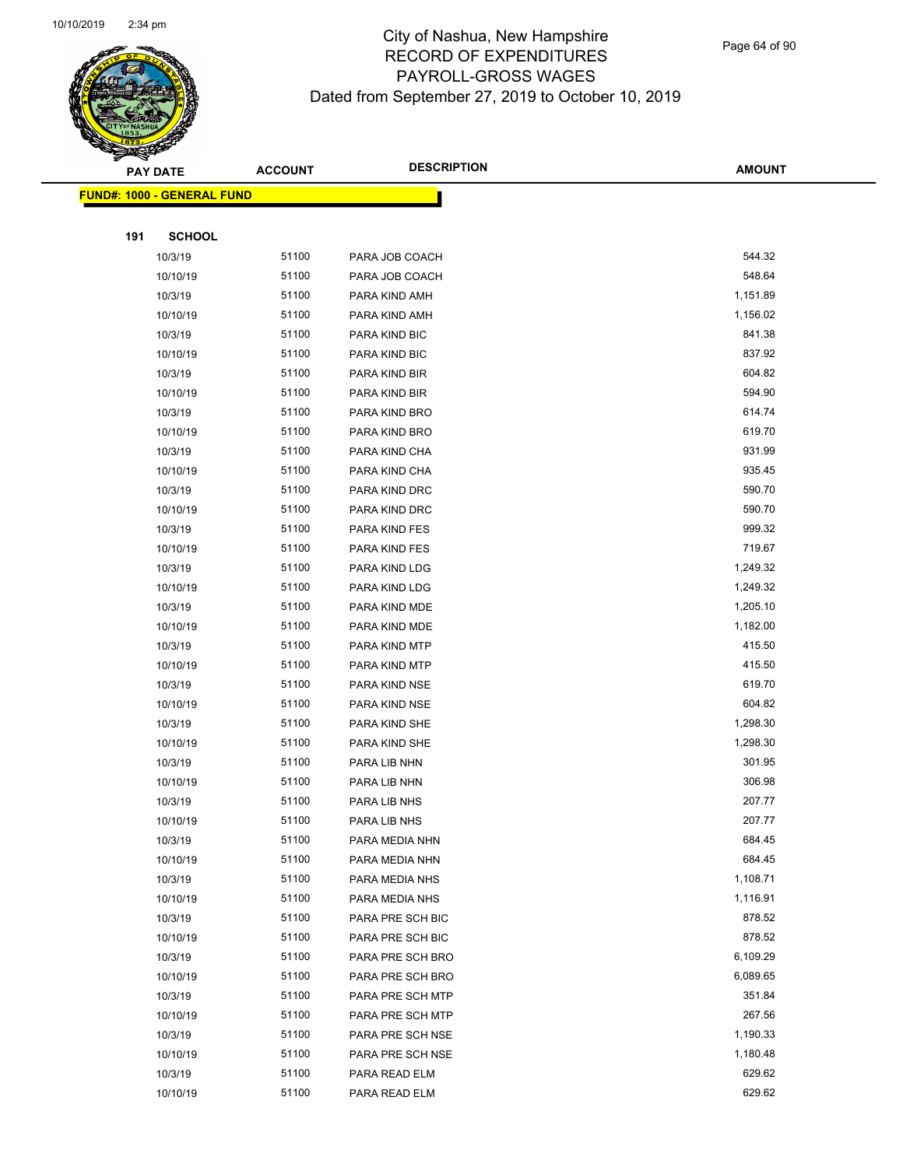

Page 64 of 90

|     | <b>PAY DATE</b>                         | <b>ACCOUNT</b> | <b>DESCRIPTION</b> | <b>AMOUNT</b> |  |
|-----|-----------------------------------------|----------------|--------------------|---------------|--|
|     | <mark>FUND#: 1000 - GENERAL FUND</mark> |                |                    |               |  |
|     |                                         |                |                    |               |  |
| 191 | <b>SCHOOL</b>                           |                |                    |               |  |
|     | 10/3/19                                 | 51100          | PARA JOB COACH     | 544.32        |  |
|     | 10/10/19                                | 51100          | PARA JOB COACH     | 548.64        |  |
|     | 10/3/19                                 | 51100          | PARA KIND AMH      | 1,151.89      |  |
|     | 10/10/19                                | 51100          | PARA KIND AMH      | 1,156.02      |  |
|     | 10/3/19                                 | 51100          | PARA KIND BIC      | 841.38        |  |
|     | 10/10/19                                | 51100          | PARA KIND BIC      | 837.92        |  |
|     | 10/3/19                                 | 51100          | PARA KIND BIR      | 604.82        |  |
|     | 10/10/19                                | 51100          | PARA KIND BIR      | 594.90        |  |
|     | 10/3/19                                 | 51100          | PARA KIND BRO      | 614.74        |  |
|     | 10/10/19                                | 51100          | PARA KIND BRO      | 619.70        |  |
|     | 10/3/19                                 | 51100          | PARA KIND CHA      | 931.99        |  |
|     | 10/10/19                                | 51100          | PARA KIND CHA      | 935.45        |  |
|     | 10/3/19                                 | 51100          | PARA KIND DRC      | 590.70        |  |
|     | 10/10/19                                | 51100          | PARA KIND DRC      | 590.70        |  |
|     | 10/3/19                                 | 51100          | PARA KIND FES      | 999.32        |  |
|     | 10/10/19                                | 51100          | PARA KIND FES      | 719.67        |  |
|     | 10/3/19                                 | 51100          | PARA KIND LDG      | 1,249.32      |  |
|     | 10/10/19                                | 51100          | PARA KIND LDG      | 1,249.32      |  |
|     | 10/3/19                                 | 51100          | PARA KIND MDE      | 1,205.10      |  |
|     | 10/10/19                                | 51100          | PARA KIND MDE      | 1,182.00      |  |
|     | 10/3/19                                 | 51100          | PARA KIND MTP      | 415.50        |  |
|     | 10/10/19                                | 51100          | PARA KIND MTP      | 415.50        |  |
|     | 10/3/19                                 | 51100          | PARA KIND NSE      | 619.70        |  |
|     | 10/10/19                                | 51100          | PARA KIND NSE      | 604.82        |  |
|     | 10/3/19                                 | 51100          | PARA KIND SHE      | 1,298.30      |  |
|     | 10/10/19                                | 51100          | PARA KIND SHE      | 1,298.30      |  |
|     | 10/3/19                                 | 51100          | PARA LIB NHN       | 301.95        |  |
|     | 10/10/19                                | 51100          | PARA LIB NHN       | 306.98        |  |
|     | 10/3/19                                 | 51100          | PARA LIB NHS       | 207.77        |  |
|     | 10/10/19                                | 51100          | PARA LIB NHS       | 207.77        |  |
|     | 10/3/19                                 | 51100          | PARA MEDIA NHN     | 684.45        |  |
|     | 10/10/19                                | 51100          | PARA MEDIA NHN     | 684.45        |  |
|     | 10/3/19                                 | 51100          | PARA MEDIA NHS     | 1,108.71      |  |
|     | 10/10/19                                | 51100          | PARA MEDIA NHS     | 1,116.91      |  |
|     | 10/3/19                                 | 51100          | PARA PRE SCH BIC   | 878.52        |  |
|     | 10/10/19                                | 51100          | PARA PRE SCH BIC   | 878.52        |  |
|     | 10/3/19                                 | 51100          | PARA PRE SCH BRO   | 6,109.29      |  |
|     | 10/10/19                                | 51100          | PARA PRE SCH BRO   | 6,089.65      |  |
|     | 10/3/19                                 | 51100          | PARA PRE SCH MTP   | 351.84        |  |
|     | 10/10/19                                | 51100          | PARA PRE SCH MTP   | 267.56        |  |
|     | 10/3/19                                 | 51100          | PARA PRE SCH NSE   | 1,190.33      |  |
|     | 10/10/19                                | 51100          | PARA PRE SCH NSE   | 1,180.48      |  |
|     | 10/3/19                                 | 51100          | PARA READ ELM      | 629.62        |  |
|     | 10/10/19                                | 51100          | PARA READ ELM      | 629.62        |  |
|     |                                         |                |                    |               |  |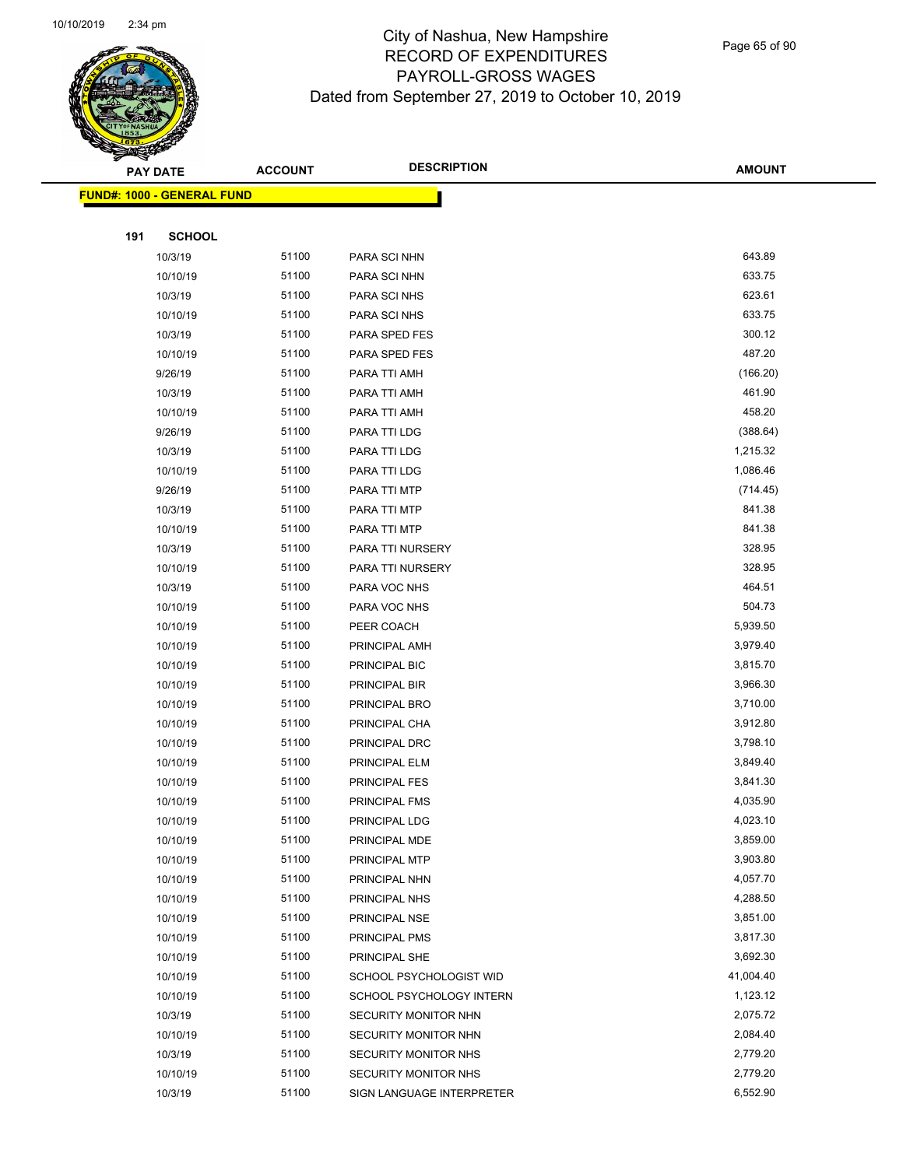

Page 65 of 90

|     | PAY DATE                           | <b>ACCOUNT</b> | <b>DESCRIPTION</b>        | <b>AMOUNT</b> |
|-----|------------------------------------|----------------|---------------------------|---------------|
|     | <u> FUND#: 1000 - GENERAL FUND</u> |                |                           |               |
|     |                                    |                |                           |               |
| 191 | <b>SCHOOL</b>                      |                |                           |               |
|     | 10/3/19                            | 51100          | PARA SCI NHN              | 643.89        |
|     | 10/10/19                           | 51100          | PARA SCI NHN              | 633.75        |
|     | 10/3/19                            | 51100          | PARA SCI NHS              | 623.61        |
|     | 10/10/19                           | 51100          | PARA SCI NHS              | 633.75        |
|     | 10/3/19                            | 51100          | PARA SPED FES             | 300.12        |
|     | 10/10/19                           | 51100          | PARA SPED FES             | 487.20        |
|     | 9/26/19                            | 51100          | PARA TTI AMH              | (166.20)      |
|     | 10/3/19                            | 51100          | PARA TTI AMH              | 461.90        |
|     | 10/10/19                           | 51100          | PARA TTI AMH              | 458.20        |
|     | 9/26/19                            | 51100          | PARA TTI LDG              | (388.64)      |
|     | 10/3/19                            | 51100          | PARA TTI LDG              | 1,215.32      |
|     | 10/10/19                           | 51100          | PARA TTI LDG              | 1,086.46      |
|     | 9/26/19                            | 51100          | PARA TTI MTP              | (714.45)      |
|     | 10/3/19                            | 51100          | PARA TTI MTP              | 841.38        |
|     | 10/10/19                           | 51100          | PARA TTI MTP              | 841.38        |
|     | 10/3/19                            | 51100          | PARA TTI NURSERY          | 328.95        |
|     | 10/10/19                           | 51100          | PARA TTI NURSERY          | 328.95        |
|     | 10/3/19                            | 51100          | PARA VOC NHS              | 464.51        |
|     | 10/10/19                           | 51100          | PARA VOC NHS              | 504.73        |
|     | 10/10/19                           | 51100          | PEER COACH                | 5,939.50      |
|     | 10/10/19                           | 51100          | PRINCIPAL AMH             | 3,979.40      |
|     | 10/10/19                           | 51100          | PRINCIPAL BIC             | 3,815.70      |
|     | 10/10/19                           | 51100          | PRINCIPAL BIR             | 3,966.30      |
|     | 10/10/19                           | 51100          | PRINCIPAL BRO             | 3,710.00      |
|     | 10/10/19                           | 51100          | PRINCIPAL CHA             | 3,912.80      |
|     | 10/10/19                           | 51100          | PRINCIPAL DRC             | 3,798.10      |
|     | 10/10/19                           | 51100          | PRINCIPAL ELM             | 3,849.40      |
|     | 10/10/19                           | 51100          | PRINCIPAL FES             | 3,841.30      |
|     | 10/10/19                           | 51100          | PRINCIPAL FMS             | 4,035.90      |
|     | 10/10/19                           | 51100          | PRINCIPAL LDG             | 4,023.10      |
|     | 10/10/19                           | 51100          | PRINCIPAL MDE             | 3,859.00      |
|     | 10/10/19                           | 51100          | PRINCIPAL MTP             | 3,903.80      |
|     | 10/10/19                           | 51100          | PRINCIPAL NHN             | 4,057.70      |
|     | 10/10/19                           | 51100          | PRINCIPAL NHS             | 4,288.50      |
|     | 10/10/19                           | 51100          | PRINCIPAL NSE             | 3,851.00      |
|     | 10/10/19                           | 51100          | PRINCIPAL PMS             | 3,817.30      |
|     | 10/10/19                           | 51100          | PRINCIPAL SHE             | 3,692.30      |
|     | 10/10/19                           | 51100          | SCHOOL PSYCHOLOGIST WID   | 41,004.40     |
|     | 10/10/19                           | 51100          | SCHOOL PSYCHOLOGY INTERN  | 1,123.12      |
|     | 10/3/19                            | 51100          | SECURITY MONITOR NHN      | 2,075.72      |
|     | 10/10/19                           | 51100          | SECURITY MONITOR NHN      | 2,084.40      |
|     | 10/3/19                            | 51100          | SECURITY MONITOR NHS      | 2,779.20      |
|     | 10/10/19                           | 51100          | SECURITY MONITOR NHS      | 2,779.20      |
|     | 10/3/19                            | 51100          | SIGN LANGUAGE INTERPRETER | 6,552.90      |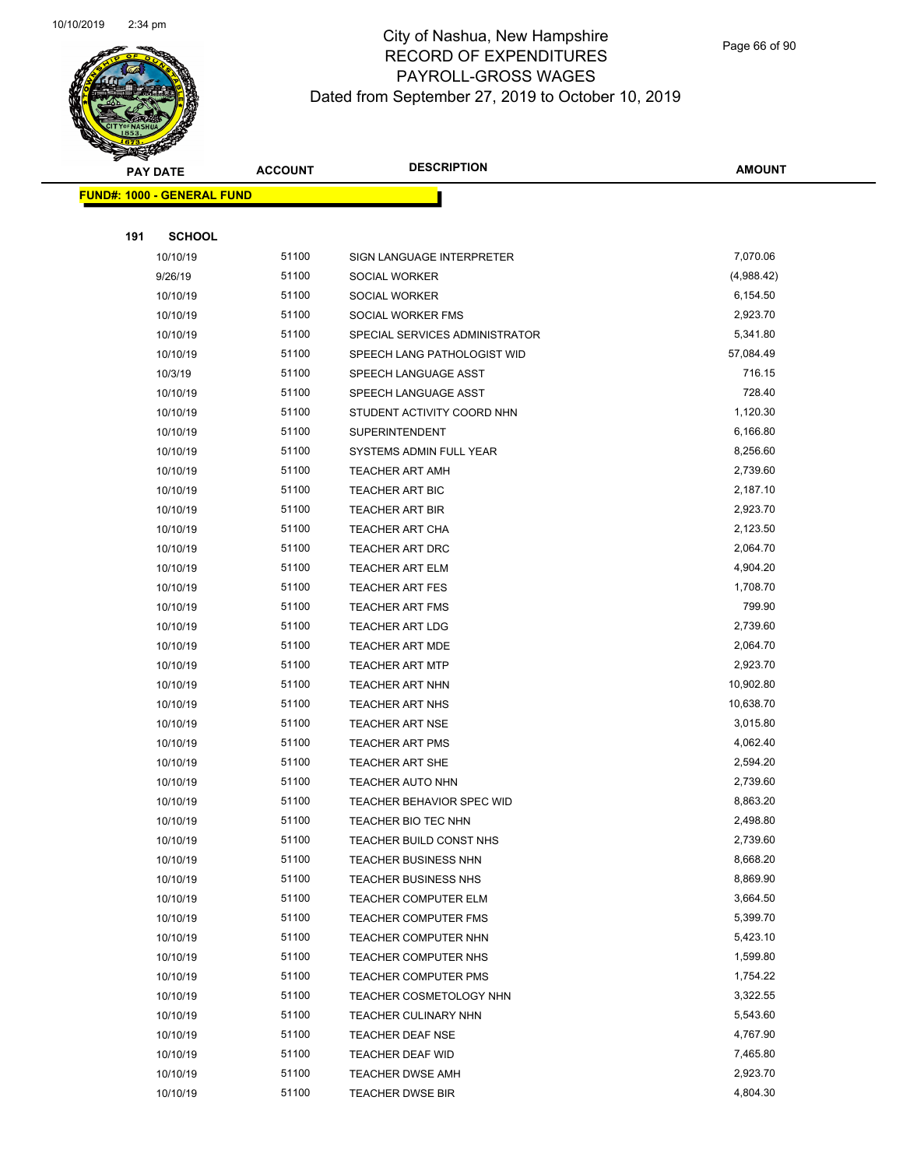

Page 66 of 90

| <b>PAY DATE</b>                   |                      | <b>ACCOUNT</b> | <b>DESCRIPTION</b>                          | <b>AMOUNT</b>        |
|-----------------------------------|----------------------|----------------|---------------------------------------------|----------------------|
| <b>FUND#: 1000 - GENERAL FUND</b> |                      |                |                                             |                      |
|                                   |                      |                |                                             |                      |
| 191                               | <b>SCHOOL</b>        |                |                                             |                      |
|                                   | 10/10/19             | 51100          | SIGN LANGUAGE INTERPRETER                   | 7,070.06             |
|                                   | 9/26/19              | 51100          | SOCIAL WORKER                               | (4,988.42)           |
|                                   | 10/10/19             | 51100          | SOCIAL WORKER                               | 6,154.50             |
|                                   | 10/10/19             | 51100          | SOCIAL WORKER FMS                           | 2,923.70             |
|                                   | 10/10/19             | 51100          | SPECIAL SERVICES ADMINISTRATOR              | 5,341.80             |
|                                   | 10/10/19             | 51100          | SPEECH LANG PATHOLOGIST WID                 | 57,084.49            |
|                                   | 10/3/19              | 51100          | SPEECH LANGUAGE ASST                        | 716.15               |
|                                   | 10/10/19             | 51100          | SPEECH LANGUAGE ASST                        | 728.40               |
|                                   | 10/10/19             | 51100          | STUDENT ACTIVITY COORD NHN                  | 1,120.30             |
|                                   | 10/10/19             | 51100          | <b>SUPERINTENDENT</b>                       | 6,166.80             |
|                                   | 10/10/19             | 51100          | SYSTEMS ADMIN FULL YEAR                     | 8,256.60             |
|                                   | 10/10/19             | 51100          | <b>TEACHER ART AMH</b>                      | 2,739.60             |
|                                   | 10/10/19             | 51100          | <b>TEACHER ART BIC</b>                      | 2,187.10             |
|                                   | 10/10/19             | 51100          | <b>TEACHER ART BIR</b>                      | 2,923.70             |
|                                   | 10/10/19             | 51100          | TEACHER ART CHA                             | 2,123.50             |
|                                   | 10/10/19             | 51100          | TEACHER ART DRC                             | 2,064.70             |
|                                   | 10/10/19             | 51100          | <b>TEACHER ART ELM</b>                      | 4,904.20             |
|                                   | 10/10/19             | 51100          | <b>TEACHER ART FES</b>                      | 1,708.70             |
|                                   | 10/10/19             | 51100          | <b>TEACHER ART FMS</b>                      | 799.90               |
|                                   | 10/10/19             | 51100          | <b>TEACHER ART LDG</b>                      | 2,739.60             |
|                                   | 10/10/19             | 51100          | <b>TEACHER ART MDE</b>                      | 2,064.70             |
|                                   | 10/10/19             | 51100          | <b>TEACHER ART MTP</b>                      | 2,923.70             |
|                                   | 10/10/19             | 51100          | <b>TEACHER ART NHN</b>                      | 10,902.80            |
|                                   | 10/10/19             | 51100          | <b>TEACHER ART NHS</b>                      | 10,638.70            |
|                                   | 10/10/19             | 51100          | <b>TEACHER ART NSE</b>                      | 3,015.80             |
|                                   | 10/10/19             | 51100          | <b>TEACHER ART PMS</b>                      | 4,062.40             |
|                                   | 10/10/19             | 51100          | <b>TEACHER ART SHE</b>                      | 2,594.20             |
|                                   | 10/10/19             | 51100          | <b>TEACHER AUTO NHN</b>                     | 2,739.60             |
|                                   | 10/10/19             | 51100          | TEACHER BEHAVIOR SPEC WID                   | 8,863.20             |
|                                   | 10/10/19             | 51100          | TEACHER BIO TEC NHN                         | 2,498.80             |
|                                   | 10/10/19             | 51100          | TEACHER BUILD CONST NHS                     | 2,739.60             |
|                                   | 10/10/19             | 51100          | TEACHER BUSINESS NHN                        | 8,668.20             |
|                                   | 10/10/19             | 51100          | <b>TEACHER BUSINESS NHS</b>                 | 8,869.90             |
|                                   | 10/10/19             | 51100          | TEACHER COMPUTER ELM                        | 3,664.50             |
|                                   | 10/10/19             | 51100          | <b>TEACHER COMPUTER FMS</b>                 | 5,399.70             |
|                                   | 10/10/19             | 51100          | TEACHER COMPUTER NHN                        | 5,423.10             |
|                                   | 10/10/19             | 51100          | <b>TEACHER COMPUTER NHS</b>                 | 1,599.80             |
|                                   | 10/10/19             | 51100          | <b>TEACHER COMPUTER PMS</b>                 | 1,754.22             |
|                                   | 10/10/19             | 51100<br>51100 | TEACHER COSMETOLOGY NHN                     | 3,322.55<br>5,543.60 |
|                                   | 10/10/19             | 51100          | TEACHER CULINARY NHN                        | 4,767.90             |
|                                   | 10/10/19             | 51100          | <b>TEACHER DEAF NSE</b>                     | 7,465.80             |
|                                   | 10/10/19<br>10/10/19 | 51100          | TEACHER DEAF WID<br><b>TEACHER DWSE AMH</b> | 2,923.70             |
|                                   | 10/10/19             | 51100          | <b>TEACHER DWSE BIR</b>                     | 4,804.30             |
|                                   |                      |                |                                             |                      |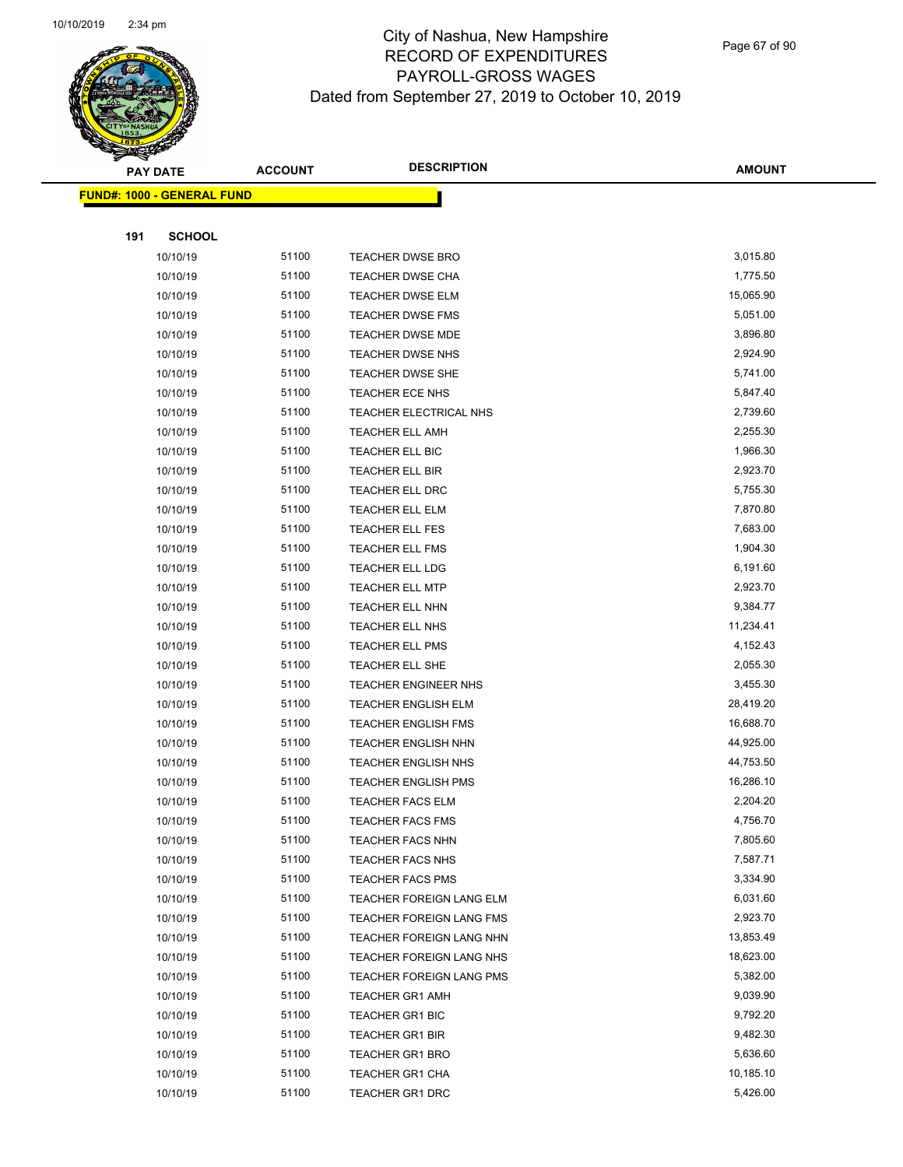

Page 67 of 90

|     | <b>PAY DATE</b>                   | <b>ACCOUNT</b> | <b>DESCRIPTION</b>                                  | <b>AMOUNT</b>        |
|-----|-----------------------------------|----------------|-----------------------------------------------------|----------------------|
|     | <b>FUND#: 1000 - GENERAL FUND</b> |                |                                                     |                      |
|     |                                   |                |                                                     |                      |
| 191 | <b>SCHOOL</b>                     |                |                                                     |                      |
|     | 10/10/19                          | 51100          | <b>TEACHER DWSE BRO</b>                             | 3,015.80             |
|     | 10/10/19                          | 51100          | <b>TEACHER DWSE CHA</b>                             | 1,775.50             |
|     | 10/10/19                          | 51100          | <b>TEACHER DWSE ELM</b>                             | 15,065.90            |
|     | 10/10/19                          | 51100          | <b>TEACHER DWSE FMS</b>                             | 5,051.00             |
|     | 10/10/19                          | 51100          | <b>TEACHER DWSE MDE</b>                             | 3,896.80             |
|     | 10/10/19                          | 51100          | <b>TEACHER DWSE NHS</b>                             | 2,924.90             |
|     | 10/10/19                          | 51100          | TEACHER DWSE SHE                                    | 5,741.00             |
|     | 10/10/19                          | 51100          | TEACHER ECE NHS                                     | 5,847.40             |
|     | 10/10/19                          | 51100          | TEACHER ELECTRICAL NHS                              | 2,739.60             |
|     | 10/10/19                          | 51100          | <b>TEACHER ELL AMH</b>                              | 2,255.30             |
|     | 10/10/19                          | 51100          | TEACHER ELL BIC                                     | 1,966.30             |
|     | 10/10/19                          | 51100          | TEACHER ELL BIR                                     | 2,923.70             |
|     | 10/10/19                          | 51100          | TEACHER ELL DRC                                     | 5,755.30             |
|     | 10/10/19                          | 51100          | <b>TEACHER ELL ELM</b>                              | 7,870.80             |
|     | 10/10/19                          | 51100          | TEACHER ELL FES                                     | 7,683.00             |
|     | 10/10/19                          | 51100          | <b>TEACHER ELL FMS</b>                              | 1,904.30             |
|     | 10/10/19                          | 51100          | <b>TEACHER ELL LDG</b>                              | 6,191.60             |
|     | 10/10/19                          | 51100          | <b>TEACHER ELL MTP</b>                              | 2,923.70             |
|     | 10/10/19                          | 51100          | <b>TEACHER ELL NHN</b>                              | 9,384.77             |
|     | 10/10/19                          | 51100          | <b>TEACHER ELL NHS</b>                              | 11,234.41            |
|     | 10/10/19                          | 51100          | TEACHER ELL PMS                                     | 4,152.43             |
|     | 10/10/19                          | 51100          | TEACHER ELL SHE                                     | 2,055.30             |
|     | 10/10/19                          | 51100          | <b>TEACHER ENGINEER NHS</b>                         | 3,455.30             |
|     | 10/10/19                          | 51100          | <b>TEACHER ENGLISH ELM</b>                          | 28,419.20            |
|     | 10/10/19                          | 51100          | <b>TEACHER ENGLISH FMS</b>                          | 16,688.70            |
|     | 10/10/19                          | 51100          | <b>TEACHER ENGLISH NHN</b>                          | 44,925.00            |
|     | 10/10/19                          | 51100          | <b>TEACHER ENGLISH NHS</b>                          | 44,753.50            |
|     | 10/10/19                          | 51100          | <b>TEACHER ENGLISH PMS</b>                          | 16,286.10            |
|     | 10/10/19                          | 51100          | <b>TEACHER FACS ELM</b>                             | 2,204.20             |
|     | 10/10/19                          | 51100          | TEACHER FACS FMS                                    | 4,756.70             |
|     | 10/10/19                          | 51100          | <b>TEACHER FACS NHN</b>                             | 7,805.60             |
|     | 10/10/19                          | 51100          | <b>TEACHER FACS NHS</b>                             | 7,587.71             |
|     | 10/10/19                          | 51100<br>51100 | <b>TEACHER FACS PMS</b><br>TEACHER FOREIGN LANG ELM | 3,334.90<br>6,031.60 |
|     | 10/10/19                          | 51100          | <b>TEACHER FOREIGN LANG FMS</b>                     | 2,923.70             |
|     | 10/10/19<br>10/10/19              | 51100          | TEACHER FOREIGN LANG NHN                            | 13,853.49            |
|     | 10/10/19                          | 51100          | TEACHER FOREIGN LANG NHS                            | 18,623.00            |
|     |                                   | 51100          |                                                     | 5,382.00             |
|     | 10/10/19<br>10/10/19              | 51100          | TEACHER FOREIGN LANG PMS<br>TEACHER GR1 AMH         | 9,039.90             |
|     | 10/10/19                          | 51100          | <b>TEACHER GR1 BIC</b>                              | 9,792.20             |
|     | 10/10/19                          | 51100          | <b>TEACHER GR1 BIR</b>                              | 9,482.30             |
|     | 10/10/19                          | 51100          | <b>TEACHER GR1 BRO</b>                              | 5,636.60             |
|     | 10/10/19                          | 51100          | <b>TEACHER GR1 CHA</b>                              | 10,185.10            |
|     | 10/10/19                          | 51100          | <b>TEACHER GR1 DRC</b>                              | 5,426.00             |
|     |                                   |                |                                                     |                      |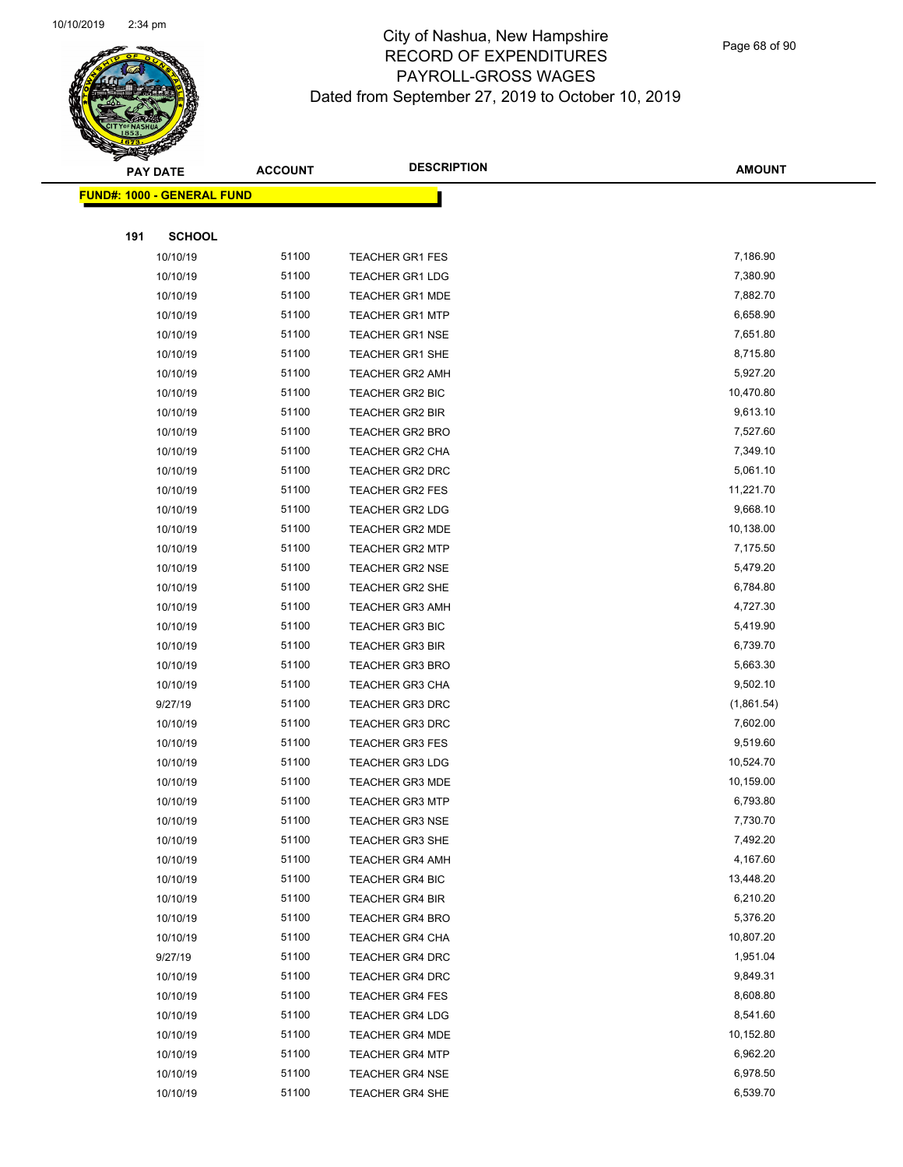

Page 68 of 90

|     | <b>PAY DATE</b>                    | <b>ACCOUNT</b> | <b>DESCRIPTION</b>     | <b>AMOUNT</b> |
|-----|------------------------------------|----------------|------------------------|---------------|
|     | <u> FUND#: 1000 - GENERAL FUND</u> |                |                        |               |
|     |                                    |                |                        |               |
| 191 | <b>SCHOOL</b>                      |                |                        |               |
|     | 10/10/19                           | 51100          | <b>TEACHER GR1 FES</b> | 7,186.90      |
|     | 10/10/19                           | 51100          | <b>TEACHER GR1 LDG</b> | 7,380.90      |
|     | 10/10/19                           | 51100          | <b>TEACHER GR1 MDE</b> | 7,882.70      |
|     | 10/10/19                           | 51100          | <b>TEACHER GR1 MTP</b> | 6,658.90      |
|     | 10/10/19                           | 51100          | <b>TEACHER GR1 NSE</b> | 7,651.80      |
|     | 10/10/19                           | 51100          | TEACHER GR1 SHE        | 8,715.80      |
|     | 10/10/19                           | 51100          | <b>TEACHER GR2 AMH</b> | 5,927.20      |
|     | 10/10/19                           | 51100          | TEACHER GR2 BIC        | 10,470.80     |
|     | 10/10/19                           | 51100          | <b>TEACHER GR2 BIR</b> | 9,613.10      |
|     | 10/10/19                           | 51100          | TEACHER GR2 BRO        | 7,527.60      |
|     | 10/10/19                           | 51100          | <b>TEACHER GR2 CHA</b> | 7,349.10      |
|     | 10/10/19                           | 51100          | <b>TEACHER GR2 DRC</b> | 5,061.10      |
|     | 10/10/19                           | 51100          | <b>TEACHER GR2 FES</b> | 11,221.70     |
|     | 10/10/19                           | 51100          | <b>TEACHER GR2 LDG</b> | 9,668.10      |
|     | 10/10/19                           | 51100          | TEACHER GR2 MDE        | 10,138.00     |
|     | 10/10/19                           | 51100          | <b>TEACHER GR2 MTP</b> | 7,175.50      |
|     | 10/10/19                           | 51100          | <b>TEACHER GR2 NSE</b> | 5,479.20      |
|     | 10/10/19                           | 51100          | <b>TEACHER GR2 SHE</b> | 6,784.80      |
|     | 10/10/19                           | 51100          | <b>TEACHER GR3 AMH</b> | 4,727.30      |
|     | 10/10/19                           | 51100          | TEACHER GR3 BIC        | 5,419.90      |
|     | 10/10/19                           | 51100          | <b>TEACHER GR3 BIR</b> | 6,739.70      |
|     | 10/10/19                           | 51100          | <b>TEACHER GR3 BRO</b> | 5,663.30      |
|     | 10/10/19                           | 51100          | <b>TEACHER GR3 CHA</b> | 9,502.10      |
|     | 9/27/19                            | 51100          | <b>TEACHER GR3 DRC</b> | (1,861.54)    |
|     | 10/10/19                           | 51100          | <b>TEACHER GR3 DRC</b> | 7,602.00      |
|     | 10/10/19                           | 51100          | <b>TEACHER GR3 FES</b> | 9,519.60      |
|     | 10/10/19                           | 51100          | <b>TEACHER GR3 LDG</b> | 10,524.70     |
|     | 10/10/19                           | 51100          | <b>TEACHER GR3 MDE</b> | 10,159.00     |
|     | 10/10/19                           | 51100          | <b>TEACHER GR3 MTP</b> | 6,793.80      |
|     | 10/10/19                           | 51100          | <b>TEACHER GR3 NSE</b> | 7,730.70      |
|     | 10/10/19                           | 51100          | <b>TEACHER GR3 SHE</b> | 7,492.20      |
|     | 10/10/19                           | 51100          | <b>TEACHER GR4 AMH</b> | 4,167.60      |
|     | 10/10/19                           | 51100          | <b>TEACHER GR4 BIC</b> | 13,448.20     |
|     | 10/10/19                           | 51100          | <b>TEACHER GR4 BIR</b> | 6,210.20      |
|     | 10/10/19                           | 51100          | <b>TEACHER GR4 BRO</b> | 5,376.20      |
|     | 10/10/19                           | 51100          | <b>TEACHER GR4 CHA</b> | 10,807.20     |
|     | 9/27/19                            | 51100          | <b>TEACHER GR4 DRC</b> | 1,951.04      |
|     | 10/10/19                           | 51100          | <b>TEACHER GR4 DRC</b> | 9,849.31      |
|     | 10/10/19                           | 51100          | <b>TEACHER GR4 FES</b> | 8,608.80      |
|     | 10/10/19                           | 51100          | <b>TEACHER GR4 LDG</b> | 8,541.60      |
|     | 10/10/19                           | 51100          | <b>TEACHER GR4 MDE</b> | 10,152.80     |
|     | 10/10/19                           | 51100          | <b>TEACHER GR4 MTP</b> | 6,962.20      |
|     | 10/10/19                           | 51100          | <b>TEACHER GR4 NSE</b> | 6,978.50      |
|     | 10/10/19                           | 51100          | <b>TEACHER GR4 SHE</b> | 6,539.70      |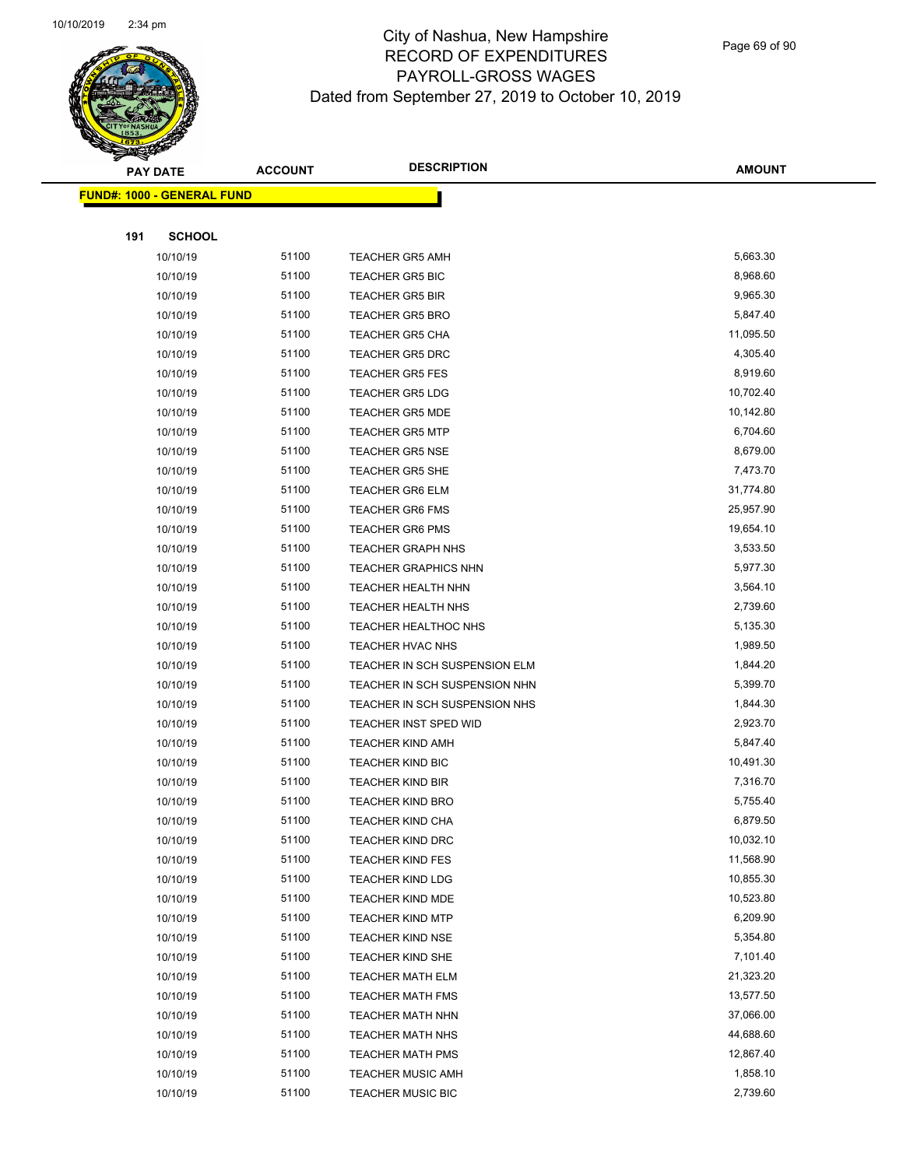

Page 69 of 90

|     | <b>PAY DATE</b>                   | <b>ACCOUNT</b> | <b>DESCRIPTION</b>                                 | <b>AMOUNT</b>          |
|-----|-----------------------------------|----------------|----------------------------------------------------|------------------------|
|     | <b>FUND#: 1000 - GENERAL FUND</b> |                |                                                    |                        |
|     |                                   |                |                                                    |                        |
| 191 | <b>SCHOOL</b>                     |                |                                                    |                        |
|     | 10/10/19                          | 51100          | <b>TEACHER GR5 AMH</b>                             | 5,663.30               |
|     | 10/10/19                          | 51100          | <b>TEACHER GR5 BIC</b>                             | 8,968.60               |
|     | 10/10/19                          | 51100          | <b>TEACHER GR5 BIR</b>                             | 9,965.30               |
|     | 10/10/19                          | 51100          | <b>TEACHER GR5 BRO</b>                             | 5,847.40               |
|     | 10/10/19                          | 51100          | <b>TEACHER GR5 CHA</b>                             | 11,095.50              |
|     | 10/10/19                          | 51100          | <b>TEACHER GR5 DRC</b>                             | 4,305.40               |
|     | 10/10/19                          | 51100          | <b>TEACHER GR5 FES</b>                             | 8,919.60               |
|     | 10/10/19                          | 51100          | <b>TEACHER GR5 LDG</b>                             | 10,702.40              |
|     | 10/10/19                          | 51100          | <b>TEACHER GR5 MDE</b>                             | 10,142.80              |
|     | 10/10/19                          | 51100          | <b>TEACHER GR5 MTP</b>                             | 6,704.60               |
|     | 10/10/19                          | 51100          | <b>TEACHER GR5 NSE</b>                             | 8,679.00               |
|     | 10/10/19                          | 51100          | <b>TEACHER GR5 SHE</b>                             | 7,473.70               |
|     | 10/10/19                          | 51100          | <b>TEACHER GR6 ELM</b>                             | 31,774.80              |
|     | 10/10/19                          | 51100          | <b>TEACHER GR6 FMS</b>                             | 25,957.90              |
|     | 10/10/19                          | 51100          | <b>TEACHER GR6 PMS</b>                             | 19,654.10              |
|     | 10/10/19                          | 51100          | <b>TEACHER GRAPH NHS</b>                           | 3,533.50               |
|     | 10/10/19                          | 51100          | <b>TEACHER GRAPHICS NHN</b>                        | 5,977.30               |
|     | 10/10/19                          | 51100          | TEACHER HEALTH NHN                                 | 3,564.10               |
|     | 10/10/19                          | 51100          | TEACHER HEALTH NHS                                 | 2,739.60               |
|     | 10/10/19                          | 51100          | <b>TEACHER HEALTHOC NHS</b>                        | 5,135.30               |
|     | 10/10/19                          | 51100          | <b>TEACHER HVAC NHS</b>                            | 1,989.50               |
|     | 10/10/19                          | 51100          | TEACHER IN SCH SUSPENSION ELM                      | 1,844.20               |
|     | 10/10/19                          | 51100          | TEACHER IN SCH SUSPENSION NHN                      | 5,399.70               |
|     | 10/10/19                          | 51100          | TEACHER IN SCH SUSPENSION NHS                      | 1,844.30               |
|     | 10/10/19                          | 51100          | TEACHER INST SPED WID                              | 2,923.70               |
|     | 10/10/19                          | 51100          | <b>TEACHER KIND AMH</b>                            | 5,847.40               |
|     | 10/10/19                          | 51100          | <b>TEACHER KIND BIC</b>                            | 10,491.30              |
|     | 10/10/19                          | 51100          | <b>TEACHER KIND BIR</b>                            | 7,316.70               |
|     | 10/10/19                          | 51100          | <b>TEACHER KIND BRO</b>                            | 5,755.40               |
|     | 10/10/19                          | 51100          | TEACHER KIND CHA                                   | 6,879.50               |
|     | 10/10/19                          | 51100<br>51100 | <b>TEACHER KIND DRC</b>                            | 10,032.10<br>11,568.90 |
|     | 10/10/19                          | 51100          | <b>TEACHER KIND FES</b>                            |                        |
|     | 10/10/19                          | 51100          | <b>TEACHER KIND LDG</b>                            | 10,855.30<br>10,523.80 |
|     | 10/10/19<br>10/10/19              | 51100          | <b>TEACHER KIND MDE</b><br><b>TEACHER KIND MTP</b> | 6,209.90               |
|     | 10/10/19                          | 51100          | <b>TEACHER KIND NSE</b>                            | 5,354.80               |
|     | 10/10/19                          | 51100          | TEACHER KIND SHE                                   | 7,101.40               |
|     | 10/10/19                          | 51100          | <b>TEACHER MATH ELM</b>                            | 21,323.20              |
|     | 10/10/19                          | 51100          | <b>TEACHER MATH FMS</b>                            | 13,577.50              |
|     | 10/10/19                          | 51100          | <b>TEACHER MATH NHN</b>                            | 37,066.00              |
|     | 10/10/19                          | 51100          | <b>TEACHER MATH NHS</b>                            | 44,688.60              |
|     | 10/10/19                          | 51100          | <b>TEACHER MATH PMS</b>                            | 12,867.40              |
|     | 10/10/19                          | 51100          | <b>TEACHER MUSIC AMH</b>                           | 1,858.10               |
|     | 10/10/19                          | 51100          | <b>TEACHER MUSIC BIC</b>                           | 2,739.60               |
|     |                                   |                |                                                    |                        |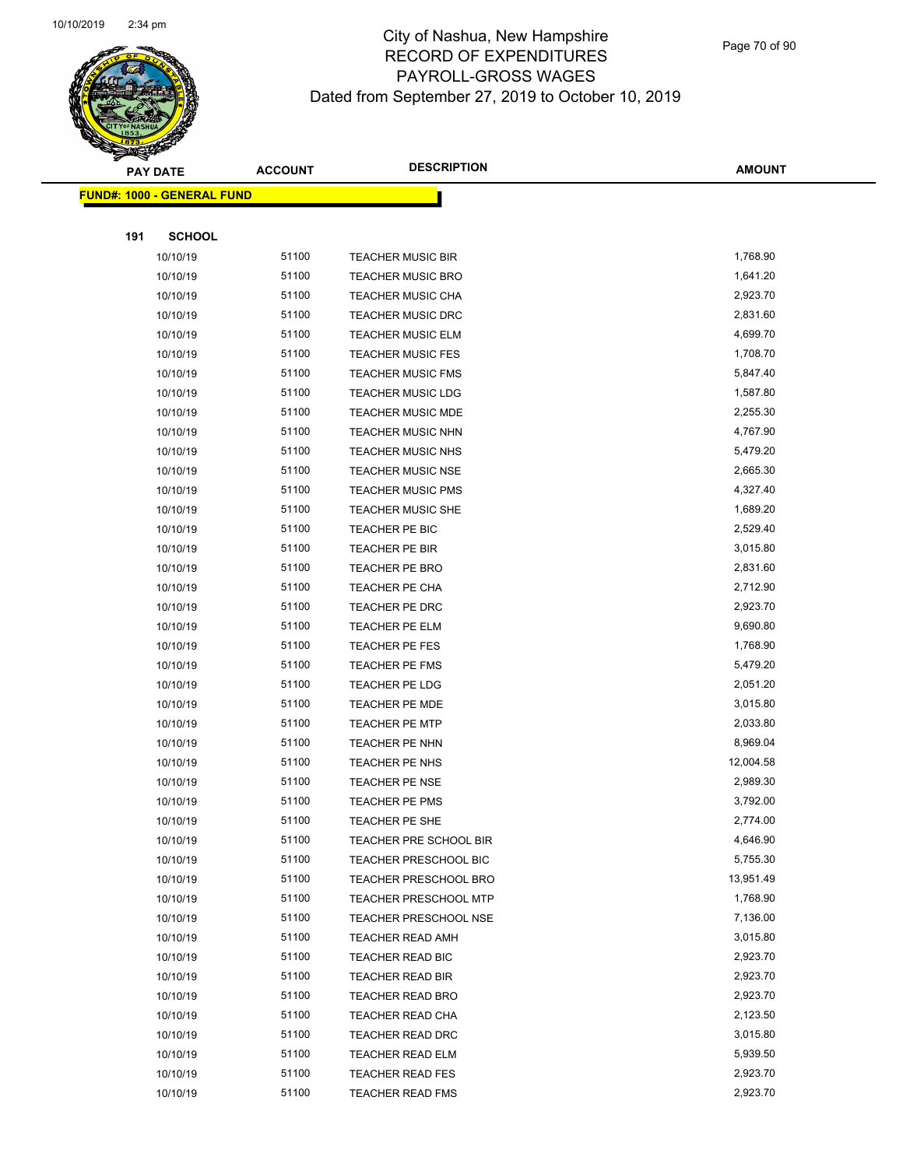

Page 70 of 90

|     | <b>PAY DATE</b>                    | <b>ACCOUNT</b> | <b>DESCRIPTION</b>           | <b>AMOUNT</b> |
|-----|------------------------------------|----------------|------------------------------|---------------|
|     | <u> FUND#: 1000 - GENERAL FUND</u> |                |                              |               |
|     |                                    |                |                              |               |
| 191 | <b>SCHOOL</b>                      |                |                              |               |
|     | 10/10/19                           | 51100          | <b>TEACHER MUSIC BIR</b>     | 1,768.90      |
|     | 10/10/19                           | 51100          | <b>TEACHER MUSIC BRO</b>     | 1,641.20      |
|     | 10/10/19                           | 51100          | <b>TEACHER MUSIC CHA</b>     | 2,923.70      |
|     | 10/10/19                           | 51100          | <b>TEACHER MUSIC DRC</b>     | 2,831.60      |
|     | 10/10/19                           | 51100          | <b>TEACHER MUSIC ELM</b>     | 4,699.70      |
|     | 10/10/19                           | 51100          | <b>TEACHER MUSIC FES</b>     | 1,708.70      |
|     | 10/10/19                           | 51100          | <b>TEACHER MUSIC FMS</b>     | 5,847.40      |
|     | 10/10/19                           | 51100          | <b>TEACHER MUSIC LDG</b>     | 1,587.80      |
|     | 10/10/19                           | 51100          | <b>TEACHER MUSIC MDE</b>     | 2,255.30      |
|     | 10/10/19                           | 51100          | <b>TEACHER MUSIC NHN</b>     | 4,767.90      |
|     | 10/10/19                           | 51100          | <b>TEACHER MUSIC NHS</b>     | 5,479.20      |
|     | 10/10/19                           | 51100          | <b>TEACHER MUSIC NSE</b>     | 2,665.30      |
|     | 10/10/19                           | 51100          | <b>TEACHER MUSIC PMS</b>     | 4,327.40      |
|     | 10/10/19                           | 51100          | <b>TEACHER MUSIC SHE</b>     | 1,689.20      |
|     | 10/10/19                           | 51100          | TEACHER PE BIC               | 2,529.40      |
|     | 10/10/19                           | 51100          | TEACHER PE BIR               | 3,015.80      |
|     | 10/10/19                           | 51100          | TEACHER PE BRO               | 2,831.60      |
|     | 10/10/19                           | 51100          | TEACHER PE CHA               | 2,712.90      |
|     | 10/10/19                           | 51100          | TEACHER PE DRC               | 2,923.70      |
|     | 10/10/19                           | 51100          | <b>TEACHER PE ELM</b>        | 9,690.80      |
|     | 10/10/19                           | 51100          | TEACHER PE FES               | 1,768.90      |
|     | 10/10/19                           | 51100          | <b>TEACHER PE FMS</b>        | 5,479.20      |
|     | 10/10/19                           | 51100          | TEACHER PE LDG               | 2,051.20      |
|     | 10/10/19                           | 51100          | TEACHER PE MDE               | 3,015.80      |
|     | 10/10/19                           | 51100          | <b>TEACHER PE MTP</b>        | 2,033.80      |
|     | 10/10/19                           | 51100          | TEACHER PE NHN               | 8,969.04      |
|     | 10/10/19                           | 51100          | TEACHER PE NHS               | 12,004.58     |
|     | 10/10/19                           | 51100          | <b>TEACHER PE NSE</b>        | 2,989.30      |
|     | 10/10/19                           | 51100          | <b>TEACHER PE PMS</b>        | 3,792.00      |
|     | 10/10/19                           | 51100          | TEACHER PE SHE               | 2,774.00      |
|     | 10/10/19                           | 51100          | TEACHER PRE SCHOOL BIR       | 4,646.90      |
|     | 10/10/19                           | 51100          | <b>TEACHER PRESCHOOL BIC</b> | 5,755.30      |
|     | 10/10/19                           | 51100          | <b>TEACHER PRESCHOOL BRO</b> | 13,951.49     |
|     | 10/10/19                           | 51100          | <b>TEACHER PRESCHOOL MTP</b> | 1,768.90      |
|     | 10/10/19                           | 51100          | <b>TEACHER PRESCHOOL NSE</b> | 7,136.00      |
|     | 10/10/19                           | 51100          | <b>TEACHER READ AMH</b>      | 3,015.80      |
|     | 10/10/19                           | 51100          | <b>TEACHER READ BIC</b>      | 2,923.70      |
|     | 10/10/19                           | 51100          | <b>TEACHER READ BIR</b>      | 2,923.70      |
|     | 10/10/19                           | 51100          | <b>TEACHER READ BRO</b>      | 2,923.70      |
|     | 10/10/19                           | 51100          | <b>TEACHER READ CHA</b>      | 2,123.50      |
|     | 10/10/19                           | 51100          | <b>TEACHER READ DRC</b>      | 3,015.80      |
|     | 10/10/19                           | 51100          | <b>TEACHER READ ELM</b>      | 5,939.50      |
|     | 10/10/19                           | 51100          | <b>TEACHER READ FES</b>      | 2,923.70      |
|     | 10/10/19                           | 51100          | <b>TEACHER READ FMS</b>      | 2,923.70      |
|     |                                    |                |                              |               |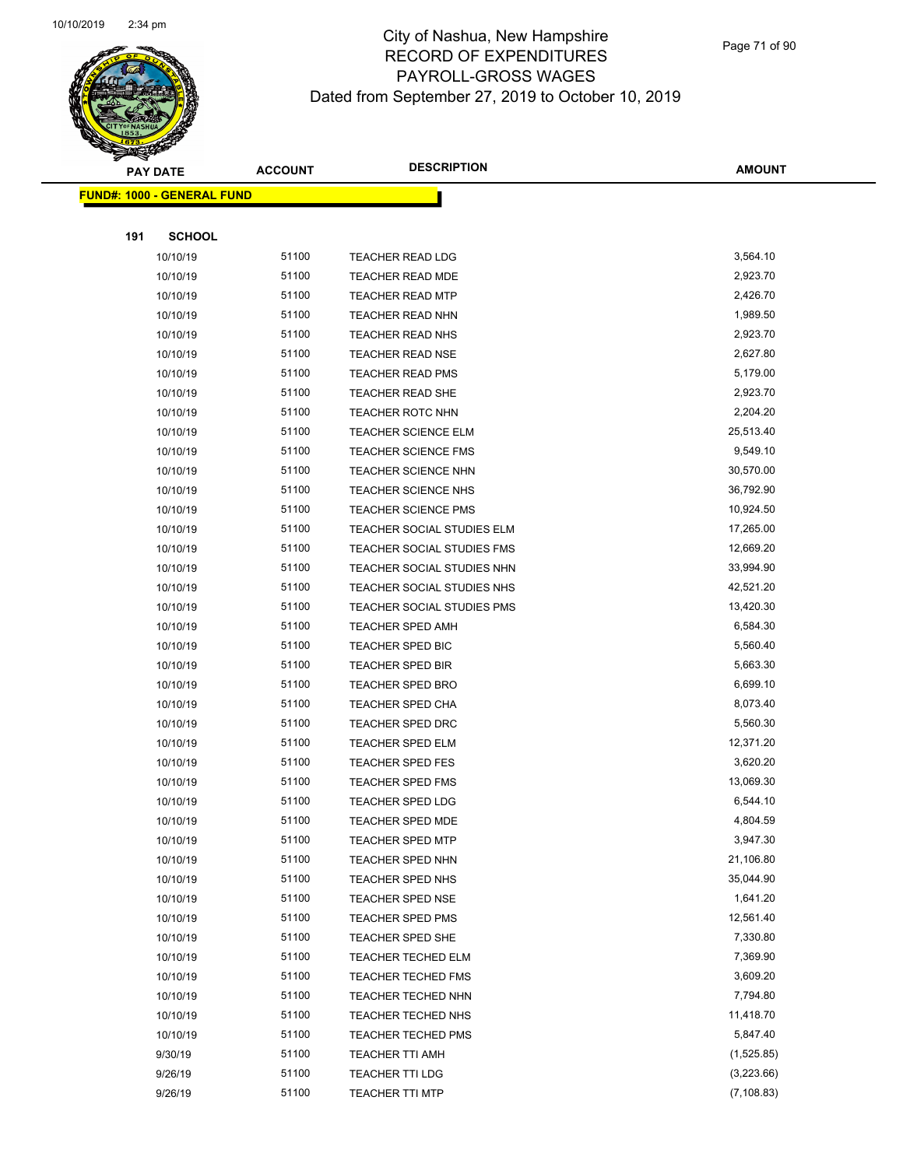

Page 71 of 90

|     | <b>PAY DATE</b>                   | <b>ACCOUNT</b> | <b>DESCRIPTION</b>                   | <b>AMOUNT</b>         |
|-----|-----------------------------------|----------------|--------------------------------------|-----------------------|
|     | <b>FUND#: 1000 - GENERAL FUND</b> |                |                                      |                       |
|     |                                   |                |                                      |                       |
| 191 | <b>SCHOOL</b>                     |                |                                      |                       |
|     | 10/10/19                          | 51100          | TEACHER READ LDG                     | 3,564.10              |
|     | 10/10/19                          | 51100          | <b>TEACHER READ MDE</b>              | 2,923.70              |
|     | 10/10/19                          | 51100          | <b>TEACHER READ MTP</b>              | 2,426.70              |
|     | 10/10/19                          | 51100          | <b>TEACHER READ NHN</b>              | 1,989.50              |
|     | 10/10/19                          | 51100          | TEACHER READ NHS                     | 2,923.70              |
|     | 10/10/19                          | 51100          | <b>TEACHER READ NSE</b>              | 2,627.80              |
|     | 10/10/19                          | 51100          | <b>TEACHER READ PMS</b>              | 5,179.00              |
|     | 10/10/19                          | 51100          | <b>TEACHER READ SHE</b>              | 2,923.70              |
|     | 10/10/19                          | 51100          | <b>TEACHER ROTC NHN</b>              | 2,204.20              |
|     | 10/10/19                          | 51100          | <b>TEACHER SCIENCE ELM</b>           | 25,513.40             |
|     | 10/10/19                          | 51100          | <b>TEACHER SCIENCE FMS</b>           | 9,549.10              |
|     | 10/10/19                          | 51100          | <b>TEACHER SCIENCE NHN</b>           | 30,570.00             |
|     | 10/10/19                          | 51100          | <b>TEACHER SCIENCE NHS</b>           | 36,792.90             |
|     | 10/10/19                          | 51100          | <b>TEACHER SCIENCE PMS</b>           | 10,924.50             |
|     | 10/10/19                          | 51100          | TEACHER SOCIAL STUDIES ELM           | 17,265.00             |
|     | 10/10/19                          | 51100          | TEACHER SOCIAL STUDIES FMS           | 12,669.20             |
|     | 10/10/19                          | 51100          | TEACHER SOCIAL STUDIES NHN           | 33,994.90             |
|     | 10/10/19                          | 51100          | TEACHER SOCIAL STUDIES NHS           | 42,521.20             |
|     | 10/10/19                          | 51100          | TEACHER SOCIAL STUDIES PMS           | 13,420.30             |
|     | 10/10/19                          | 51100          | <b>TEACHER SPED AMH</b>              | 6,584.30              |
|     | 10/10/19                          | 51100          | TEACHER SPED BIC                     | 5,560.40              |
|     | 10/10/19                          | 51100          | TEACHER SPED BIR                     | 5,663.30              |
|     | 10/10/19                          | 51100          | <b>TEACHER SPED BRO</b>              | 6,699.10              |
|     | 10/10/19                          | 51100          | <b>TEACHER SPED CHA</b>              | 8,073.40              |
|     | 10/10/19                          | 51100          | <b>TEACHER SPED DRC</b>              | 5,560.30              |
|     | 10/10/19                          | 51100          | <b>TEACHER SPED ELM</b>              | 12,371.20             |
|     | 10/10/19                          | 51100          | <b>TEACHER SPED FES</b>              | 3,620.20              |
|     | 10/10/19                          | 51100          | <b>TEACHER SPED FMS</b>              | 13,069.30             |
|     | 10/10/19                          | 51100          | <b>TEACHER SPED LDG</b>              | 6,544.10              |
|     | 10/10/19                          | 51100          | <b>TEACHER SPED MDE</b>              | 4,804.59              |
|     | 10/10/19                          | 51100          | <b>TEACHER SPED MTP</b>              | 3,947.30<br>21,106.80 |
|     | 10/10/19                          | 51100          | <b>TEACHER SPED NHN</b>              | 35,044.90             |
|     | 10/10/19<br>10/10/19              | 51100<br>51100 | TEACHER SPED NHS<br>TEACHER SPED NSE | 1,641.20              |
|     | 10/10/19                          | 51100          | <b>TEACHER SPED PMS</b>              | 12,561.40             |
|     | 10/10/19                          | 51100          | TEACHER SPED SHE                     | 7,330.80              |
|     | 10/10/19                          | 51100          | TEACHER TECHED ELM                   | 7,369.90              |
|     | 10/10/19                          | 51100          | <b>TEACHER TECHED FMS</b>            | 3,609.20              |
|     | 10/10/19                          | 51100          | TEACHER TECHED NHN                   | 7,794.80              |
|     | 10/10/19                          | 51100          | TEACHER TECHED NHS                   | 11,418.70             |
|     | 10/10/19                          | 51100          | <b>TEACHER TECHED PMS</b>            | 5,847.40              |
|     | 9/30/19                           | 51100          | <b>TEACHER TTI AMH</b>               | (1,525.85)            |
|     | 9/26/19                           | 51100          | <b>TEACHER TTI LDG</b>               | (3,223.66)            |
|     | 9/26/19                           | 51100          | <b>TEACHER TTI MTP</b>               | (7, 108.83)           |
|     |                                   |                |                                      |                       |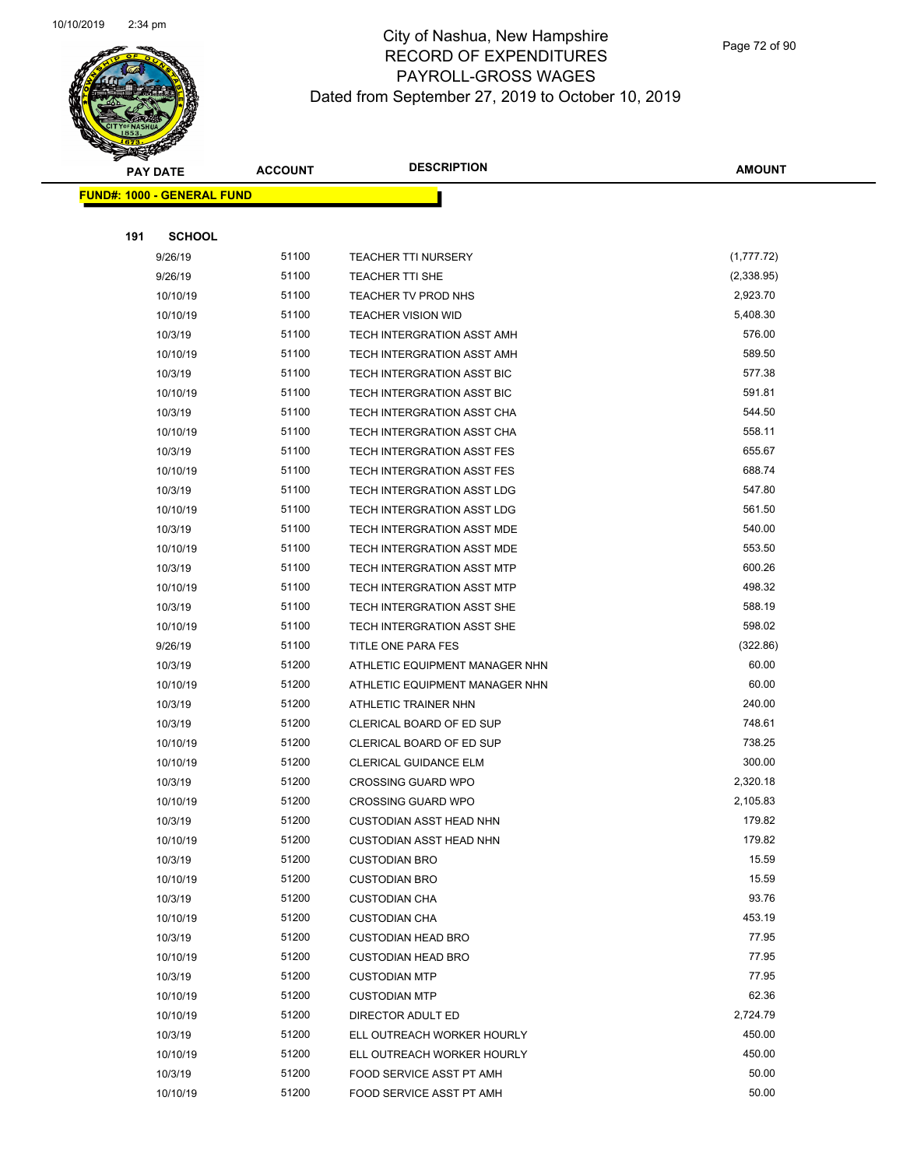

Page 72 of 90

|     | <b>PAY DATE</b>                   | <b>ACCOUNT</b> | <b>DESCRIPTION</b>                                     | <b>AMOUNT</b>     |
|-----|-----------------------------------|----------------|--------------------------------------------------------|-------------------|
|     | <b>FUND#: 1000 - GENERAL FUND</b> |                |                                                        |                   |
|     |                                   |                |                                                        |                   |
| 191 | <b>SCHOOL</b>                     |                |                                                        |                   |
|     | 9/26/19                           | 51100          | <b>TEACHER TTI NURSERY</b>                             | (1,777.72)        |
|     | 9/26/19                           | 51100          | TEACHER TTI SHE                                        | (2,338.95)        |
|     | 10/10/19                          | 51100          | TEACHER TV PROD NHS                                    | 2,923.70          |
|     | 10/10/19                          | 51100          | <b>TEACHER VISION WID</b>                              | 5,408.30          |
|     | 10/3/19                           | 51100          | TECH INTERGRATION ASST AMH                             | 576.00            |
|     | 10/10/19                          | 51100          | TECH INTERGRATION ASST AMH                             | 589.50            |
|     | 10/3/19                           | 51100          | TECH INTERGRATION ASST BIC                             | 577.38            |
|     | 10/10/19                          | 51100          | TECH INTERGRATION ASST BIC                             | 591.81            |
|     | 10/3/19                           | 51100          | TECH INTERGRATION ASST CHA                             | 544.50            |
|     | 10/10/19                          | 51100          | TECH INTERGRATION ASST CHA                             | 558.11            |
|     | 10/3/19                           | 51100          | TECH INTERGRATION ASST FES                             | 655.67            |
|     | 10/10/19                          | 51100          | TECH INTERGRATION ASST FES                             | 688.74            |
|     | 10/3/19                           | 51100          | TECH INTERGRATION ASST LDG                             | 547.80            |
|     | 10/10/19                          | 51100          | TECH INTERGRATION ASST LDG                             | 561.50            |
|     | 10/3/19                           | 51100          | TECH INTERGRATION ASST MDE                             | 540.00            |
|     | 10/10/19                          | 51100          | TECH INTERGRATION ASST MDE                             | 553.50            |
|     | 10/3/19                           | 51100          | TECH INTERGRATION ASST MTP                             | 600.26            |
|     | 10/10/19                          | 51100          | TECH INTERGRATION ASST MTP                             | 498.32            |
|     | 10/3/19                           | 51100          | TECH INTERGRATION ASST SHE                             | 588.19            |
|     | 10/10/19                          | 51100          | TECH INTERGRATION ASST SHE                             | 598.02            |
|     | 9/26/19                           | 51100          | TITLE ONE PARA FES                                     | (322.86)          |
|     | 10/3/19                           | 51200          | ATHLETIC EQUIPMENT MANAGER NHN                         | 60.00             |
|     | 10/10/19                          | 51200          | ATHLETIC EQUIPMENT MANAGER NHN                         | 60.00             |
|     | 10/3/19                           | 51200          | ATHLETIC TRAINER NHN                                   | 240.00            |
|     | 10/3/19                           | 51200          | CLERICAL BOARD OF ED SUP                               | 748.61            |
|     | 10/10/19                          | 51200          | CLERICAL BOARD OF ED SUP                               | 738.25            |
|     | 10/10/19                          | 51200          | <b>CLERICAL GUIDANCE ELM</b>                           | 300.00            |
|     | 10/3/19                           | 51200          | <b>CROSSING GUARD WPO</b>                              | 2,320.18          |
|     | 10/10/19                          | 51200          | <b>CROSSING GUARD WPO</b>                              | 2,105.83          |
|     | 10/3/19                           | 51200          | CUSTODIAN ASST HEAD NHN                                | 179.82            |
|     | 10/10/19                          | 51200          | <b>CUSTODIAN ASST HEAD NHN</b>                         | 179.82            |
|     | 10/3/19                           | 51200          | <b>CUSTODIAN BRO</b>                                   | 15.59             |
|     | 10/10/19                          | 51200          | <b>CUSTODIAN BRO</b>                                   | 15.59             |
|     | 10/3/19                           | 51200          | <b>CUSTODIAN CHA</b>                                   | 93.76             |
|     | 10/10/19                          | 51200          | <b>CUSTODIAN CHA</b>                                   | 453.19            |
|     | 10/3/19                           | 51200<br>51200 | <b>CUSTODIAN HEAD BRO</b>                              | 77.95<br>77.95    |
|     | 10/10/19                          |                | <b>CUSTODIAN HEAD BRO</b>                              |                   |
|     | 10/3/19                           | 51200          | <b>CUSTODIAN MTP</b>                                   | 77.95             |
|     | 10/10/19                          | 51200<br>51200 | <b>CUSTODIAN MTP</b>                                   | 62.36<br>2,724.79 |
|     | 10/10/19<br>10/3/19               | 51200          | DIRECTOR ADULT ED                                      | 450.00            |
|     |                                   | 51200          | ELL OUTREACH WORKER HOURLY                             | 450.00            |
|     | 10/10/19<br>10/3/19               | 51200          | ELL OUTREACH WORKER HOURLY<br>FOOD SERVICE ASST PT AMH | 50.00             |
|     |                                   | 51200          |                                                        | 50.00             |
|     | 10/10/19                          |                | FOOD SERVICE ASST PT AMH                               |                   |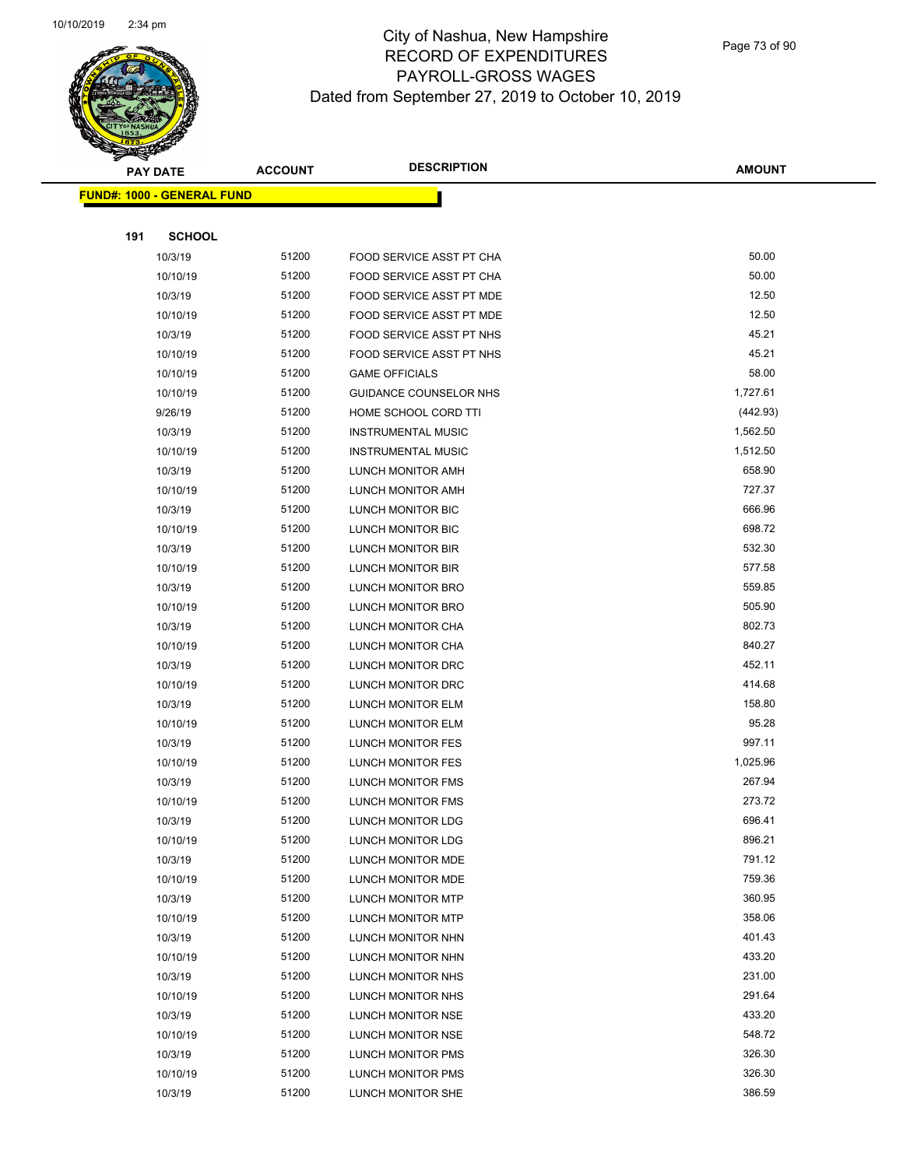

Page 73 of 90

|     | <b>PAY DATE</b>                    | <b>ACCOUNT</b> | <b>DESCRIPTION</b>              | <b>AMOUNT</b> |
|-----|------------------------------------|----------------|---------------------------------|---------------|
|     | <u> FUND#: 1000 - GENERAL FUND</u> |                |                                 |               |
|     |                                    |                |                                 |               |
| 191 | <b>SCHOOL</b>                      |                |                                 |               |
|     | 10/3/19                            | 51200          | <b>FOOD SERVICE ASST PT CHA</b> | 50.00         |
|     | 10/10/19                           | 51200          | FOOD SERVICE ASST PT CHA        | 50.00         |
|     | 10/3/19                            | 51200          | FOOD SERVICE ASST PT MDE        | 12.50         |
|     | 10/10/19                           | 51200          | FOOD SERVICE ASST PT MDE        | 12.50         |
|     | 10/3/19                            | 51200          | FOOD SERVICE ASST PT NHS        | 45.21         |
|     | 10/10/19                           | 51200          | FOOD SERVICE ASST PT NHS        | 45.21         |
|     | 10/10/19                           | 51200          | <b>GAME OFFICIALS</b>           | 58.00         |
|     | 10/10/19                           | 51200          | GUIDANCE COUNSELOR NHS          | 1,727.61      |
|     | 9/26/19                            | 51200          | HOME SCHOOL CORD TTI            | (442.93)      |
|     | 10/3/19                            | 51200          | <b>INSTRUMENTAL MUSIC</b>       | 1,562.50      |
|     | 10/10/19                           | 51200          | <b>INSTRUMENTAL MUSIC</b>       | 1,512.50      |
|     | 10/3/19                            | 51200          | LUNCH MONITOR AMH               | 658.90        |
|     | 10/10/19                           | 51200          | LUNCH MONITOR AMH               | 727.37        |
|     | 10/3/19                            | 51200          | LUNCH MONITOR BIC               | 666.96        |
|     | 10/10/19                           | 51200          | LUNCH MONITOR BIC               | 698.72        |
|     | 10/3/19                            | 51200          | LUNCH MONITOR BIR               | 532.30        |
|     | 10/10/19                           | 51200          | LUNCH MONITOR BIR               | 577.58        |
|     | 10/3/19                            | 51200          | LUNCH MONITOR BRO               | 559.85        |
|     | 10/10/19                           | 51200          | LUNCH MONITOR BRO               | 505.90        |
|     | 10/3/19                            | 51200          | LUNCH MONITOR CHA               | 802.73        |
|     | 10/10/19                           | 51200          | LUNCH MONITOR CHA               | 840.27        |
|     | 10/3/19                            | 51200          | LUNCH MONITOR DRC               | 452.11        |
|     | 10/10/19                           | 51200          | LUNCH MONITOR DRC               | 414.68        |
|     | 10/3/19                            | 51200          | LUNCH MONITOR ELM               | 158.80        |
|     | 10/10/19                           | 51200          | LUNCH MONITOR ELM               | 95.28         |
|     | 10/3/19                            | 51200          | <b>LUNCH MONITOR FES</b>        | 997.11        |
|     | 10/10/19                           | 51200          | LUNCH MONITOR FES               | 1,025.96      |
|     | 10/3/19                            | 51200          | LUNCH MONITOR FMS               | 267.94        |
|     | 10/10/19                           | 51200          | LUNCH MONITOR FMS               | 273.72        |
|     | 10/3/19                            | 51200          | LUNCH MONITOR LDG               | 696.41        |
|     | 10/10/19                           | 51200          | LUNCH MONITOR LDG               | 896.21        |
|     | 10/3/19                            | 51200          | LUNCH MONITOR MDE               | 791.12        |
|     | 10/10/19                           | 51200          | LUNCH MONITOR MDE               | 759.36        |
|     | 10/3/19                            | 51200          | LUNCH MONITOR MTP               | 360.95        |
|     | 10/10/19                           | 51200          | LUNCH MONITOR MTP               | 358.06        |
|     | 10/3/19                            | 51200          | LUNCH MONITOR NHN               | 401.43        |
|     | 10/10/19                           | 51200          | LUNCH MONITOR NHN               | 433.20        |
|     | 10/3/19                            | 51200          | LUNCH MONITOR NHS               | 231.00        |
|     | 10/10/19                           | 51200          | LUNCH MONITOR NHS               | 291.64        |
|     | 10/3/19                            | 51200          | LUNCH MONITOR NSE               | 433.20        |
|     | 10/10/19                           | 51200          | LUNCH MONITOR NSE               | 548.72        |
|     | 10/3/19                            | 51200          | LUNCH MONITOR PMS               | 326.30        |
|     | 10/10/19                           | 51200          | LUNCH MONITOR PMS               | 326.30        |
|     | 10/3/19                            | 51200          | LUNCH MONITOR SHE               | 386.59        |
|     |                                    |                |                                 |               |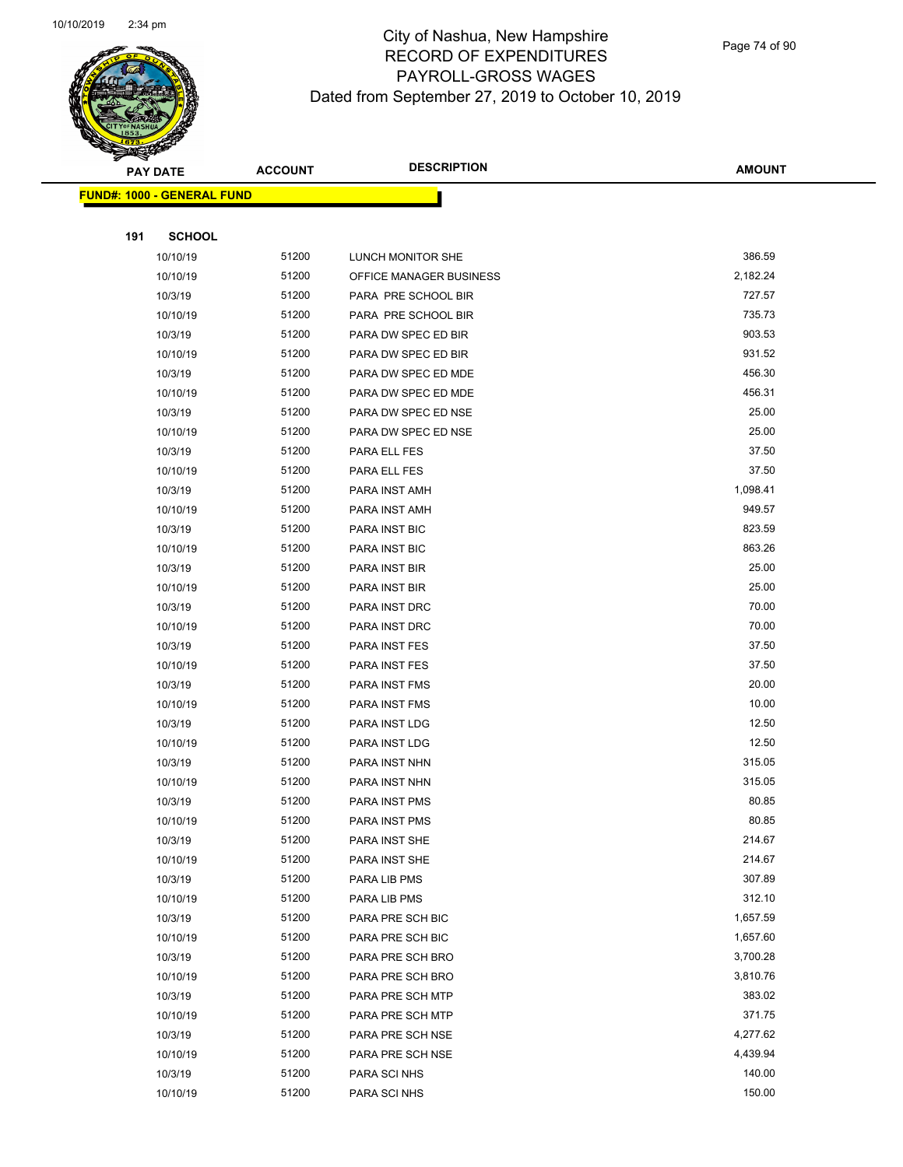

Page 74 of 90

|     | <b>PAY DATE</b>                   | <b>ACCOUNT</b> | <b>DESCRIPTION</b>                   | <b>AMOUNT</b>    |
|-----|-----------------------------------|----------------|--------------------------------------|------------------|
|     | <b>FUND#: 1000 - GENERAL FUND</b> |                |                                      |                  |
|     |                                   |                |                                      |                  |
| 191 | <b>SCHOOL</b>                     |                |                                      |                  |
|     | 10/10/19                          | 51200          | LUNCH MONITOR SHE                    | 386.59           |
|     | 10/10/19                          | 51200          | OFFICE MANAGER BUSINESS              | 2,182.24         |
|     | 10/3/19                           | 51200          | PARA PRE SCHOOL BIR                  | 727.57           |
|     | 10/10/19                          | 51200          | PARA PRE SCHOOL BIR                  | 735.73           |
|     | 10/3/19                           | 51200          | PARA DW SPEC ED BIR                  | 903.53           |
|     | 10/10/19                          | 51200          | PARA DW SPEC ED BIR                  | 931.52           |
|     | 10/3/19                           | 51200          | PARA DW SPEC ED MDE                  | 456.30           |
|     | 10/10/19                          | 51200          | PARA DW SPEC ED MDE                  | 456.31           |
|     | 10/3/19                           | 51200          | PARA DW SPEC ED NSE                  | 25.00            |
|     | 10/10/19                          | 51200          | PARA DW SPEC ED NSE                  | 25.00            |
|     | 10/3/19                           | 51200          | PARA ELL FES                         | 37.50            |
|     | 10/10/19                          | 51200          | PARA ELL FES                         | 37.50            |
|     | 10/3/19                           | 51200          | PARA INST AMH                        | 1,098.41         |
|     | 10/10/19                          | 51200          | PARA INST AMH                        | 949.57           |
|     | 10/3/19                           | 51200          | PARA INST BIC                        | 823.59           |
|     | 10/10/19                          | 51200          | PARA INST BIC                        | 863.26           |
|     | 10/3/19                           | 51200          | PARA INST BIR                        | 25.00            |
|     | 10/10/19                          | 51200          | PARA INST BIR                        | 25.00            |
|     | 10/3/19                           | 51200          | PARA INST DRC                        | 70.00            |
|     | 10/10/19                          | 51200          | PARA INST DRC                        | 70.00            |
|     | 10/3/19                           | 51200          | PARA INST FES                        | 37.50            |
|     | 10/10/19                          | 51200          | PARA INST FES                        | 37.50            |
|     | 10/3/19                           | 51200          | PARA INST FMS                        | 20.00            |
|     | 10/10/19                          | 51200          | PARA INST FMS                        | 10.00            |
|     | 10/3/19                           | 51200          | PARA INST LDG                        | 12.50            |
|     | 10/10/19                          | 51200          | PARA INST LDG                        | 12.50            |
|     | 10/3/19                           | 51200          | PARA INST NHN                        | 315.05           |
|     | 10/10/19                          | 51200          | PARA INST NHN                        | 315.05           |
|     | 10/3/19                           | 51200          | PARA INST PMS                        | 80.85            |
|     | 10/10/19                          | 51200          | PARA INST PMS                        | 80.85            |
|     | 10/3/19                           | 51200          | PARA INST SHE                        | 214.67<br>214.67 |
|     | 10/10/19                          | 51200          | PARA INST SHE                        | 307.89           |
|     | 10/3/19                           | 51200<br>51200 | PARA LIB PMS                         | 312.10           |
|     | 10/10/19                          | 51200          | PARA LIB PMS                         | 1,657.59         |
|     | 10/3/19<br>10/10/19               | 51200          | PARA PRE SCH BIC<br>PARA PRE SCH BIC | 1,657.60         |
|     | 10/3/19                           | 51200          | PARA PRE SCH BRO                     | 3,700.28         |
|     | 10/10/19                          | 51200          | PARA PRE SCH BRO                     | 3,810.76         |
|     | 10/3/19                           | 51200          | PARA PRE SCH MTP                     | 383.02           |
|     | 10/10/19                          | 51200          | PARA PRE SCH MTP                     | 371.75           |
|     | 10/3/19                           | 51200          | PARA PRE SCH NSE                     | 4,277.62         |
|     | 10/10/19                          | 51200          | PARA PRE SCH NSE                     | 4,439.94         |
|     | 10/3/19                           | 51200          | PARA SCI NHS                         | 140.00           |
|     | 10/10/19                          | 51200          | PARA SCI NHS                         | 150.00           |
|     |                                   |                |                                      |                  |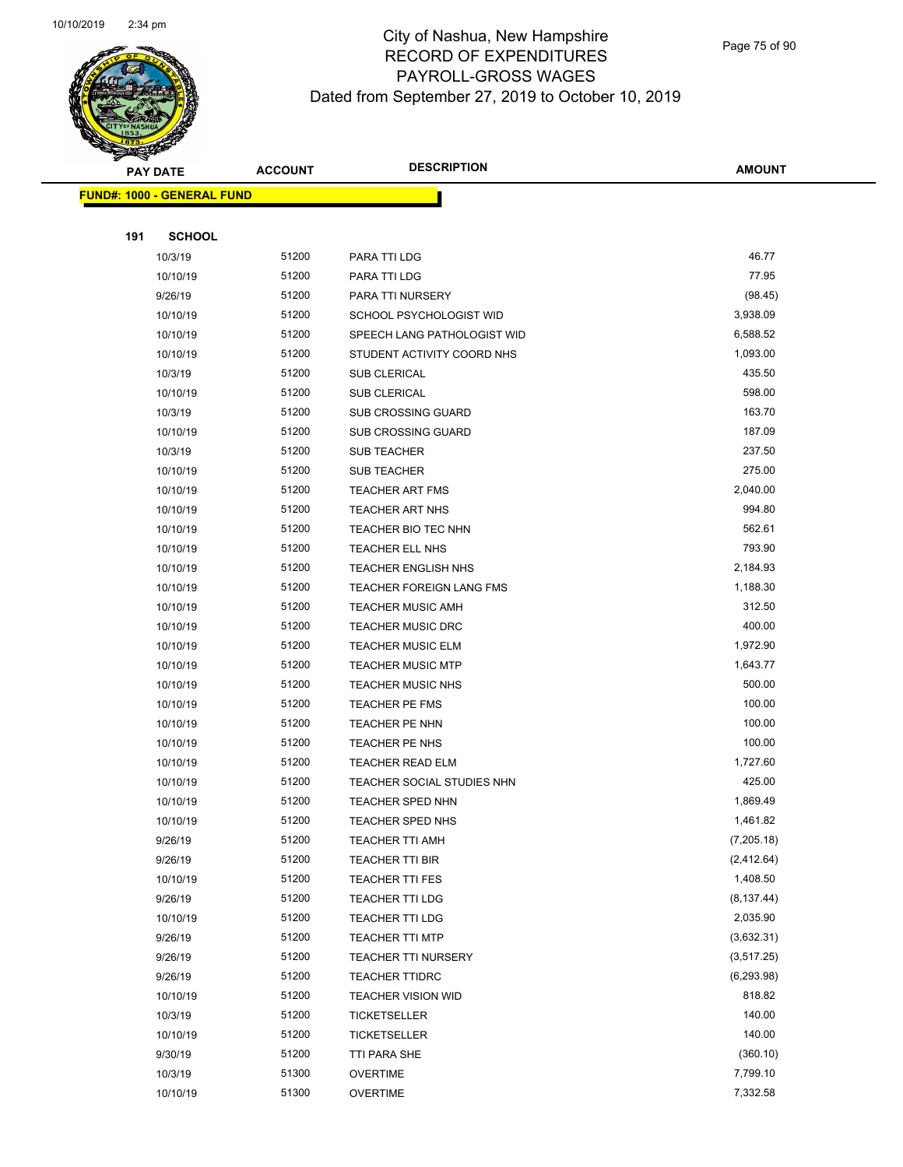

Page 75 of 90

| <b>PAY DATE</b>            | <b>ACCOUNT</b> | <b>DESCRIPTION</b>           | <b>AMOUNT</b>    |
|----------------------------|----------------|------------------------------|------------------|
| FUND#: 1000 - GENERAL FUND |                |                              |                  |
|                            |                |                              |                  |
| 191<br><b>SCHOOL</b>       |                |                              |                  |
| 10/3/19                    | 51200          | PARA TTI LDG                 | 46.77            |
| 10/10/19                   | 51200          | PARA TTI LDG                 | 77.95            |
| 9/26/19                    | 51200          | PARA TTI NURSERY             | (98.45)          |
| 10/10/19                   | 51200          | SCHOOL PSYCHOLOGIST WID      | 3,938.09         |
| 10/10/19                   | 51200          | SPEECH LANG PATHOLOGIST WID  | 6,588.52         |
| 10/10/19                   | 51200          | STUDENT ACTIVITY COORD NHS   | 1,093.00         |
| 10/3/19                    | 51200          | <b>SUB CLERICAL</b>          | 435.50           |
| 10/10/19                   | 51200          | <b>SUB CLERICAL</b>          | 598.00           |
| 10/3/19                    | 51200          | <b>SUB CROSSING GUARD</b>    | 163.70           |
| 10/10/19                   | 51200          | <b>SUB CROSSING GUARD</b>    | 187.09           |
| 10/3/19                    | 51200          | <b>SUB TEACHER</b>           | 237.50           |
| 10/10/19                   | 51200          | <b>SUB TEACHER</b>           | 275.00           |
| 10/10/19                   | 51200          | <b>TEACHER ART FMS</b>       | 2,040.00         |
| 10/10/19                   | 51200          | <b>TEACHER ART NHS</b>       | 994.80           |
| 10/10/19                   | 51200          | TEACHER BIO TEC NHN          | 562.61           |
| 10/10/19                   | 51200          | TEACHER ELL NHS              | 793.90           |
| 10/10/19                   | 51200          | <b>TEACHER ENGLISH NHS</b>   | 2,184.93         |
| 10/10/19                   | 51200          | TEACHER FOREIGN LANG FMS     | 1,188.30         |
| 10/10/19                   | 51200          | <b>TEACHER MUSIC AMH</b>     | 312.50           |
| 10/10/19                   | 51200          | <b>TEACHER MUSIC DRC</b>     | 400.00           |
| 10/10/19                   | 51200          | <b>TEACHER MUSIC ELM</b>     | 1,972.90         |
| 10/10/19                   | 51200          | <b>TEACHER MUSIC MTP</b>     | 1,643.77         |
| 10/10/19                   | 51200          | <b>TEACHER MUSIC NHS</b>     | 500.00           |
| 10/10/19                   | 51200          | TEACHER PE FMS               | 100.00           |
| 10/10/19                   | 51200          | TEACHER PE NHN               | 100.00           |
| 10/10/19                   | 51200          | TEACHER PE NHS               | 100.00           |
| 10/10/19                   | 51200          | <b>TEACHER READ ELM</b>      | 1,727.60         |
| 10/10/19                   | 51200          | TEACHER SOCIAL STUDIES NHN   | 425.00           |
| 10/10/19                   | 51200          | TEACHER SPED NHN             | 1,869.49         |
| 10/10/19                   | 51200          | TEACHER SPED NHS             | 1,461.82         |
| 9/26/19                    | 51200          | <b>TEACHER TTI AMH</b>       | (7,205.18)       |
| 9/26/19                    | 51200          | TEACHER TTI BIR              | (2, 412.64)      |
| 10/10/19                   | 51200          | TEACHER TTI FES              | 1,408.50         |
| 9/26/19                    | 51200          | TEACHER TTI LDG              | (8, 137.44)      |
| 10/10/19                   | 51200          | <b>TEACHER TTI LDG</b>       | 2,035.90         |
| 9/26/19                    | 51200          | TEACHER TTI MTP              | (3,632.31)       |
| 9/26/19                    | 51200          | <b>TEACHER TTI NURSERY</b>   | (3,517.25)       |
| 9/26/19                    | 51200          | <b>TEACHER TTIDRC</b>        | (6, 293.98)      |
| 10/10/19                   | 51200          | <b>TEACHER VISION WID</b>    | 818.82<br>140.00 |
| 10/3/19                    | 51200<br>51200 | <b>TICKETSELLER</b>          | 140.00           |
| 10/10/19<br>9/30/19        | 51200          | TICKETSELLER<br>TTI PARA SHE | (360.10)         |
| 10/3/19                    | 51300          | <b>OVERTIME</b>              | 7,799.10         |
| 10/10/19                   | 51300          | <b>OVERTIME</b>              | 7,332.58         |
|                            |                |                              |                  |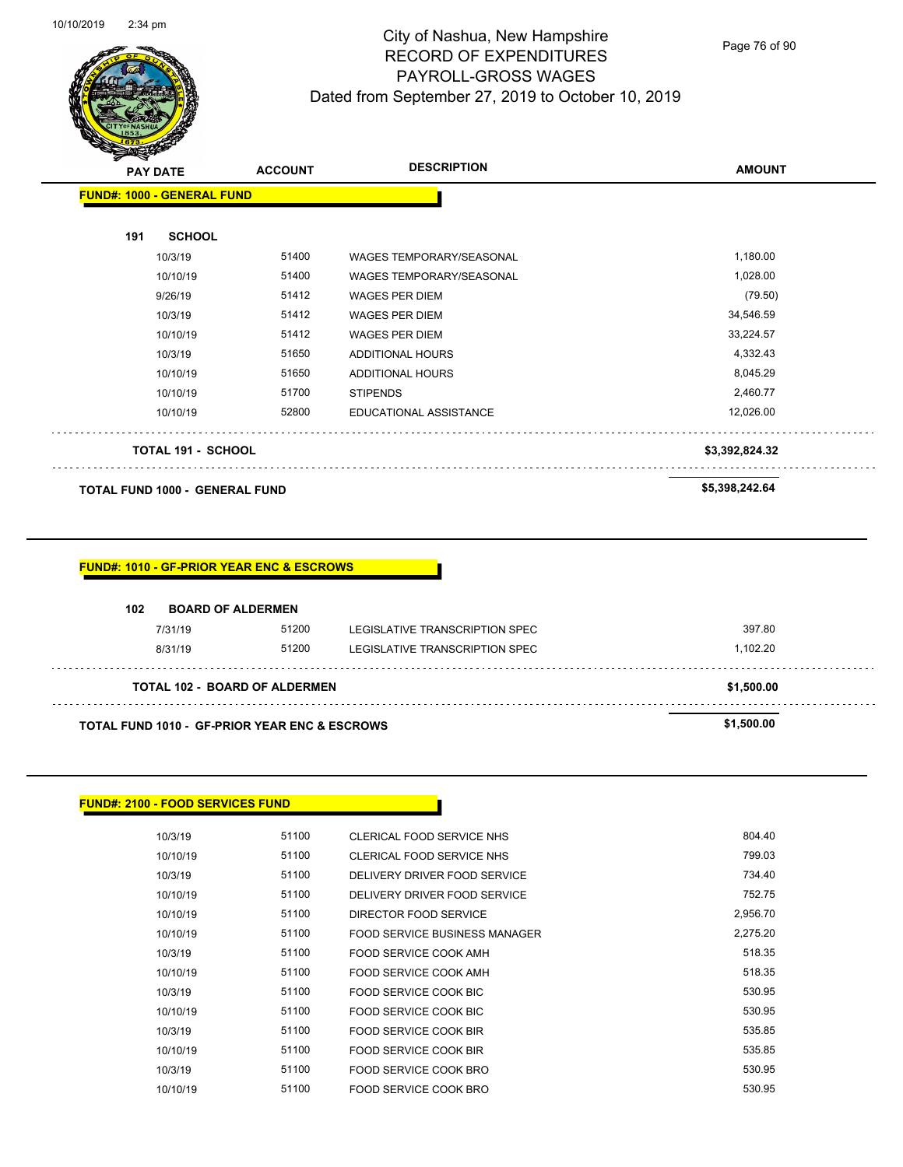

Page 76 of 90

| 191 | <b>FUND#: 1000 - GENERAL FUND</b>     |                                                      |                                |                |
|-----|---------------------------------------|------------------------------------------------------|--------------------------------|----------------|
|     |                                       |                                                      |                                |                |
|     | <b>SCHOOL</b>                         |                                                      |                                |                |
|     | 10/3/19                               | 51400                                                | WAGES TEMPORARY/SEASONAL       | 1,180.00       |
|     | 10/10/19                              | 51400                                                | WAGES TEMPORARY/SEASONAL       | 1,028.00       |
|     | 9/26/19                               | 51412                                                | <b>WAGES PER DIEM</b>          | (79.50)        |
|     | 10/3/19                               | 51412                                                | <b>WAGES PER DIEM</b>          | 34,546.59      |
|     | 10/10/19                              | 51412                                                | <b>WAGES PER DIEM</b>          | 33,224.57      |
|     | 10/3/19                               | 51650                                                | <b>ADDITIONAL HOURS</b>        | 4,332.43       |
|     | 10/10/19                              | 51650                                                | <b>ADDITIONAL HOURS</b>        | 8,045.29       |
|     | 10/10/19                              | 51700                                                | <b>STIPENDS</b>                | 2,460.77       |
|     | 10/10/19                              | 52800                                                | EDUCATIONAL ASSISTANCE         | 12,026.00      |
|     | <b>TOTAL 191 - SCHOOL</b>             |                                                      |                                | \$3,392,824.32 |
|     |                                       |                                                      |                                |                |
|     | <b>TOTAL FUND 1000 - GENERAL FUND</b> |                                                      |                                | \$5,398,242.64 |
| 102 | <b>BOARD OF ALDERMEN</b>              | <b>FUND#: 1010 - GF-PRIOR YEAR ENC &amp; ESCROWS</b> |                                |                |
|     | 7/31/19                               | 51200                                                | LEGISLATIVE TRANSCRIPTION SPEC | 397.80         |
|     | 8/31/19                               | 51200                                                | LEGISLATIVE TRANSCRIPTION SPEC | 1,102.20       |
|     |                                       | <b>TOTAL 102 - BOARD OF ALDERMEN</b>                 |                                | \$1,500.00     |

#### **FUND#: 2100 - FOOD SERVICES FUND**

| 10/3/19  | 51100 | CLERICAL FOOD SERVICE NHS     | 804.40   |
|----------|-------|-------------------------------|----------|
| 10/10/19 | 51100 | CLERICAL FOOD SERVICE NHS     | 799.03   |
| 10/3/19  | 51100 | DELIVERY DRIVER FOOD SERVICE  | 734.40   |
| 10/10/19 | 51100 | DELIVERY DRIVER FOOD SERVICE  | 752.75   |
| 10/10/19 | 51100 | DIRECTOR FOOD SERVICE         | 2,956.70 |
| 10/10/19 | 51100 | FOOD SERVICE BUSINESS MANAGER | 2.275.20 |
| 10/3/19  | 51100 | FOOD SERVICE COOK AMH         | 518.35   |
| 10/10/19 | 51100 | FOOD SERVICE COOK AMH         | 518.35   |
| 10/3/19  | 51100 | FOOD SERVICE COOK BIC         | 530.95   |
| 10/10/19 | 51100 | FOOD SERVICE COOK BIC         | 530.95   |
| 10/3/19  | 51100 | FOOD SERVICE COOK BIR         | 535.85   |
| 10/10/19 | 51100 | FOOD SERVICE COOK BIR         | 535.85   |
| 10/3/19  | 51100 | FOOD SERVICE COOK BRO         | 530.95   |
| 10/10/19 | 51100 | FOOD SERVICE COOK BRO         | 530.95   |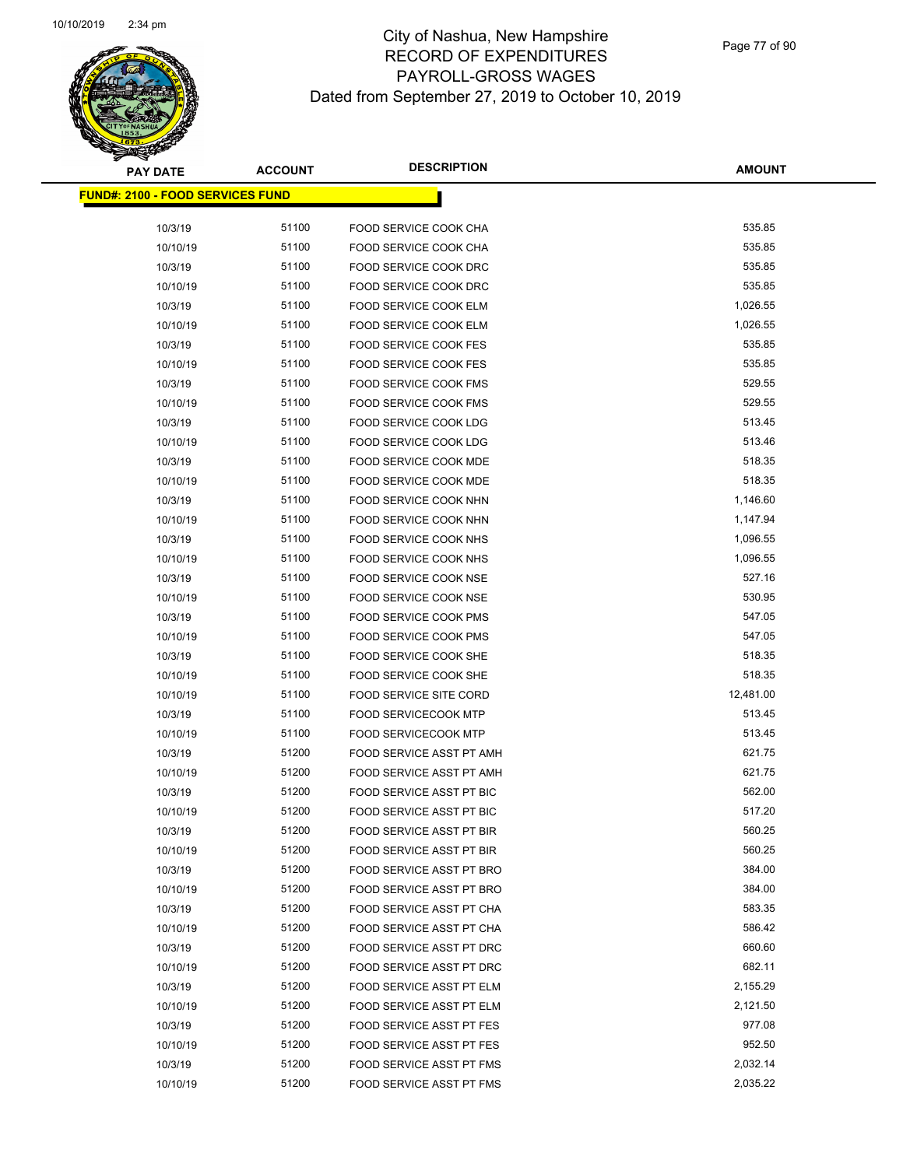Page 77 of 90

| <b>PAY DATE</b>                          | <b>ACCOUNT</b> | <b>DESCRIPTION</b>                             | <b>AMOUNT</b>    |
|------------------------------------------|----------------|------------------------------------------------|------------------|
| <u> FUND#: 2100 - FOOD SERVICES FUND</u> |                |                                                |                  |
|                                          |                |                                                |                  |
| 10/3/19                                  | 51100          | FOOD SERVICE COOK CHA                          | 535.85           |
| 10/10/19                                 | 51100          | FOOD SERVICE COOK CHA                          | 535.85           |
| 10/3/19                                  | 51100          | <b>FOOD SERVICE COOK DRC</b>                   | 535.85           |
| 10/10/19                                 | 51100          | FOOD SERVICE COOK DRC                          | 535.85           |
| 10/3/19                                  | 51100          | FOOD SERVICE COOK ELM                          | 1,026.55         |
| 10/10/19                                 | 51100          | FOOD SERVICE COOK ELM                          | 1,026.55         |
| 10/3/19                                  | 51100          | <b>FOOD SERVICE COOK FES</b>                   | 535.85           |
| 10/10/19                                 | 51100          | <b>FOOD SERVICE COOK FES</b>                   | 535.85           |
| 10/3/19                                  | 51100          | FOOD SERVICE COOK FMS                          | 529.55           |
| 10/10/19                                 | 51100          | <b>FOOD SERVICE COOK FMS</b>                   | 529.55           |
| 10/3/19                                  | 51100          | FOOD SERVICE COOK LDG                          | 513.45           |
| 10/10/19                                 | 51100          | FOOD SERVICE COOK LDG                          | 513.46           |
| 10/3/19                                  | 51100          | FOOD SERVICE COOK MDE                          | 518.35           |
| 10/10/19                                 | 51100          | FOOD SERVICE COOK MDE                          | 518.35           |
| 10/3/19                                  | 51100          | FOOD SERVICE COOK NHN                          | 1,146.60         |
| 10/10/19                                 | 51100          | FOOD SERVICE COOK NHN                          | 1,147.94         |
| 10/3/19                                  | 51100          | FOOD SERVICE COOK NHS                          | 1,096.55         |
| 10/10/19                                 | 51100          | <b>FOOD SERVICE COOK NHS</b>                   | 1,096.55         |
| 10/3/19                                  | 51100<br>51100 | FOOD SERVICE COOK NSE                          | 527.16<br>530.95 |
| 10/10/19<br>10/3/19                      | 51100          | FOOD SERVICE COOK NSE<br>FOOD SERVICE COOK PMS | 547.05           |
| 10/10/19                                 | 51100          | FOOD SERVICE COOK PMS                          | 547.05           |
| 10/3/19                                  | 51100          | FOOD SERVICE COOK SHE                          | 518.35           |
| 10/10/19                                 | 51100          | FOOD SERVICE COOK SHE                          | 518.35           |
| 10/10/19                                 | 51100          | <b>FOOD SERVICE SITE CORD</b>                  | 12,481.00        |
| 10/3/19                                  | 51100          | <b>FOOD SERVICECOOK MTP</b>                    | 513.45           |
| 10/10/19                                 | 51100          | <b>FOOD SERVICECOOK MTP</b>                    | 513.45           |
| 10/3/19                                  | 51200          | FOOD SERVICE ASST PT AMH                       | 621.75           |
| 10/10/19                                 | 51200          | FOOD SERVICE ASST PT AMH                       | 621.75           |
| 10/3/19                                  | 51200          | FOOD SERVICE ASST PT BIC                       | 562.00           |
| 10/10/19                                 | 51200          | FOOD SERVICE ASST PT BIC                       | 517.20           |
| 10/3/19                                  | 51200          | <b>FOOD SERVICE ASST PT BIR</b>                | 560.25           |
| 10/10/19                                 | 51200          | <b>FOOD SERVICE ASST PT BIR</b>                | 560.25           |
| 10/3/19                                  | 51200          | FOOD SERVICE ASST PT BRO                       | 384.00           |
| 10/10/19                                 | 51200          | <b>FOOD SERVICE ASST PT BRO</b>                | 384.00           |
| 10/3/19                                  | 51200          | FOOD SERVICE ASST PT CHA                       | 583.35           |
| 10/10/19                                 | 51200          | FOOD SERVICE ASST PT CHA                       | 586.42           |
| 10/3/19                                  | 51200          | FOOD SERVICE ASST PT DRC                       | 660.60           |
| 10/10/19                                 | 51200          | FOOD SERVICE ASST PT DRC                       | 682.11           |
| 10/3/19                                  | 51200          | FOOD SERVICE ASST PT ELM                       | 2,155.29         |
| 10/10/19                                 | 51200          | FOOD SERVICE ASST PT ELM                       | 2,121.50         |
| 10/3/19                                  | 51200          | FOOD SERVICE ASST PT FES                       | 977.08           |
| 10/10/19                                 | 51200          | <b>FOOD SERVICE ASST PT FES</b>                | 952.50           |
| 10/3/19                                  | 51200          | FOOD SERVICE ASST PT FMS                       | 2,032.14         |
| 10/10/19                                 | 51200          | FOOD SERVICE ASST PT FMS                       | 2,035.22         |
|                                          |                |                                                |                  |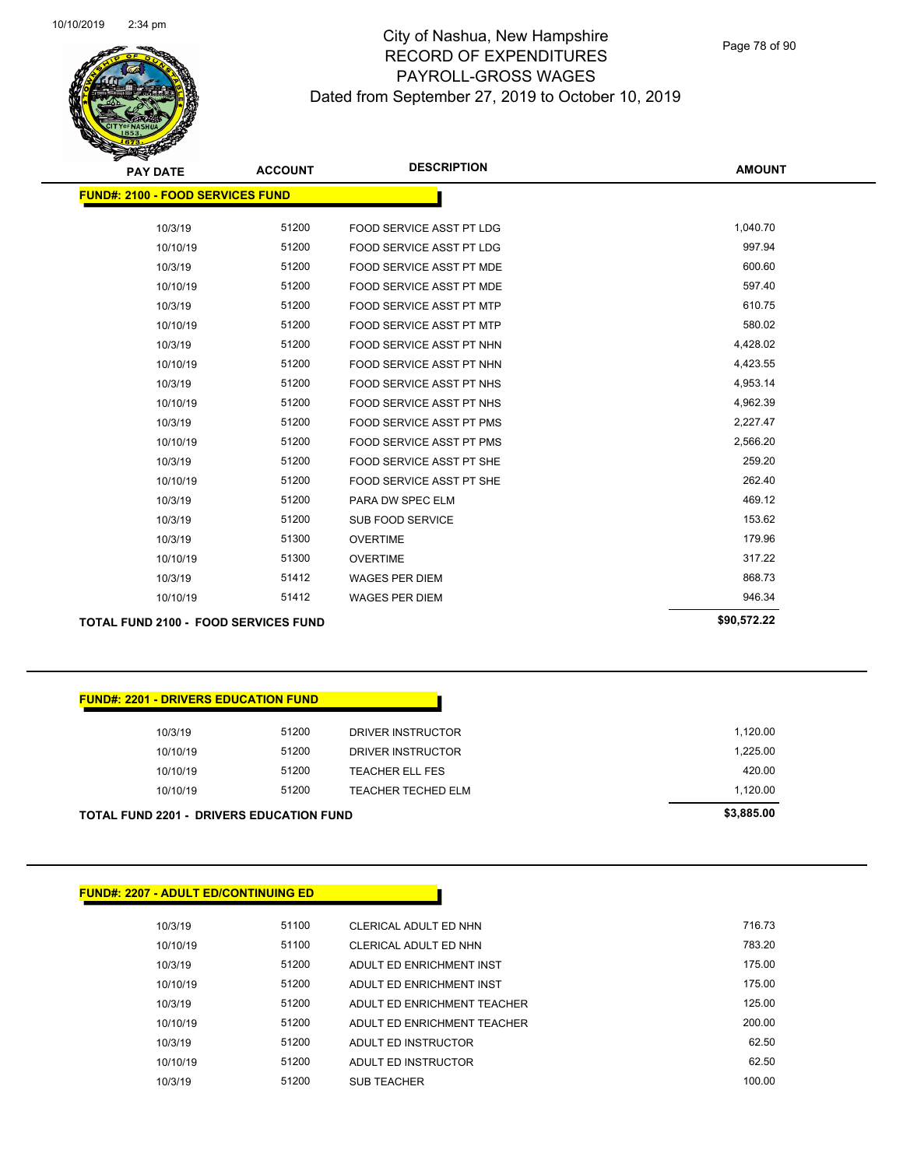Page 78 of 90

| <b>PAY DATE</b>                             | <b>ACCOUNT</b> | <b>DESCRIPTION</b>              | <b>AMOUNT</b> |
|---------------------------------------------|----------------|---------------------------------|---------------|
| <b>FUND#: 2100 - FOOD SERVICES FUND</b>     |                |                                 |               |
|                                             |                |                                 |               |
| 10/3/19                                     | 51200          | <b>FOOD SERVICE ASST PT LDG</b> | 1,040.70      |
| 10/10/19                                    | 51200          | FOOD SERVICE ASST PT LDG        | 997.94        |
| 10/3/19                                     | 51200          | FOOD SERVICE ASST PT MDE        | 600.60        |
| 10/10/19                                    | 51200          | FOOD SERVICE ASST PT MDE        | 597.40        |
| 10/3/19                                     | 51200          | <b>FOOD SERVICE ASST PT MTP</b> | 610.75        |
| 10/10/19                                    | 51200          | <b>FOOD SERVICE ASST PT MTP</b> | 580.02        |
| 10/3/19                                     | 51200          | FOOD SERVICE ASST PT NHN        | 4,428.02      |
| 10/10/19                                    | 51200          | FOOD SERVICE ASST PT NHN        | 4,423.55      |
| 10/3/19                                     | 51200          | <b>FOOD SERVICE ASST PT NHS</b> | 4,953.14      |
| 10/10/19                                    | 51200          | <b>FOOD SERVICE ASST PT NHS</b> | 4,962.39      |
| 10/3/19                                     | 51200          | <b>FOOD SERVICE ASST PT PMS</b> | 2,227.47      |
| 10/10/19                                    | 51200          | <b>FOOD SERVICE ASST PT PMS</b> | 2,566.20      |
| 10/3/19                                     | 51200          | FOOD SERVICE ASST PT SHE        | 259.20        |
| 10/10/19                                    | 51200          | <b>FOOD SERVICE ASST PT SHE</b> | 262.40        |
| 10/3/19                                     | 51200          | PARA DW SPEC ELM                | 469.12        |
| 10/3/19                                     | 51200          | <b>SUB FOOD SERVICE</b>         | 153.62        |
| 10/3/19                                     | 51300          | <b>OVERTIME</b>                 | 179.96        |
| 10/10/19                                    | 51300          | <b>OVERTIME</b>                 | 317.22        |
| 10/3/19                                     | 51412          | <b>WAGES PER DIEM</b>           | 868.73        |
| 10/10/19                                    | 51412          | <b>WAGES PER DIEM</b>           | 946.34        |
| <b>TOTAL FUND 2100 - FOOD SERVICES FUND</b> |                |                                 | \$90,572.22   |

#### **FUND#: 2201 - DRIVERS EDUCATION FUND**

| TOTAL FUND 2201 -  DRIVERS EDUCATION FUND | \$3,885.00 |       |                           |          |
|-------------------------------------------|------------|-------|---------------------------|----------|
|                                           | 10/10/19   | 51200 | <b>TEACHER TECHED ELM</b> | 1,120.00 |
|                                           | 10/10/19   | 51200 | TEACHER ELL FES           | 420.00   |
|                                           | 10/10/19   | 51200 | DRIVER INSTRUCTOR         | 1,225.00 |
|                                           | 10/3/19    | 51200 | DRIVER INSTRUCTOR         | 1,120.00 |
|                                           |            |       |                           |          |

#### **FUND#: 2207 - ADULT ED/CONTINUING ED**

| 10/3/19  | 51100 | CLERICAL ADULT ED NHN       | 716 73 |
|----------|-------|-----------------------------|--------|
| 10/10/19 | 51100 | CLERICAL ADULT ED NHN       | 783.20 |
| 10/3/19  | 51200 | ADULT ED ENRICHMENT INST    | 175 00 |
| 10/10/19 | 51200 | ADULT FD ENRICHMENT INST    | 175.00 |
| 10/3/19  | 51200 | ADULT ED ENRICHMENT TEACHER | 125.00 |
| 10/10/19 | 51200 | ADULT ED ENRICHMENT TEACHER | 200.00 |
| 10/3/19  | 51200 | ADULT ED INSTRUCTOR         | 62.50  |
| 10/10/19 | 51200 | ADULT ED INSTRUCTOR         | 62.50  |
| 10/3/19  | 51200 | <b>SUB TEACHER</b>          | 100.00 |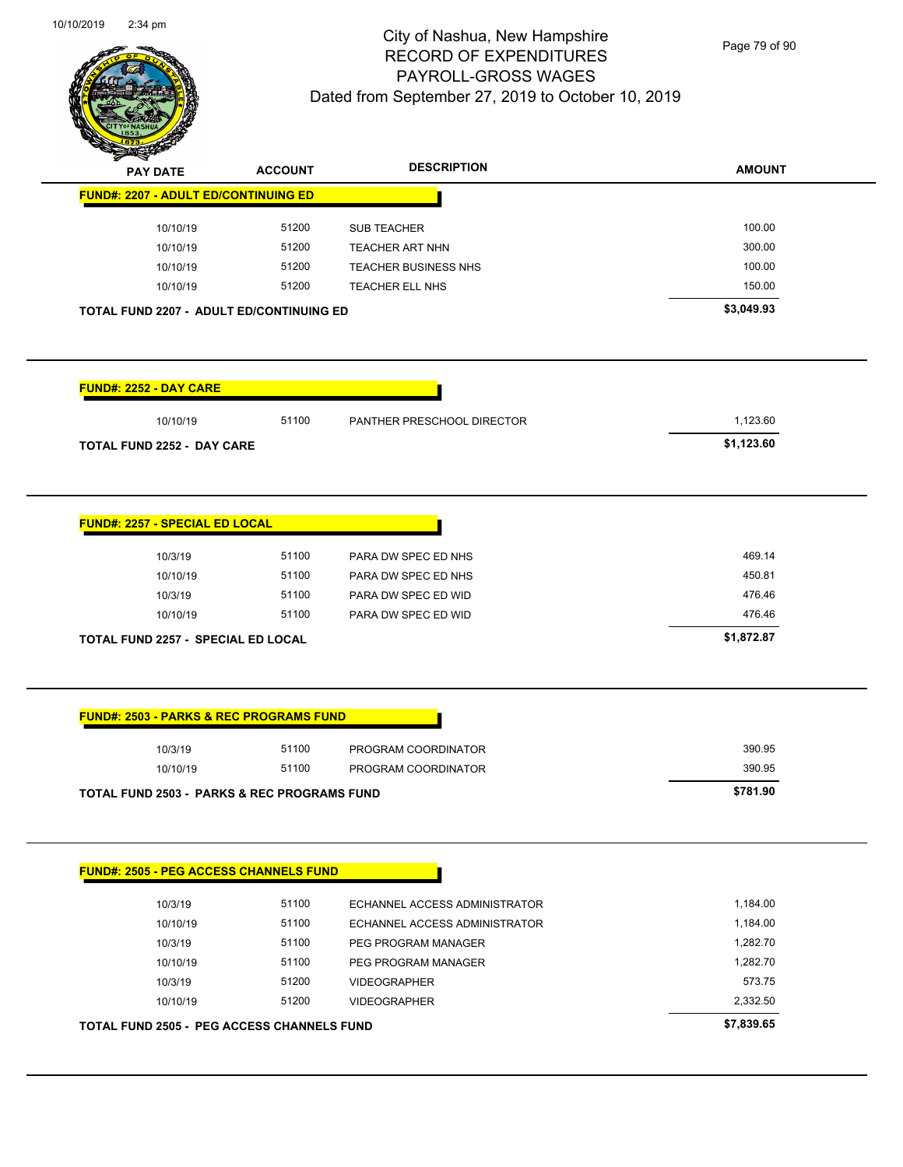

Page 79 of 90

| <b>PAY DATE</b>                                        | <b>ACCOUNT</b> | <b>DESCRIPTION</b>            | <b>AMOUNT</b> |
|--------------------------------------------------------|----------------|-------------------------------|---------------|
| <b>FUND#: 2207 - ADULT ED/CONTINUING ED</b>            |                |                               |               |
| 10/10/19                                               | 51200          | SUB TEACHER                   | 100.00        |
| 10/10/19                                               | 51200          | TEACHER ART NHN               | 300.00        |
| 10/10/19                                               | 51200          | <b>TEACHER BUSINESS NHS</b>   | 100.00        |
| 10/10/19                                               | 51200          | TEACHER ELL NHS               | 150.00        |
| TOTAL FUND 2207 - ADULT ED/CONTINUING ED               |                |                               | \$3,049.93    |
|                                                        |                |                               |               |
| <b>FUND#: 2252 - DAY CARE</b>                          |                |                               |               |
| 10/10/19                                               | 51100          | PANTHER PRESCHOOL DIRECTOR    | 1,123.60      |
| <b>TOTAL FUND 2252 - DAY CARE</b>                      |                |                               | \$1,123.60    |
|                                                        |                |                               |               |
| <b>FUND#: 2257 - SPECIAL ED LOCAL</b>                  |                |                               |               |
|                                                        | 51100          | PARA DW SPEC ED NHS           | 469.14        |
| 10/3/19                                                |                |                               |               |
| 10/10/19                                               | 51100          | PARA DW SPEC ED NHS           | 450.81        |
| 10/3/19                                                | 51100          | PARA DW SPEC ED WID           | 476.46        |
| 10/10/19                                               | 51100          | PARA DW SPEC ED WID           | 476.46        |
| <b>TOTAL FUND 2257 - SPECIAL ED LOCAL</b>              |                |                               | \$1,872.87    |
|                                                        |                |                               |               |
| <b>FUND#: 2503 - PARKS &amp; REC PROGRAMS FUND</b>     |                |                               |               |
| 10/3/19                                                | 51100          | PROGRAM COORDINATOR           | 390.95        |
| 10/10/19                                               | 51100          | PROGRAM COORDINATOR           | 390.95        |
| <b>TOTAL FUND 2503 - PARKS &amp; REC PROGRAMS FUND</b> |                |                               | \$781.90      |
|                                                        |                |                               |               |
| FUND#: 2505 - PEG ACCESS CHANNELS FUND                 |                |                               |               |
| 10/3/19                                                | 51100          | ECHANNEL ACCESS ADMINISTRATOR | 1,184.00      |
| 10/10/19                                               | 51100          | ECHANNEL ACCESS ADMINISTRATOR | 1,184.00      |
| 10/3/19                                                | 51100          | PEG PROGRAM MANAGER           | 1,282.70      |
| 10/10/19                                               | 51100          | PEG PROGRAM MANAGER           | 1,282.70      |
| 10/3/19                                                | 51200          | <b>VIDEOGRAPHER</b>           | 573.75        |
| 10/10/19                                               | 51200          | <b>VIDEOGRAPHER</b>           | 2,332.50      |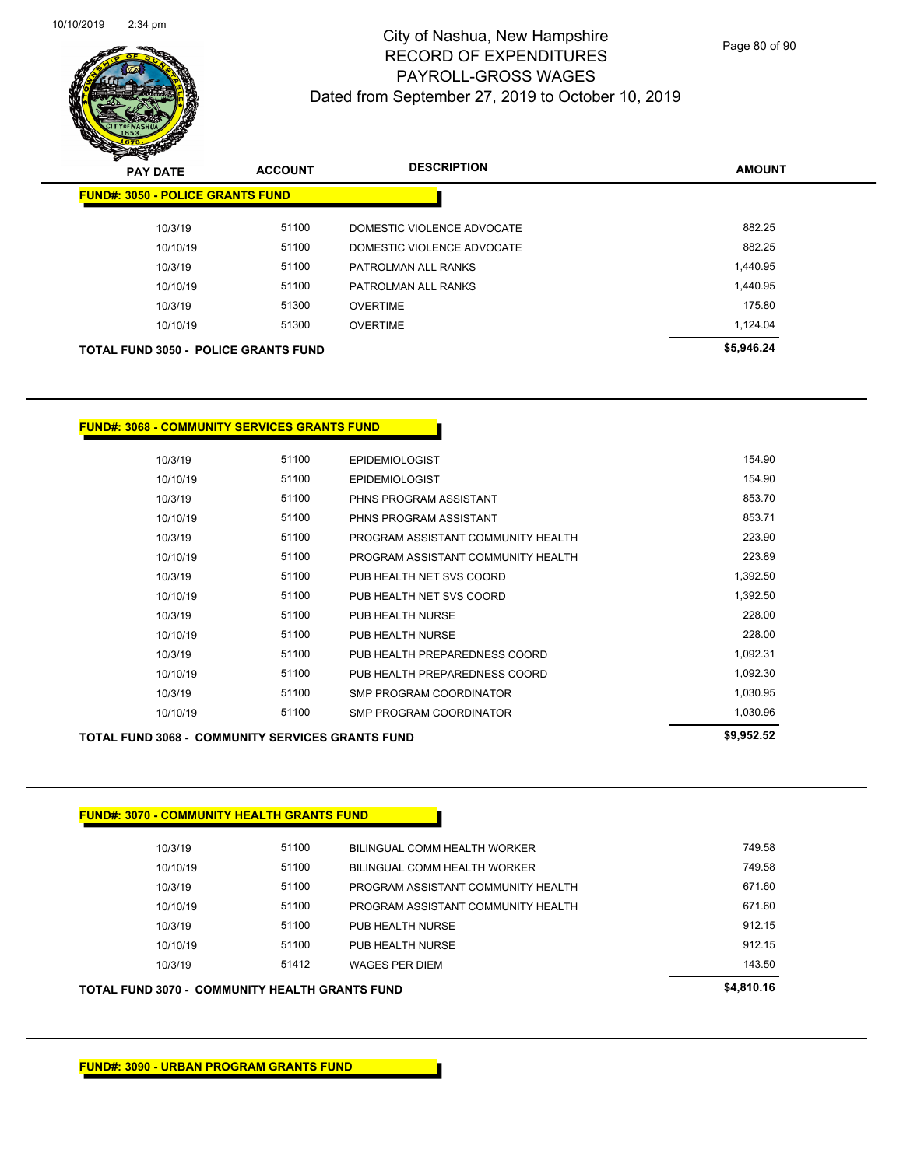

Page 80 of 90

| $\sim$<br><b>PAY DATE</b>                   | <b>ACCOUNT</b> | <b>DESCRIPTION</b>         | <b>AMOUNT</b> |
|---------------------------------------------|----------------|----------------------------|---------------|
| <b>FUND#: 3050 - POLICE GRANTS FUND</b>     |                |                            |               |
| 10/3/19                                     | 51100          | DOMESTIC VIOLENCE ADVOCATE | 882.25        |
| 10/10/19                                    | 51100          | DOMESTIC VIOLENCE ADVOCATE | 882.25        |
| 10/3/19                                     | 51100          | PATROLMAN ALL RANKS        | 1.440.95      |
| 10/10/19                                    | 51100          | PATROLMAN ALL RANKS        | 1,440.95      |
| 10/3/19                                     | 51300          | <b>OVERTIME</b>            | 175.80        |
| 10/10/19                                    | 51300          | <b>OVERTIME</b>            | 1.124.04      |
| <b>TOTAL FUND 3050 - POLICE GRANTS FUND</b> |                |                            | \$5,946.24    |
|                                             |                |                            |               |

#### **FUND#: 3068 - COMMUNITY SERVICES GRANTS FUND**

| <b>TOTAL FUND 3068 - COMMUNITY SERVICES GRANTS FUND</b> |       |                                    |          |  |  |  |
|---------------------------------------------------------|-------|------------------------------------|----------|--|--|--|
| 10/10/19                                                | 51100 | <b>SMP PROGRAM COORDINATOR</b>     | 1,030.96 |  |  |  |
| 10/3/19                                                 | 51100 | <b>SMP PROGRAM COORDINATOR</b>     | 1,030.95 |  |  |  |
| 10/10/19                                                | 51100 | PUB HEALTH PREPAREDNESS COORD      | 1,092.30 |  |  |  |
| 10/3/19                                                 | 51100 | PUB HEALTH PREPAREDNESS COORD      | 1,092.31 |  |  |  |
| 10/10/19                                                | 51100 | PUB HEALTH NURSE                   | 228.00   |  |  |  |
| 10/3/19                                                 | 51100 | PUB HEALTH NURSE                   | 228.00   |  |  |  |
| 10/10/19                                                | 51100 | PUB HEALTH NET SVS COORD           | 1,392.50 |  |  |  |
| 10/3/19                                                 | 51100 | PUB HEALTH NET SVS COORD           | 1,392.50 |  |  |  |
| 10/10/19                                                | 51100 | PROGRAM ASSISTANT COMMUNITY HEALTH | 223.89   |  |  |  |
| 10/3/19                                                 | 51100 | PROGRAM ASSISTANT COMMUNITY HEALTH | 223.90   |  |  |  |
| 10/10/19                                                | 51100 | PHNS PROGRAM ASSISTANT             | 853.71   |  |  |  |
| 10/3/19                                                 | 51100 | PHNS PROGRAM ASSISTANT             | 853.70   |  |  |  |
| 10/10/19                                                | 51100 | <b>EPIDEMIOLOGIST</b>              | 154.90   |  |  |  |
| 10/3/19                                                 | 51100 | <b>EPIDEMIOLOGIST</b>              | 154.90   |  |  |  |
|                                                         |       |                                    |          |  |  |  |

#### **FUND#: 3070 - COMMUNITY HEALTH GRANTS FUND**

| <b>TOTAL FUND 3070 - COMMUNITY HEALTH GRANTS FUND</b> |          | \$4,810.16 |                                    |        |
|-------------------------------------------------------|----------|------------|------------------------------------|--------|
|                                                       | 10/3/19  | 51412      | <b>WAGES PER DIEM</b>              | 143.50 |
|                                                       | 10/10/19 | 51100      | PUB HEALTH NURSE                   | 912.15 |
|                                                       | 10/3/19  | 51100      | PUB HEALTH NURSE                   | 912.15 |
|                                                       | 10/10/19 | 51100      | PROGRAM ASSISTANT COMMUNITY HEALTH | 671.60 |
|                                                       | 10/3/19  | 51100      | PROGRAM ASSISTANT COMMUNITY HEALTH | 671.60 |
|                                                       | 10/10/19 | 51100      | BILINGUAL COMM HEALTH WORKER       | 749.58 |
|                                                       | 10/3/19  | 51100      | BILINGUAL COMM HEALTH WORKER       | 749.58 |
|                                                       |          |            |                                    |        |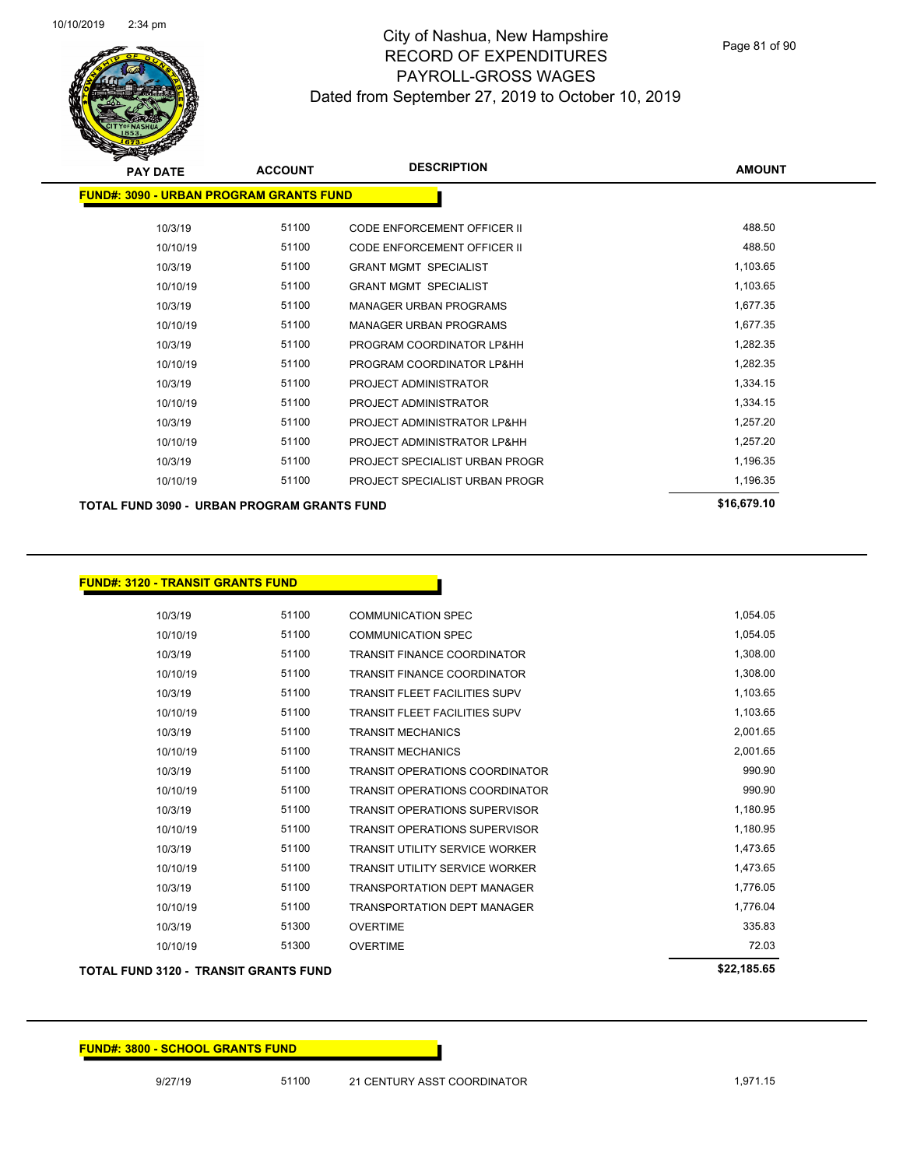

Page 81 of 90

| <b>PAY DATE</b>                                | <b>ACCOUNT</b> | <b>DESCRIPTION</b>                 | <b>AMOUNT</b> |
|------------------------------------------------|----------------|------------------------------------|---------------|
| <b>FUND#: 3090 - URBAN PROGRAM GRANTS FUND</b> |                |                                    |               |
| 10/3/19                                        | 51100          | CODE ENFORCEMENT OFFICER II        | 488.50        |
| 10/10/19                                       | 51100          | <b>CODE ENFORCEMENT OFFICER II</b> | 488.50        |
| 10/3/19                                        | 51100          | <b>GRANT MGMT SPECIALIST</b>       | 1,103.65      |
| 10/10/19                                       | 51100          | <b>GRANT MGMT SPECIALIST</b>       | 1,103.65      |
| 10/3/19                                        | 51100          | <b>MANAGER URBAN PROGRAMS</b>      | 1,677.35      |
| 10/10/19                                       | 51100          | <b>MANAGER URBAN PROGRAMS</b>      | 1,677.35      |
| 10/3/19                                        | 51100          | PROGRAM COORDINATOR LP&HH          | 1,282.35      |
| 10/10/19                                       | 51100          | PROGRAM COORDINATOR LP&HH          | 1,282.35      |
| 10/3/19                                        | 51100          | PROJECT ADMINISTRATOR              | 1,334.15      |
| 10/10/19                                       | 51100          | PROJECT ADMINISTRATOR              | 1,334.15      |
| 10/3/19                                        | 51100          | PROJECT ADMINISTRATOR LP&HH        | 1,257.20      |
| 10/10/19                                       | 51100          | PROJECT ADMINISTRATOR LP&HH        | 1,257.20      |
| 10/3/19                                        | 51100          | PROJECT SPECIALIST URBAN PROGR     | 1,196.35      |
| 10/10/19                                       | 51100          | PROJECT SPECIALIST URBAN PROGR     | 1,196.35      |
| TOTAL FUND 3090 - URBAN PROGRAM GRANTS FUND    |                |                                    | \$16,679.10   |

**FUND#: 3120 - TRANSIT GRANTS FUND**

10/3/19 51100 COMMUNICATION SPEC 1,054.05 10/10/19 51100 COMMUNICATION SPEC 1,054.05 10/3/19 51100 TRANSIT FINANCE COORDINATOR 1,308.00 10/10/19 51100 TRANSIT FINANCE COORDINATOR 1,308.00 10/3/19 51100 TRANSIT FLEET FACILITIES SUPV 10/3/19 1,103.65 10/10/19 51100 TRANSIT FLEET FACILITIES SUPV 1,103.65 10/3/19 51100 TRANSIT MECHANICS 2,001.65 10/10/19 51100 TRANSIT MECHANICS 2,001.65 10/3/19 51100 TRANSIT OPERATIONS COORDINATOR 990.90 10/10/19 51100 TRANSIT OPERATIONS COORDINATOR 990.90 10/3/19 51100 TRANSIT OPERATIONS SUPERVISOR 1,180.95 10/10/19 51100 TRANSIT OPERATIONS SUPERVISOR 1,180.95 10/3/19 51100 TRANSIT UTILITY SERVICE WORKER 1,473.65 10/10/19 51100 TRANSIT UTILITY SERVICE WORKER 1,473.65 10/3/19 51100 TRANSPORTATION DEPT MANAGER 1,776.05 10/10/19 51100 TRANSPORTATION DEPT MANAGER 1,776.04 10/3/19 51300 OVERTIME 335.83 10/10/19 51300 OVERTIME 72.03

#### **TOTAL FUND 3120 - TRANSIT GRANTS FUND \$22,185.65**

| . |  |  |  |
|---|--|--|--|
|   |  |  |  |
|   |  |  |  |
|   |  |  |  |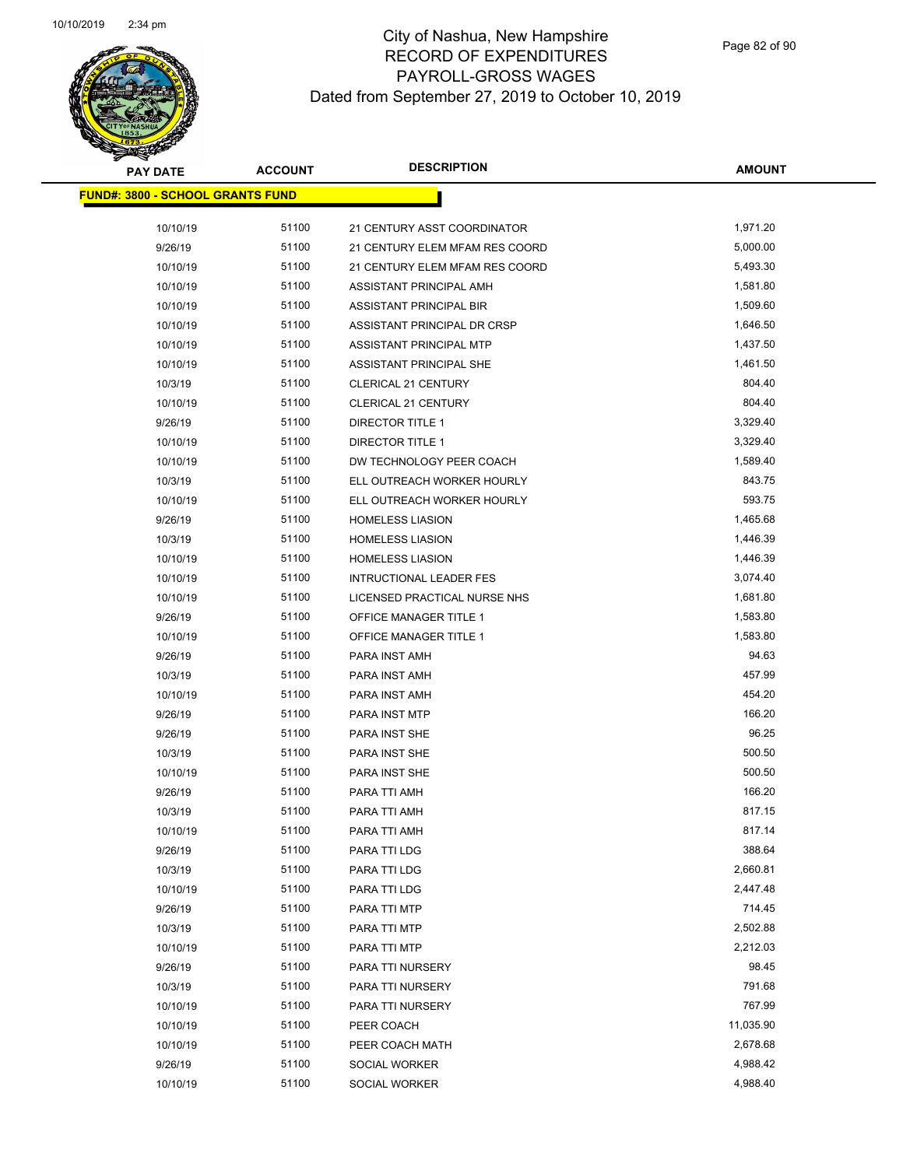

| <b>PAY DATE</b>                         | <b>ACCOUNT</b> | <b>DESCRIPTION</b>             | <b>AMOUNT</b> |
|-----------------------------------------|----------------|--------------------------------|---------------|
| <b>FUND#: 3800 - SCHOOL GRANTS FUND</b> |                |                                |               |
| 10/10/19                                | 51100          | 21 CENTURY ASST COORDINATOR    | 1,971.20      |
| 9/26/19                                 | 51100          | 21 CENTURY ELEM MFAM RES COORD | 5,000.00      |
| 10/10/19                                | 51100          | 21 CENTURY ELEM MFAM RES COORD | 5,493.30      |
| 10/10/19                                | 51100          | ASSISTANT PRINCIPAL AMH        | 1,581.80      |
| 10/10/19                                | 51100          | ASSISTANT PRINCIPAL BIR        | 1,509.60      |
| 10/10/19                                | 51100          | ASSISTANT PRINCIPAL DR CRSP    | 1,646.50      |
| 10/10/19                                | 51100          | ASSISTANT PRINCIPAL MTP        | 1,437.50      |
| 10/10/19                                | 51100          | ASSISTANT PRINCIPAL SHE        | 1,461.50      |
| 10/3/19                                 | 51100          | <b>CLERICAL 21 CENTURY</b>     | 804.40        |
| 10/10/19                                | 51100          | <b>CLERICAL 21 CENTURY</b>     | 804.40        |
| 9/26/19                                 | 51100          | DIRECTOR TITLE 1               | 3,329.40      |
| 10/10/19                                | 51100          | DIRECTOR TITLE 1               | 3,329.40      |
| 10/10/19                                | 51100          | DW TECHNOLOGY PEER COACH       | 1,589.40      |
| 10/3/19                                 | 51100          | ELL OUTREACH WORKER HOURLY     | 843.75        |
| 10/10/19                                | 51100          | ELL OUTREACH WORKER HOURLY     | 593.75        |
| 9/26/19                                 | 51100          | <b>HOMELESS LIASION</b>        | 1,465.68      |
| 10/3/19                                 | 51100          | <b>HOMELESS LIASION</b>        | 1,446.39      |
| 10/10/19                                | 51100          | <b>HOMELESS LIASION</b>        | 1,446.39      |
| 10/10/19                                | 51100          | <b>INTRUCTIONAL LEADER FES</b> | 3,074.40      |
| 10/10/19                                | 51100          | LICENSED PRACTICAL NURSE NHS   | 1,681.80      |
| 9/26/19                                 | 51100          | OFFICE MANAGER TITLE 1         | 1,583.80      |
| 10/10/19                                | 51100          | OFFICE MANAGER TITLE 1         | 1,583.80      |
| 9/26/19                                 | 51100          | PARA INST AMH                  | 94.63         |
| 10/3/19                                 | 51100          | PARA INST AMH                  | 457.99        |
| 10/10/19                                | 51100          | PARA INST AMH                  | 454.20        |
| 9/26/19                                 | 51100          | PARA INST MTP                  | 166.20        |
| 9/26/19                                 | 51100          | PARA INST SHE                  | 96.25         |
| 10/3/19                                 | 51100          | PARA INST SHE                  | 500.50        |
| 10/10/19                                | 51100          | PARA INST SHE                  | 500.50        |
| 9/26/19                                 | 51100          | PARA TTI AMH                   | 166.20        |
| 10/3/19                                 | 51100          | PARA TTI AMH                   | 817.15        |
| 10/10/19                                | 51100          | PARA TTI AMH                   | 817.14        |
| 9/26/19                                 | 51100          | PARA TTI LDG                   | 388.64        |
| 10/3/19                                 | 51100          | PARA TTI LDG                   | 2,660.81      |
| 10/10/19                                | 51100          | PARA TTI LDG                   | 2,447.48      |
| 9/26/19                                 | 51100          | PARA TTI MTP                   | 714.45        |
| 10/3/19                                 | 51100          | PARA TTI MTP                   | 2,502.88      |
| 10/10/19                                | 51100          | PARA TTI MTP                   | 2,212.03      |
| 9/26/19                                 | 51100          | PARA TTI NURSERY               | 98.45         |
| 10/3/19                                 | 51100          | PARA TTI NURSERY               | 791.68        |
| 10/10/19                                | 51100          | PARA TTI NURSERY               | 767.99        |
| 10/10/19                                | 51100          | PEER COACH                     | 11,035.90     |
| 10/10/19                                | 51100          | PEER COACH MATH                | 2,678.68      |
| 9/26/19                                 | 51100          | SOCIAL WORKER                  | 4,988.42      |
| 10/10/19                                | 51100          | SOCIAL WORKER                  | 4,988.40      |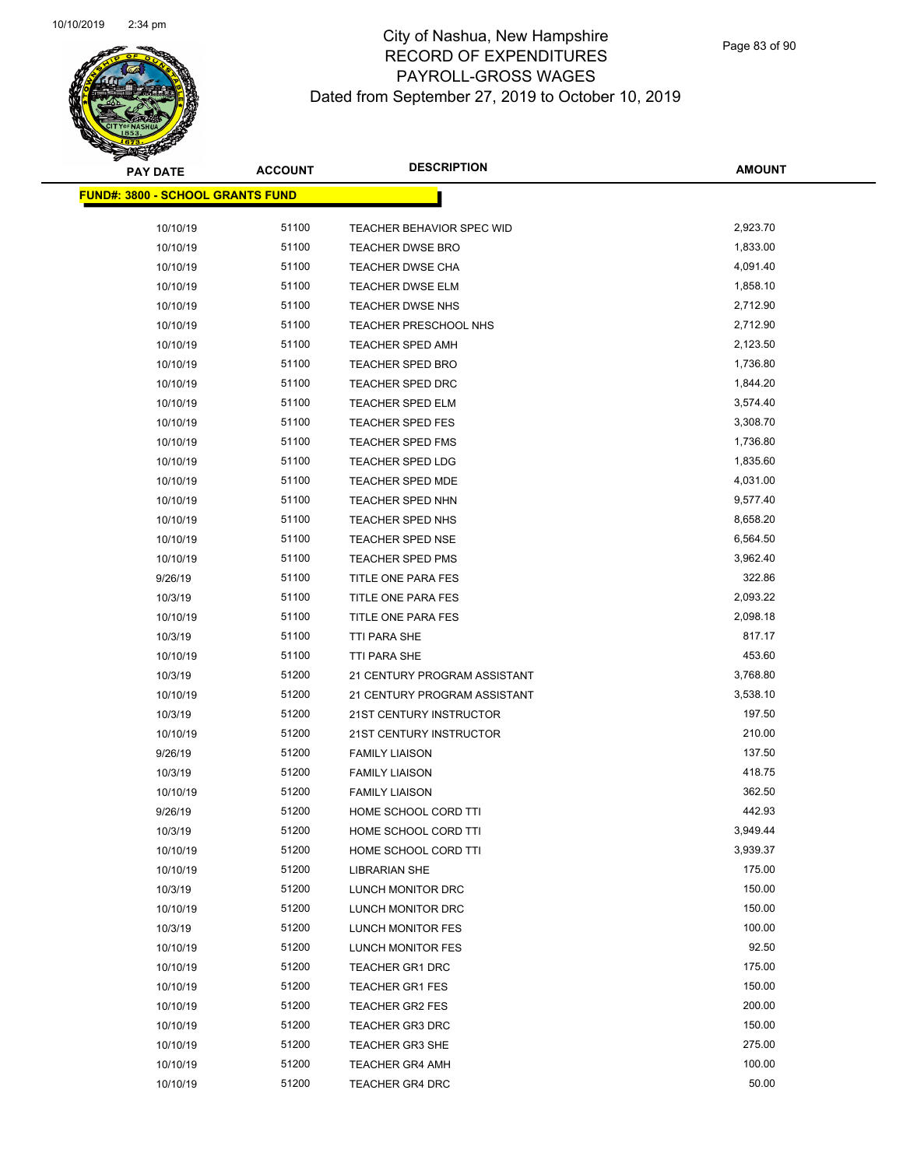

Page 83 of 90

| <b>PAY DATE</b>                         | <b>ACCOUNT</b> | <b>DESCRIPTION</b>           | <b>AMOUNT</b>   |
|-----------------------------------------|----------------|------------------------------|-----------------|
| <b>FUND#: 3800 - SCHOOL GRANTS FUND</b> |                |                              |                 |
| 10/10/19                                | 51100          | TEACHER BEHAVIOR SPEC WID    | 2,923.70        |
| 10/10/19                                | 51100          | <b>TEACHER DWSE BRO</b>      | 1,833.00        |
| 10/10/19                                | 51100          | <b>TEACHER DWSE CHA</b>      | 4,091.40        |
| 10/10/19                                | 51100          | TEACHER DWSE ELM             | 1,858.10        |
| 10/10/19                                | 51100          | TEACHER DWSE NHS             | 2,712.90        |
| 10/10/19                                | 51100          | TEACHER PRESCHOOL NHS        | 2,712.90        |
| 10/10/19                                | 51100          | <b>TEACHER SPED AMH</b>      | 2,123.50        |
| 10/10/19                                | 51100          | <b>TEACHER SPED BRO</b>      | 1,736.80        |
| 10/10/19                                | 51100          | TEACHER SPED DRC             | 1,844.20        |
| 10/10/19                                | 51100          | <b>TEACHER SPED ELM</b>      | 3,574.40        |
| 10/10/19                                | 51100          | <b>TEACHER SPED FES</b>      | 3,308.70        |
| 10/10/19                                | 51100          | <b>TEACHER SPED FMS</b>      | 1,736.80        |
| 10/10/19                                | 51100          | <b>TEACHER SPED LDG</b>      | 1,835.60        |
| 10/10/19                                | 51100          | TEACHER SPED MDE             | 4,031.00        |
| 10/10/19                                | 51100          | <b>TEACHER SPED NHN</b>      | 9,577.40        |
| 10/10/19                                | 51100          | TEACHER SPED NHS             | 8,658.20        |
| 10/10/19                                | 51100          | <b>TEACHER SPED NSE</b>      | 6,564.50        |
| 10/10/19                                | 51100          | <b>TEACHER SPED PMS</b>      | 3,962.40        |
| 9/26/19                                 | 51100          | TITLE ONE PARA FES           | 322.86          |
| 10/3/19                                 | 51100          | TITLE ONE PARA FES           | 2,093.22        |
| 10/10/19                                | 51100          | TITLE ONE PARA FES           | 2,098.18        |
| 10/3/19                                 | 51100          | TTI PARA SHE                 | 817.17          |
| 10/10/19                                | 51100          | TTI PARA SHE                 | 453.60          |
| 10/3/19                                 | 51200          | 21 CENTURY PROGRAM ASSISTANT | 3,768.80        |
| 10/10/19                                | 51200          | 21 CENTURY PROGRAM ASSISTANT | 3,538.10        |
| 10/3/19                                 | 51200          | 21ST CENTURY INSTRUCTOR      | 197.50          |
| 10/10/19                                | 51200          | 21ST CENTURY INSTRUCTOR      | 210.00          |
| 9/26/19                                 | 51200          | <b>FAMILY LIAISON</b>        | 137.50          |
| 10/3/19                                 | 51200          | <b>FAMILY LIAISON</b>        | 418.75          |
| 10/10/19                                | 51200          | <b>FAMILY LIAISON</b>        | 362.50          |
| 9/26/19                                 | 51200          | HOME SCHOOL CORD TTI         | 442.93          |
| 10/3/19                                 | 51200          | HOME SCHOOL CORD TTI         | 3,949.44        |
| 10/10/19                                | 51200          | HOME SCHOOL CORD TTI         | 3,939.37        |
| 10/10/19                                | 51200          | <b>LIBRARIAN SHE</b>         | 175.00          |
| 10/3/19                                 | 51200          | LUNCH MONITOR DRC            | 150.00          |
| 10/10/19                                | 51200          | LUNCH MONITOR DRC            | 150.00          |
| 10/3/19                                 | 51200          | <b>LUNCH MONITOR FES</b>     | 100.00          |
| 10/10/19                                | 51200          | LUNCH MONITOR FES            | 92.50           |
| 10/10/19                                | 51200          | <b>TEACHER GR1 DRC</b>       | 175.00          |
| 10/10/19                                | 51200          | <b>TEACHER GR1 FES</b>       | 150.00          |
| 10/10/19                                | 51200          | <b>TEACHER GR2 FES</b>       | 200.00          |
| 10/10/19                                | 51200          | TEACHER GR3 DRC              | 150.00          |
| 10/10/19                                | 51200          | <b>TEACHER GR3 SHE</b>       | 275.00          |
| 10/10/19                                | 51200<br>51200 | <b>TEACHER GR4 AMH</b>       | 100.00<br>50.00 |
| 10/10/19                                |                | <b>TEACHER GR4 DRC</b>       |                 |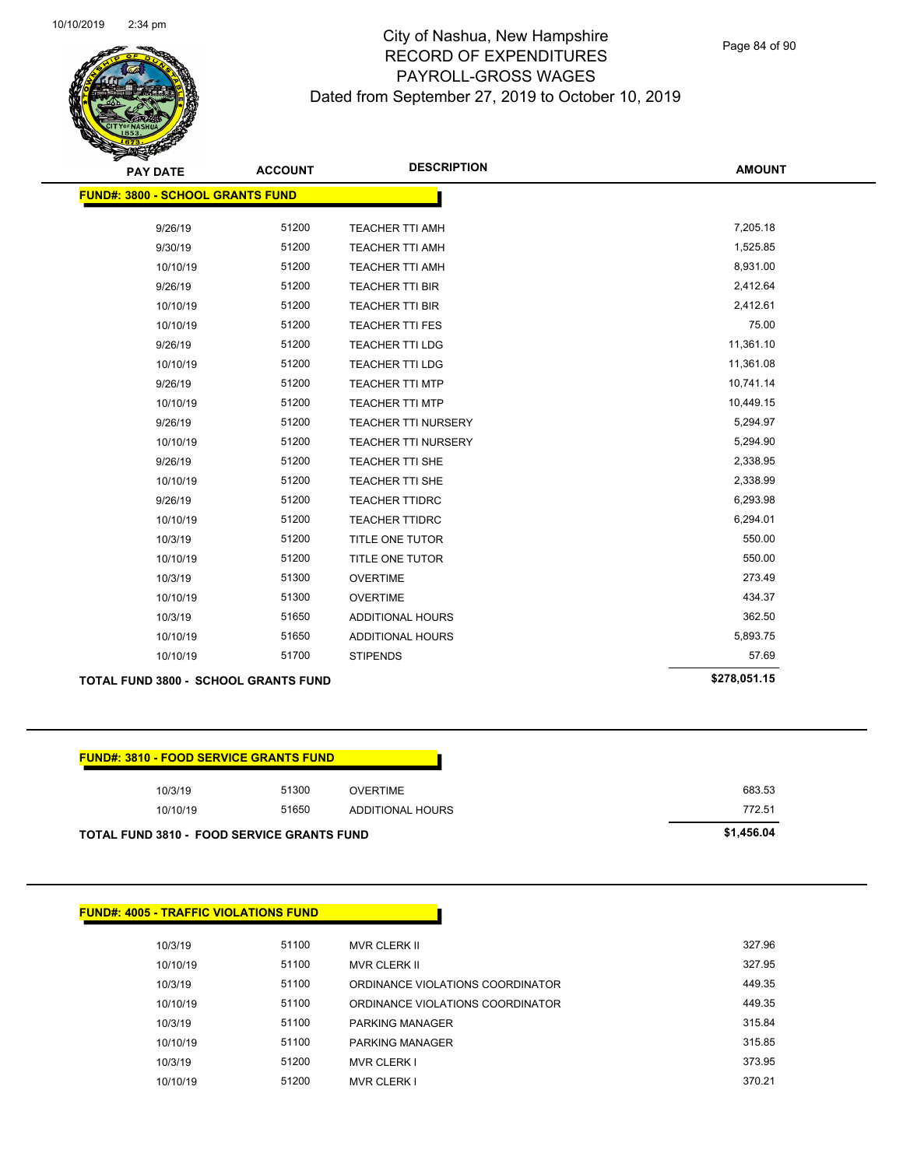

Page 84 of 90

| <b>PAY DATE</b>                         | <b>ACCOUNT</b> | <b>DESCRIPTION</b>         | <b>AMOUNT</b> |
|-----------------------------------------|----------------|----------------------------|---------------|
| <b>FUND#: 3800 - SCHOOL GRANTS FUND</b> |                |                            |               |
|                                         |                |                            |               |
| 9/26/19                                 | 51200          | <b>TEACHER TTI AMH</b>     | 7,205.18      |
| 9/30/19                                 | 51200          | TEACHER TTI AMH            | 1,525.85      |
| 10/10/19                                | 51200          | TEACHER TTI AMH            | 8,931.00      |
| 9/26/19                                 | 51200          | <b>TEACHER TTI BIR</b>     | 2,412.64      |
| 10/10/19                                | 51200          | <b>TEACHER TTI BIR</b>     | 2,412.61      |
| 10/10/19                                | 51200          | <b>TEACHER TTI FES</b>     | 75.00         |
| 9/26/19                                 | 51200          | <b>TEACHER TTI LDG</b>     | 11,361.10     |
| 10/10/19                                | 51200          | <b>TEACHER TTI LDG</b>     | 11,361.08     |
| 9/26/19                                 | 51200          | <b>TEACHER TTI MTP</b>     | 10,741.14     |
| 10/10/19                                | 51200          | <b>TEACHER TTI MTP</b>     | 10,449.15     |
| 9/26/19                                 | 51200          | TEACHER TTI NURSERY        | 5,294.97      |
| 10/10/19                                | 51200          | <b>TEACHER TTI NURSERY</b> | 5,294.90      |
| 9/26/19                                 | 51200          | <b>TEACHER TTI SHE</b>     | 2,338.95      |
| 10/10/19                                | 51200          | <b>TEACHER TTI SHE</b>     | 2,338.99      |
| 9/26/19                                 | 51200          | <b>TEACHER TTIDRC</b>      | 6,293.98      |
| 10/10/19                                | 51200          | <b>TEACHER TTIDRC</b>      | 6,294.01      |
| 10/3/19                                 | 51200          | TITLE ONE TUTOR            | 550.00        |
| 10/10/19                                | 51200          | TITLE ONE TUTOR            | 550.00        |
| 10/3/19                                 | 51300          | <b>OVERTIME</b>            | 273.49        |
| 10/10/19                                | 51300          | <b>OVERTIME</b>            | 434.37        |
| 10/3/19                                 | 51650          | ADDITIONAL HOURS           | 362.50        |
| 10/10/19                                | 51650          | ADDITIONAL HOURS           | 5,893.75      |
| 10/10/19                                | 51700          | <b>STIPENDS</b>            | 57.69         |
|                                         |                |                            | 0.70.054.45   |

|  | <b>TOTAL FUND 3800 - SCHOOL GRANTS FUND</b> | \$278.051.15 |  |
|--|---------------------------------------------|--------------|--|
|--|---------------------------------------------|--------------|--|

| 10/3/19  | 51300 | OVERTIME         | 683.53 |
|----------|-------|------------------|--------|
| 10/10/19 | 51650 | ADDITIONAL HOURS | 772.51 |

| <b>FUND#: 4005 - TRAFFIC VIOLATIONS FUND</b> |       |                                  |        |
|----------------------------------------------|-------|----------------------------------|--------|
| 10/3/19                                      | 51100 | <b>MVR CLERK II</b>              | 327.96 |
| 10/10/19                                     | 51100 | <b>MVR CLERK II</b>              | 327.95 |
| 10/3/19                                      | 51100 | ORDINANCE VIOLATIONS COORDINATOR | 449.35 |
| 10/10/19                                     | 51100 | ORDINANCE VIOLATIONS COORDINATOR | 449.35 |
| 10/3/19                                      | 51100 | <b>PARKING MANAGER</b>           | 315.84 |
| 10/10/19                                     | 51100 | <b>PARKING MANAGER</b>           | 315.85 |
| 10/3/19                                      | 51200 | <b>MVR CLERK I</b>               | 373.95 |
| 10/10/19                                     | 51200 | <b>MVR CLERK I</b>               | 370.21 |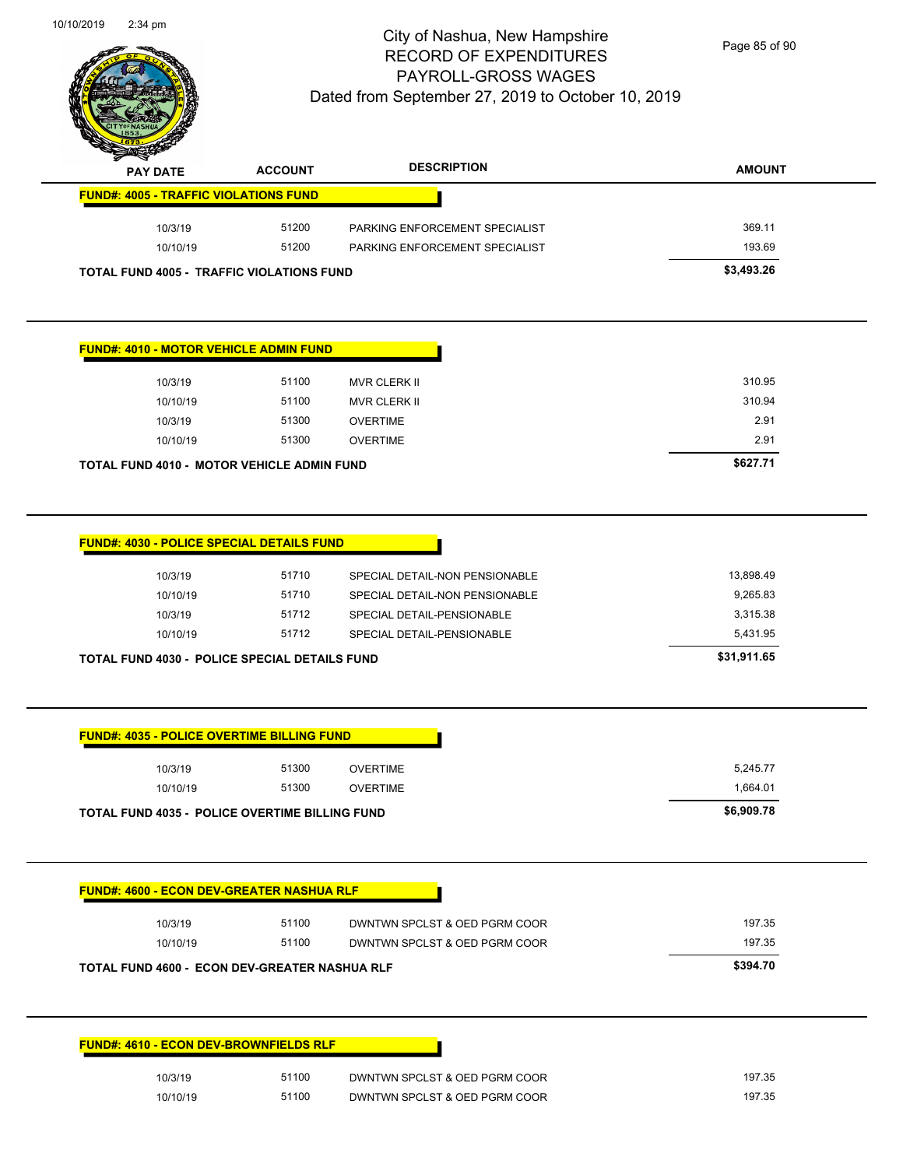

Page 85 of 90

| $\rightarrow$<br><b>PAY DATE</b>                 | <b>ACCOUNT</b> | <b>DESCRIPTION</b>             | <b>AMOUNT</b> |
|--------------------------------------------------|----------------|--------------------------------|---------------|
| <b>FUND#: 4005 - TRAFFIC VIOLATIONS FUND</b>     |                |                                |               |
| 10/3/19                                          | 51200          | PARKING ENFORCEMENT SPECIALIST | 369.11        |
| 10/10/19                                         | 51200          | PARKING ENFORCEMENT SPECIALIST | 193.69        |
| <b>TOTAL FUND 4005 - TRAFFIC VIOLATIONS FUND</b> |                |                                | \$3,493.26    |

#### **FUND#: 4010 - MOTOR VEHICLE ADMIN FUND**

| TOTAL FUND 4010 - MOTOR VEHICLE ADMIN FUND | \$627.71 |       |                     |        |
|--------------------------------------------|----------|-------|---------------------|--------|
|                                            | 10/10/19 | 51300 | <b>OVERTIME</b>     | 2.91   |
|                                            | 10/3/19  | 51300 | <b>OVERTIME</b>     | 2.91   |
|                                            | 10/10/19 | 51100 | <b>MVR CLERK II</b> | 310.94 |
|                                            | 10/3/19  | 51100 | MVR CLERK II        | 310.95 |
|                                            |          |       |                     |        |

| <b>TOTAL FUND 4030 - POLICE SPECIAL DETAILS FUND</b> |          | \$31,911.65 |                                |           |
|------------------------------------------------------|----------|-------------|--------------------------------|-----------|
|                                                      | 10/10/19 | 51712       | SPECIAL DETAIL-PENSIONABLE     | 5.431.95  |
|                                                      | 10/3/19  | 51712       | SPECIAL DETAIL-PENSIONABLE     | 3.315.38  |
|                                                      | 10/10/19 | 51710       | SPECIAL DETAIL-NON PENSIONABLE | 9.265.83  |
|                                                      | 10/3/19  | 51710       | SPECIAL DETAIL-NON PENSIONABLE | 13.898.49 |
|                                                      |          |             |                                |           |

| 10/3/19<br>10/10/19                                   | 51300<br>51300 | <b>OVERTIME</b><br><b>OVERTIME</b> | 5,245.77<br>1,664.01 |
|-------------------------------------------------------|----------------|------------------------------------|----------------------|
| <b>TOTAL FUND 4035 - POLICE OVERTIME BILLING FUND</b> |                |                                    | \$6,909.78           |
|                                                       |                |                                    |                      |
| <b>FUND#: 4600 - ECON DEV-GREATER NASHUA RLF</b>      |                |                                    |                      |
| 10/3/19                                               | 51100          | DWNTWN SPCLST & OED PGRM COOR      | 197.35               |
|                                                       |                |                                    |                      |
| 10/10/19                                              | 51100          | DWNTWN SPCLST & OED PGRM COOR      | 197.35               |

| 10/3/19  | 51100 | DWNTWN SPCLST & OED PGRM COOR | 197.35 |
|----------|-------|-------------------------------|--------|
| 10/10/19 | 51100 | DWNTWN SPCLST & OED PGRM COOR | 197.35 |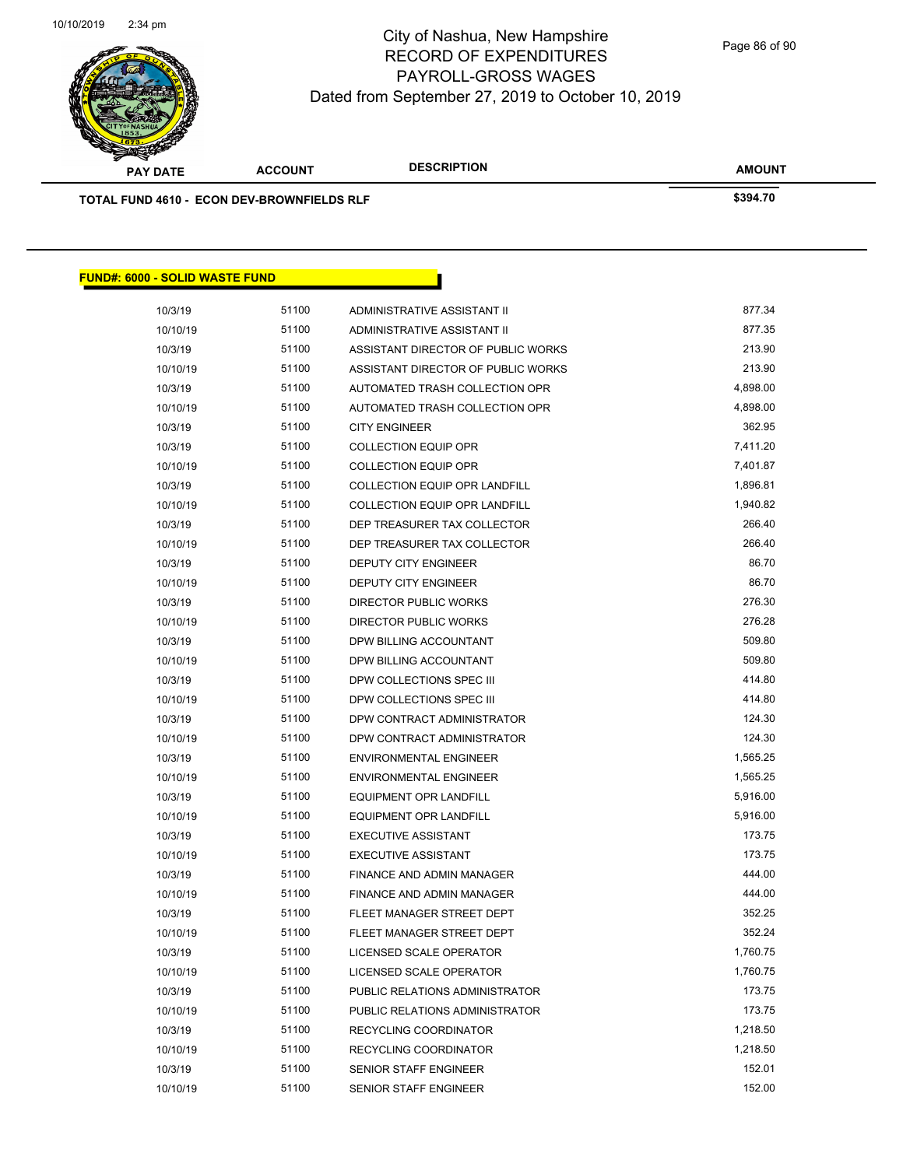

**AMOUNT PAY DATE ACCOUNT DESCRIPTION TOTAL FUND 4610 - ECON DEV-BROWNFIELDS RLF \$394.70 FUND#: 6000 - SOLID WASTE FUND** 10/3/19 51100 ADMINISTRATIVE ASSISTANT II 877.34 10/10/19 51100 ADMINISTRATIVE ASSISTANT II 877.35 10/3/19 51100 ASSISTANT DIRECTOR OF PUBLIC WORKS 213.90 10/10/19 51100 ASSISTANT DIRECTOR OF PUBLIC WORKS 213.90 10/3/19 51100 AUTOMATED TRASH COLLECTION OPR 4,898.00 10/10/19 51100 AUTOMATED TRASH COLLECTION OPR 4,898.00 10/3/19 51100 CITY ENGINEER 362.95 10/3/19 51100 COLLECTION EQUIP OPR 7,411.20 10/10/19 51100 COLLECTION EQUIP OPR 7,401.87 10/3/19 51100 COLLECTION EQUIP OPR LANDFILL 1,896.81 10/10/19 51100 COLLECTION EQUIP OPR LANDFILL 1,940.82 10/3/19 51100 DEP TREASURER TAX COLLECTOR 266.40 10/10/19 51100 DEP TREASURER TAX COLLECTOR 266.40

| 10/3/19  | 51100 | DEP TREASURER TAX COLLECTOR      | 266.40   |
|----------|-------|----------------------------------|----------|
| 10/10/19 | 51100 | DEP TREASURER TAX COLLECTOR      | 266.40   |
| 10/3/19  | 51100 | <b>DEPUTY CITY ENGINEER</b>      | 86.70    |
| 10/10/19 | 51100 | <b>DEPUTY CITY ENGINEER</b>      | 86.70    |
| 10/3/19  | 51100 | <b>DIRECTOR PUBLIC WORKS</b>     | 276.30   |
| 10/10/19 | 51100 | DIRECTOR PUBLIC WORKS            | 276.28   |
| 10/3/19  | 51100 | DPW BILLING ACCOUNTANT           | 509.80   |
| 10/10/19 | 51100 | DPW BILLING ACCOUNTANT           | 509.80   |
| 10/3/19  | 51100 | DPW COLLECTIONS SPEC III         | 414.80   |
| 10/10/19 | 51100 | DPW COLLECTIONS SPEC III         | 414.80   |
| 10/3/19  | 51100 | DPW CONTRACT ADMINISTRATOR       | 124.30   |
| 10/10/19 | 51100 | DPW CONTRACT ADMINISTRATOR       | 124.30   |
| 10/3/19  | 51100 | <b>ENVIRONMENTAL ENGINEER</b>    | 1,565.25 |
| 10/10/19 | 51100 | <b>ENVIRONMENTAL ENGINEER</b>    | 1,565.25 |
| 10/3/19  | 51100 | <b>EQUIPMENT OPR LANDFILL</b>    | 5,916.00 |
| 10/10/19 | 51100 | <b>EQUIPMENT OPR LANDFILL</b>    | 5,916.00 |
| 10/3/19  | 51100 | <b>EXECUTIVE ASSISTANT</b>       | 173.75   |
| 10/10/19 | 51100 | <b>EXECUTIVE ASSISTANT</b>       | 173.75   |
| 10/3/19  | 51100 | FINANCE AND ADMIN MANAGER        | 444.00   |
| 10/10/19 | 51100 | <b>FINANCE AND ADMIN MANAGER</b> | 444.00   |
| 10/3/19  | 51100 | FLEET MANAGER STREET DEPT        | 352.25   |
| 10/10/19 | 51100 | FLEET MANAGER STREET DEPT        | 352.24   |
| 10/3/19  | 51100 | LICENSED SCALE OPERATOR          | 1,760.75 |
| 10/10/19 | 51100 | LICENSED SCALE OPERATOR          | 1,760.75 |
| 10/3/19  | 51100 | PUBLIC RELATIONS ADMINISTRATOR   | 173.75   |
| 10/10/19 | 51100 | PUBLIC RELATIONS ADMINISTRATOR   | 173.75   |
| 10/3/19  | 51100 | RECYCLING COORDINATOR            | 1,218.50 |
| 10/10/19 | 51100 | RECYCLING COORDINATOR            | 1,218.50 |
| 10/3/19  | 51100 | <b>SENIOR STAFF ENGINEER</b>     | 152.01   |
| 10/10/19 | 51100 | <b>SENIOR STAFF ENGINEER</b>     | 152.00   |
|          |       |                                  |          |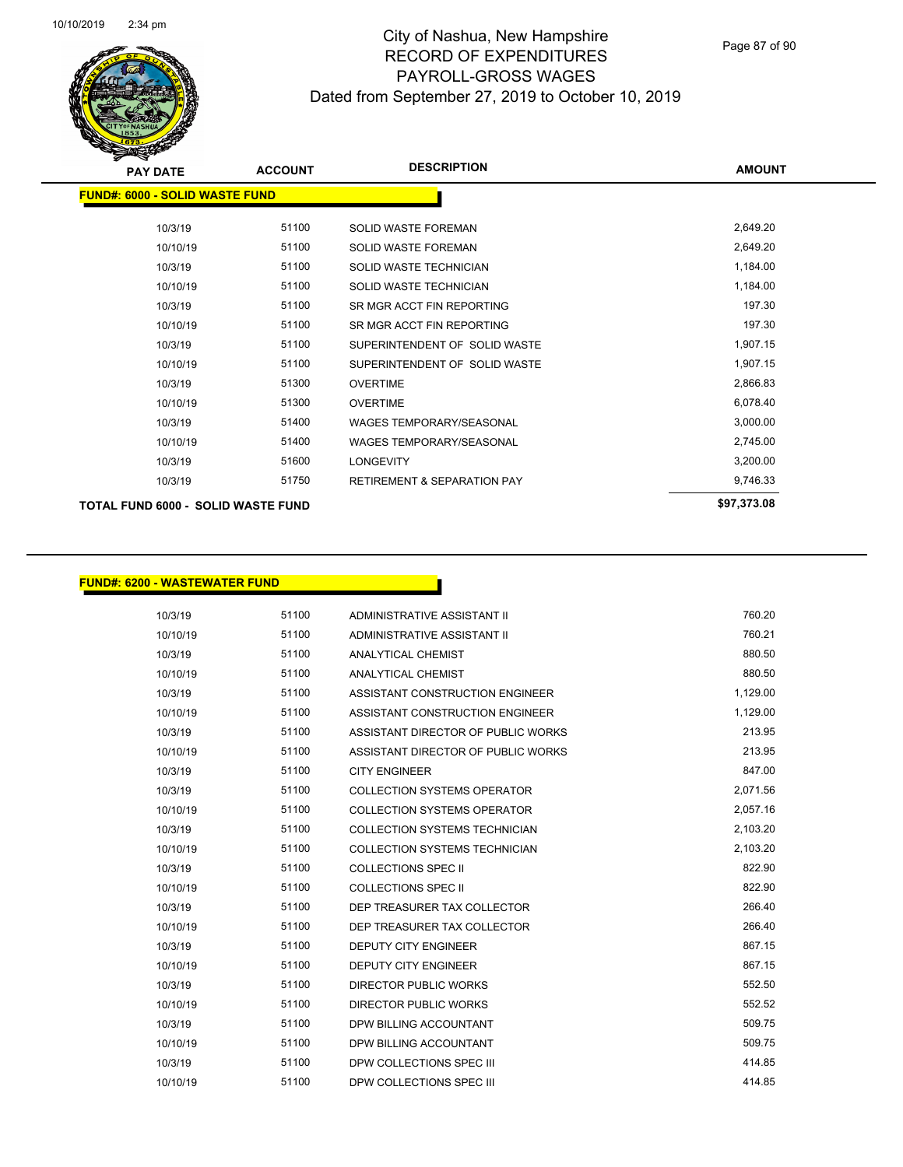

Page 87 of 90

| <b>PAY DATE</b>                       | <b>ACCOUNT</b> | <b>DESCRIPTION</b>                     | <b>AMOUNT</b> |
|---------------------------------------|----------------|----------------------------------------|---------------|
| <b>FUND#: 6000 - SOLID WASTE FUND</b> |                |                                        |               |
| 10/3/19                               | 51100          | <b>SOLID WASTE FOREMAN</b>             | 2,649.20      |
| 10/10/19                              | 51100          | <b>SOLID WASTE FOREMAN</b>             | 2,649.20      |
| 10/3/19                               | 51100          | SOLID WASTE TECHNICIAN                 | 1,184.00      |
| 10/10/19                              | 51100          | SOLID WASTE TECHNICIAN                 | 1,184.00      |
| 10/3/19                               | 51100          | SR MGR ACCT FIN REPORTING              | 197.30        |
| 10/10/19                              | 51100          | SR MGR ACCT FIN REPORTING              | 197.30        |
| 10/3/19                               | 51100          | SUPERINTENDENT OF SOLID WASTE          | 1,907.15      |
| 10/10/19                              | 51100          | SUPERINTENDENT OF SOLID WASTE          | 1,907.15      |
| 10/3/19                               | 51300          | <b>OVERTIME</b>                        | 2,866.83      |
| 10/10/19                              | 51300          | <b>OVERTIME</b>                        | 6,078.40      |
| 10/3/19                               | 51400          | <b>WAGES TEMPORARY/SEASONAL</b>        | 3,000.00      |
| 10/10/19                              | 51400          | <b>WAGES TEMPORARY/SEASONAL</b>        | 2,745.00      |
| 10/3/19                               | 51600          | <b>LONGEVITY</b>                       | 3,200.00      |
| 10/3/19                               | 51750          | <b>RETIREMENT &amp; SEPARATION PAY</b> | 9,746.33      |
| TOTAL FUND 6000 - SOLID WASTE FUND    |                |                                        | \$97,373.08   |
|                                       |                |                                        |               |

#### **FUND#: 6200 - WASTEWATER FUND**

| 10/3/19  | 51100 | ADMINISTRATIVE ASSISTANT II          | 760.20   |
|----------|-------|--------------------------------------|----------|
| 10/10/19 | 51100 | ADMINISTRATIVE ASSISTANT II          | 760.21   |
| 10/3/19  | 51100 | ANALYTICAL CHEMIST                   | 880.50   |
| 10/10/19 | 51100 | ANALYTICAL CHEMIST                   | 880.50   |
| 10/3/19  | 51100 | ASSISTANT CONSTRUCTION ENGINEER      | 1,129.00 |
| 10/10/19 | 51100 | ASSISTANT CONSTRUCTION ENGINEER      | 1,129.00 |
| 10/3/19  | 51100 | ASSISTANT DIRECTOR OF PUBLIC WORKS   | 213.95   |
| 10/10/19 | 51100 | ASSISTANT DIRECTOR OF PUBLIC WORKS   | 213.95   |
| 10/3/19  | 51100 | <b>CITY ENGINEER</b>                 | 847.00   |
| 10/3/19  | 51100 | <b>COLLECTION SYSTEMS OPERATOR</b>   | 2,071.56 |
| 10/10/19 | 51100 | <b>COLLECTION SYSTEMS OPERATOR</b>   | 2,057.16 |
| 10/3/19  | 51100 | <b>COLLECTION SYSTEMS TECHNICIAN</b> | 2,103.20 |
| 10/10/19 | 51100 | <b>COLLECTION SYSTEMS TECHNICIAN</b> | 2,103.20 |
| 10/3/19  | 51100 | COLLECTIONS SPEC II                  | 822.90   |
| 10/10/19 | 51100 | <b>COLLECTIONS SPEC II</b>           | 822.90   |
| 10/3/19  | 51100 | DEP TREASURER TAX COLLECTOR          | 266.40   |
| 10/10/19 | 51100 | DEP TREASURER TAX COLLECTOR          | 266.40   |
| 10/3/19  | 51100 | <b>DEPUTY CITY ENGINEER</b>          | 867.15   |
| 10/10/19 | 51100 | <b>DEPUTY CITY ENGINEER</b>          | 867.15   |
| 10/3/19  | 51100 | <b>DIRECTOR PUBLIC WORKS</b>         | 552.50   |
| 10/10/19 | 51100 | DIRECTOR PUBLIC WORKS                | 552.52   |
| 10/3/19  | 51100 | DPW BILLING ACCOUNTANT               | 509.75   |
| 10/10/19 | 51100 | DPW BILLING ACCOUNTANT               | 509.75   |
| 10/3/19  | 51100 | DPW COLLECTIONS SPEC III             | 414.85   |
| 10/10/19 | 51100 | DPW COLLECTIONS SPEC III             | 414.85   |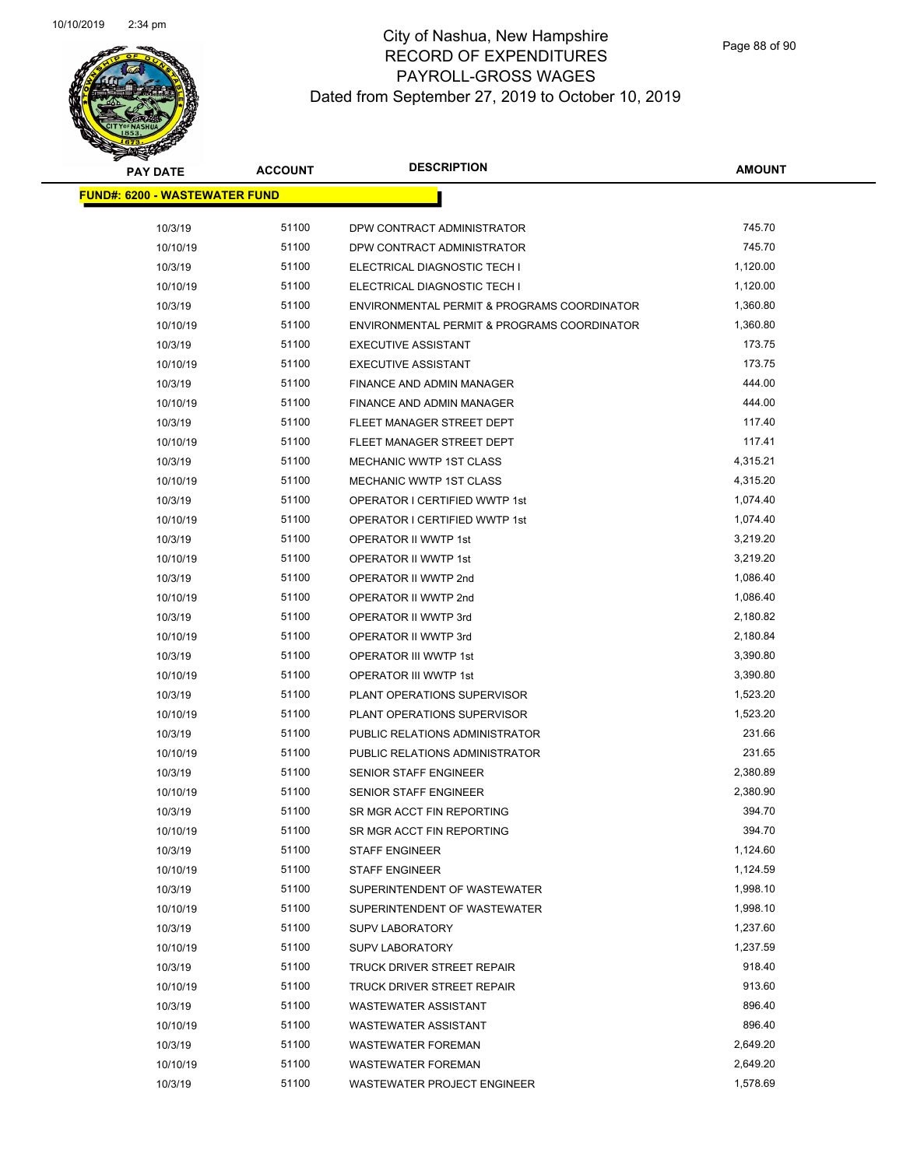

| <b>PAY DATE</b>                      | <b>ACCOUNT</b> | <b>DESCRIPTION</b>                          | <b>AMOUNT</b> |
|--------------------------------------|----------------|---------------------------------------------|---------------|
| <b>FUND#: 6200 - WASTEWATER FUND</b> |                |                                             |               |
|                                      |                |                                             |               |
| 10/3/19                              | 51100          | DPW CONTRACT ADMINISTRATOR                  | 745.70        |
| 10/10/19                             | 51100          | DPW CONTRACT ADMINISTRATOR                  | 745.70        |
| 10/3/19                              | 51100          | ELECTRICAL DIAGNOSTIC TECH I                | 1,120.00      |
| 10/10/19                             | 51100          | ELECTRICAL DIAGNOSTIC TECH I                | 1,120.00      |
| 10/3/19                              | 51100          | ENVIRONMENTAL PERMIT & PROGRAMS COORDINATOR | 1,360.80      |
| 10/10/19                             | 51100          | ENVIRONMENTAL PERMIT & PROGRAMS COORDINATOR | 1,360.80      |
| 10/3/19                              | 51100          | <b>EXECUTIVE ASSISTANT</b>                  | 173.75        |
| 10/10/19                             | 51100          | <b>EXECUTIVE ASSISTANT</b>                  | 173.75        |
| 10/3/19                              | 51100          | FINANCE AND ADMIN MANAGER                   | 444.00        |
| 10/10/19                             | 51100          | FINANCE AND ADMIN MANAGER                   | 444.00        |
| 10/3/19                              | 51100          | FLEET MANAGER STREET DEPT                   | 117.40        |
| 10/10/19                             | 51100          | FLEET MANAGER STREET DEPT                   | 117.41        |
| 10/3/19                              | 51100          | MECHANIC WWTP 1ST CLASS                     | 4,315.21      |
| 10/10/19                             | 51100          | MECHANIC WWTP 1ST CLASS                     | 4,315.20      |
| 10/3/19                              | 51100          | OPERATOR I CERTIFIED WWTP 1st               | 1,074.40      |
| 10/10/19                             | 51100          | OPERATOR I CERTIFIED WWTP 1st               | 1,074.40      |
| 10/3/19                              | 51100          | OPERATOR II WWTP 1st                        | 3,219.20      |
| 10/10/19                             | 51100          | OPERATOR II WWTP 1st                        | 3,219.20      |
| 10/3/19                              | 51100          | OPERATOR II WWTP 2nd                        | 1,086.40      |
| 10/10/19                             | 51100          | OPERATOR II WWTP 2nd                        | 1,086.40      |
| 10/3/19                              | 51100          | OPERATOR II WWTP 3rd                        | 2,180.82      |
| 10/10/19                             | 51100          | OPERATOR II WWTP 3rd                        | 2,180.84      |
| 10/3/19                              | 51100          | OPERATOR III WWTP 1st                       | 3,390.80      |
| 10/10/19                             | 51100          | OPERATOR III WWTP 1st                       | 3,390.80      |
| 10/3/19                              | 51100          | PLANT OPERATIONS SUPERVISOR                 | 1,523.20      |
| 10/10/19                             | 51100          | PLANT OPERATIONS SUPERVISOR                 | 1,523.20      |
| 10/3/19                              | 51100          | PUBLIC RELATIONS ADMINISTRATOR              | 231.66        |
| 10/10/19                             | 51100          | PUBLIC RELATIONS ADMINISTRATOR              | 231.65        |
| 10/3/19                              | 51100          | SENIOR STAFF ENGINEER                       | 2,380.89      |
| 10/10/19                             | 51100          | SENIOR STAFF ENGINEER                       | 2,380.90      |
| 10/3/19                              | 51100          | SR MGR ACCT FIN REPORTING                   | 394.70        |
| 10/10/19                             | 51100          | SR MGR ACCT FIN REPORTING                   | 394.70        |
| 10/3/19                              | 51100          | <b>STAFF ENGINEER</b>                       | 1,124.60      |
| 10/10/19                             | 51100          | <b>STAFF ENGINEER</b>                       | 1,124.59      |
| 10/3/19                              | 51100          | SUPERINTENDENT OF WASTEWATER                | 1,998.10      |
| 10/10/19                             | 51100          | SUPERINTENDENT OF WASTEWATER                | 1,998.10      |
| 10/3/19                              | 51100          | <b>SUPV LABORATORY</b>                      | 1,237.60      |
| 10/10/19                             | 51100          | <b>SUPV LABORATORY</b>                      | 1,237.59      |
| 10/3/19                              | 51100          | TRUCK DRIVER STREET REPAIR                  | 918.40        |
| 10/10/19                             | 51100          | TRUCK DRIVER STREET REPAIR                  | 913.60        |
| 10/3/19                              | 51100          | <b>WASTEWATER ASSISTANT</b>                 | 896.40        |
| 10/10/19                             | 51100          | <b>WASTEWATER ASSISTANT</b>                 | 896.40        |
| 10/3/19                              | 51100          | <b>WASTEWATER FOREMAN</b>                   | 2,649.20      |
| 10/10/19                             | 51100          | <b>WASTEWATER FOREMAN</b>                   | 2,649.20      |
| 10/3/19                              | 51100          | WASTEWATER PROJECT ENGINEER                 | 1,578.69      |
|                                      |                |                                             |               |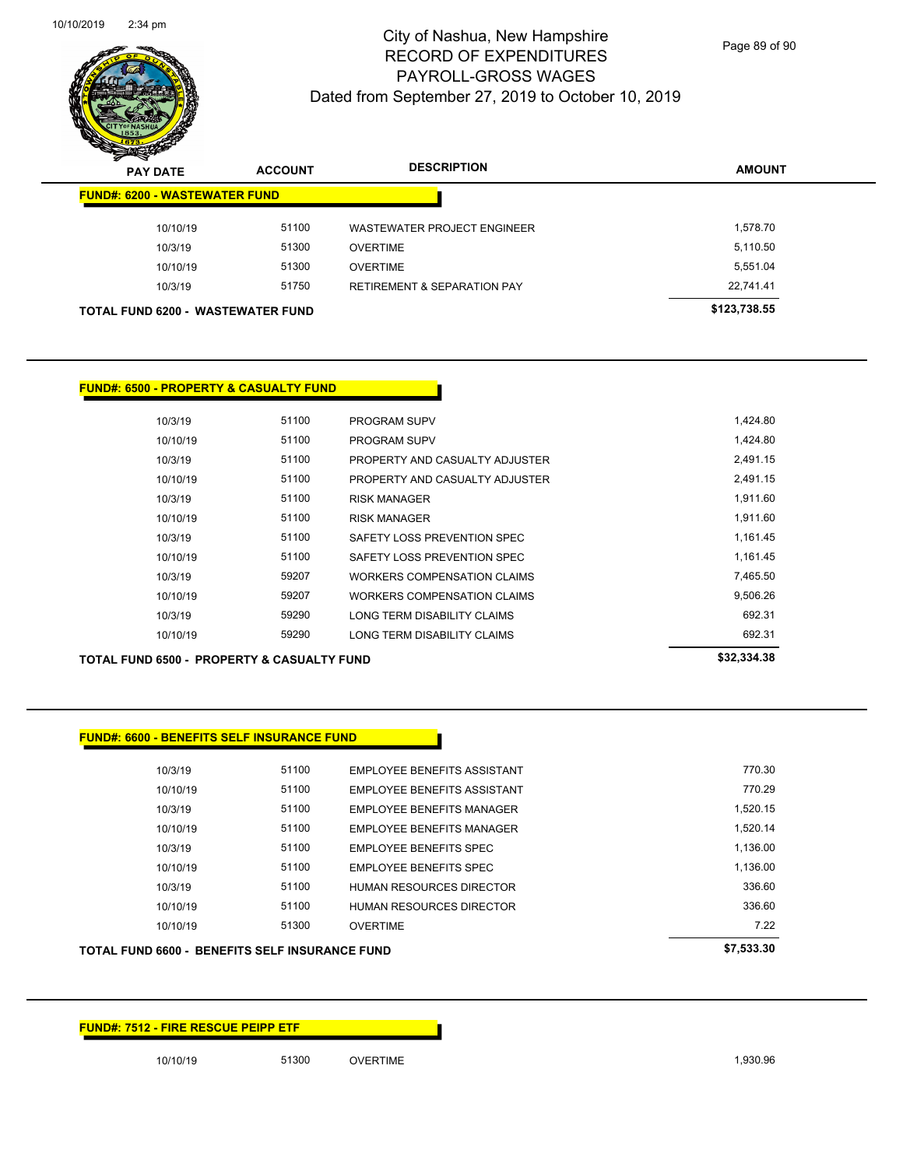

Page 89 of 90

| $\mathbf{z}$<br>$\tilde{\phantom{a}}$<br><b>PAY DATE</b> | <b>ACCOUNT</b> | <b>DESCRIPTION</b>                     | <b>AMOUNT</b> |
|----------------------------------------------------------|----------------|----------------------------------------|---------------|
| <b>FUND#: 6200 - WASTEWATER FUND</b>                     |                |                                        |               |
| 10/10/19                                                 | 51100          | <b>WASTEWATER PROJECT ENGINEER</b>     | 1,578.70      |
| 10/3/19                                                  | 51300          | <b>OVERTIME</b>                        | 5,110.50      |
| 10/10/19                                                 | 51300          | <b>OVERTIME</b>                        | 5,551.04      |
| 10/3/19                                                  | 51750          | <b>RETIREMENT &amp; SEPARATION PAY</b> | 22,741.41     |
| <b>TOTAL FUND 6200 - WASTEWATER FUND</b>                 |                |                                        | \$123,738.55  |

#### **FUND#: 6500 - PROPERTY & CASUALTY FUND**

| 10/3/19  | 51100 | <b>PROGRAM SUPV</b>            | 1.424.80 |
|----------|-------|--------------------------------|----------|
| 10/10/19 | 51100 | <b>PROGRAM SUPV</b>            | 1.424.80 |
| 10/3/19  | 51100 | PROPERTY AND CASUALTY ADJUSTER | 2,491.15 |
| 10/10/19 | 51100 | PROPERTY AND CASUALTY ADJUSTER | 2,491.15 |
| 10/3/19  | 51100 | <b>RISK MANAGER</b>            | 1,911.60 |
| 10/10/19 | 51100 | <b>RISK MANAGER</b>            | 1,911.60 |
| 10/3/19  | 51100 | SAFETY LOSS PREVENTION SPEC    | 1.161.45 |
| 10/10/19 | 51100 | SAFFTY LOSS PREVENTION SPEC    | 1.161.45 |
| 10/3/19  | 59207 | WORKERS COMPENSATION CLAIMS    | 7.465.50 |
| 10/10/19 | 59207 | WORKERS COMPENSATION CLAIMS    | 9,506.26 |
| 10/3/19  | 59290 | LONG TERM DISABILITY CLAIMS    | 692.31   |
| 10/10/19 | 59290 | LONG TERM DISABILITY CLAIMS    | 692.31   |
|          |       |                                |          |

| 10/3/19  | 51100 | PROPERTY AND CASUALTY ADJUSTER     | 2.491.  |
|----------|-------|------------------------------------|---------|
| 10/10/19 | 51100 | PROPERTY AND CASUALTY ADJUSTER     | 2.491.  |
| 10/3/19  | 51100 | <b>RISK MANAGER</b>                | 1,911.  |
| 10/10/19 | 51100 | <b>RISK MANAGER</b>                | 1,911.  |
| 10/3/19  | 51100 | SAFETY LOSS PREVENTION SPEC        | 1,161.4 |
| 10/10/19 | 51100 | SAFETY LOSS PREVENTION SPEC        | 1.161.4 |
| 10/3/19  | 59207 | <b>WORKERS COMPENSATION CLAIMS</b> | 7.465.  |
| 10/10/19 | 59207 | WORKERS COMPENSATION CLAIMS        | 9,506.2 |
| 10/3/19  | 59290 | LONG TERM DISABILITY CLAIMS        | 692.    |
| 10/10/19 | 59290 | LONG TERM DISABILITY CLAIMS        | 692.    |

#### **TOTAL FUND 6500 - PROPERTY & CASUALTY FUND \$32,334.38**

| 10/10/19 | 51100 | PROPERTY AND CASUALTY ADJUSTER     | 2.491. |
|----------|-------|------------------------------------|--------|
| 10/3/19  | 51100 | <b>RISK MANAGER</b>                | 1,911. |
| 10/10/19 | 51100 | <b>RISK MANAGER</b>                | 1.911. |
| 10/3/19  | 51100 | SAFETY LOSS PREVENTION SPEC        | 1,161  |
| 10/10/19 | 51100 | SAFETY LOSS PREVENTION SPEC        | 1.161. |
| 10/3/19  | 59207 | <b>WORKERS COMPENSATION CLAIMS</b> | 7,465  |
| 10/10/19 | 59207 | <b>WORKERS COMPENSATION CLAIMS</b> | 9,506  |
| 10/3/19  | 59290 | LONG TERM DISABILITY CLAIMS        | 692    |
| 10/10/19 | 59290 | LONG TERM DISABILITY CLAIMS        | 692    |

| <b>FUND#: 6600 - BENEFITS SELF INSURANCE FUND</b> |       |                                    |          |
|---------------------------------------------------|-------|------------------------------------|----------|
| 10/3/19                                           | 51100 | EMPLOYEE BENEFITS ASSISTANT        | 770.30   |
| 10/10/19                                          | 51100 | <b>EMPLOYEE BENEFITS ASSISTANT</b> | 770.29   |
| 10/3/19                                           | 51100 | <b>EMPLOYEE BENEFITS MANAGER</b>   | 1,520.15 |
| 10/10/19                                          | 51100 | <b>EMPLOYEE BENEFITS MANAGER</b>   | 1,520.14 |
| 10/3/19                                           | 51100 | <b>EMPLOYEE BENEFITS SPEC</b>      | 1,136.00 |
| 10/10/19                                          | 51100 | <b>EMPLOYEE BENEFITS SPEC</b>      | 1,136.00 |
| 10/3/19                                           | 51100 | <b>HUMAN RESOURCES DIRECTOR</b>    | 336.60   |
| 10/10/19                                          | 51100 | <b>HUMAN RESOURCES DIRECTOR</b>    | 336.60   |
| 10/10/19                                          | 51300 | <b>OVERTIME</b>                    | 7.22     |

# **TOTAL FUND 6600 - BENEFITS SELF INSURANCE FUND \$7,533.30**

| I UTAL FUND 0000 - DENEFITS SELF INSURANCE FUND |  |
|-------------------------------------------------|--|
|                                                 |  |
|                                                 |  |
|                                                 |  |

# **FUND#: 7512 - FIRE RESCUE PEIPP ETF**